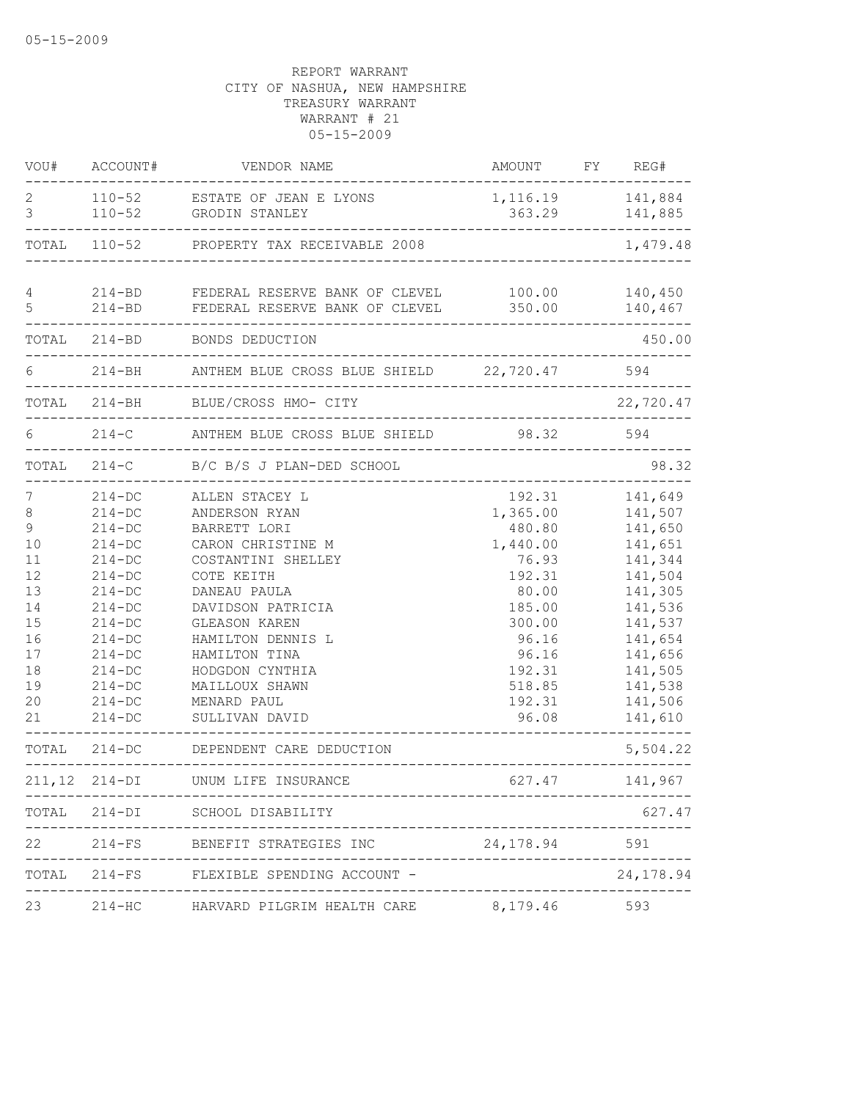| VOU#                                                                                      | ACCOUNT#                                                                                                                                                                     | VENDOR NAME                                                                                                                                                                                                                                                                       | AMOUNT FY REG#                                                                                                                                                                                   |                                                                                                                                                        |
|-------------------------------------------------------------------------------------------|------------------------------------------------------------------------------------------------------------------------------------------------------------------------------|-----------------------------------------------------------------------------------------------------------------------------------------------------------------------------------------------------------------------------------------------------------------------------------|--------------------------------------------------------------------------------------------------------------------------------------------------------------------------------------------------|--------------------------------------------------------------------------------------------------------------------------------------------------------|
| 2<br>3                                                                                    | $110 - 52$                                                                                                                                                                   | 110-52 ESTATE OF JEAN E LYONS<br>GRODIN STANLEY                                                                                                                                                                                                                                   | 1, 116.19 141, 884<br>363.29                                                                                                                                                                     | 141,885                                                                                                                                                |
|                                                                                           |                                                                                                                                                                              | TOTAL 110-52 PROPERTY TAX RECEIVABLE 2008                                                                                                                                                                                                                                         |                                                                                                                                                                                                  | 1,479.48                                                                                                                                               |
| 4<br>5                                                                                    | $214 - BD$                                                                                                                                                                   | 214-BD FEDERAL RESERVE BANK OF CLEVEL 100.00<br>FEDERAL RESERVE BANK OF CLEVEL<br>------------------------------                                                                                                                                                                  | 350.00                                                                                                                                                                                           | 140,450<br>140,467                                                                                                                                     |
|                                                                                           | TOTAL 214-BD                                                                                                                                                                 | BONDS DEDUCTION                                                                                                                                                                                                                                                                   | ________________________________                                                                                                                                                                 | 450.00                                                                                                                                                 |
|                                                                                           |                                                                                                                                                                              | 214-BH ANTHEM BLUE CROSS BLUE SHIELD 22,720.47 594                                                                                                                                                                                                                                |                                                                                                                                                                                                  |                                                                                                                                                        |
|                                                                                           |                                                                                                                                                                              | TOTAL 214-BH BLUE/CROSS HMO- CITY<br>--------------------------------                                                                                                                                                                                                             |                                                                                                                                                                                                  | 22,720.47                                                                                                                                              |
| 6                                                                                         | $214-C$                                                                                                                                                                      | ANTHEM BLUE CROSS BLUE SHIELD 98.32 594                                                                                                                                                                                                                                           |                                                                                                                                                                                                  |                                                                                                                                                        |
|                                                                                           |                                                                                                                                                                              | TOTAL 214-C B/C B/S J PLAN-DED SCHOOL                                                                                                                                                                                                                                             |                                                                                                                                                                                                  | 98.32                                                                                                                                                  |
| 7<br>$\,8\,$<br>9<br>10<br>11<br>12<br>13<br>14<br>15<br>16<br>17<br>18<br>19<br>20<br>21 | $214-DC$<br>$214-DC$<br>$214-DC$<br>$214-DC$<br>$214-DC$<br>$214 - DC$<br>$214-DC$<br>$214 - DC$<br>$214-DC$<br>$214 - DC$<br>$214-DC$<br>$214-DC$<br>$214-DC$<br>$214 - DC$ | 214-DC ALLEN STACEY L<br>ANDERSON RYAN<br>BARRETT LORI<br>CARON CHRISTINE M<br>COSTANTINI SHELLEY<br>COTE KEITH<br>DANEAU PAULA<br>DAVIDSON PATRICIA<br>GLEASON KAREN<br>HAMILTON DENNIS L<br>HAMILTON TINA<br>HODGDON CYNTHIA<br>MAILLOUX SHAWN<br>MENARD PAUL<br>SULLIVAN DAVID | . _ _ _ _ _ _ _ _ _ _ _ _ _ _ _ _ _<br>192.31<br>1,365.00 141,507<br>480.80<br>1,440.00<br>76.93<br>192.31<br>80.00<br>185.00<br>300.00<br>96.16<br>96.16<br>192.31<br>518.85<br>192.31<br>96.08 | 141,649<br>141,650<br>141,651<br>141,344<br>141,504<br>141,305<br>141,536<br>141,537<br>141,654<br>141,656<br>141,505<br>141,538<br>141,506<br>141,610 |
|                                                                                           |                                                                                                                                                                              | TOTAL 214-DC DEPENDENT CARE DEDUCTION                                                                                                                                                                                                                                             |                                                                                                                                                                                                  | 5,504.22                                                                                                                                               |
|                                                                                           |                                                                                                                                                                              | 211, 12 214-DI UNUM LIFE INSURANCE                                                                                                                                                                                                                                                | $627.47$ 141,967                                                                                                                                                                                 |                                                                                                                                                        |
|                                                                                           |                                                                                                                                                                              | TOTAL 214-DI SCHOOL DISABILITY                                                                                                                                                                                                                                                    |                                                                                                                                                                                                  | 627.47                                                                                                                                                 |
|                                                                                           |                                                                                                                                                                              | 22 214-FS BENEFIT STRATEGIES INC                                                                                                                                                                                                                                                  | 24, 178.94 591                                                                                                                                                                                   |                                                                                                                                                        |
|                                                                                           |                                                                                                                                                                              | TOTAL 214-FS FLEXIBLE SPENDING ACCOUNT -                                                                                                                                                                                                                                          |                                                                                                                                                                                                  | 24, 178.94                                                                                                                                             |
| 23                                                                                        |                                                                                                                                                                              |                                                                                                                                                                                                                                                                                   |                                                                                                                                                                                                  |                                                                                                                                                        |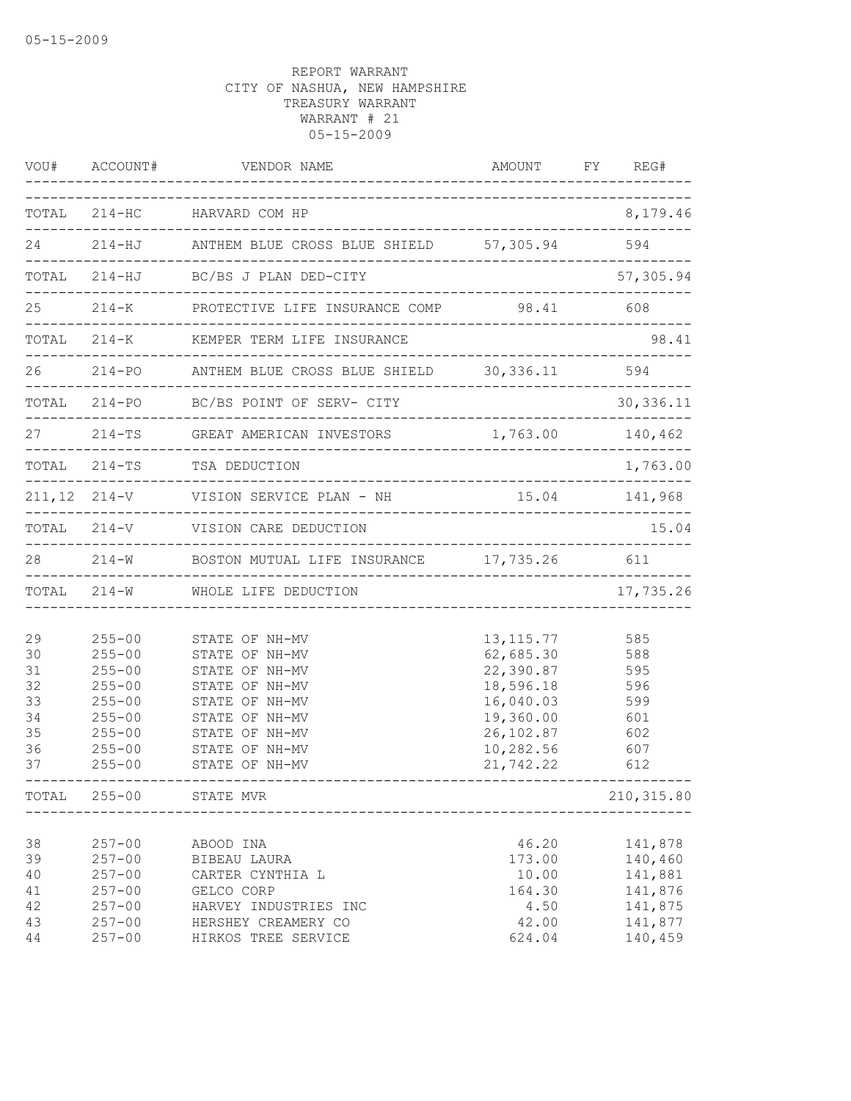|                                                    | VOU# ACCOUNT#                                                                                                              | VENDOR NAME                                                                                                                                                    | AMOUNT FY REG#                                                                                                         |                                                                           |
|----------------------------------------------------|----------------------------------------------------------------------------------------------------------------------------|----------------------------------------------------------------------------------------------------------------------------------------------------------------|------------------------------------------------------------------------------------------------------------------------|---------------------------------------------------------------------------|
|                                                    |                                                                                                                            | TOTAL 214-HC HARVARD COM HP                                                                                                                                    |                                                                                                                        | 8,179.46                                                                  |
|                                                    |                                                                                                                            | 24 214-HJ ANTHEM BLUE CROSS BLUE SHIELD 57,305.94 594                                                                                                          |                                                                                                                        |                                                                           |
|                                                    |                                                                                                                            | TOTAL 214-HJ BC/BS J PLAN DED-CITY                                                                                                                             |                                                                                                                        | 57,305.94                                                                 |
|                                                    |                                                                                                                            | 25 214-K PROTECTIVE LIFE INSURANCE COMP 98.41 608                                                                                                              |                                                                                                                        |                                                                           |
|                                                    |                                                                                                                            | TOTAL 214-K KEMPER TERM LIFE INSURANCE                                                                                                                         | ------------------------------------                                                                                   | 98.41                                                                     |
|                                                    |                                                                                                                            | 26 214-PO ANTHEM BLUE CROSS BLUE SHIELD 30,336.11 594                                                                                                          |                                                                                                                        |                                                                           |
|                                                    |                                                                                                                            | TOTAL 214-PO BC/BS POINT OF SERV- CITY                                                                                                                         |                                                                                                                        | 30, 336.11                                                                |
|                                                    |                                                                                                                            | 27 214-TS GREAT AMERICAN INVESTORS 1,763.00 140,462                                                                                                            |                                                                                                                        |                                                                           |
|                                                    |                                                                                                                            | TOTAL 214-TS TSA DEDUCTION                                                                                                                                     |                                                                                                                        | 1,763.00                                                                  |
|                                                    |                                                                                                                            | 211,12 214-V VISION SERVICE PLAN - NH 15.04 141,968                                                                                                            |                                                                                                                        |                                                                           |
|                                                    |                                                                                                                            | TOTAL 214-V VISION CARE DEDUCTION                                                                                                                              |                                                                                                                        | 15.04                                                                     |
|                                                    |                                                                                                                            | 28 214-W BOSTON MUTUAL LIFE INSURANCE 17,735.26 611                                                                                                            |                                                                                                                        |                                                                           |
|                                                    |                                                                                                                            | TOTAL 214-W WHOLE LIFE DEDUCTION                                                                                                                               |                                                                                                                        | 17,735.26                                                                 |
| 29<br>30<br>31<br>32<br>33<br>34<br>35<br>36<br>37 | $255 - 00$<br>$255 - 00$<br>$255 - 00$<br>$255 - 00$<br>$255 - 00$<br>$255 - 00$<br>$255 - 00$<br>$255 - 00$<br>$255 - 00$ | STATE OF NH-MV<br>STATE OF NH-MV<br>STATE OF NH-MV<br>STATE OF NH-MV<br>STATE OF NH-MV<br>STATE OF NH-MV<br>STATE OF NH-MV<br>STATE OF NH-MV<br>STATE OF NH-MV | 13, 115.77<br>62,685.30 588<br>22,390.87<br>18,596.18<br>16,040.03<br>19,360.00<br>26,102.87<br>10,282.56<br>21,742.22 | 585<br>595<br>596<br>599<br>601<br>602<br>607<br>612                      |
|                                                    | TOTAL 255-00                                                                                                               | STATE MVR                                                                                                                                                      |                                                                                                                        | 210, 315.80                                                               |
| 38<br>39<br>40<br>41<br>42<br>43<br>44             | $257 - 00$<br>$257 - 00$<br>$257 - 00$<br>$257 - 00$<br>$257 - 00$<br>$257 - 00$<br>$257 - 00$                             | ABOOD INA<br>BIBEAU LAURA<br>CARTER CYNTHIA L<br>GELCO CORP<br>HARVEY INDUSTRIES INC<br>HERSHEY CREAMERY CO<br>HIRKOS TREE SERVICE                             | 46.20<br>173.00<br>10.00<br>164.30<br>4.50<br>42.00<br>624.04                                                          | 141,878<br>140,460<br>141,881<br>141,876<br>141,875<br>141,877<br>140,459 |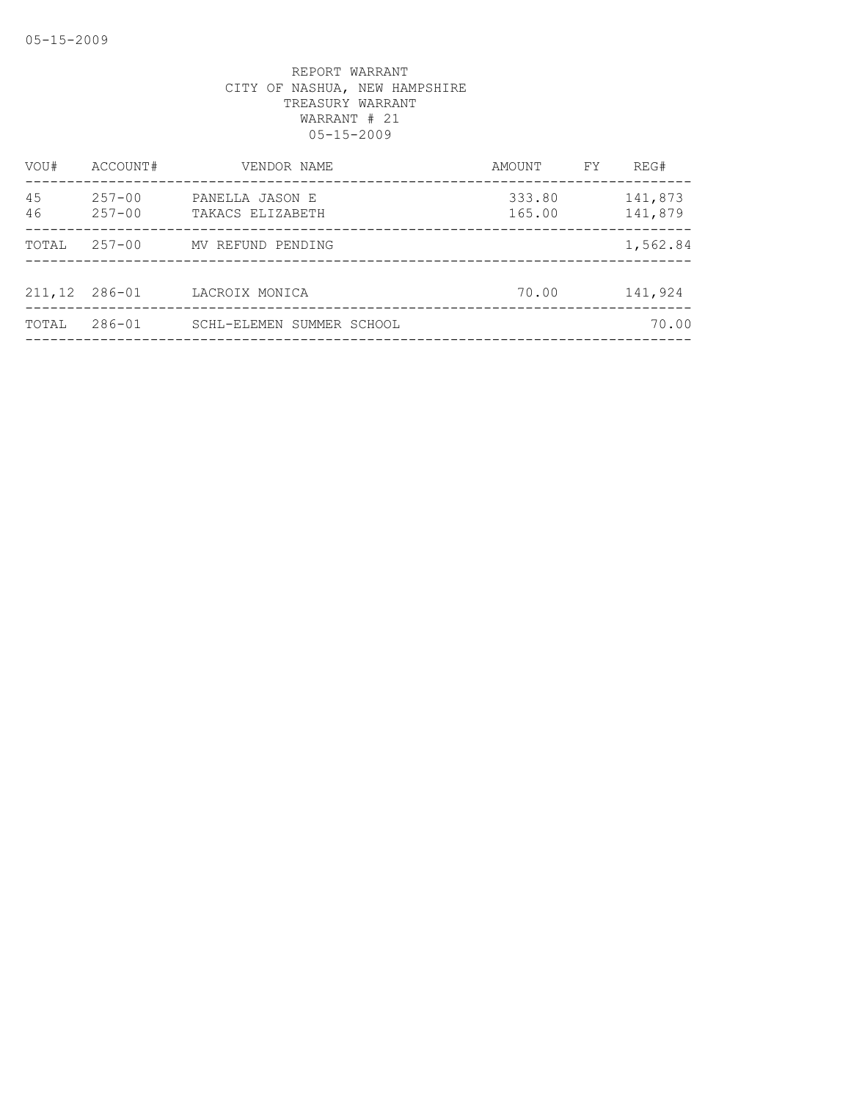| VOU#     | ACCOUNT#                 | VENDOR NAME                         | AMOUNT           | FY | REG#               |
|----------|--------------------------|-------------------------------------|------------------|----|--------------------|
| 45<br>46 | $257 - 00$<br>$257 - 00$ | PANELLA JASON E<br>TAKACS ELIZABETH | 333.80<br>165.00 |    | 141,873<br>141,879 |
| TOTAL    | $257 - 00$               | MV REFUND PENDING                   |                  |    | 1,562.84           |
| 211,12   | 286-01                   | LACROIX MONICA                      | 70.00            |    | 141,924            |
| TOTAL    | $286 - 01$               | SCHL-ELEMEN SUMMER SCHOOL           |                  |    | 70.00              |
|          |                          |                                     |                  |    |                    |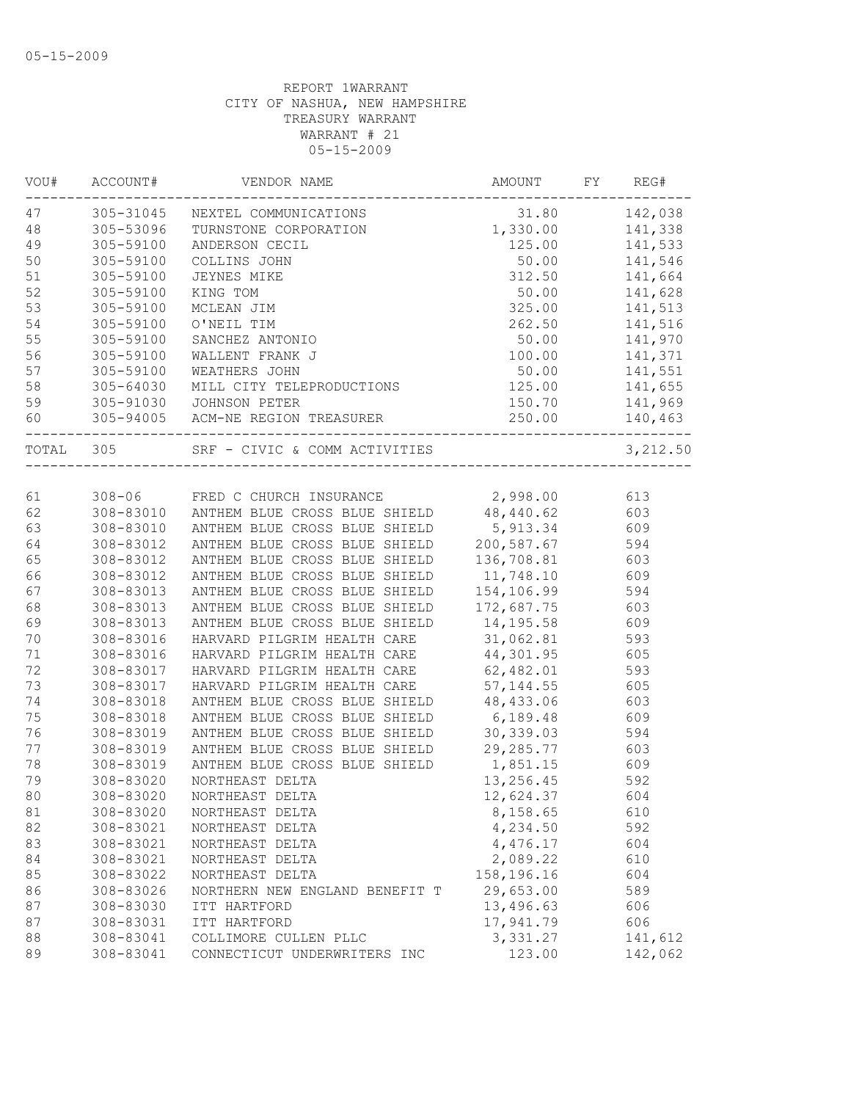| VOU#      | ACCOUNT#  | VENDOR NAME                                       | AMOUNT     | FY | REG#         |
|-----------|-----------|---------------------------------------------------|------------|----|--------------|
| 47        | 305-31045 | NEXTEL COMMUNICATIONS                             | 31.80      |    | 142,038      |
| 48        | 305-53096 | TURNSTONE CORPORATION                             | 1,330.00   |    | 141,338      |
| 49        | 305-59100 | ANDERSON CECIL                                    | 125.00     |    | 141,533      |
| 50        | 305-59100 | COLLINS JOHN                                      | 50.00      |    | 141,546      |
| 51        | 305-59100 | JEYNES MIKE                                       | 312.50     |    | 141,664      |
| 52        | 305-59100 | KING TOM                                          | 50.00      |    | 141,628      |
| 53        | 305-59100 | MCLEAN JIM                                        | 325.00     |    | 141,513      |
| 54        | 305-59100 | O'NEIL TIM                                        | 262.50     |    | 141,516      |
| 55        | 305-59100 | SANCHEZ ANTONIO                                   | 50.00      |    | 141,970      |
| 56        | 305-59100 | WALLENT FRANK J                                   | 100.00     |    | 141,371      |
| 57        | 305-59100 | WEATHERS JOHN                                     | 50.00      |    | 141,551      |
| 58        | 305-64030 | MILL CITY TELEPRODUCTIONS                         | 125.00     |    | 141,655      |
| 59        |           | 305-91030 JOHNSON PETER                           | 150.70     |    | 141,969      |
| 60        |           | 305-94005 ACM-NE REGION TREASURER                 | 250.00     |    | 140,463<br>. |
| TOTAL 305 |           | SRF - CIVIC & COMM ACTIVITIES                     |            |    | 3,212.50     |
|           |           |                                                   |            |    |              |
| 61        |           | 308-06 FRED C CHURCH INSURANCE                    | 2,998.00   |    | 613          |
| 62        |           | 308-83010 ANTHEM BLUE CROSS BLUE SHIELD 48,440.62 |            |    | 603          |
| 63        | 308-83010 | ANTHEM BLUE CROSS BLUE SHIELD                     | 5,913.34   |    | 609          |
| 64        | 308-83012 | ANTHEM BLUE CROSS BLUE SHIELD                     | 200,587.67 |    | 594          |
| 65        | 308-83012 | ANTHEM BLUE CROSS BLUE SHIELD                     | 136,708.81 |    | 603          |
| 66        | 308-83012 | ANTHEM BLUE CROSS BLUE SHIELD                     | 11,748.10  |    | 609          |
| 67        | 308-83013 | ANTHEM BLUE CROSS BLUE SHIELD                     | 154,106.99 |    | 594          |
| 68        | 308-83013 | ANTHEM BLUE CROSS BLUE SHIELD                     | 172,687.75 |    | 603          |
| 69        | 308-83013 | ANTHEM BLUE CROSS BLUE SHIELD                     | 14,195.58  |    | 609          |
| $70$      | 308-83016 | HARVARD PILGRIM HEALTH CARE                       | 31,062.81  |    | 593          |
| 71        | 308-83016 | HARVARD PILGRIM HEALTH CARE                       | 44,301.95  |    | 605          |
| 72        | 308-83017 | HARVARD PILGRIM HEALTH CARE                       | 62,482.01  |    | 593          |
| 73        | 308-83017 | HARVARD PILGRIM HEALTH CARE                       | 57, 144.55 |    | 605          |
| 74        | 308-83018 | ANTHEM BLUE CROSS BLUE SHIELD                     | 48,433.06  |    | 603          |
| 75        | 308-83018 | ANTHEM BLUE CROSS BLUE SHIELD                     | 6,189.48   |    | 609          |
| 76        | 308-83019 | ANTHEM BLUE CROSS BLUE SHIELD                     | 30,339.03  |    | 594          |
| 77        | 308-83019 | ANTHEM BLUE CROSS BLUE SHIELD                     | 29,285.77  |    | 603          |
| 78        | 308-83019 | ANTHEM BLUE CROSS BLUE SHIELD                     | 1,851.15   |    | 609          |
| 79        | 308-83020 | NORTHEAST DELTA                                   | 13,256.45  |    | 592          |
| 80        | 308-83020 | NORTHEAST DELTA                                   | 12,624.37  |    | 604          |
| 81        | 308-83020 | NORTHEAST DELTA                                   | 8,158.65   |    | 610          |
| 82        | 308-83021 | NORTHEAST DELTA                                   | 4,234.50   |    | 592          |
| 83        | 308-83021 | NORTHEAST DELTA                                   | 4,476.17   |    | 604          |
| 84        | 308-83021 | NORTHEAST DELTA                                   | 2,089.22   |    | 610          |
| 85        | 308-83022 | NORTHEAST DELTA                                   | 158,196.16 |    | 604          |
| 86        | 308-83026 | NORTHERN NEW ENGLAND BENEFIT T                    | 29,653.00  |    | 589          |
| 87        | 308-83030 | ITT HARTFORD                                      | 13,496.63  |    | 606          |
| 87        | 308-83031 | ITT HARTFORD                                      | 17,941.79  |    | 606          |
| 88        | 308-83041 | COLLIMORE CULLEN PLLC                             | 3,331.27   |    | 141,612      |
| 89        | 308-83041 | CONNECTICUT UNDERWRITERS INC                      | 123.00     |    | 142,062      |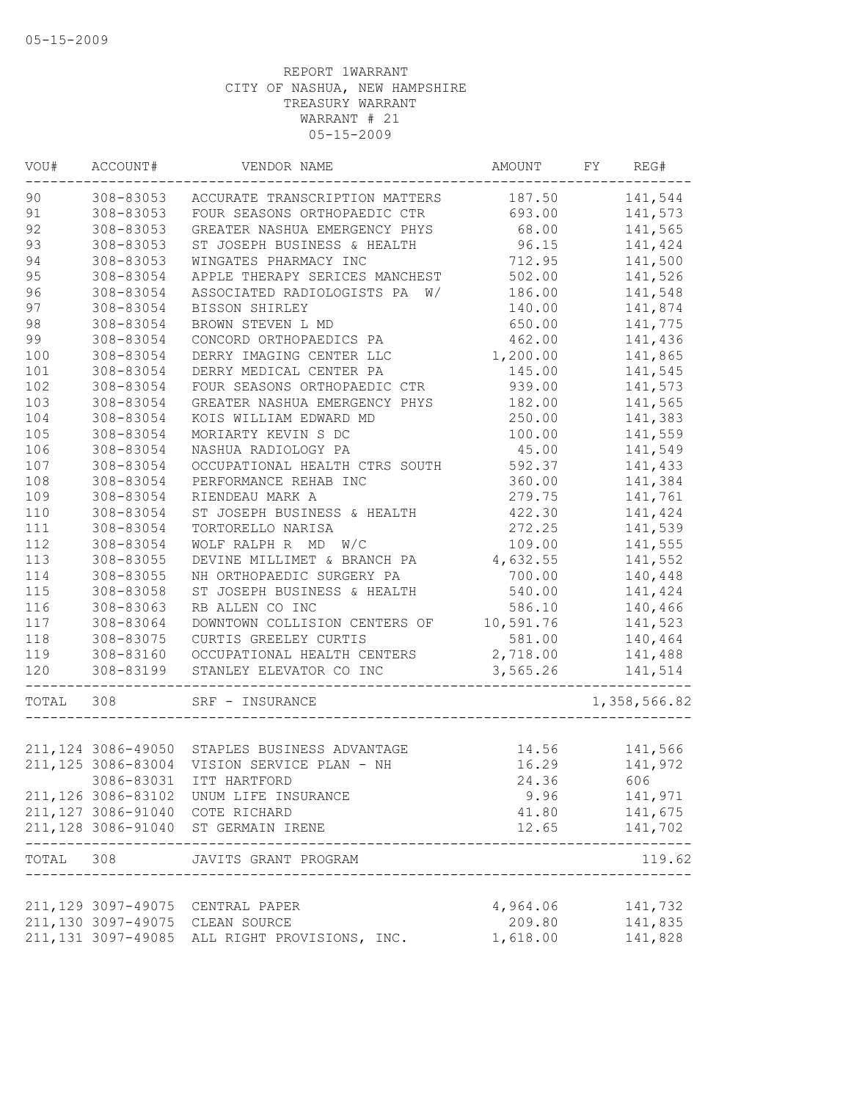| WOU#  | ACCOUNT#            | VENDOR NAME                                   | AMOUNT    | FY | REG#          |
|-------|---------------------|-----------------------------------------------|-----------|----|---------------|
| 90    | 308-83053           | ACCURATE TRANSCRIPTION MATTERS                | 187.50    |    | 141,544       |
| 91    | 308-83053           | FOUR SEASONS ORTHOPAEDIC CTR                  | 693.00    |    | 141,573       |
| 92    | 308-83053           | GREATER NASHUA EMERGENCY PHYS                 | 68.00     |    | 141,565       |
| 93    | 308-83053           | ST JOSEPH BUSINESS & HEALTH                   | 96.15     |    | 141,424       |
| 94    | 308-83053           | WINGATES PHARMACY INC                         | 712.95    |    | 141,500       |
| 95    | 308-83054           | APPLE THERAPY SERICES MANCHEST                | 502.00    |    | 141,526       |
| 96    | 308-83054           | ASSOCIATED RADIOLOGISTS PA<br>W/              | 186.00    |    | 141,548       |
| 97    | 308-83054           | BISSON SHIRLEY                                | 140.00    |    | 141,874       |
| 98    | 308-83054           | BROWN STEVEN L MD                             | 650.00    |    | 141,775       |
| 99    | 308-83054           | CONCORD ORTHOPAEDICS PA                       | 462.00    |    | 141,436       |
| 100   | 308-83054           | DERRY IMAGING CENTER LLC                      | 1,200.00  |    | 141,865       |
| 101   | 308-83054           | DERRY MEDICAL CENTER PA                       | 145.00    |    | 141,545       |
| 102   | 308-83054           | FOUR SEASONS ORTHOPAEDIC CTR                  | 939.00    |    | 141,573       |
| 103   | 308-83054           | GREATER NASHUA EMERGENCY PHYS                 | 182.00    |    | 141,565       |
| 104   | 308-83054           | KOIS WILLIAM EDWARD MD                        | 250.00    |    | 141,383       |
| 105   | 308-83054           | MORIARTY KEVIN S DC                           | 100.00    |    | 141,559       |
| 106   | 308-83054           | NASHUA RADIOLOGY PA                           | 45.00     |    | 141,549       |
| 107   | 308-83054           | OCCUPATIONAL HEALTH CTRS SOUTH                | 592.37    |    | 141,433       |
| 108   | 308-83054           | PERFORMANCE REHAB INC                         | 360.00    |    | 141,384       |
| 109   | 308-83054           | RIENDEAU MARK A                               | 279.75    |    | 141,761       |
| 110   | 308-83054           | ST JOSEPH BUSINESS & HEALTH                   | 422.30    |    | 141,424       |
| 111   | 308-83054           | TORTORELLO NARISA                             | 272.25    |    | 141,539       |
| 112   | 308-83054           | WOLF RALPH R MD W/C                           | 109.00    |    | 141,555       |
| 113   | 308-83055           | DEVINE MILLIMET & BRANCH PA                   | 4,632.55  |    | 141,552       |
| 114   | 308-83055           | NH ORTHOPAEDIC SURGERY PA                     | 700.00    |    | 140,448       |
| 115   | 308-83058           | ST JOSEPH BUSINESS & HEALTH                   | 540.00    |    | 141,424       |
| 116   | 308-83063           | RB ALLEN CO INC                               | 586.10    |    | 140,466       |
| 117   | 308-83064           | DOWNTOWN COLLISION CENTERS OF                 | 10,591.76 |    | 141,523       |
| 118   | 308-83075           | CURTIS GREELEY CURTIS                         | 581.00    |    | 140,464       |
| 119   | 308-83160           | OCCUPATIONAL HEALTH CENTERS                   | 2,718.00  |    | 141,488       |
| 120   | 308-83199           | STANLEY ELEVATOR CO INC                       | 3,565.26  |    | 141,514       |
|       |                     |                                               |           |    |               |
| TOTAL | 308                 | SRF - INSURANCE                               |           |    | 1,358,566.82  |
|       |                     |                                               |           |    |               |
|       |                     | 211,124 3086-49050 STAPLES BUSINESS ADVANTAGE | 14.56     |    | 141,566       |
|       | 211, 125 3086-83004 | VISION SERVICE PLAN - NH                      | 16.29     |    | 141,972       |
|       | 3086-83031          | ITT HARTFORD                                  | 24.36     |    | 606 10        |
|       |                     | 211,126 3086-83102 UNUM LIFE INSURANCE        | 9.96      |    | 141,971       |
|       |                     | 211,127 3086-91040 COTE RICHARD               | 41.80     |    | 141,675       |
|       |                     | 211,128 3086-91040 ST GERMAIN IRENE           |           |    | 12.65 141,702 |
|       |                     | TOTAL 308 JAVITS GRANT PROGRAM                |           |    | 119.62        |
|       |                     |                                               |           |    |               |
|       |                     | 211,129 3097-49075 CENTRAL PAPER              | 4,964.06  |    | 141,732       |
|       |                     | 211,130 3097-49075 CLEAN SOURCE               | 209.80    |    | 141,835       |
|       |                     | 211,131 3097-49085 ALL RIGHT PROVISIONS, INC. | 1,618.00  |    | 141,828       |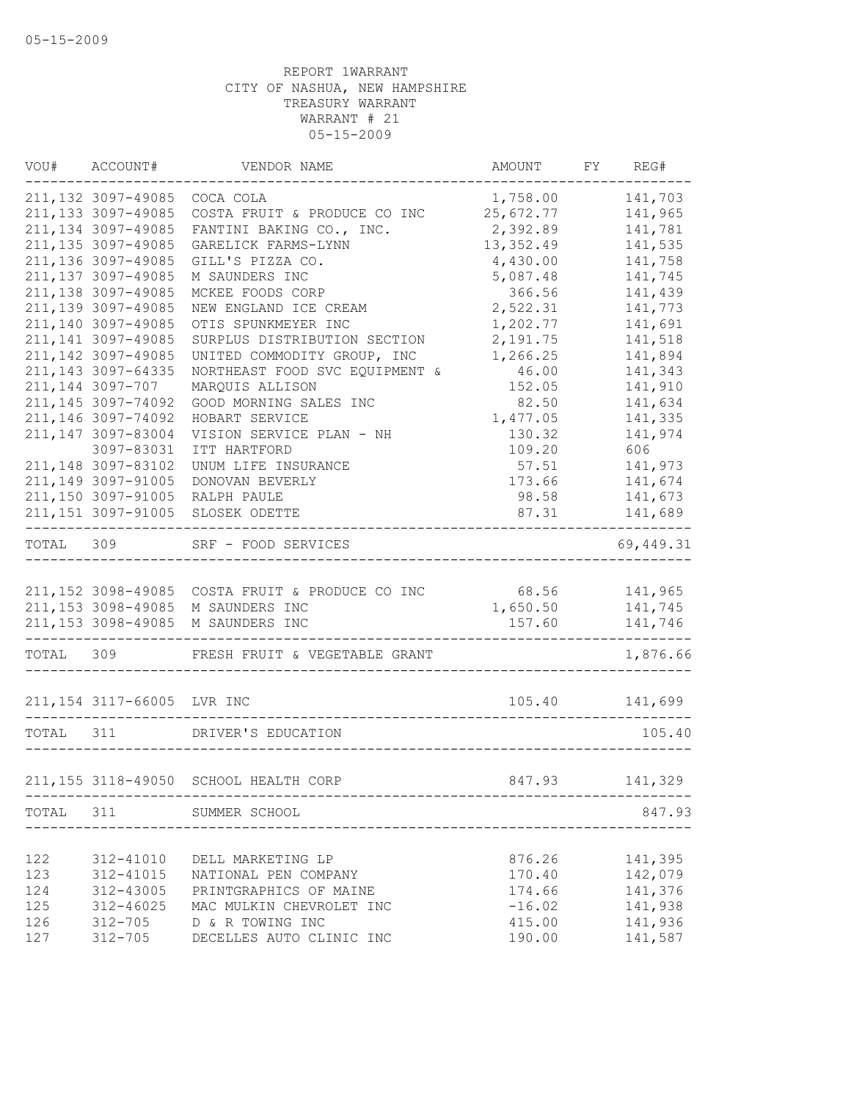|           | VOU# ACCOUNT#                                    | VENDOR NAME                           | AMOUNT     | FY REG#            |
|-----------|--------------------------------------------------|---------------------------------------|------------|--------------------|
|           | 211, 132 3097-49085                              | COCA COLA                             | 1,758.00   | 141,703            |
|           | 211, 133 3097-49085                              | COSTA FRUIT & PRODUCE CO INC          | 25,672.77  | 141,965            |
|           | 211, 134 3097-49085                              | FANTINI BAKING CO., INC.              | 2,392.89   | 141,781            |
|           | 211, 135 3097-49085                              | GARELICK FARMS-LYNN                   | 13, 352.49 | 141,535            |
|           | 211, 136 3097-49085                              | GILL'S PIZZA CO.                      | 4,430.00   | 141,758            |
|           | 211, 137 3097-49085                              | M SAUNDERS INC                        | 5,087.48   | 141,745            |
|           | 211, 138 3097-49085                              | MCKEE FOODS CORP                      | 366.56     | 141,439            |
|           | 211,139 3097-49085                               | NEW ENGLAND ICE CREAM                 | 2,522.31   | 141,773            |
|           | 211,140 3097-49085                               | OTIS SPUNKMEYER INC                   | 1,202.77   | 141,691            |
|           | 211, 141 3097-49085                              | SURPLUS DISTRIBUTION SECTION          | 2,191.75   | 141,518            |
|           | 211, 142 3097-49085                              | UNITED COMMODITY GROUP, INC           | 1,266.25   | 141,894            |
|           | 211, 143 3097-64335                              | NORTHEAST FOOD SVC EQUIPMENT &        | 46.00      | 141,343            |
|           | 211, 144 3097-707                                | MARQUIS ALLISON                       | 152.05     | 141,910            |
|           | 211, 145 3097-74092                              | GOOD MORNING SALES INC                | 82.50      | 141,634            |
|           | 211, 146 3097-74092                              | HOBART SERVICE                        | 1,477.05   | 141,335            |
|           | 211,147 3097-83004                               | VISION SERVICE PLAN - NH              | 130.32     | 141,974            |
|           | 3097-83031                                       | ITT HARTFORD                          | 109.20     | 606 1              |
|           | 211, 148 3097-83102                              | UNUM LIFE INSURANCE                   | 57.51      | 141,973            |
|           | 211,149 3097-91005                               | DONOVAN BEVERLY                       | 173.66     | 141,674            |
|           | 211,150 3097-91005                               | RALPH PAULE                           | 98.58      | 141,673            |
|           | 211, 151 3097-91005<br>------------------------- | SLOSEK ODETTE                         | 87.31      | 141,689<br>------- |
| TOTAL 309 |                                                  | SRF - FOOD SERVICES                   |            | 69,449.31          |
|           |                                                  |                                       |            |                    |
|           | 211, 152 3098-49085                              | COSTA FRUIT & PRODUCE CO INC          |            | 68.56 141,965      |
|           | 211, 153 3098-49085                              | M SAUNDERS INC                        | 1,650.50   | 141,745            |
|           | 211, 153 3098-49085                              | M SAUNDERS INC                        | 157.60     | 141,746            |
| TOTAL 309 |                                                  | FRESH FRUIT & VEGETABLE GRANT         |            | 1,876.66           |
|           | 211,154 3117-66005 LVR INC                       |                                       |            | 105.40 141,699     |
| TOTAL 311 |                                                  | DRIVER'S EDUCATION                    |            | 105.40             |
|           |                                                  |                                       |            |                    |
|           |                                                  | 211,155 3118-49050 SCHOOL HEALTH CORP | 847.93     | 141,329            |
|           |                                                  | TOTAL 311 SUMMER SCHOOL               |            | 847.93             |
|           |                                                  |                                       |            |                    |
| 122       | 312-41010                                        | DELL MARKETING LP                     | 876.26     | 141,395            |
| 123       | 312-41015                                        | NATIONAL PEN COMPANY                  | 170.40     | 142,079            |
| 124       | 312-43005                                        | PRINTGRAPHICS OF MAINE                | 174.66     | 141,376            |
| 125       | 312-46025                                        | MAC MULKIN CHEVROLET INC              | $-16.02$   | 141,938            |
| 126       | 312-705                                          | D & R TOWING INC                      | 415.00     | 141,936            |
| 127       | $312 - 705$                                      | DECELLES AUTO CLINIC INC              | 190.00     | 141,587            |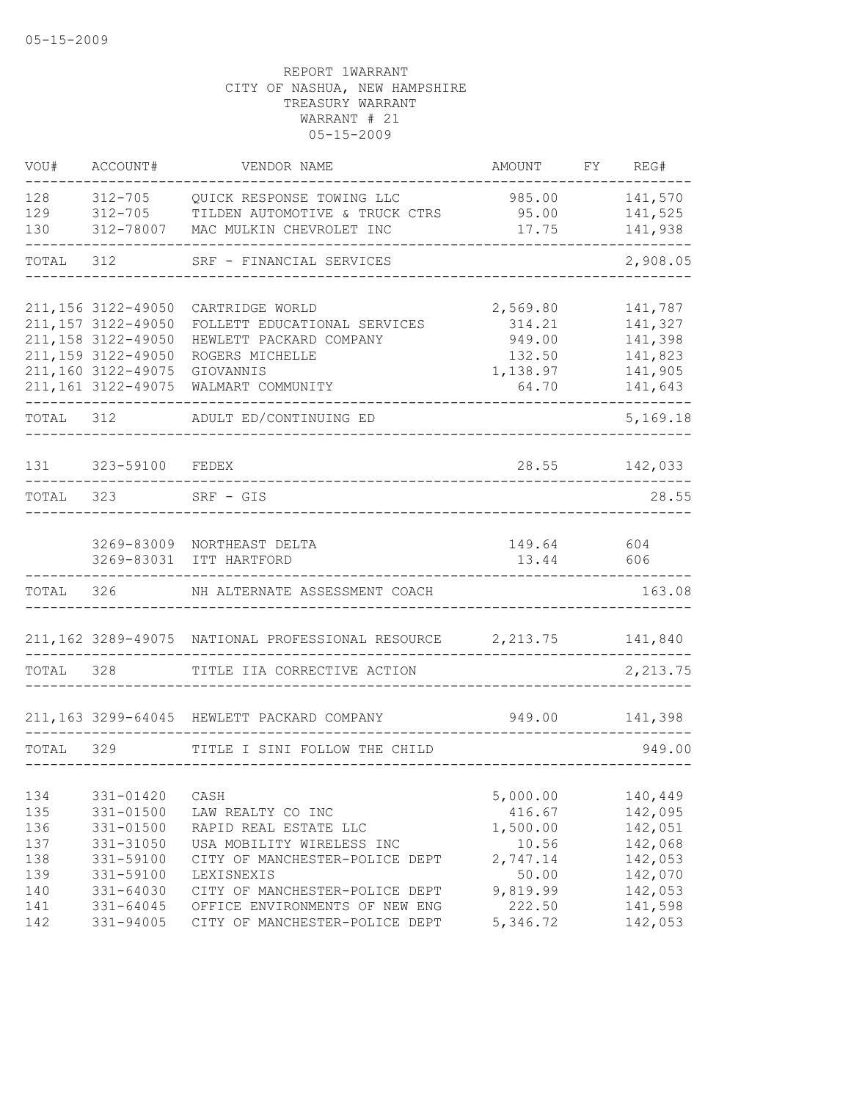| VOU#      | ACCOUNT#            | VENDOR NAME                                                | AMOUNT   | FY | REG#     |
|-----------|---------------------|------------------------------------------------------------|----------|----|----------|
| 128       | $312 - 705$         | QUICK RESPONSE TOWING LLC                                  | 985.00   |    | 141,570  |
| 129       | 312-705             | TILDEN AUTOMOTIVE & TRUCK CTRS                             | 95.00    |    | 141,525  |
| 130       | 312-78007           | MAC MULKIN CHEVROLET INC                                   | 17.75    |    | 141,938  |
| TOTAL     | 312                 | SRF - FINANCIAL SERVICES                                   |          |    | 2,908.05 |
|           | 211, 156 3122-49050 | CARTRIDGE WORLD                                            | 2,569.80 |    | 141,787  |
|           | 211, 157 3122-49050 | FOLLETT EDUCATIONAL SERVICES                               | 314.21   |    | 141,327  |
|           | 211, 158 3122-49050 | HEWLETT PACKARD COMPANY                                    | 949.00   |    | 141,398  |
|           | 211,159 3122-49050  | ROGERS MICHELLE                                            | 132.50   |    | 141,823  |
|           | 211,160 3122-49075  | GIOVANNIS                                                  | 1,138.97 |    | 141,905  |
|           | 211, 161 3122-49075 | WALMART COMMUNITY                                          | 64.70    |    | 141,643  |
| TOTAL 312 |                     | ADULT ED/CONTINUING ED                                     |          |    | 5,169.18 |
| 131       | 323-59100           | FEDEX                                                      | 28.55    |    | 142,033  |
| TOTAL     | 323                 | SRF - GIS                                                  |          |    | 28.55    |
|           |                     |                                                            |          |    |          |
|           |                     | 3269-83009 NORTHEAST DELTA                                 | 149.64   |    | 604      |
|           | 3269-83031          | ITT HARTFORD                                               | 13.44    |    | 606      |
| TOTAL     | 326                 | NH ALTERNATE ASSESSMENT COACH                              |          |    | 163.08   |
|           |                     | 211,162 3289-49075 NATIONAL PROFESSIONAL RESOURCE 2,213.75 |          |    | 141,840  |
| TOTAL     | 328                 | TITLE IIA CORRECTIVE ACTION                                |          |    | 2,213.75 |
|           |                     |                                                            |          |    |          |
|           |                     | 211,163 3299-64045 HEWLETT PACKARD COMPANY                 | 949.00   |    | 141,398  |
| TOTAL 329 |                     | TITLE I SINI FOLLOW THE CHILD                              |          |    | 949.00   |
| 134       | 331-01420           | CASH                                                       | 5,000.00 |    | 140,449  |
| 135       | $331 - 01500$       | LAW REALTY CO INC                                          | 416.67   |    | 142,095  |
| 136       | 331-01500           | RAPID REAL ESTATE LLC                                      | 1,500.00 |    | 142,051  |
| 137       | 331-31050           | USA MOBILITY WIRELESS INC                                  | 10.56    |    | 142,068  |
| 138       | 331-59100           | CITY OF MANCHESTER-POLICE DEPT                             | 2,747.14 |    | 142,053  |
| 139       | 331-59100           | LEXISNEXIS                                                 | 50.00    |    | 142,070  |
| 140       | 331-64030           | CITY OF MANCHESTER-POLICE DEPT                             | 9,819.99 |    | 142,053  |
| 141       | 331-64045           | OFFICE ENVIRONMENTS OF NEW ENG                             | 222.50   |    | 141,598  |
| 142       | 331-94005           | CITY OF MANCHESTER-POLICE DEPT                             | 5,346.72 |    | 142,053  |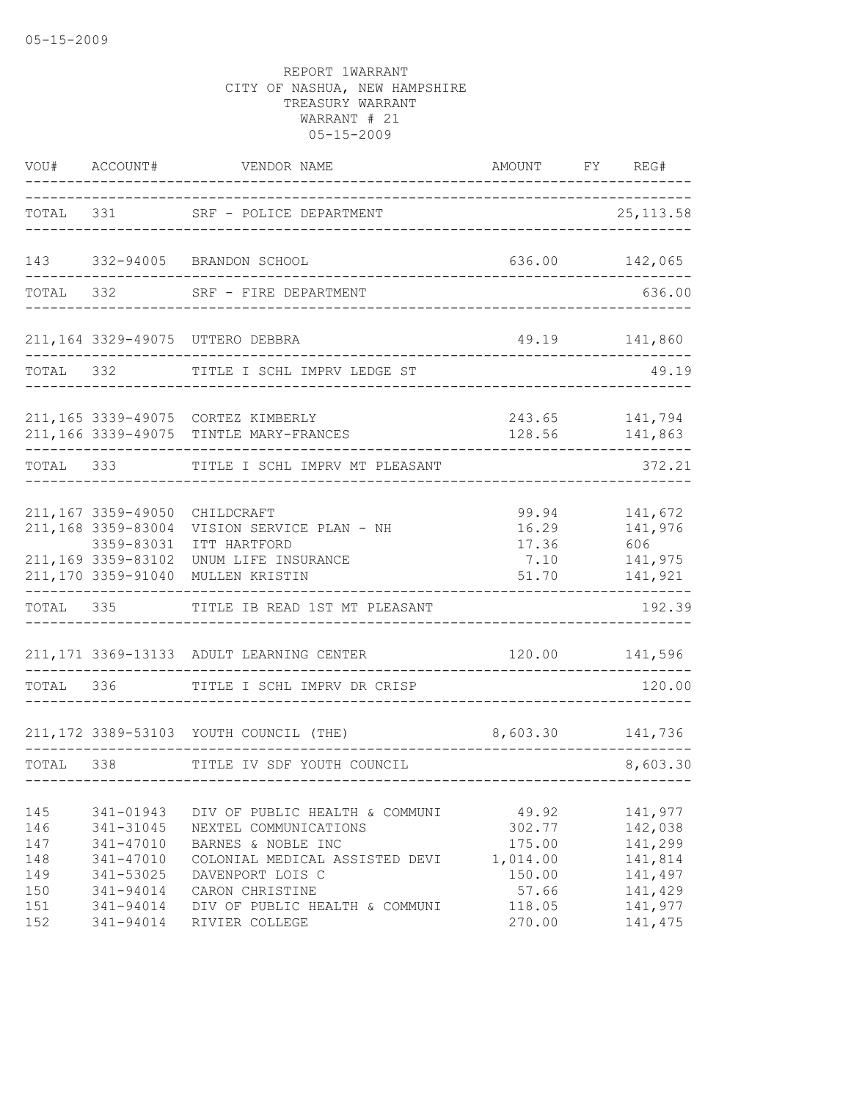|                                               | VOU# ACCOUNT#                                                                                       | VENDOR NAME                                                                                                                                                                              | AMOUNT FY REG#                                                     |                                                                           |
|-----------------------------------------------|-----------------------------------------------------------------------------------------------------|------------------------------------------------------------------------------------------------------------------------------------------------------------------------------------------|--------------------------------------------------------------------|---------------------------------------------------------------------------|
|                                               |                                                                                                     | TOTAL 331 SRF - POLICE DEPARTMENT<br>--------------------                                                                                                                                |                                                                    | 25, 113.58                                                                |
|                                               |                                                                                                     | 143 332-94005 BRANDON SCHOOL                                                                                                                                                             | 636.00 142,065                                                     |                                                                           |
| TOTAL                                         |                                                                                                     | 332 SRF - FIRE DEPARTMENT                                                                                                                                                                |                                                                    | 636.00                                                                    |
|                                               |                                                                                                     | 211,164 3329-49075 UTTERO DEBBRA                                                                                                                                                         |                                                                    | 49.19 141,860                                                             |
| TOTAL 332                                     |                                                                                                     | TITLE I SCHL IMPRV LEDGE ST                                                                                                                                                              |                                                                    | 49.19                                                                     |
|                                               |                                                                                                     | 211,165 3339-49075 CORTEZ KIMBERLY<br>211,166 3339-49075 TINTLE MARY-FRANCES                                                                                                             |                                                                    | 243.65 141,794<br>128.56 141,863                                          |
| TOTAL 333                                     |                                                                                                     | TITLE I SCHL IMPRV MT PLEASANT                                                                                                                                                           |                                                                    | 372.21                                                                    |
|                                               | 211,167 3359-49050<br>211,168 3359-83004<br>3359-83031<br>211, 169 3359-83102<br>211,170 3359-91040 | CHILDCRAFT<br>VISION SERVICE PLAN - NH<br>ITT HARTFORD<br>UNUM LIFE INSURANCE<br>MULLEN KRISTIN                                                                                          | 99.94<br>16.29<br>17.36<br>7.10<br>51.70                           | 141,672<br>141,976<br>606<br>141,975<br>141,921                           |
|                                               | TOTAL 335                                                                                           | TITLE IB READ 1ST MT PLEASANT                                                                                                                                                            |                                                                    | 192.39                                                                    |
|                                               |                                                                                                     | 211, 171 3369-13133 ADULT LEARNING CENTER                                                                                                                                                |                                                                    | 120.00 141,596                                                            |
| TOTAL 336                                     |                                                                                                     | TITLE I SCHL IMPRV DR CRISP                                                                                                                                                              |                                                                    | 120.00                                                                    |
|                                               |                                                                                                     | 211,172 3389-53103 YOUTH COUNCIL (THE)                                                                                                                                                   | 8,603.30 141,736                                                   |                                                                           |
| TOTAL 338                                     |                                                                                                     | TITLE IV SDF YOUTH COUNCIL                                                                                                                                                               |                                                                    | 8,603.30                                                                  |
| 145<br>146<br>147<br>148<br>149<br>150<br>151 | 341-01943<br>341-31045<br>341-47010<br>341-47010<br>341-53025<br>341-94014<br>341-94014             | DIV OF PUBLIC HEALTH & COMMUNI<br>NEXTEL COMMUNICATIONS<br>BARNES & NOBLE INC<br>COLONIAL MEDICAL ASSISTED DEVI<br>DAVENPORT LOIS C<br>CARON CHRISTINE<br>DIV OF PUBLIC HEALTH & COMMUNI | 49.92<br>302.77<br>175.00<br>1,014.00<br>150.00<br>57.66<br>118.05 | 141,977<br>142,038<br>141,299<br>141,814<br>141,497<br>141,429<br>141,977 |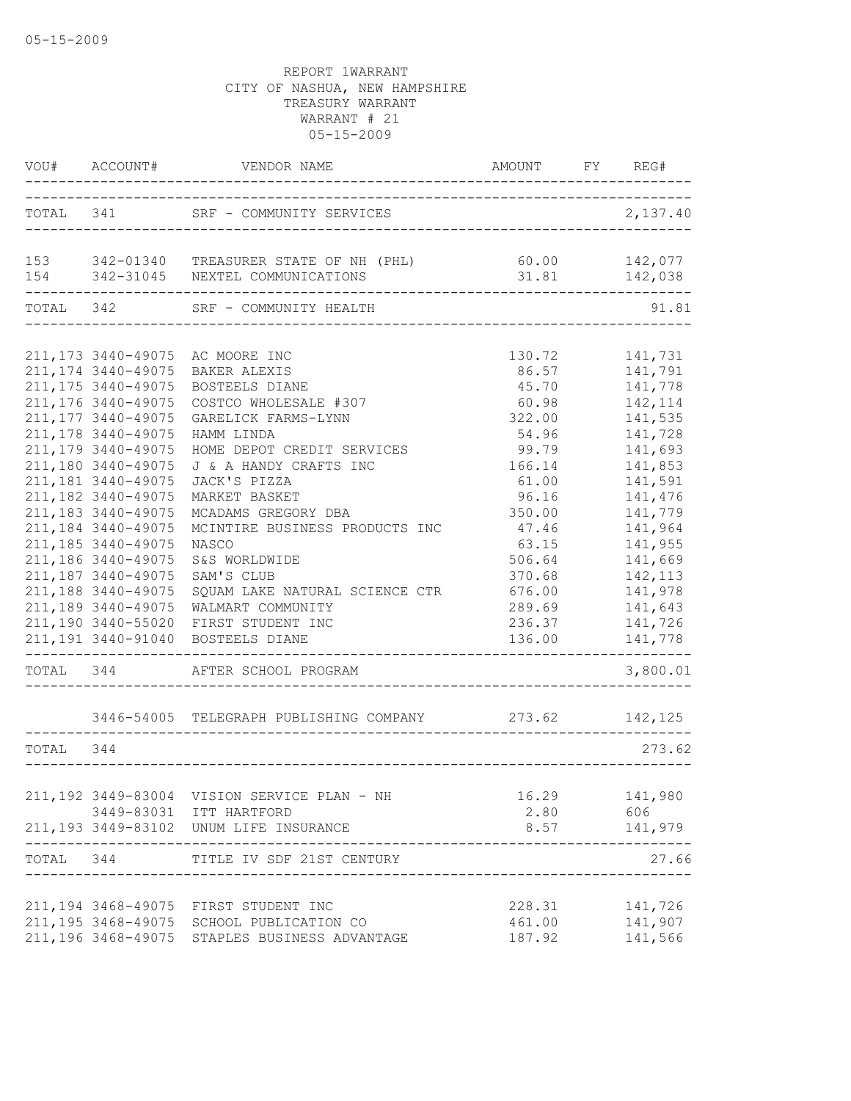|           | VOU# ACCOUNT#       | VENDOR NAME<br>___________                                                                     | AMOUNT FY REG#           |          |
|-----------|---------------------|------------------------------------------------------------------------------------------------|--------------------------|----------|
| TOTAL 341 |                     | SRF - COMMUNITY SERVICES                                                                       |                          | 2,137.40 |
|           |                     | 153 342-01340 TREASURER STATE OF NH (PHL) 60.00 142,077<br>154 342-31045 NEXTEL COMMUNICATIONS | 31.81                    | 142,038  |
| TOTAL 342 |                     | SRF - COMMUNITY HEALTH                                                                         |                          | 91.81    |
|           | 211, 173 3440-49075 | AC MOORE INC                                                                                   | 130.72                   | 141,731  |
|           | 211, 174 3440-49075 | BAKER ALEXIS                                                                                   | 86.57                    | 141,791  |
|           | 211, 175 3440-49075 | BOSTEELS DIANE                                                                                 | 45.70                    | 141,778  |
|           | 211, 176 3440-49075 |                                                                                                |                          | 142,114  |
|           | 211, 177 3440-49075 | COSTCO WHOLESALE #307                                                                          | 60.98                    |          |
|           |                     | GARELICK FARMS-LYNN                                                                            | 322.00                   | 141,535  |
|           | 211, 178 3440-49075 | HAMM LINDA                                                                                     | 54.96                    | 141,728  |
|           | 211, 179 3440-49075 | HOME DEPOT CREDIT SERVICES                                                                     | 99.79                    | 141,693  |
|           | 211,180 3440-49075  | J & A HANDY CRAFTS INC                                                                         | 166.14                   | 141,853  |
|           | 211, 181 3440-49075 | JACK'S PIZZA                                                                                   | 61.00                    | 141,591  |
|           | 211, 182 3440-49075 | MARKET BASKET                                                                                  | 96.16                    | 141,476  |
|           | 211, 183 3440-49075 | MCADAMS GREGORY DBA                                                                            | 350.00                   | 141,779  |
|           | 211, 184 3440-49075 | MCINTIRE BUSINESS PRODUCTS INC                                                                 | 47.46                    | 141,964  |
|           | 211, 185 3440-49075 | NASCO                                                                                          | 63.15                    | 141,955  |
|           | 211,186 3440-49075  | S&S WORLDWIDE                                                                                  | 506.64                   | 141,669  |
|           | 211,187 3440-49075  | SAM'S CLUB                                                                                     | 370.68                   | 142, 113 |
|           | 211,188 3440-49075  | SQUAM LAKE NATURAL SCIENCE CTR                                                                 | 676.00                   | 141,978  |
|           | 211, 189 3440-49075 | WALMART COMMUNITY                                                                              | 289.69                   | 141,643  |
|           | 211,190 3440-55020  | FIRST STUDENT INC                                                                              | 236.37                   | 141,726  |
|           | 211, 191 3440-91040 | BOSTEELS DIANE                                                                                 | 136.00                   | 141,778  |
| TOTAL 344 |                     | AFTER SCHOOL PROGRAM                                                                           |                          | 3,800.01 |
|           |                     | 3446-54005 TELEGRAPH PUBLISHING COMPANY 273.62 142,125                                         |                          |          |
| TOTAL     | 344                 |                                                                                                |                          | 273.62   |
|           |                     |                                                                                                |                          |          |
|           |                     | 211,192 3449-83004 VISION SERVICE PLAN - NH                                                    | 16.29                    | 141,980  |
|           |                     | 3449-83031 ITT HARTFORD                                                                        | 2.80                     | 606      |
|           | __________________  | 211,193 3449-83102 UNUM LIFE INSURANCE                                                         | 8.57<br>---------------- | 141,979  |
| TOTAL 344 |                     | TITLE IV SDF 21ST CENTURY                                                                      |                          | 27.66    |
|           |                     |                                                                                                |                          |          |
|           |                     | 211,194 3468-49075 FIRST STUDENT INC                                                           | 228.31                   | 141,726  |
|           |                     | 211,195 3468-49075 SCHOOL PUBLICATION CO                                                       | 461.00                   | 141,907  |
|           |                     | 211,196 3468-49075 STAPLES BUSINESS ADVANTAGE                                                  | 187.92                   | 141,566  |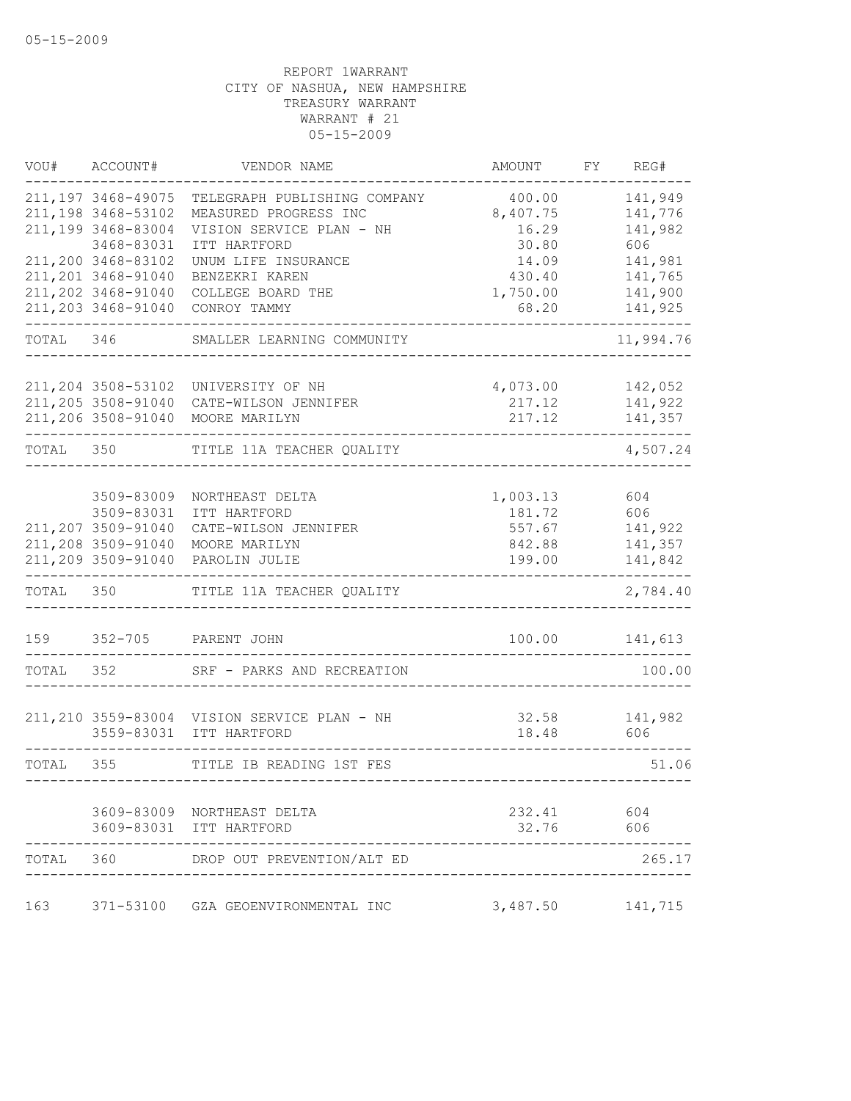|           | VOU# ACCOUNT#       | VENDOR NAME                                           | AMOUNT                           | FY REG#            |
|-----------|---------------------|-------------------------------------------------------|----------------------------------|--------------------|
|           | 211, 197 3468-49075 | TELEGRAPH PUBLISHING COMPANY                          | 400.00                           | 141,949            |
|           | 211,198 3468-53102  | MEASURED PROGRESS INC                                 | 8,407.75                         | 141,776            |
|           | 211,199 3468-83004  | VISION SERVICE PLAN - NH                              | 16.29                            | 141,982            |
|           | 3468-83031          | ITT HARTFORD                                          | 30.80                            | 606                |
|           | 211,200 3468-83102  | UNUM LIFE INSURANCE                                   | 14.09                            | 141,981            |
|           | 211,201 3468-91040  | BENZEKRI KAREN                                        | 430.40                           | 141,765            |
|           | 211, 202 3468-91040 | COLLEGE BOARD THE                                     | 1,750.00                         | 141,900            |
|           | 211, 203 3468-91040 | CONROY TAMMY                                          | 68.20                            | 141,925            |
| TOTAL 346 |                     | SMALLER LEARNING COMMUNITY                            |                                  | 11,994.76          |
|           |                     |                                                       |                                  |                    |
|           | 211,204 3508-53102  | UNIVERSITY OF NH                                      | 4,073.00                         | 142,052            |
|           | 211,205 3508-91040  | CATE-WILSON JENNIFER                                  | 217.12                           | 141,922            |
|           | 211,206 3508-91040  | MOORE MARILYN                                         | 217.12                           | 141,357            |
| TOTAL     | 350                 | TITLE 11A TEACHER QUALITY                             |                                  | 4,507.24           |
|           | 3509-83009          | NORTHEAST DELTA                                       | 1,003.13                         | 604                |
|           | 3509-83031          | ITT HARTFORD                                          | 181.72                           | 606                |
|           | 211,207 3509-91040  | CATE-WILSON JENNIFER                                  | 557.67                           | 141,922            |
|           | 211,208 3509-91040  | MOORE MARILYN                                         | 842.88                           |                    |
|           | 211,209 3509-91040  | PAROLIN JULIE                                         | 199.00                           | 141,357<br>141,842 |
|           |                     |                                                       |                                  |                    |
| TOTAL     | 350                 | TITLE 11A TEACHER QUALITY                             |                                  | 2,784.40           |
|           |                     | 159 352-705 PARENT JOHN                               |                                  | 100.00 141,613     |
| TOTAL 352 |                     | SRF - PARKS AND RECREATION                            |                                  | 100.00             |
|           |                     |                                                       |                                  |                    |
|           |                     | 211, 210 3559-83004 VISION SERVICE PLAN - NH          | 32.58                            | 141,982            |
|           |                     | 3559-83031 ITT HARTFORD                               | 18.48                            | 606                |
| TOTAL 355 |                     | TITLE IB READING 1ST FES<br>---------                 | -------------------------------- | 51.06              |
|           |                     |                                                       |                                  |                    |
|           |                     | 3609-83009 NORTHEAST DELTA<br>3609-83031 ITT HARTFORD | 232.41                           | 604                |
|           |                     |                                                       | 32.76                            | 606                |
| TOTAL     | 360                 | DROP OUT PREVENTION/ALT ED                            |                                  | 265.17             |
| 163       |                     | 371-53100 GZA GEOENVIRONMENTAL INC                    | 3,487.50                         | 141,715            |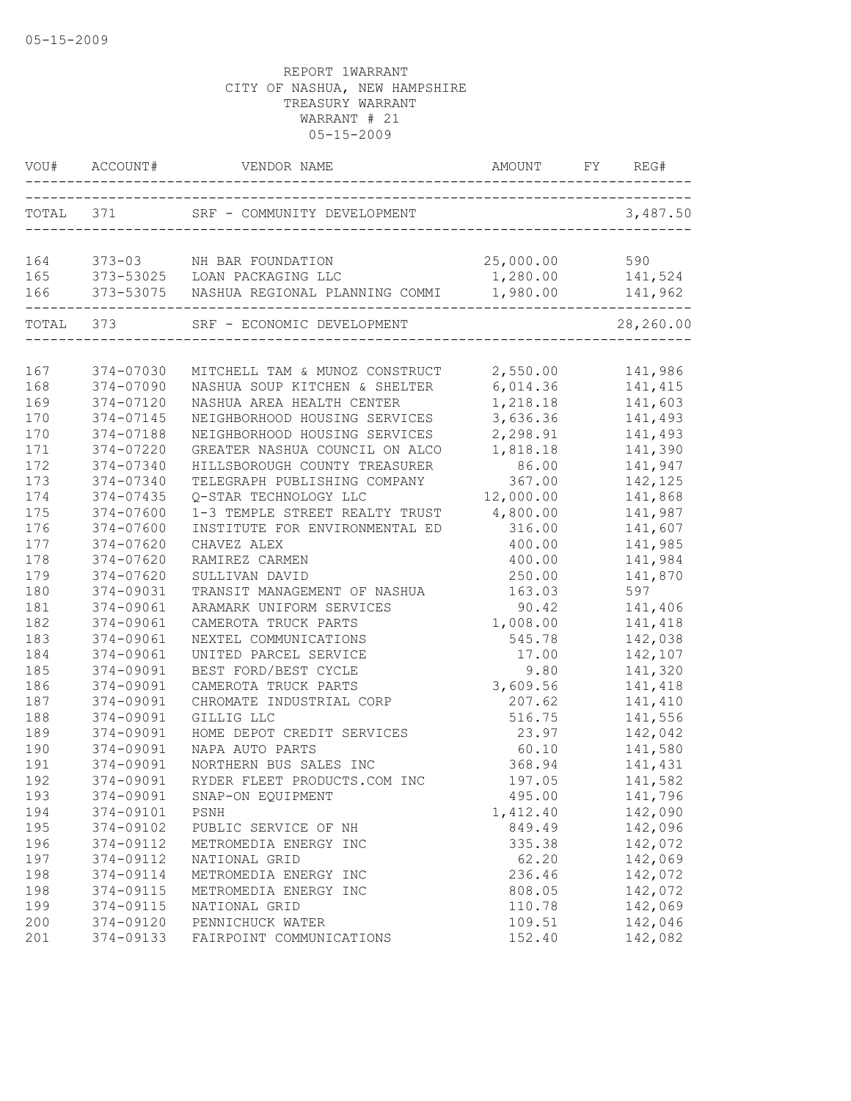|           | VOU# ACCOUNT# |                                          |                     | REG#      |
|-----------|---------------|------------------------------------------|---------------------|-----------|
| TOTAL 371 |               | SRF - COMMUNITY DEVELOPMENT              | ___________________ | 3,487.50  |
|           |               |                                          |                     |           |
| 164       |               | 373-03 NH BAR FOUNDATION                 | 25,000.00           | 590       |
| 165       |               | 373-53025 LOAN PACKAGING LLC             | 1,280.00            | 141,524   |
| 166       |               | 373-53075 NASHUA REGIONAL PLANNING COMMI | 1,980.00            | 141,962   |
|           | TOTAL 373     | SRF - ECONOMIC DEVELOPMENT               |                     | 28,260.00 |
|           |               |                                          |                     |           |
| 167       | 374-07030     | MITCHELL TAM & MUNOZ CONSTRUCT 2,550.00  |                     | 141,986   |
| 168       | 374-07090     | NASHUA SOUP KITCHEN & SHELTER            | 6,014.36 141,415    |           |
| 169       | 374-07120     | NASHUA AREA HEALTH CENTER                | 1,218.18            | 141,603   |
| 170       | 374-07145     | NEIGHBORHOOD HOUSING SERVICES            | 3,636.36            | 141,493   |
| 170       | 374-07188     | NEIGHBORHOOD HOUSING SERVICES            | 2,298.91            | 141,493   |
| 171       | 374-07220     | GREATER NASHUA COUNCIL ON ALCO           | 1,818.18            | 141,390   |
| 172       | 374-07340     | HILLSBOROUGH COUNTY TREASURER            | 86.00               | 141,947   |
| 173       | 374-07340     | TELEGRAPH PUBLISHING COMPANY             | 367.00              | 142,125   |
| 174       | 374-07435     | Q-STAR TECHNOLOGY LLC                    | 12,000.00           | 141,868   |
| 175       | 374-07600     | 1-3 TEMPLE STREET REALTY TRUST           | 4,800.00            | 141,987   |
| 176       | 374-07600     | INSTITUTE FOR ENVIRONMENTAL ED           | 316.00              | 141,607   |
| 177       | 374-07620     | CHAVEZ ALEX                              | 400.00              | 141,985   |
| 178       | 374-07620     | RAMIREZ CARMEN                           | 400.00              | 141,984   |
| 179       | 374-07620     | SULLIVAN DAVID                           | 250.00              | 141,870   |
| 180       | 374-09031     | TRANSIT MANAGEMENT OF NASHUA             | 163.03              | 597       |
| 181       | 374-09061     | ARAMARK UNIFORM SERVICES                 | 90.42               | 141,406   |
| 182       | 374-09061     | CAMEROTA TRUCK PARTS                     | 1,008.00            | 141,418   |
| 183       | 374-09061     | NEXTEL COMMUNICATIONS                    | 545.78              | 142,038   |
| 184       | 374-09061     | UNITED PARCEL SERVICE                    | 17.00               | 142,107   |
| 185       | 374-09091     | BEST FORD/BEST CYCLE                     | 9.80                | 141,320   |
| 186       | 374-09091     | CAMEROTA TRUCK PARTS                     | 3,609.56            | 141,418   |
| 187       | 374-09091     | CHROMATE INDUSTRIAL CORP                 | 207.62              | 141,410   |
| 188       | 374-09091     | GILLIG LLC                               | 516.75              | 141,556   |
| 189       | 374-09091     | HOME DEPOT CREDIT SERVICES               | 23.97               | 142,042   |
| 190       | 374-09091     | NAPA AUTO PARTS                          | 60.10               | 141,580   |
| 191       | 374-09091     | NORTHERN BUS SALES INC                   | 368.94              | 141,431   |
| 192       | 374-09091     | RYDER FLEET PRODUCTS.COM INC             | 197.05              | 141,582   |
| 193       | 374-09091     | SNAP-ON EQUIPMENT                        | 495.00              | 141,796   |
| 194       | 374-09101     | PSNH                                     | 1,412.40            | 142,090   |
| 195       | 374-09102     | PUBLIC SERVICE OF NH                     | 849.49              | 142,096   |
| 196       | 374-09112     | METROMEDIA ENERGY INC                    | 335.38              | 142,072   |
| 197       | 374-09112     | NATIONAL GRID                            | 62.20               | 142,069   |
| 198       | 374-09114     | METROMEDIA ENERGY INC                    | 236.46              | 142,072   |
| 198       | 374-09115     | METROMEDIA ENERGY INC                    | 808.05              | 142,072   |
| 199       | 374-09115     | NATIONAL GRID                            | 110.78              | 142,069   |
| 200       | 374-09120     | PENNICHUCK WATER                         | 109.51              | 142,046   |
| 201       | 374-09133     | FAIRPOINT COMMUNICATIONS                 | 152.40              | 142,082   |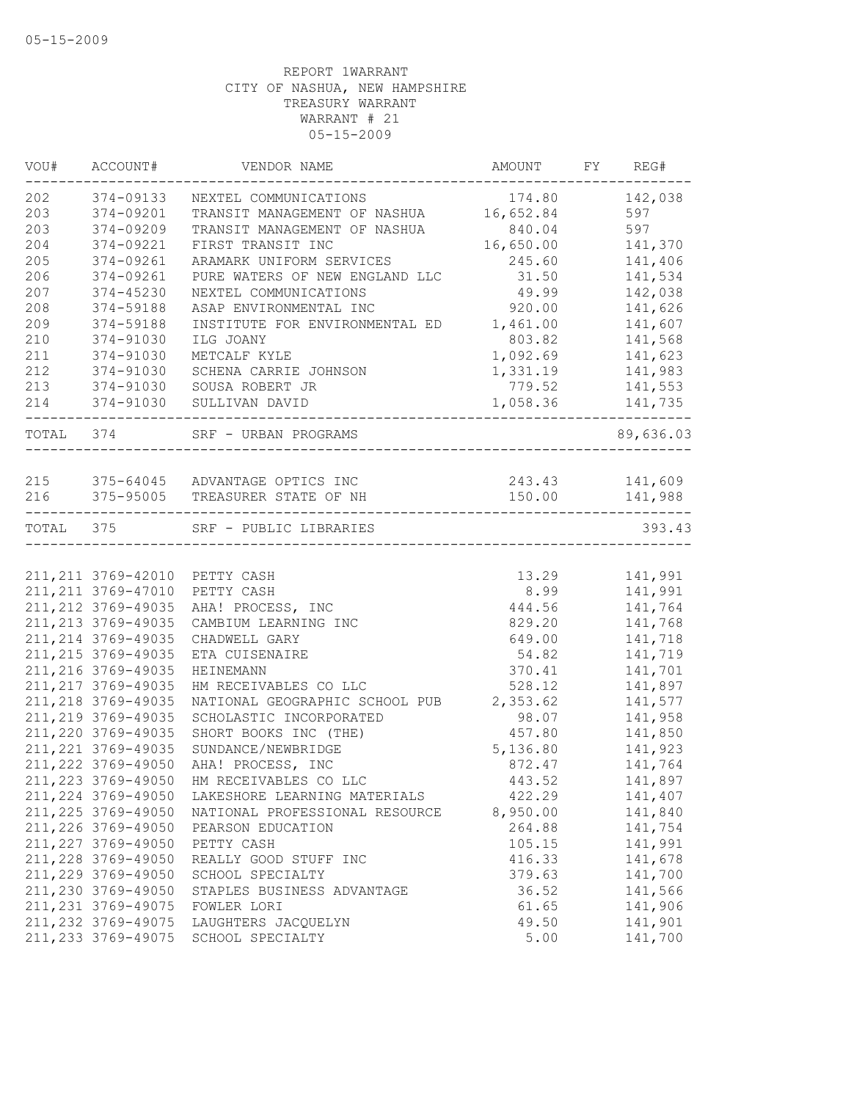|           | VOU# ACCOUNT#       | VENDOR NAME                            | AMOUNT FY REG#   |           |
|-----------|---------------------|----------------------------------------|------------------|-----------|
| 202       | 374-09133           | NEXTEL COMMUNICATIONS                  |                  |           |
| 203       | 374-09201           | TRANSIT MANAGEMENT OF NASHUA 16,652.84 |                  | 597       |
| 203       | 374-09209           | TRANSIT MANAGEMENT OF NASHUA           | 840.04           | 597       |
| 204       | 374-09221           | FIRST TRANSIT INC                      | 16,650.00        | 141,370   |
| 205       | 374-09261           | ARAMARK UNIFORM SERVICES               | 245.60           | 141,406   |
| 206       | 374-09261           | PURE WATERS OF NEW ENGLAND LLC         | 31.50            | 141,534   |
| 207       | 374-45230           | NEXTEL COMMUNICATIONS                  | 49.99            | 142,038   |
| 208       | 374-59188           | ASAP ENVIRONMENTAL INC                 | 920.00           | 141,626   |
| 209       | 374-59188           | INSTITUTE FOR ENVIRONMENTAL ED         | 1,461.00         | 141,607   |
| 210       | 374-91030           | ILG JOANY                              | 803.82           | 141,568   |
| 211       | 374-91030           | METCALF KYLE                           | 1,092.69         | 141,623   |
| 212       | 374-91030           | SCHENA CARRIE JOHNSON                  | 1,331.19 141,983 |           |
| 213       | 374-91030           | SOUSA ROBERT JR                        | 779.52           | 141,553   |
| 214       | 374-91030           | SULLIVAN DAVID                         | 1,058.36 141,735 |           |
| TOTAL 374 |                     | SRF - URBAN PROGRAMS                   |                  | 89,636.03 |
|           |                     |                                        |                  |           |
|           |                     | 215 375-64045 ADVANTAGE OPTICS INC     | 243.43 141,609   |           |
|           |                     | 216 375-95005 TREASURER STATE OF NH    | 150.00           | 141,988   |
|           |                     | TOTAL 375 SRF - PUBLIC LIBRARIES       |                  | 393.43    |
|           |                     | 211, 211 3769-42010 PETTY CASH         | 13.29            | 141,991   |
|           | 211, 211 3769-47010 | PETTY CASH                             | 8.99             | 141,991   |
|           | 211, 212 3769-49035 | AHA! PROCESS, INC                      | 444.56           | 141,764   |
|           | 211, 213 3769-49035 | CAMBIUM LEARNING INC                   | 829.20           | 141,768   |
|           | 211, 214 3769-49035 | CHADWELL GARY                          | 649.00           | 141,718   |
|           | 211, 215 3769-49035 | ETA CUISENAIRE                         | 54.82            | 141,719   |
|           | 211, 216 3769-49035 | HEINEMANN                              | 370.41           | 141,701   |
|           | 211, 217 3769-49035 | HM RECEIVABLES CO LLC                  | 528.12           | 141,897   |
|           | 211, 218 3769-49035 | NATIONAL GEOGRAPHIC SCHOOL PUB         | 2,353.62         | 141,577   |
|           | 211, 219 3769-49035 | SCHOLASTIC INCORPORATED                | 98.07            | 141,958   |
|           | 211, 220 3769-49035 | SHORT BOOKS INC (THE)                  | 457.80           | 141,850   |
|           | 211, 221 3769-49035 | SUNDANCE/NEWBRIDGE                     | 5,136.80         | 141,923   |
|           | 211, 222 3769-49050 | AHA! PROCESS, INC                      | 872.47           | 141,764   |
|           | 211, 223 3769-49050 | HM RECEIVABLES CO LLC                  | 443.52           | 141,897   |
|           | 211,224 3769-49050  | LAKESHORE LEARNING MATERIALS           | 422.29           | 141,407   |
|           | 211, 225 3769-49050 | NATIONAL PROFESSIONAL RESOURCE         | 8,950.00         | 141,840   |
|           | 211, 226 3769-49050 | PEARSON EDUCATION                      | 264.88           | 141,754   |
|           | 211, 227 3769-49050 | PETTY CASH                             | 105.15           | 141,991   |
|           | 211, 228 3769-49050 | REALLY GOOD STUFF INC                  | 416.33           | 141,678   |
|           | 211, 229 3769-49050 | SCHOOL SPECIALTY                       | 379.63           | 141,700   |
|           | 211,230 3769-49050  | STAPLES BUSINESS ADVANTAGE             | 36.52            | 141,566   |
|           | 211, 231 3769-49075 | FOWLER LORI                            | 61.65            | 141,906   |
|           | 211, 232 3769-49075 | LAUGHTERS JACQUELYN                    | 49.50            | 141,901   |
|           | 211, 233 3769-49075 | SCHOOL SPECIALTY                       | 5.00             | 141,700   |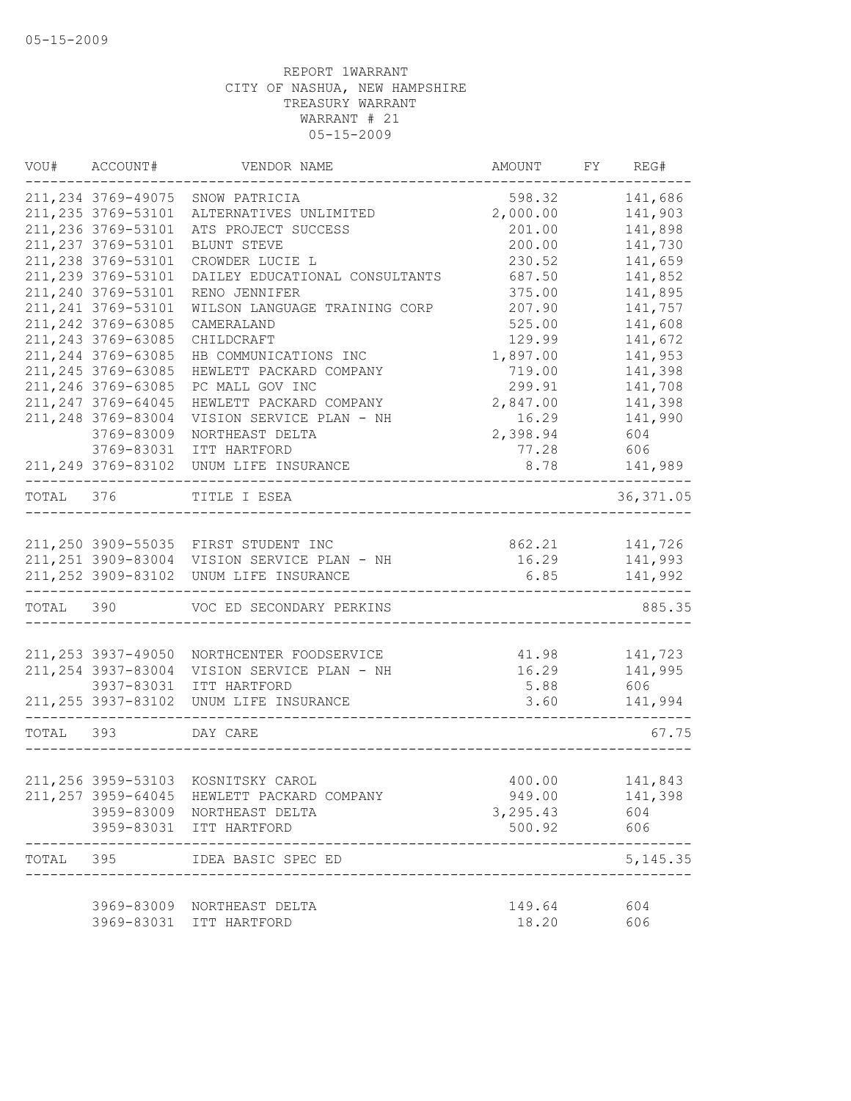|           | VOU# ACCOUNT#                     | VENDOR NAME                                             | AMOUNT                     | FY REG#                                     |
|-----------|-----------------------------------|---------------------------------------------------------|----------------------------|---------------------------------------------|
|           | 211, 234 3769-49075               | SNOW PATRICIA                                           | 598.32                     | 141,686                                     |
|           | 211, 235 3769-53101               | ALTERNATIVES UNLIMITED                                  | 2,000.00                   | 141,903                                     |
|           | 211, 236 3769-53101               | ATS PROJECT SUCCESS                                     | 201.00                     | 141,898                                     |
|           | 211, 237 3769-53101               | BLUNT STEVE                                             | 200.00                     | 141,730                                     |
|           | 211, 238 3769-53101               | CROWDER LUCIE L                                         | 230.52                     | 141,659                                     |
|           | 211,239 3769-53101                | DAILEY EDUCATIONAL CONSULTANTS                          | 687.50                     | 141,852                                     |
|           | 211,240 3769-53101                | RENO JENNIFER                                           | 375.00                     | 141,895                                     |
|           | 211, 241 3769-53101               | WILSON LANGUAGE TRAINING CORP                           | 207.90                     | 141,757                                     |
|           | 211, 242 3769-63085               | CAMERALAND                                              | 525.00                     | 141,608                                     |
|           | 211, 243 3769-63085               | CHILDCRAFT                                              | 129.99                     | 141,672                                     |
|           | 211, 244 3769-63085               | HB COMMUNICATIONS INC                                   | 1,897.00                   | 141,953                                     |
|           | 211, 245 3769-63085               | HEWLETT PACKARD COMPANY                                 | 719.00                     | 141,398                                     |
|           | 211, 246 3769-63085               | PC MALL GOV INC                                         | 299.91                     | 141,708                                     |
|           | 211, 247 3769-64045               | HEWLETT PACKARD COMPANY                                 | 2,847.00                   | 141,398                                     |
|           | 211,248 3769-83004                | VISION SERVICE PLAN - NH                                | 16.29                      | 141,990                                     |
|           | 3769-83009                        | NORTHEAST DELTA                                         | 2,398.94                   | 604                                         |
|           | 3769-83031                        | ITT HARTFORD                                            | 77.28                      | 606                                         |
|           |                                   | 211, 249 3769-83102 UNUM LIFE INSURANCE                 |                            | 8.78 141,989                                |
|           |                                   | TOTAL 376 TITLE I ESEA                                  | __________________________ | . _ _ _ _ _ _ _ _ _ _ _ _ _ _<br>36, 371.05 |
|           |                                   |                                                         |                            |                                             |
|           |                                   | 211,250 3909-55035 FIRST STUDENT INC                    |                            | 862.21 141,726                              |
|           |                                   | 211, 251 3909-83004 VISION SERVICE PLAN - NH            |                            | 16.29 141,993                               |
|           |                                   | 211, 252 3909-83102 UNUM LIFE INSURANCE                 | ----------------------     | $6.85$ 141,992                              |
|           |                                   | TOTAL 390 VOC ED SECONDARY PERKINS                      |                            | 885.35                                      |
|           |                                   |                                                         |                            |                                             |
|           | 211,253 3937-49050                | NORTHCENTER FOODSERVICE                                 | 41.98 141,723              |                                             |
|           | 211, 254 3937-83004<br>3937-83031 | VISION SERVICE PLAN - NH                                |                            | 16.29    141,995                            |
|           |                                   | ITT HARTFORD<br>211, 255 3937-83102 UNUM LIFE INSURANCE | 5.88 606<br>3.60           | 141,994                                     |
| TOTAL 393 |                                   | DAY CARE                                                |                            | 67.75                                       |
|           |                                   |                                                         |                            |                                             |
|           |                                   | 211,256 3959-53103 KOSNITSKY CAROL                      | 400.00                     | 141,843                                     |
|           |                                   | 211, 257 3959-64045 HEWLETT PACKARD COMPANY             | 949.00                     | 141,398                                     |
|           |                                   | 3959-83009 NORTHEAST DELTA                              | 3,295.43                   | 604                                         |
|           |                                   | 3959-83031 ITT HARTFORD                                 | 500.92                     | 606                                         |
| TOTAL 395 |                                   | IDEA BASIC SPEC ED                                      |                            | 5, 145.35                                   |
|           |                                   | 3969-83009 NORTHEAST DELTA                              | 149.64                     | 604                                         |
|           |                                   | 3969-83031 ITT HARTFORD                                 | 18.20                      | 606                                         |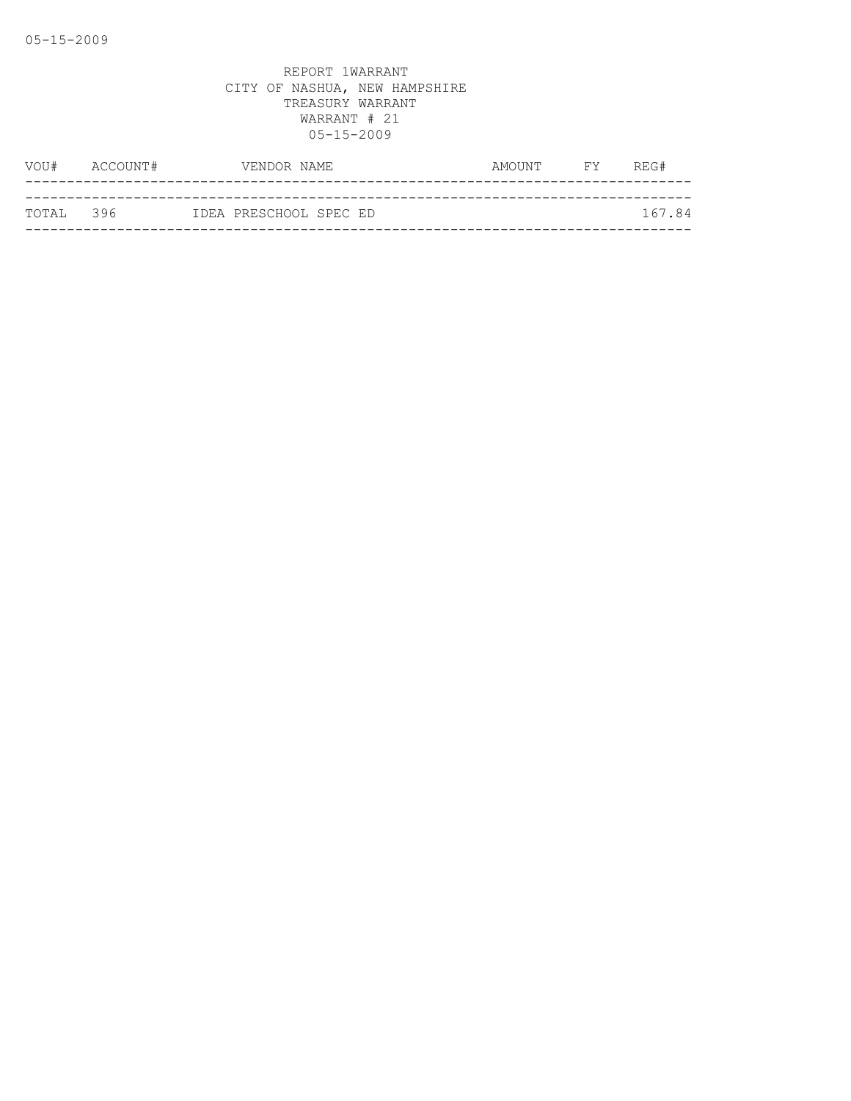|            | VOU# ACCOUNT# | VENDOR NAME            |  | AMOUNT | <b>EXECUTE</b> | REG#   |
|------------|---------------|------------------------|--|--------|----------------|--------|
|            |               |                        |  |        |                |        |
| ТОТАІ, 396 |               | IDEA PRESCHOOL SPEC ED |  |        |                | 167.84 |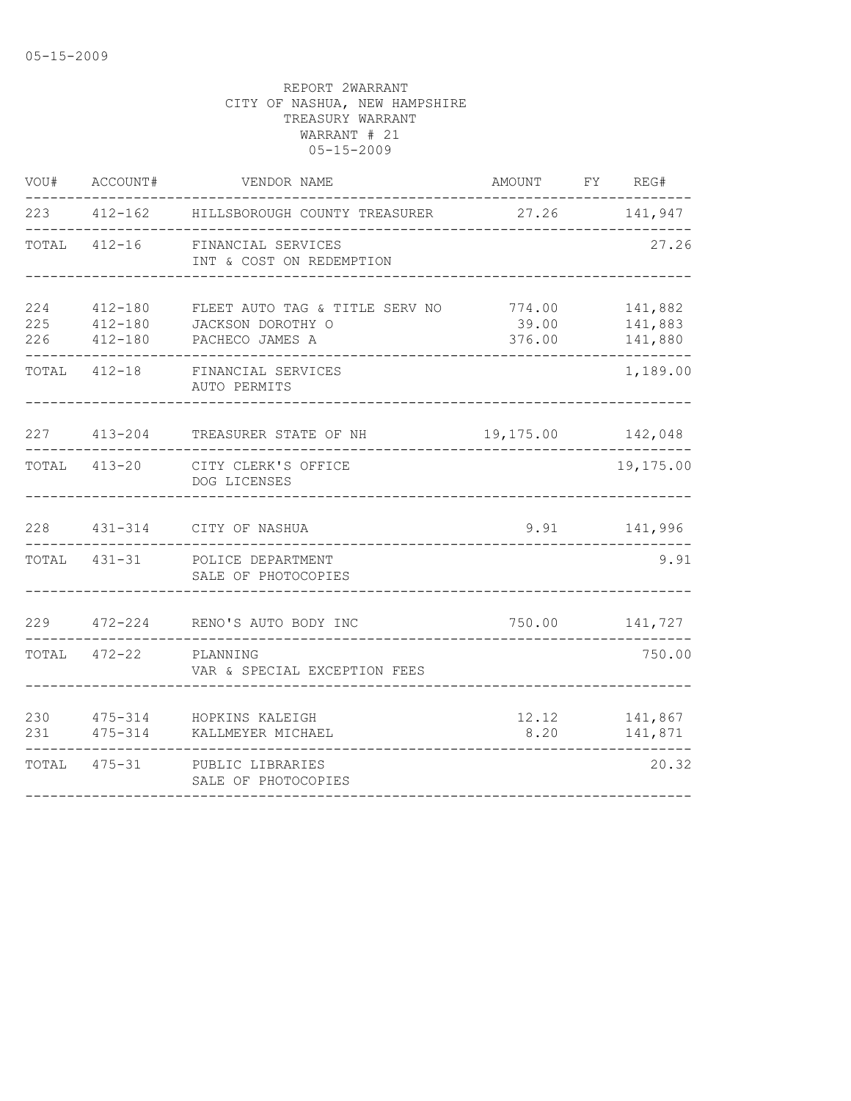| VOU#              | ACCOUNT#                          | VENDOR NAME                                                            | AMOUNT FY REG#            |                               |
|-------------------|-----------------------------------|------------------------------------------------------------------------|---------------------------|-------------------------------|
|                   |                                   | 223 412-162 HILLSBOROUGH COUNTY TREASURER 27.26 141,947                |                           |                               |
|                   |                                   | TOTAL 412-16 FINANCIAL SERVICES<br>INT & COST ON REDEMPTION            |                           | 27.26                         |
| 224<br>225<br>226 | 412-180<br>$412 - 180$<br>412-180 | FLEET AUTO TAG & TITLE SERV NO<br>JACKSON DOROTHY O<br>PACHECO JAMES A | 774.00<br>39.00<br>376.00 | 141,882<br>141,883<br>141,880 |
|                   |                                   | TOTAL 412-18 FINANCIAL SERVICES<br>AUTO PERMITS                        |                           | 1,189.00                      |
|                   |                                   | 227 413-204 TREASURER STATE OF NH 19,175.00 142,048                    |                           |                               |
|                   |                                   | TOTAL 413-20 CITY CLERK'S OFFICE<br>DOG LICENSES                       |                           | 19,175.00                     |
|                   |                                   | 228  431-314  CITY OF NASHUA                                           |                           | 9.91 141,996                  |
|                   |                                   | TOTAL 431-31 POLICE DEPARTMENT<br>SALE OF PHOTOCOPIES                  |                           | 9.91                          |
|                   |                                   | 229 472-224 RENO'S AUTO BODY INC                                       | 750.00 141,727            |                               |
|                   | TOTAL 472-22 PLANNING             | VAR & SPECIAL EXCEPTION FEES                                           |                           | 750.00                        |
| 231               |                                   | 230 475-314 HOPKINS KALEIGH<br>475-314 KALLMEYER MICHAEL               | 8.20                      | 12.12 141,867<br>141,871      |
|                   |                                   | TOTAL 475-31 PUBLIC LIBRARIES<br>SALE OF PHOTOCOPIES                   |                           | 20.32                         |
|                   |                                   |                                                                        |                           |                               |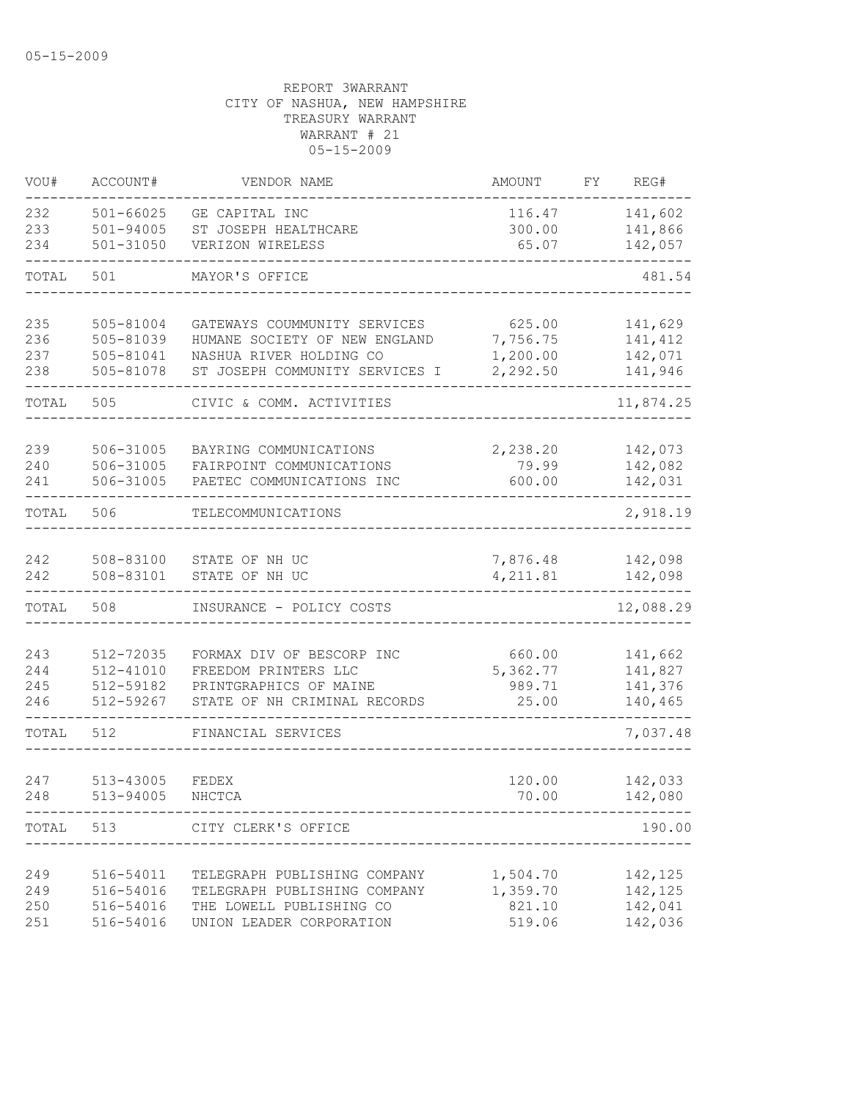| VOU#  | ACCOUNT#               | VENDOR NAME                                        | <b>AMOUNT</b>     | FΥ | REG#               |
|-------|------------------------|----------------------------------------------------|-------------------|----|--------------------|
| 232   | $501 - 66025$          | GE CAPITAL INC                                     | 116.47            |    | 141,602            |
| 233   | $501 - 94005$          | ST JOSEPH HEALTHCARE                               | 300.00            |    | 141,866            |
| 234   | 501-31050              | VERIZON WIRELESS                                   | 65.07             |    | 142,057            |
| TOTAL | 501                    | MAYOR'S OFFICE                                     |                   |    | 481.54             |
| 235   | 505-81004              | GATEWAYS COUMMUNITY SERVICES                       | 625.00            |    | 141,629            |
| 236   | 505-81039              | HUMANE SOCIETY OF NEW ENGLAND                      | 7,756.75          |    | 141,412            |
| 237   | 505-81041              | NASHUA RIVER HOLDING CO                            | 1,200.00          |    | 142,071            |
| 238   | 505-81078              | ST JOSEPH COMMUNITY SERVICES I                     | 2,292.50          |    | 141,946            |
| TOTAL | 505                    | CIVIC & COMM. ACTIVITIES                           |                   |    | 11,874.25          |
| 239   |                        |                                                    |                   |    |                    |
| 240   | 506-31005<br>506-31005 | BAYRING COMMUNICATIONS<br>FAIRPOINT COMMUNICATIONS | 2,238.20<br>79.99 |    | 142,073<br>142,082 |
| 241   | 506-31005              | PAETEC COMMUNICATIONS INC                          | 600.00            |    | 142,031            |
|       |                        |                                                    |                   |    |                    |
| TOTAL | 506                    | TELECOMMUNICATIONS                                 |                   |    | 2,918.19           |
| 242   | 508-83100              | STATE OF NH UC                                     | 7,876.48          |    | 142,098            |
| 242   | 508-83101              | STATE OF NH UC                                     | 4,211.81          |    | 142,098            |
| TOTAL | 508                    | INSURANCE - POLICY COSTS                           |                   |    | 12,088.29          |
|       |                        |                                                    |                   |    |                    |
| 243   | 512-72035              | FORMAX DIV OF BESCORP INC                          | 660.00            |    | 141,662            |
| 244   | 512-41010              | FREEDOM PRINTERS LLC                               | 5,362.77          |    | 141,827            |
| 245   | 512-59182              | PRINTGRAPHICS OF MAINE                             | 989.71            |    | 141,376            |
| 246   | 512-59267              | STATE OF NH CRIMINAL RECORDS                       | 25.00             |    | 140,465            |
| TOTAL | 512                    | FINANCIAL SERVICES                                 |                   |    | 7,037.48           |
| 247   | 513-43005              | FEDEX                                              | 120.00            |    | 142,033            |
| 248   | 513-94005              | NHCTCA                                             | 70.00             |    | 142,080            |
|       |                        | TOTAL 513 CITY CLERK'S OFFICE                      |                   |    | 190.00             |
|       |                        |                                                    |                   |    |                    |
| 249   | 516-54011              | TELEGRAPH PUBLISHING COMPANY                       | 1,504.70          |    | 142,125            |
| 249   | 516-54016              | TELEGRAPH PUBLISHING COMPANY                       | 1,359.70          |    | 142,125            |
| 250   | 516-54016              | THE LOWELL PUBLISHING CO                           | 821.10            |    | 142,041            |
| 251   | 516-54016              | UNION LEADER CORPORATION                           | 519.06            |    | 142,036            |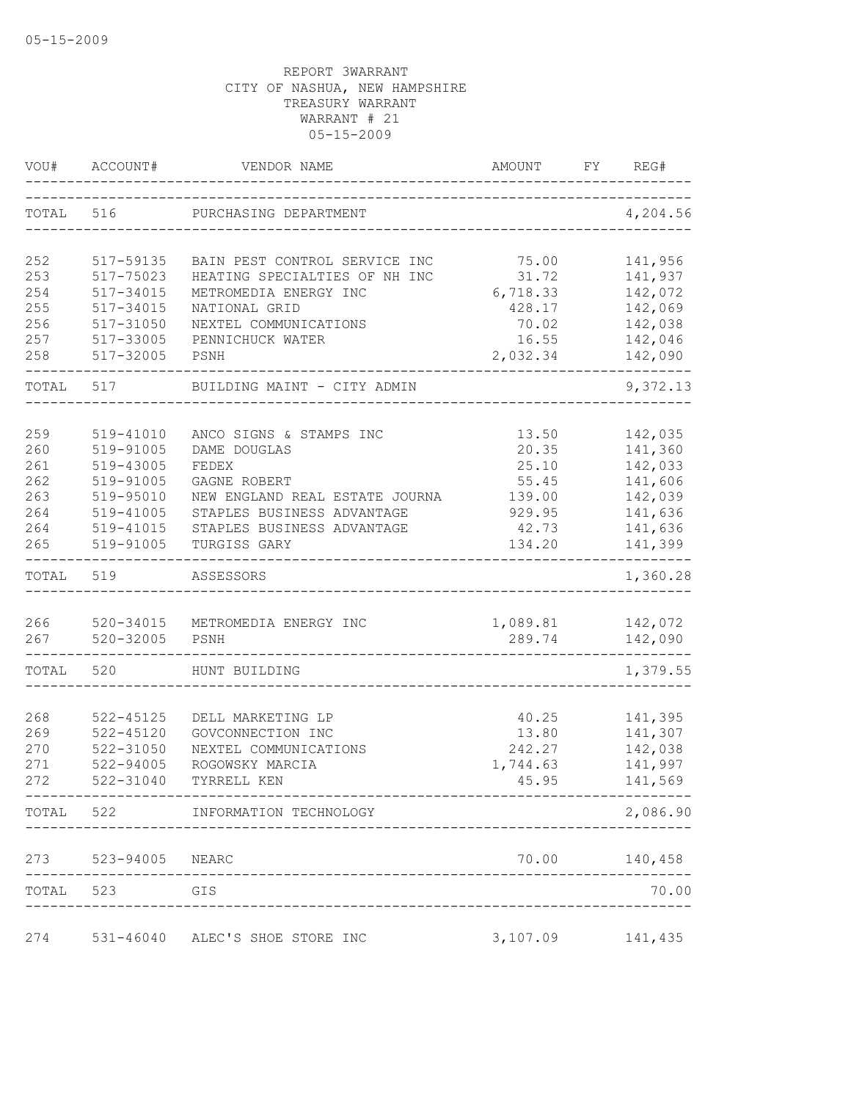| VOU#       | ACCOUNT#                       | VENDOR NAME                                | AMOUNT          | FY | REG#               |
|------------|--------------------------------|--------------------------------------------|-----------------|----|--------------------|
| TOTAL 516  |                                | PURCHASING DEPARTMENT                      |                 |    | 4,204.56           |
| 252        | 517-59135                      | BAIN PEST CONTROL SERVICE INC              | 75.00           |    | 141,956            |
| 253        | 517-75023                      | HEATING SPECIALTIES OF NH INC              | 31.72           |    | 141,937            |
| 254        | 517-34015                      | METROMEDIA ENERGY INC                      | 6,718.33        |    | 142,072            |
| 255        | 517-34015                      | NATIONAL GRID                              | 428.17          |    | 142,069            |
| 256        | 517-31050                      | NEXTEL COMMUNICATIONS                      | 70.02           |    | 142,038            |
| 257        | 517-33005                      | PENNICHUCK WATER                           | 16.55           |    | 142,046            |
| 258        | 517-32005                      | PSNH                                       | 2,032.34        |    | 142,090            |
| TOTAL      | 517                            | BUILDING MAINT - CITY ADMIN                |                 |    | 9,372.13           |
|            |                                |                                            |                 |    |                    |
| 259        | 519-41010<br>519-91005         | ANCO SIGNS & STAMPS INC                    | 13.50           |    | 142,035            |
| 260<br>261 | 519-43005                      | DAME DOUGLAS<br>FEDEX                      | 20.35<br>25.10  |    | 141,360<br>142,033 |
| 262        | 519-91005                      | GAGNE ROBERT                               |                 |    | 141,606            |
| 263        | 519-95010                      | NEW ENGLAND REAL ESTATE JOURNA             | 55.45<br>139.00 |    | 142,039            |
| 264        | 519-41005                      | STAPLES BUSINESS ADVANTAGE                 | 929.95          |    | 141,636            |
| 264        | 519-41015                      | STAPLES BUSINESS ADVANTAGE                 | 42.73           |    | 141,636            |
| 265        | 519-91005                      | TURGISS GARY                               | 134.20          |    | 141,399            |
| TOTAL      | 519                            | ASSESSORS                                  |                 |    | 1,360.28           |
|            |                                |                                            |                 |    |                    |
| 266        | 520-34015                      | METROMEDIA ENERGY INC                      | 1,089.81        |    | 142,072            |
| 267        | 520-32005                      | PSNH                                       | 289.74          |    | 142,090            |
| TOTAL      | 520                            | HUNT BUILDING                              |                 |    | 1,379.55           |
|            |                                |                                            |                 |    |                    |
| 268<br>269 | $522 - 45125$<br>$522 - 45120$ | DELL MARKETING LP                          | 40.25<br>13.80  |    | 141,395<br>141,307 |
| 270        | 522-31050                      | GOVCONNECTION INC<br>NEXTEL COMMUNICATIONS | 242.27          |    | 142,038            |
| 271        | 522-94005                      | ROGOWSKY MARCIA                            | 1,744.63        |    | 141,997            |
| 272        | 522-31040                      | TYRRELL KEN                                | 45.95           |    | 141,569            |
|            |                                | TOTAL 522 INFORMATION TECHNOLOGY           |                 |    | 2,086.90           |
|            | 273 523-94005 NEARC            |                                            |                 |    | 70.00 140,458      |
|            | TOTAL 523 GIS                  |                                            |                 |    | 70.00              |
|            |                                |                                            |                 |    |                    |
| 274        |                                | 531-46040 ALEC'S SHOE STORE INC            | 3,107.09        |    | 141,435            |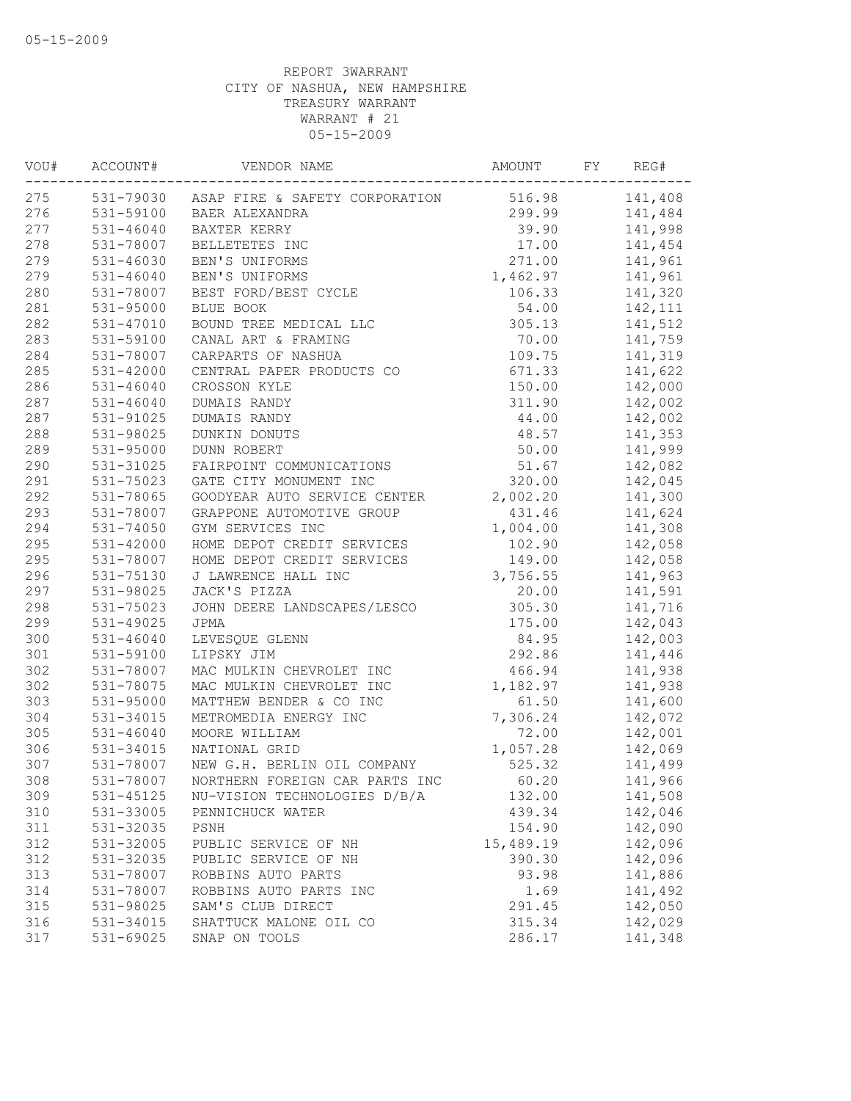| VOU# | ACCOUNT#      | VENDOR NAME                                     | AMOUNT    | FY | REG#    |
|------|---------------|-------------------------------------------------|-----------|----|---------|
| 275  |               | 531-79030 ASAP FIRE & SAFETY CORPORATION 516.98 |           |    | 141,408 |
| 276  |               | 531-59100 BAER ALEXANDRA                        | 299.99    |    | 141,484 |
| 277  | $531 - 46040$ | BAXTER KERRY                                    | 39.90     |    | 141,998 |
| 278  | 531-78007     | BELLETETES INC                                  | 17.00     |    | 141,454 |
| 279  | 531-46030     | BEN'S UNIFORMS                                  | 271.00    |    | 141,961 |
| 279  | $531 - 46040$ | BEN'S UNIFORMS                                  | 1,462.97  |    | 141,961 |
| 280  | 531-78007     | BEST FORD/BEST CYCLE                            | 106.33    |    | 141,320 |
| 281  | 531-95000     | BLUE BOOK                                       | 54.00     |    | 142,111 |
| 282  | 531-47010     | BOUND TREE MEDICAL LLC                          | 305.13    |    | 141,512 |
| 283  | 531-59100     | CANAL ART & FRAMING                             | 70.00     |    | 141,759 |
| 284  | 531-78007     | CARPARTS OF NASHUA                              | 109.75    |    | 141,319 |
| 285  | $531 - 42000$ | CENTRAL PAPER PRODUCTS CO                       | 671.33    |    | 141,622 |
| 286  | $531 - 46040$ | CROSSON KYLE                                    | 150.00    |    | 142,000 |
| 287  | $531 - 46040$ | DUMAIS RANDY                                    | 311.90    |    | 142,002 |
| 287  | 531-91025     | DUMAIS RANDY                                    | 44.00     |    | 142,002 |
| 288  | 531-98025     | DUNKIN DONUTS                                   | 48.57     |    | 141,353 |
| 289  | 531-95000     | <b>DUNN ROBERT</b>                              | 50.00     |    | 141,999 |
| 290  | 531-31025     | FAIRPOINT COMMUNICATIONS                        | 51.67     |    | 142,082 |
| 291  | 531-75023     | GATE CITY MONUMENT INC                          | 320.00    |    | 142,045 |
| 292  | 531-78065     | GOODYEAR AUTO SERVICE CENTER                    | 2,002.20  |    | 141,300 |
| 293  | 531-78007     | GRAPPONE AUTOMOTIVE GROUP                       | 431.46    |    | 141,624 |
| 294  | 531-74050     | GYM SERVICES INC                                | 1,004.00  |    | 141,308 |
| 295  | $531 - 42000$ | HOME DEPOT CREDIT SERVICES                      | 102.90    |    | 142,058 |
| 295  | 531-78007     | HOME DEPOT CREDIT SERVICES                      | 149.00    |    | 142,058 |
| 296  | 531-75130     | J LAWRENCE HALL INC                             | 3,756.55  |    | 141,963 |
| 297  | 531-98025     | JACK'S PIZZA                                    | 20.00     |    | 141,591 |
| 298  | 531-75023     | JOHN DEERE LANDSCAPES/LESCO                     | 305.30    |    | 141,716 |
| 299  | $531 - 49025$ | JPMA                                            | 175.00    |    | 142,043 |
| 300  | $531 - 46040$ | LEVESQUE GLENN                                  | 84.95     |    | 142,003 |
| 301  | 531-59100     | LIPSKY JIM                                      | 292.86    |    | 141,446 |
| 302  | 531-78007     | MAC MULKIN CHEVROLET INC                        | 466.94    |    | 141,938 |
| 302  | 531-78075     | MAC MULKIN CHEVROLET INC                        | 1,182.97  |    | 141,938 |
| 303  | 531-95000     | MATTHEW BENDER & CO INC                         | 61.50     |    | 141,600 |
| 304  | 531-34015     | METROMEDIA ENERGY INC                           | 7,306.24  |    | 142,072 |
| 305  | 531-46040     | MOORE WILLIAM                                   | 72.00     |    | 142,001 |
| 306  | 531-34015     | NATIONAL GRID                                   | 1,057.28  |    | 142,069 |
| 307  | 531-78007     | NEW G.H. BERLIN OIL COMPANY                     | 525.32    |    | 141,499 |
| 308  |               | 531-78007 NORTHERN FOREIGN CAR PARTS INC        | 60.20     |    | 141,966 |
| 309  | 531-45125     | NU-VISION TECHNOLOGIES D/B/A                    | 132.00    |    | 141,508 |
| 310  | 531-33005     | PENNICHUCK WATER                                | 439.34    |    | 142,046 |
| 311  | 531-32035     | PSNH                                            | 154.90    |    | 142,090 |
| 312  | 531-32005     | PUBLIC SERVICE OF NH                            | 15,489.19 |    | 142,096 |
| 312  | 531-32035     | PUBLIC SERVICE OF NH                            | 390.30    |    | 142,096 |
| 313  | 531-78007     | ROBBINS AUTO PARTS                              | 93.98     |    | 141,886 |
| 314  | 531-78007     | ROBBINS AUTO PARTS INC                          | 1.69      |    | 141,492 |
| 315  | 531-98025     | SAM'S CLUB DIRECT                               | 291.45    |    | 142,050 |
| 316  | 531-34015     | SHATTUCK MALONE OIL CO                          | 315.34    |    | 142,029 |
| 317  | 531-69025     | SNAP ON TOOLS                                   | 286.17    |    | 141,348 |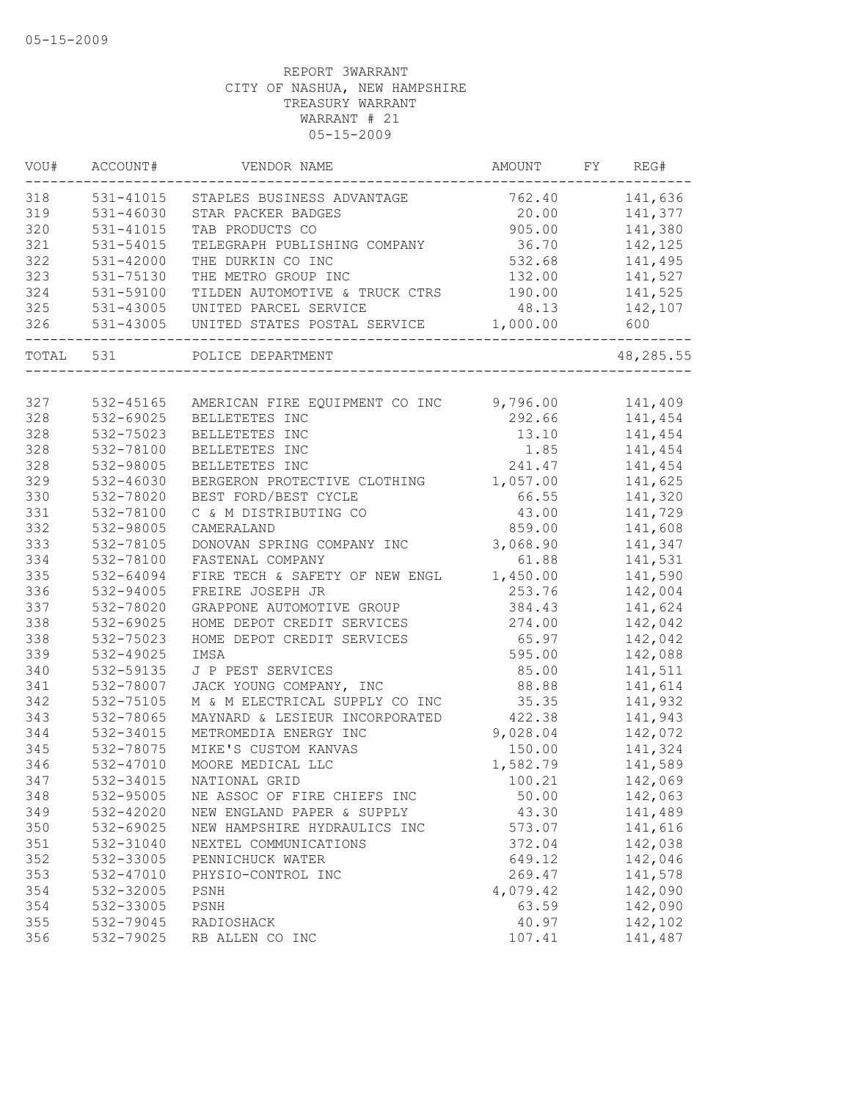| VOU# | ACCOUNT#      | VENDOR NAME                                                        | AMOUNT   | FY REG#   |
|------|---------------|--------------------------------------------------------------------|----------|-----------|
| 318  | 531-41015     | STAPLES BUSINESS ADVANTAGE                                         | 762.40   | 141,636   |
| 319  | $531 - 46030$ | STAR PACKER BADGES                                                 | 20.00    | 141,377   |
| 320  | 531-41015     | TAB PRODUCTS CO                                                    | 905.00   | 141,380   |
| 321  | 531-54015     | TELEGRAPH PUBLISHING COMPANY                                       | 36.70    | 142,125   |
| 322  | $531 - 42000$ | THE DURKIN CO INC                                                  | 532.68   | 141,495   |
| 323  | 531-75130     | THE METRO GROUP INC                                                | 132.00   | 141,527   |
| 324  | 531-59100     | TILDEN AUTOMOTIVE & TRUCK CTRS                                     | 190.00   | 141,525   |
| 325  | 531-43005     | UNITED PARCEL SERVICE                                              | 48.13    | 142,107   |
| 326  | 531-43005     | UNITED STATES POSTAL SERVICE<br>__________________________________ | 1,000.00 | 600       |
|      | TOTAL 531     | POLICE DEPARTMENT                                                  |          | 48,285.55 |
|      |               |                                                                    |          |           |
| 327  | 532-45165     | AMERICAN FIRE EQUIPMENT CO INC 9,796.00                            |          | 141,409   |
| 328  | 532-69025     | BELLETETES INC                                                     | 292.66   | 141,454   |
| 328  | 532-75023     | BELLETETES INC                                                     | 13.10    | 141,454   |
| 328  | 532-78100     | BELLETETES INC                                                     | 1.85     | 141,454   |
| 328  | 532-98005     | BELLETETES INC                                                     | 241.47   | 141,454   |
| 329  | 532-46030     | BERGERON PROTECTIVE CLOTHING                                       | 1,057.00 | 141,625   |
| 330  | 532-78020     | BEST FORD/BEST CYCLE                                               | 66.55    | 141,320   |
| 331  | 532-78100     | C & M DISTRIBUTING CO                                              | 43.00    | 141,729   |
| 332  | 532-98005     | CAMERALAND                                                         | 859.00   | 141,608   |
| 333  | 532-78105     | DONOVAN SPRING COMPANY INC                                         | 3,068.90 | 141,347   |
| 334  | 532-78100     | FASTENAL COMPANY                                                   | 61.88    | 141,531   |
| 335  | 532-64094     | FIRE TECH & SAFETY OF NEW ENGL                                     | 1,450.00 | 141,590   |
| 336  | 532-94005     | FREIRE JOSEPH JR                                                   | 253.76   | 142,004   |
| 337  | 532-78020     | GRAPPONE AUTOMOTIVE GROUP                                          | 384.43   | 141,624   |
| 338  | 532-69025     | HOME DEPOT CREDIT SERVICES                                         | 274.00   | 142,042   |
| 338  | 532-75023     | HOME DEPOT CREDIT SERVICES                                         | 65.97    | 142,042   |
| 339  | 532-49025     | IMSA                                                               | 595.00   | 142,088   |
| 340  | 532-59135     | J P PEST SERVICES                                                  | 85.00    | 141,511   |
| 341  | 532-78007     | JACK YOUNG COMPANY, INC                                            | 88.88    | 141,614   |
| 342  | 532-75105     | M & M ELECTRICAL SUPPLY CO INC                                     | 35.35    | 141,932   |
| 343  | 532-78065     | MAYNARD & LESIEUR INCORPORATED                                     | 422.38   | 141,943   |
| 344  | 532-34015     | METROMEDIA ENERGY INC                                              | 9,028.04 | 142,072   |
| 345  | 532-78075     | MIKE'S CUSTOM KANVAS                                               | 150.00   | 141,324   |
| 346  | 532-47010     | MOORE MEDICAL LLC                                                  | 1,582.79 | 141,589   |
| 347  | 532-34015     | NATIONAL GRID                                                      | 100.21   | 142,069   |
| 348  | 532-95005     | NE ASSOC OF FIRE CHIEFS INC                                        | 50.00    | 142,063   |
| 349  | 532-42020     | NEW ENGLAND PAPER & SUPPLY                                         | 43.30    | 141,489   |
| 350  | 532-69025     | NEW HAMPSHIRE HYDRAULICS INC                                       | 573.07   | 141,616   |
| 351  | 532-31040     | NEXTEL COMMUNICATIONS                                              | 372.04   | 142,038   |
| 352  | 532-33005     | PENNICHUCK WATER                                                   | 649.12   | 142,046   |
| 353  | 532-47010     | PHYSIO-CONTROL INC                                                 | 269.47   | 141,578   |
| 354  | 532-32005     | PSNH                                                               | 4,079.42 | 142,090   |
| 354  | 532-33005     | PSNH                                                               | 63.59    | 142,090   |
| 355  | 532-79045     | RADIOSHACK                                                         | 40.97    | 142,102   |
| 356  | 532-79025     | RB ALLEN CO INC                                                    | 107.41   | 141,487   |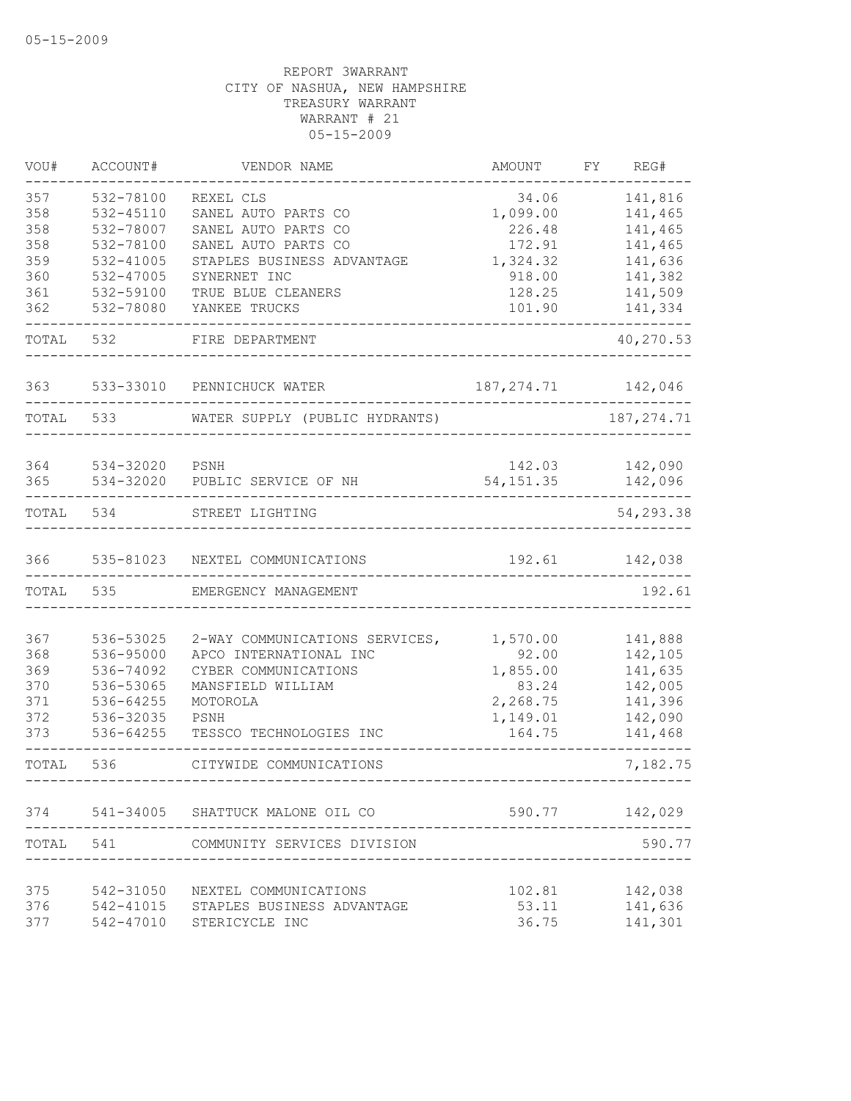| VOU#  | ACCOUNT#  | VENDOR NAME                      | AMOUNT      | FΥ | REG#        |
|-------|-----------|----------------------------------|-------------|----|-------------|
| 357   | 532-78100 | REXEL CLS                        | 34.06       |    | 141,816     |
| 358   | 532-45110 | SANEL AUTO PARTS CO              | 1,099.00    |    | 141,465     |
| 358   | 532-78007 | SANEL AUTO PARTS CO              | 226.48      |    | 141,465     |
| 358   | 532-78100 | SANEL AUTO PARTS CO              | 172.91      |    | 141,465     |
| 359   | 532-41005 | STAPLES BUSINESS ADVANTAGE       | 1,324.32    |    | 141,636     |
| 360   | 532-47005 | SYNERNET INC                     | 918.00      |    | 141,382     |
| 361   | 532-59100 | TRUE BLUE CLEANERS               | 128.25      |    | 141,509     |
| 362   | 532-78080 | YANKEE TRUCKS                    | 101.90      |    | 141,334     |
| TOTAL | 532       | FIRE DEPARTMENT                  |             |    | 40,270.53   |
| 363   | 533-33010 | PENNICHUCK WATER                 | 187, 274.71 |    | 142,046     |
| TOTAL | 533       | WATER SUPPLY (PUBLIC HYDRANTS)   |             |    | 187, 274.71 |
|       |           |                                  |             |    |             |
| 364   | 534-32020 | PSNH                             | 142.03      |    | 142,090     |
| 365   | 534-32020 | PUBLIC SERVICE OF NH             | 54, 151.35  |    | 142,096     |
|       |           |                                  |             |    |             |
| TOTAL | 534       | STREET LIGHTING                  |             |    | 54,293.38   |
| 366   | 535-81023 | NEXTEL COMMUNICATIONS            | 192.61      |    | 142,038     |
| TOTAL | 535       | EMERGENCY MANAGEMENT             |             |    | 192.61      |
|       |           |                                  |             |    |             |
| 367   | 536-53025 | 2-WAY COMMUNICATIONS SERVICES,   | 1,570.00    |    | 141,888     |
| 368   | 536-95000 | APCO INTERNATIONAL INC           | 92.00       |    | 142,105     |
| 369   | 536-74092 | CYBER COMMUNICATIONS             | 1,855.00    |    | 141,635     |
| 370   | 536-53065 | MANSFIELD WILLIAM                | 83.24       |    | 142,005     |
| 371   | 536-64255 | MOTOROLA                         | 2,268.75    |    | 141,396     |
| 372   | 536-32035 | PSNH                             | 1,149.01    |    | 142,090     |
| 373   | 536-64255 | TESSCO TECHNOLOGIES INC          | 164.75      |    | 141,468     |
| TOTAL | 536       | CITYWIDE COMMUNICATIONS          |             |    | 7,182.75    |
| 374   |           | 541-34005 SHATTUCK MALONE OIL CO | 590.77      |    | 142,029     |
| TOTAL | 541       | COMMUNITY SERVICES DIVISION      |             |    | 590.77      |
|       |           |                                  |             |    |             |
| 375   | 542-31050 | NEXTEL COMMUNICATIONS            | 102.81      |    | 142,038     |
| 376   | 542-41015 | STAPLES BUSINESS ADVANTAGE       | 53.11       |    | 141,636     |
| 377   | 542-47010 | STERICYCLE INC                   | 36.75       |    | 141,301     |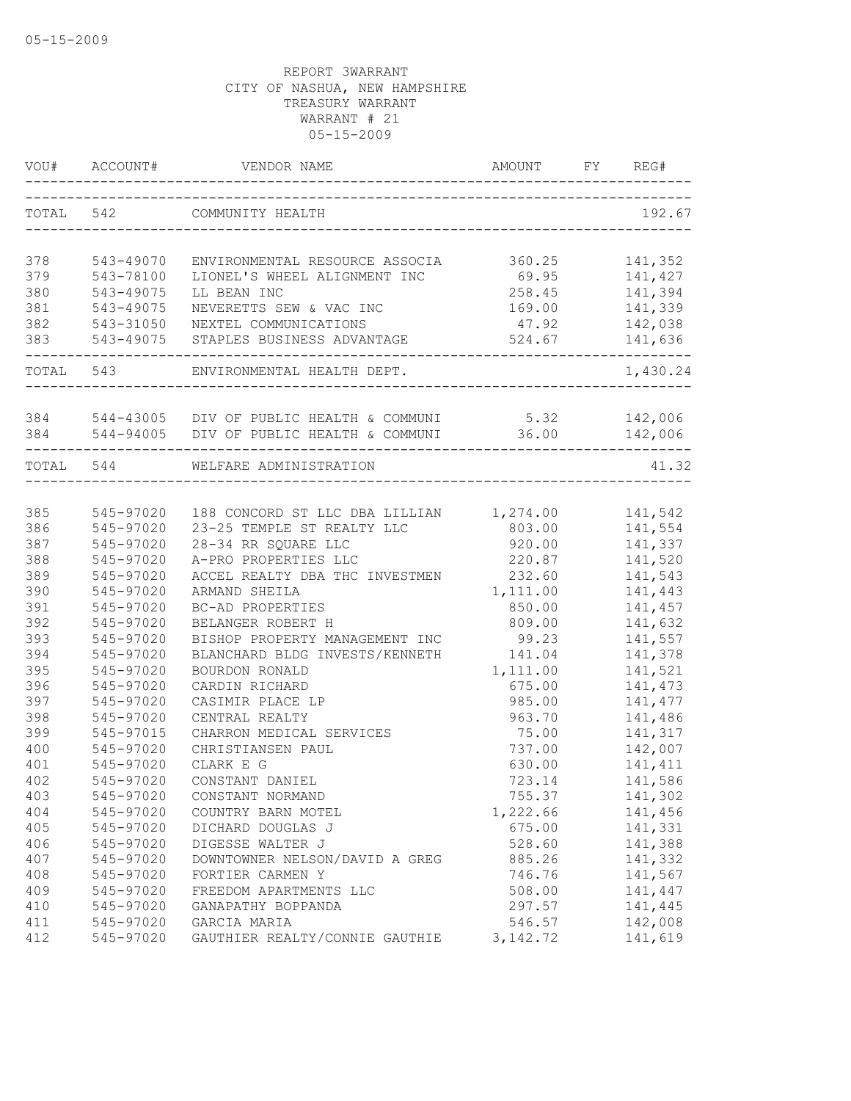|            | VOU# ACCOUNT# |                                                                                                         | AMOUNT                                | FY REG#            |
|------------|---------------|---------------------------------------------------------------------------------------------------------|---------------------------------------|--------------------|
|            |               | TOTAL 542 COMMUNITY HEALTH                                                                              |                                       | 192.67             |
| 378        | 543-49070     | ENVIRONMENTAL RESOURCE ASSOCIA                                                                          | 360.25                                | 141,352            |
| 379        | 543-78100     | LIONEL'S WHEEL ALIGNMENT INC                                                                            | 69.95                                 | 141,427            |
| 380        | 543-49075     | LL BEAN INC                                                                                             | 258.45                                | 141,394            |
| 381        | 543-49075     | NEVERETTS SEW & VAC INC                                                                                 | 169.00                                | 141,339            |
| 382        | 543-31050     | NEXTEL COMMUNICATIONS                                                                                   |                                       | 47.92 142,038      |
| 383        |               | 543-49075 STAPLES BUSINESS ADVANTAGE                                                                    | 524.67 141,636                        |                    |
|            |               | _____________<br>TOTAL 543 ENVIRONMENTAL HEALTH DEPT.                                                   |                                       | 1,430.24           |
|            |               |                                                                                                         |                                       |                    |
|            |               | 384 544-43005 DIV OF PUBLIC HEALTH & COMMUNI 5.32<br>384 544-94005 DIV OF PUBLIC HEALTH & COMMUNI 36.00 |                                       | 142,006<br>142,006 |
|            |               |                                                                                                         |                                       |                    |
|            |               | TOTAL 544 WELFARE ADMINISTRATION                                                                        | _____________________________________ | 41.32              |
|            |               |                                                                                                         |                                       |                    |
| 385        | 545-97020     | 188 CONCORD ST LLC DBA LILLIAN 1,274.00                                                                 |                                       | 141,542            |
| 386        | 545-97020     | 23-25 TEMPLE ST REALTY LLC                                                                              | 803.00                                | 141,554            |
| 387        | 545-97020     | 28-34 RR SQUARE LLC                                                                                     | 920.00                                | 141,337            |
| 388        | 545-97020     | A-PRO PROPERTIES LLC                                                                                    | 220.87                                | 141,520            |
| 389        | 545-97020     | ACCEL REALTY DBA THC INVESTMEN                                                                          | 232.60                                | 141,543            |
| 390        | 545-97020     | ARMAND SHEILA                                                                                           | 1,111.00                              | 141,443            |
| 391<br>392 | 545-97020     | BC-AD PROPERTIES                                                                                        | 850.00                                | 141,457            |
|            | 545-97020     | BELANGER ROBERT H                                                                                       | 809.00                                | 141,632            |
| 393        | 545-97020     | BISHOP PROPERTY MANAGEMENT INC                                                                          | 99.23                                 | 141,557            |
| 394        | 545-97020     | BLANCHARD BLDG INVESTS/KENNETH                                                                          | 141.04                                | 141,378            |
| 395        | 545-97020     | BOURDON RONALD                                                                                          | 1,111.00                              | 141,521            |
| 396        | 545-97020     | CARDIN RICHARD                                                                                          | 675.00                                | 141, 473           |
| 397        | 545-97020     | CASIMIR PLACE LP                                                                                        | 985.00                                | 141, 477           |
| 398        | 545-97020     | CENTRAL REALTY                                                                                          | 963.70                                | 141,486            |
| 399        | 545-97015     | CHARRON MEDICAL SERVICES                                                                                | 75.00                                 | 141,317            |
| 400        | 545-97020     | CHRISTIANSEN PAUL                                                                                       | 737.00                                | 142,007            |
| 401        | 545-97020     | CLARK E G                                                                                               | 630.00                                | 141,411            |
| 402        | 545-97020     | CONSTANT DANIEL                                                                                         | 723.14                                | 141,586            |
| 403        | 545-97020     | CONSTANT NORMAND                                                                                        | 755.37                                | 141,302            |
| 404        | 545-97020     | COUNTRY BARN MOTEL                                                                                      | 1,222.66                              | 141,456            |
| 405        | 545-97020     | DICHARD DOUGLAS J                                                                                       | 675.00                                | 141,331            |
| 406        | 545-97020     | DIGESSE WALTER J                                                                                        | 528.60                                | 141,388            |
| 407        | 545-97020     | DOWNTOWNER NELSON/DAVID A GREG                                                                          | 885.26                                | 141,332            |
| 408        | 545-97020     | FORTIER CARMEN Y                                                                                        | 746.76                                | 141,567            |
| 409        | 545-97020     | FREEDOM APARTMENTS LLC                                                                                  | 508.00                                | 141,447            |
| 410        | 545-97020     | GANAPATHY BOPPANDA                                                                                      | 297.57                                | 141,445            |
| 411        | 545-97020     | GARCIA MARIA                                                                                            | 546.57                                | 142,008            |
| 412        | 545-97020     | GAUTHIER REALTY/CONNIE GAUTHIE                                                                          | 3, 142. 72                            | 141,619            |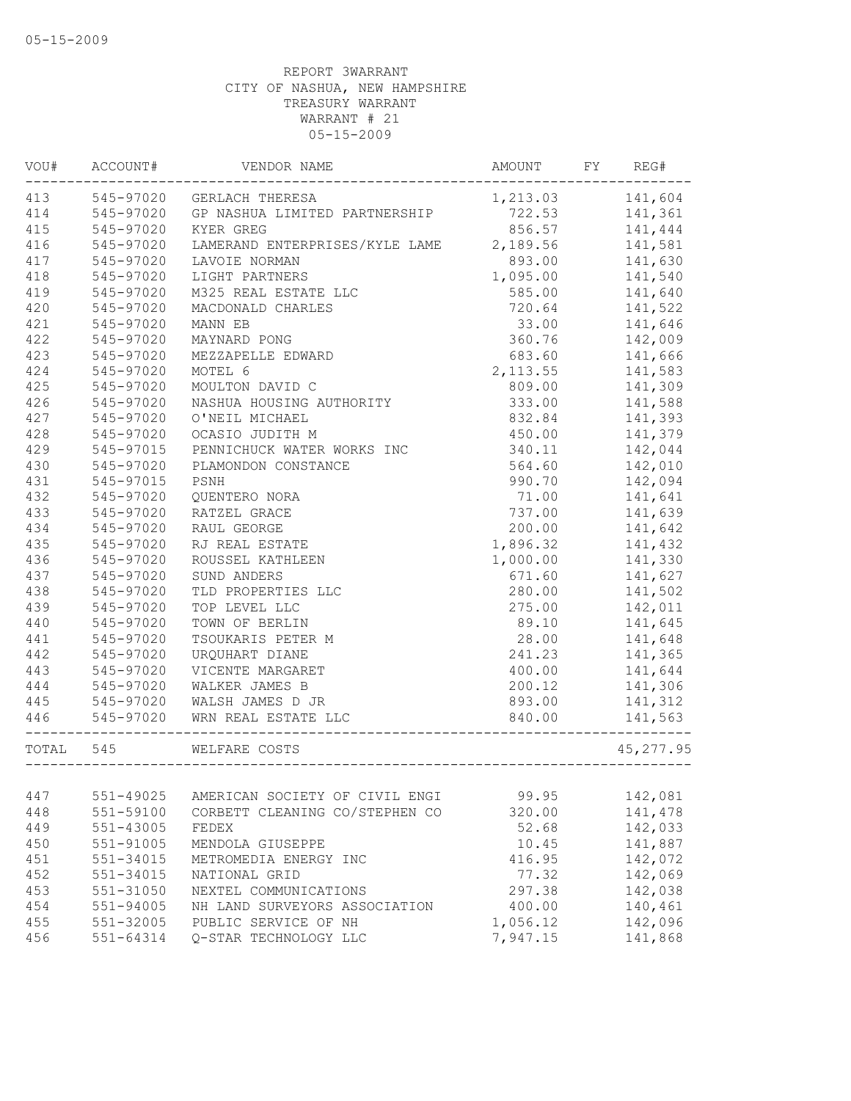| WOU#  | ACCOUNT#                       | VENDOR NAME                                   | AMOUNT    | FY<br>REG#       |  |
|-------|--------------------------------|-----------------------------------------------|-----------|------------------|--|
| 413   | 545-97020                      | GERLACH THERESA                               |           | 1,213.03 141,604 |  |
| 414   | 545-97020                      | GP NASHUA LIMITED PARTNERSHIP                 | 722.53    | 141,361          |  |
| 415   | 545-97020                      | KYER GREG                                     | 856.57    | 141,444          |  |
| 416   | 545-97020                      | LAMERAND ENTERPRISES/KYLE LAME                | 2,189.56  | 141,581          |  |
| 417   | 545-97020                      | LAVOIE NORMAN                                 | 893.00    | 141,630          |  |
| 418   | 545-97020                      | LIGHT PARTNERS                                | 1,095.00  | 141,540          |  |
| 419   | 545-97020                      | M325 REAL ESTATE LLC                          | 585.00    | 141,640          |  |
| 420   | 545-97020                      | MACDONALD CHARLES                             | 720.64    | 141,522          |  |
| 421   | 545-97020                      | MANN EB                                       | 33.00     | 141,646          |  |
| 422   | 545-97020                      | MAYNARD PONG                                  | 360.76    | 142,009          |  |
| 423   | 545-97020                      | MEZZAPELLE EDWARD                             | 683.60    | 141,666          |  |
| 424   | 545-97020                      | MOTEL 6                                       | 2, 113.55 | 141,583          |  |
| 425   | 545-97020                      | MOULTON DAVID C                               | 809.00    | 141,309          |  |
| 426   | 545-97020                      | NASHUA HOUSING AUTHORITY                      | 333.00    | 141,588          |  |
| 427   | 545-97020                      | O'NEIL MICHAEL                                | 832.84    | 141,393          |  |
| 428   | 545-97020                      | OCASIO JUDITH M                               | 450.00    | 141,379          |  |
| 429   | 545-97015                      | PENNICHUCK WATER WORKS INC                    | 340.11    | 142,044          |  |
| 430   | 545-97020                      | PLAMONDON CONSTANCE                           | 564.60    | 142,010          |  |
| 431   | 545-97015                      | PSNH                                          | 990.70    | 142,094          |  |
| 432   | 545-97020                      | QUENTERO NORA                                 | 71.00     | 141,641          |  |
| 433   | 545-97020                      | RATZEL GRACE                                  | 737.00    | 141,639          |  |
| 434   | 545-97020                      | RAUL GEORGE                                   | 200.00    | 141,642          |  |
| 435   | 545-97020                      | RJ REAL ESTATE                                | 1,896.32  | 141,432          |  |
| 436   | 545-97020                      | ROUSSEL KATHLEEN                              | 1,000.00  | 141,330          |  |
| 437   | 545-97020                      | SUND ANDERS                                   | 671.60    | 141,627          |  |
| 438   | 545-97020                      | TLD PROPERTIES LLC                            | 280.00    | 141,502          |  |
| 439   | 545-97020                      | TOP LEVEL LLC                                 | 275.00    | 142,011          |  |
| 440   | 545-97020                      | TOWN OF BERLIN                                | 89.10     | 141,645          |  |
| 441   | 545-97020                      | TSOUKARIS PETER M                             | 28.00     | 141,648          |  |
| 442   | 545-97020                      | URQUHART DIANE                                | 241.23    | 141,365          |  |
| 443   | 545-97020                      | VICENTE MARGARET                              | 400.00    | 141,644          |  |
| 444   |                                | WALKER JAMES B                                | 200.12    | 141,306          |  |
| 445   |                                | WALSH JAMES D JR                              | 893.00    | 141,312          |  |
| 446   | $545 - 97020$<br>$545 - 97020$ | WRN REAL ESTATE LLC<br>---------------------- | 840.00    | 141,563          |  |
| TOTAL | 545                            | WELFARE COSTS                                 |           | 45, 277.95       |  |
|       |                                |                                               |           |                  |  |
| 447   | 551-49025                      | AMERICAN SOCIETY OF CIVIL ENGI                | 99.95     | 142,081          |  |
| 448   | 551-59100                      | CORBETT CLEANING CO/STEPHEN CO                | 320.00    | 141,478          |  |
| 449   | 551-43005                      | FEDEX                                         | 52.68     | 142,033          |  |
| 450   | 551-91005                      | MENDOLA GIUSEPPE                              | 10.45     | 141,887          |  |
| 451   | 551-34015                      | METROMEDIA ENERGY INC                         | 416.95    | 142,072          |  |
| 452   | 551-34015                      | NATIONAL GRID                                 | 77.32     | 142,069          |  |
| 453   | 551-31050                      | NEXTEL COMMUNICATIONS                         | 297.38    | 142,038          |  |
| 454   | 551-94005                      | NH LAND SURVEYORS ASSOCIATION                 | 400.00    | 140,461          |  |
| 455   | 551-32005                      | PUBLIC SERVICE OF NH                          | 1,056.12  | 142,096          |  |
| 456   | 551-64314                      | Q-STAR TECHNOLOGY LLC                         | 7,947.15  | 141,868          |  |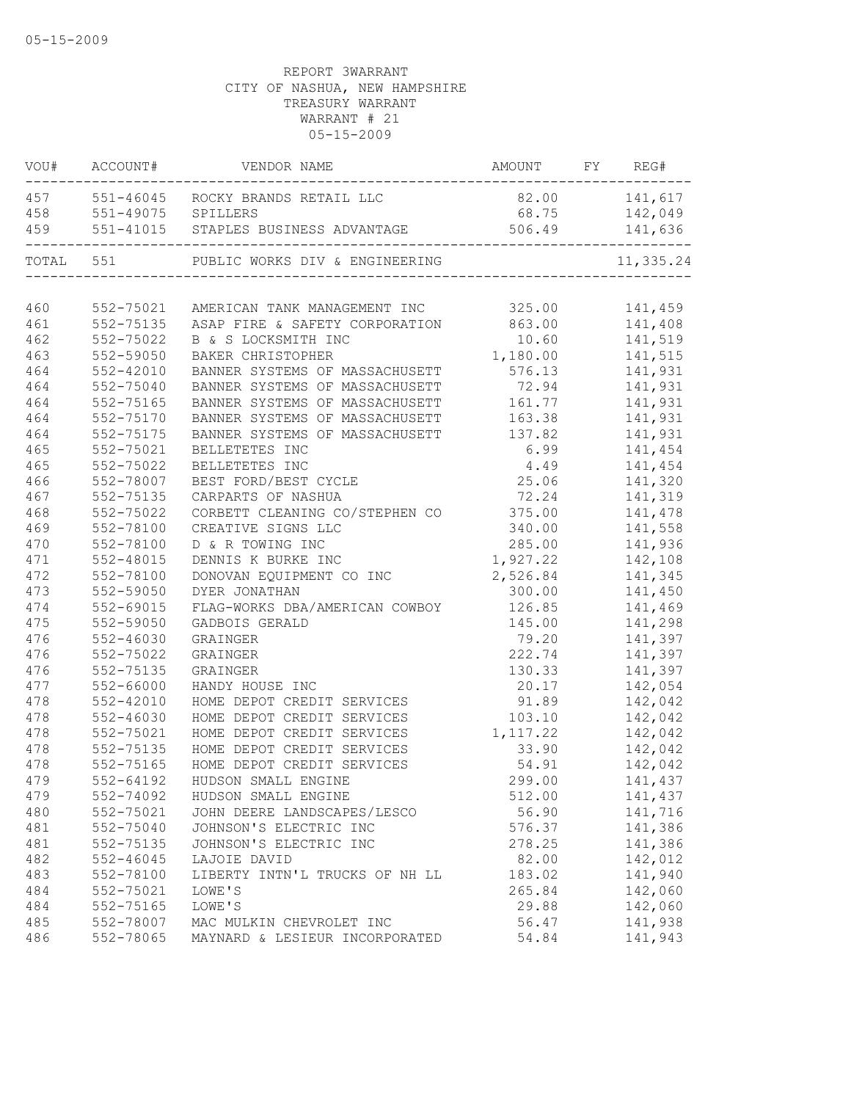|                                                                                                         | ----------------     |
|---------------------------------------------------------------------------------------------------------|----------------------|
| 457 551-46045 ROCKY BRANDS RETAIL LLC                                                                   | 82.00 141,617        |
| 551-49075 SPILLERS<br>458                                                                               | 68.75 142,049        |
| 459 551-41015 STAPLES BUSINESS ADVANTAGE                                                                | 506.49 141,636       |
| TOTAL 551 PUBLIC WORKS DIV & ENGINEERING                                                                | 11,335.24            |
|                                                                                                         |                      |
| 460<br>552-75021 AMERICAN TANK MANAGEMENT INC 325.00<br>552-75135 ASAP FIRE & SAFETY CORPORATION 863.00 | 141,459              |
| ASAP FIRE & SAFETY CORPORATION<br>461                                                                   | 141,408              |
| 462<br>552-75022<br>B & S LOCKSMITH INC                                                                 | 141,519<br>10.60     |
| 463<br>552-59050<br>BAKER CHRISTOPHER                                                                   | 1,180.00 141,515     |
| 464<br>552-42010<br>BANNER SYSTEMS OF MASSACHUSETT                                                      | 576.13 141,931       |
| 464<br>552-75040<br>BANNER SYSTEMS OF MASSACHUSETT                                                      | 72.94 141,931        |
| 464<br>552-75165<br>BANNER SYSTEMS OF MASSACHUSETT 161.77 141,931                                       |                      |
| 464<br>552-75170<br>BANNER SYSTEMS OF MASSACHUSETT 163.38 141,931                                       |                      |
| 464<br>552-75175<br>BANNER SYSTEMS OF MASSACHUSETT                                                      | 137.82<br>141,931    |
| 465<br>552-75021<br>BELLETETES INC                                                                      | 6.99<br>141,454      |
| 465<br>552-75022<br>BELLETETES INC                                                                      | 4.49<br>141,454      |
| 466<br>552-78007<br>BEST FORD/BEST CYCLE                                                                | 25.06<br>141,320     |
| 467<br>552-75135<br>CARPARTS OF NASHUA                                                                  | 72.24<br>141,319     |
| CORBETT CLEANING CO/STEPHEN CO 375.00<br>468<br>552-75022                                               | 141,478              |
| 469<br>552-78100<br>CREATIVE SIGNS LLC                                                                  | 340.00<br>141,558    |
| 470<br>552-78100<br>D & R TOWING INC                                                                    | 285.00<br>141,936    |
| 471<br>552-48015<br>DENNIS K BURKE INC                                                                  | 1,927.22<br>142,108  |
| 472<br>552-78100<br>DONOVAN EQUIPMENT CO INC                                                            | 2,526.84<br>141,345  |
| 473<br>552-59050<br>DYER JONATHAN                                                                       | 141,450<br>300.00    |
| 474<br>$552 - 69015$<br>FLAG-WORKS DBA/AMERICAN COWBOY                                                  | 126.85<br>141,469    |
| 475<br>552-59050<br>GADBOIS GERALD                                                                      | 141,298<br>145.00    |
| 476<br>552-46030<br>GRAINGER                                                                            | 79.20<br>141,397     |
| 476<br>552-75022<br>GRAINGER                                                                            | 222.74<br>141,397    |
| 476<br>552-75135<br>GRAINGER                                                                            | 130.33<br>141,397    |
| 477<br>552-66000<br>HANDY HOUSE INC                                                                     | 20.17<br>142,054     |
| 478<br>552-42010<br>HOME DEPOT CREDIT SERVICES                                                          | 91.89<br>142,042     |
| 478<br>552-46030<br>HOME DEPOT CREDIT SERVICES                                                          | 103.10<br>142,042    |
| 478<br>552-75021<br>HOME DEPOT CREDIT SERVICES                                                          | 1, 117.22<br>142,042 |
| 478<br>552-75135<br>HOME DEPOT CREDIT SERVICES                                                          | 33.90<br>142,042     |
| 478<br>552-75165<br>HOME DEPOT CREDIT SERVICES                                                          | 142,042<br>54.91     |
| 479<br>552-64192 HUDSON SMALL ENGINE                                                                    | 299.00<br>141,437    |
| 479<br>552-74092<br>HUDSON SMALL ENGINE                                                                 | 141,437<br>512.00    |
| 480<br>552-75021<br>JOHN DEERE LANDSCAPES/LESCO                                                         | 56.90<br>141,716     |
| JOHNSON'S ELECTRIC INC<br>481<br>552-75040                                                              | 576.37<br>141,386    |
| 481<br>552-75135<br>JOHNSON'S ELECTRIC INC                                                              | 278.25<br>141,386    |
| 482<br>$552 - 46045$<br>LAJOIE DAVID                                                                    | 82.00<br>142,012     |
| 483<br>552-78100<br>LIBERTY INTN'L TRUCKS OF NH LL                                                      | 141,940<br>183.02    |
| 484<br>552-75021<br>LOWE'S                                                                              | 142,060<br>265.84    |
| 484<br>552-75165<br>LOWE'S                                                                              | 142,060<br>29.88     |
| 485<br>552-78007<br>MAC MULKIN CHEVROLET INC                                                            | 141,938<br>56.47     |
| 552-78065<br>486<br>MAYNARD & LESIEUR INCORPORATED                                                      | 141,943<br>54.84     |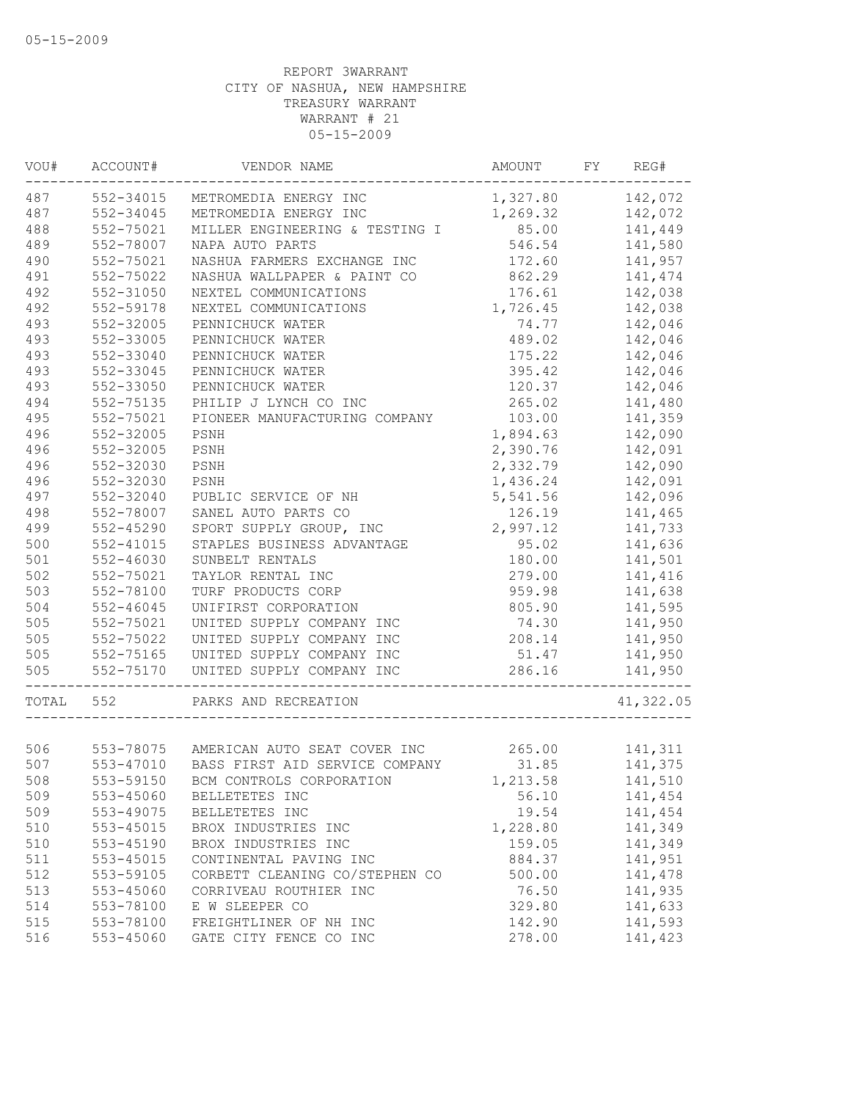| VOU#  | ACCOUNT#      | VENDOR NAME                              | AMOUNT           | FY | REG#      |
|-------|---------------|------------------------------------------|------------------|----|-----------|
| 487   | 552-34015     | METROMEDIA ENERGY INC                    | 1,327.80 142,072 |    |           |
| 487   | 552-34045     | METROMEDIA ENERGY INC                    | 1,269.32         |    | 142,072   |
| 488   | 552-75021     | MILLER ENGINEERING & TESTING I           | 85.00            |    | 141,449   |
| 489   | 552-78007     | NAPA AUTO PARTS                          | 546.54           |    | 141,580   |
| 490   | 552-75021     | NASHUA FARMERS EXCHANGE INC              | 172.60           |    | 141,957   |
| 491   | 552-75022     | NASHUA WALLPAPER & PAINT CO              | 862.29           |    | 141,474   |
| 492   | 552-31050     | NEXTEL COMMUNICATIONS                    | 176.61           |    | 142,038   |
| 492   | 552-59178     | NEXTEL COMMUNICATIONS                    | 1,726.45         |    | 142,038   |
| 493   | 552-32005     | PENNICHUCK WATER                         | 74.77            |    | 142,046   |
| 493   | 552-33005     | PENNICHUCK WATER                         | 489.02           |    | 142,046   |
| 493   | 552-33040     | PENNICHUCK WATER                         | 175.22           |    | 142,046   |
| 493   | 552-33045     | PENNICHUCK WATER                         | 395.42           |    | 142,046   |
| 493   | 552-33050     | PENNICHUCK WATER                         | 120.37           |    | 142,046   |
| 494   | 552-75135     | PHILIP J LYNCH CO INC                    | 265.02           |    | 141,480   |
| 495   | 552-75021     | PIONEER MANUFACTURING COMPANY            | 103.00           |    | 141,359   |
| 496   | 552-32005     | PSNH                                     | 1,894.63         |    | 142,090   |
| 496   | 552-32005     | PSNH                                     | 2,390.76         |    | 142,091   |
| 496   | 552-32030     | PSNH                                     | 2,332.79         |    | 142,090   |
| 496   | 552-32030     | PSNH                                     | 1,436.24         |    | 142,091   |
| 497   | 552-32040     | PUBLIC SERVICE OF NH                     | 5,541.56         |    | 142,096   |
| 498   | 552-78007     | SANEL AUTO PARTS CO                      | 126.19           |    | 141,465   |
| 499   | 552-45290     | SPORT SUPPLY GROUP, INC                  | 2,997.12         |    | 141,733   |
| 500   | 552-41015     | STAPLES BUSINESS ADVANTAGE               | 95.02            |    | 141,636   |
| 501   | $552 - 46030$ | SUNBELT RENTALS                          | 180.00           |    | 141,501   |
| 502   | 552-75021     | TAYLOR RENTAL INC                        | 279.00           |    | 141,416   |
| 503   | 552-78100     | TURF PRODUCTS CORP                       | 959.98           |    | 141,638   |
| 504   | $552 - 46045$ | UNIFIRST CORPORATION                     | 805.90           |    | 141,595   |
| 505   | 552-75021     | UNITED SUPPLY COMPANY INC                | 74.30            |    | 141,950   |
| 505   | 552-75022     | UNITED SUPPLY COMPANY INC                | 208.14           |    | 141,950   |
| 505   | 552-75165     | UNITED SUPPLY COMPANY INC                | 51.47            |    | 141,950   |
| 505   | 552-75170     | UNITED SUPPLY COMPANY INC                | 286.16           |    | 141,950   |
|       |               |                                          |                  |    |           |
| TOTAL | 552           | PARKS AND RECREATION                     |                  |    | 41,322.05 |
|       |               |                                          |                  |    |           |
| 506   |               | 553-78075 AMERICAN AUTO SEAT COVER INC   | 265.00           |    | 141,311   |
| 507   |               | 553-47010 BASS FIRST AID SERVICE COMPANY | 31.85            |    | 141,375   |
| 508   | 553-59150     | BCM CONTROLS CORPORATION                 | 1,213.58         |    | 141,510   |
| 509   | 553-45060     | BELLETETES INC                           | 56.10            |    | 141,454   |
| 509   | 553-49075     | BELLETETES INC                           | 19.54            |    | 141,454   |
| 510   | $553 - 45015$ | BROX INDUSTRIES INC                      | 1,228.80         |    | 141,349   |
| 510   | 553-45190     | BROX INDUSTRIES INC                      | 159.05           |    | 141,349   |
| 511   | 553-45015     | CONTINENTAL PAVING INC                   | 884.37           |    | 141,951   |
| 512   | 553-59105     | CORBETT CLEANING CO/STEPHEN CO           | 500.00           |    | 141,478   |
| 513   | 553-45060     | CORRIVEAU ROUTHIER INC                   | 76.50            |    | 141,935   |
| 514   | 553-78100     | E W SLEEPER CO                           | 329.80           |    | 141,633   |
| 515   | 553-78100     | FREIGHTLINER OF NH INC                   | 142.90           |    | 141,593   |
| 516   | 553-45060     | GATE CITY FENCE CO INC                   | 278.00           |    | 141,423   |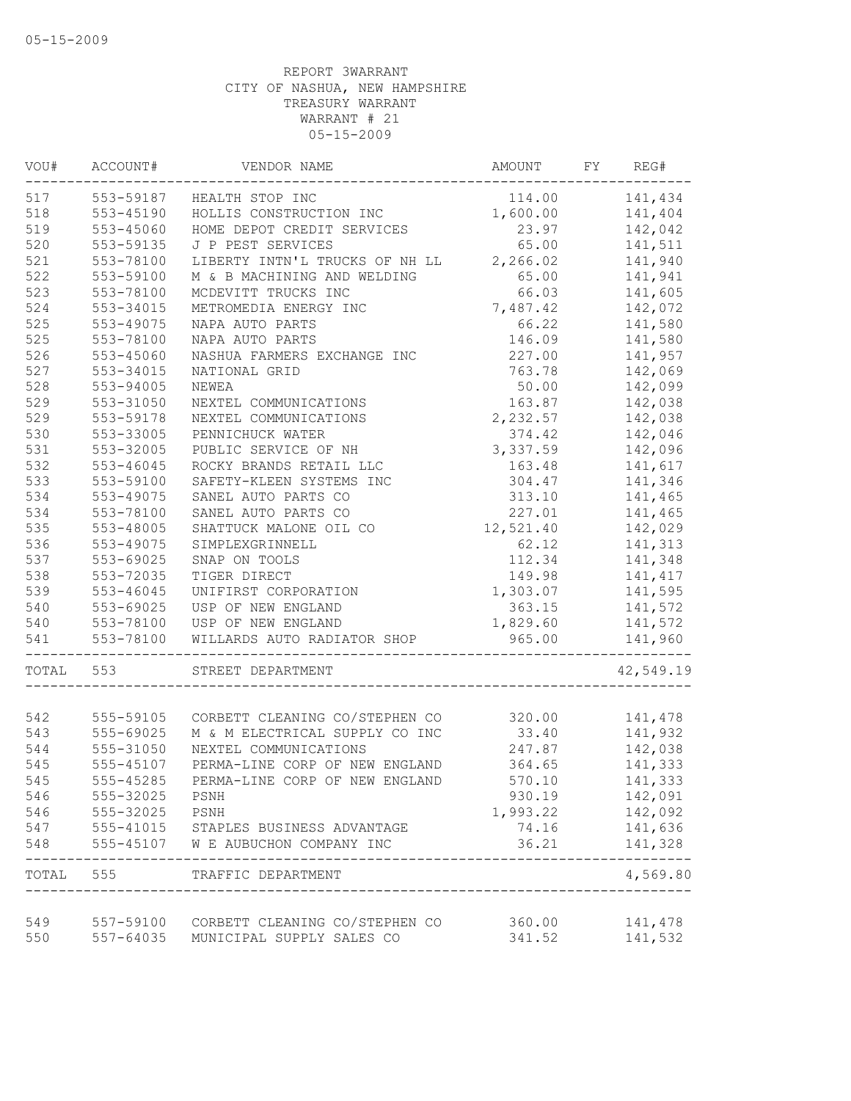| VOU#  | ACCOUNT#  | VENDOR NAME                                                  | AMOUNT    | FY | REG#      |
|-------|-----------|--------------------------------------------------------------|-----------|----|-----------|
| 517   | 553-59187 | HEALTH STOP INC                                              | 114.00    |    | 141,434   |
| 518   | 553-45190 | HOLLIS CONSTRUCTION INC                                      | 1,600.00  |    | 141,404   |
| 519   | 553-45060 | HOME DEPOT CREDIT SERVICES                                   | 23.97     |    | 142,042   |
| 520   | 553-59135 | J P PEST SERVICES                                            | 65.00     |    | 141,511   |
| 521   | 553-78100 | LIBERTY INTN'L TRUCKS OF NH LL                               | 2,266.02  |    | 141,940   |
| 522   | 553-59100 | M & B MACHINING AND WELDING                                  | 65.00     |    | 141,941   |
| 523   | 553-78100 | MCDEVITT TRUCKS INC                                          | 66.03     |    | 141,605   |
| 524   | 553-34015 | METROMEDIA ENERGY INC                                        | 7,487.42  |    | 142,072   |
| 525   | 553-49075 | NAPA AUTO PARTS                                              | 66.22     |    | 141,580   |
| 525   | 553-78100 | NAPA AUTO PARTS                                              | 146.09    |    | 141,580   |
| 526   | 553-45060 | NASHUA FARMERS EXCHANGE INC                                  | 227.00    |    | 141,957   |
| 527   | 553-34015 | NATIONAL GRID                                                | 763.78    |    | 142,069   |
| 528   | 553-94005 | NEWEA                                                        | 50.00     |    | 142,099   |
| 529   | 553-31050 | NEXTEL COMMUNICATIONS                                        | 163.87    |    | 142,038   |
| 529   | 553-59178 | NEXTEL COMMUNICATIONS                                        | 2,232.57  |    | 142,038   |
| 530   | 553-33005 | PENNICHUCK WATER                                             | 374.42    |    | 142,046   |
| 531   | 553-32005 | PUBLIC SERVICE OF NH                                         | 3,337.59  |    | 142,096   |
| 532   | 553-46045 | ROCKY BRANDS RETAIL LLC                                      | 163.48    |    | 141,617   |
| 533   | 553-59100 | SAFETY-KLEEN SYSTEMS INC                                     | 304.47    |    | 141,346   |
| 534   | 553-49075 | SANEL AUTO PARTS CO                                          | 313.10    |    | 141,465   |
| 534   | 553-78100 | SANEL AUTO PARTS CO                                          | 227.01    |    | 141,465   |
| 535   | 553-48005 | SHATTUCK MALONE OIL CO                                       | 12,521.40 |    | 142,029   |
| 536   | 553-49075 | SIMPLEXGRINNELL                                              | 62.12     |    | 141,313   |
| 537   | 553-69025 | SNAP ON TOOLS                                                | 112.34    |    | 141,348   |
| 538   | 553-72035 | TIGER DIRECT                                                 | 149.98    |    | 141, 417  |
| 539   | 553-46045 |                                                              | 1,303.07  |    | 141,595   |
| 540   |           | UNIFIRST CORPORATION                                         |           |    |           |
|       | 553-69025 | USP OF NEW ENGLAND                                           | 363.15    |    | 141,572   |
| 540   | 553-78100 | USP OF NEW ENGLAND                                           | 1,829.60  |    | 141,572   |
| 541   | 553-78100 | WILLARDS AUTO RADIATOR SHOP                                  | 965.00    |    | 141,960   |
| TOTAL | 553       | STREET DEPARTMENT                                            |           |    | 42,549.19 |
|       |           |                                                              |           |    |           |
| 542   |           | 555-59105 CORBETT CLEANING CO/STEPHEN CO                     | 320.00    |    | 141,478   |
| 543   | 555-69025 | M & M ELECTRICAL SUPPLY CO INC                               | 33.40     |    | 141,932   |
| 544   | 555-31050 | NEXTEL COMMUNICATIONS                                        | 247.87    |    | 142,038   |
| 545   | 555-45107 | PERMA-LINE CORP OF NEW ENGLAND                               | 364.65    |    | 141,333   |
| 545   | 555-45285 | PERMA-LINE CORP OF NEW ENGLAND                               | 570.10    |    | 141,333   |
| 546   | 555-32025 | PSNH                                                         | 930.19    |    | 142,091   |
| 546   | 555-32025 | PSNH                                                         | 1,993.22  |    | 142,092   |
| 547   |           | 555-41015 STAPLES BUSINESS ADVANTAGE                         | 74.16     |    | 141,636   |
| 548   | 555-45107 | W E AUBUCHON COMPANY INC                                     | 36.21     |    | 141,328   |
| TOTAL | 555       | TRAFFIC DEPARTMENT<br>-------------------------------------- |           |    | 4,569.80  |
|       |           |                                                              |           |    |           |
| 549   |           | 557-59100 CORBETT CLEANING CO/STEPHEN CO                     | 360.00    |    | 141,478   |
| 550   | 557-64035 | MUNICIPAL SUPPLY SALES CO                                    | 341.52    |    | 141,532   |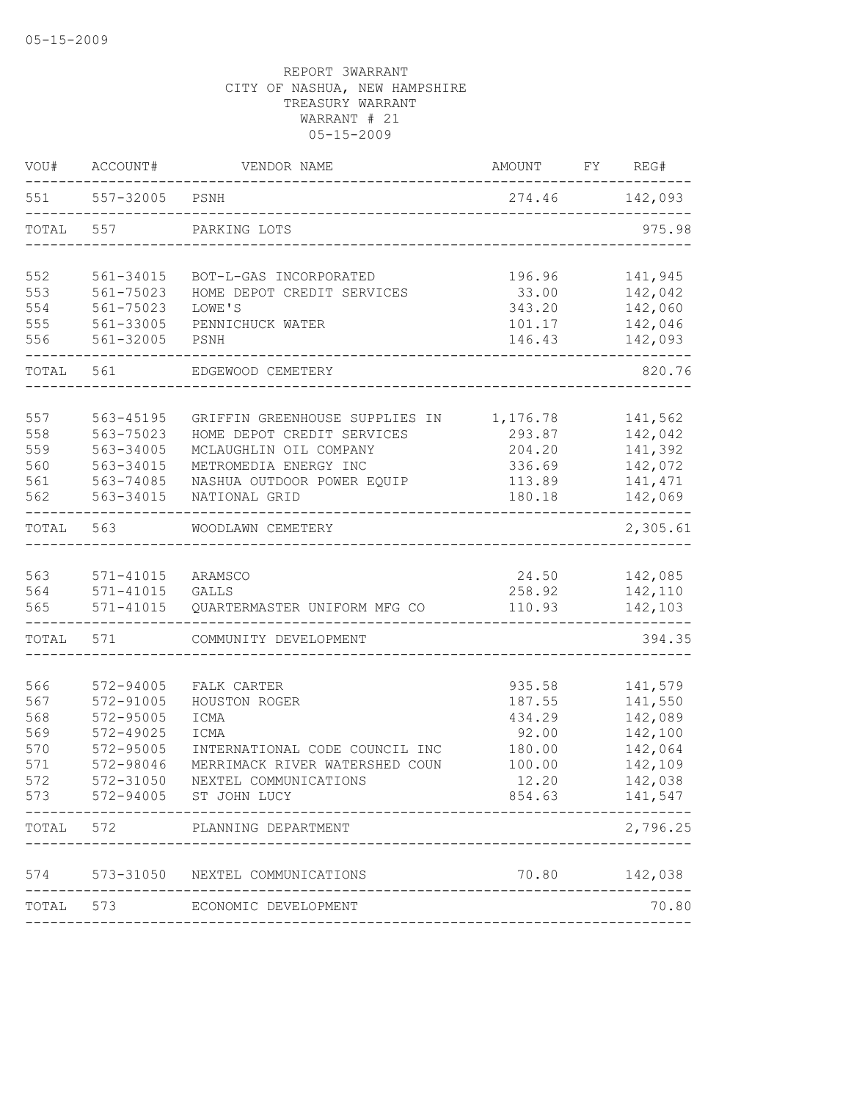| VOU#       | ACCOUNT#      | VENDOR NAME                                     | AMOUNT          | FY | REG#               |
|------------|---------------|-------------------------------------------------|-----------------|----|--------------------|
| 551        | 557-32005     | PSNH                                            | 274.46          |    | 142,093            |
| TOTAL      | 557           | PARKING LOTS                                    |                 |    | 975.98             |
| 552        | 561-34015     | BOT-L-GAS INCORPORATED                          | 196.96          |    | 141,945            |
| 553        | 561-75023     | HOME DEPOT CREDIT SERVICES                      | 33.00           |    | 142,042            |
| 554        | 561-75023     | LOWE'S                                          | 343.20          |    | 142,060            |
| 555        | 561-33005     | PENNICHUCK WATER                                | 101.17          |    | 142,046            |
| 556        | 561-32005     | PSNH                                            | 146.43          |    | 142,093            |
| TOTAL      | 561           | EDGEWOOD CEMETERY                               |                 |    | 820.76             |
| 557        | 563-45195     | GRIFFIN GREENHOUSE SUPPLIES IN                  | 1,176.78        |    | 141,562            |
| 558        | 563-75023     | HOME DEPOT CREDIT SERVICES                      | 293.87          |    | 142,042            |
| 559        | 563-34005     | MCLAUGHLIN OIL COMPANY                          | 204.20          |    | 141,392            |
| 560        | 563-34015     | METROMEDIA ENERGY INC                           | 336.69          |    | 142,072            |
| 561        | 563-74085     | NASHUA OUTDOOR POWER EQUIP                      | 113.89          |    | 141, 471           |
| 562        | 563-34015     | NATIONAL GRID                                   | 180.18          |    | 142,069            |
| TOTAL      | 563           | WOODLAWN CEMETERY                               |                 |    | 2,305.61           |
|            |               |                                                 |                 |    |                    |
| 563        | $571 - 41015$ | ARAMSCO                                         | 24.50           |    | 142,085            |
| 564        | $571 - 41015$ | <b>GALLS</b>                                    | 258.92          |    | 142,110            |
| 565        | 571-41015     | QUARTERMASTER UNIFORM MFG CO                    | 110.93          |    | 142,103            |
| TOTAL      | 571           | COMMUNITY DEVELOPMENT                           |                 |    | 394.35             |
| 566        | 572-94005     | FALK CARTER                                     | 935.58          |    | 141,579            |
| 567        | 572-91005     | HOUSTON ROGER                                   | 187.55          |    | 141,550            |
| 568        | 572-95005     | ICMA                                            | 434.29          |    | 142,089            |
| 569        | $572 - 49025$ | ICMA                                            | 92.00           |    | 142,100            |
| 570        | 572-95005     | INTERNATIONAL CODE COUNCIL INC                  | 180.00          |    | 142,064            |
| 571        | 572-98046     | MERRIMACK RIVER WATERSHED COUN                  | 100.00          |    | 142,109            |
| 572<br>573 | 572-31050     | NEXTEL COMMUNICATIONS<br>572-94005 ST JOHN LUCY | 12.20<br>854.63 |    | 142,038<br>141,547 |
|            |               |                                                 |                 |    |                    |
| TOTAL      | 572           | PLANNING DEPARTMENT                             |                 |    | 2,796.25           |
| 574        | 573-31050     | NEXTEL COMMUNICATIONS                           | 70.80           |    | 142,038            |
| TOTAL      | 573           | ECONOMIC DEVELOPMENT                            |                 |    | 70.80              |
|            |               |                                                 |                 |    |                    |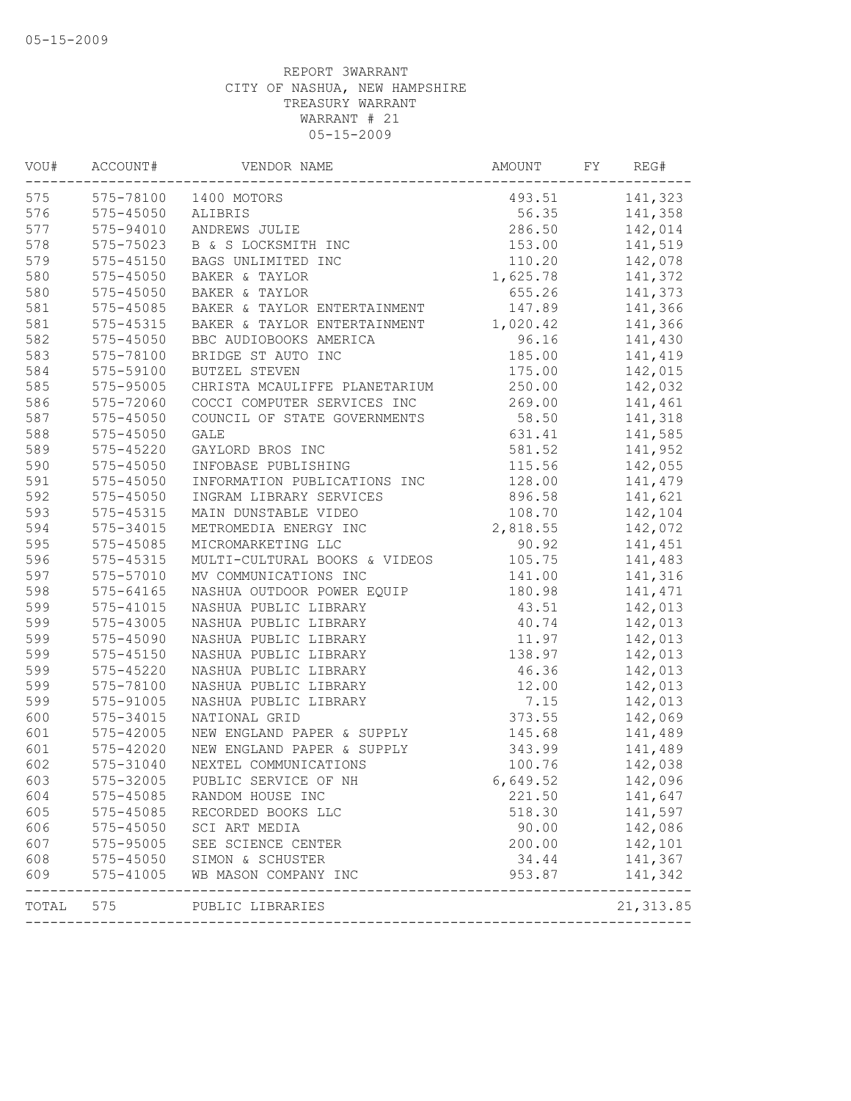| VOU#  | ACCOUNT#      | VENDOR NAME                   | AMOUNT   | FY | REG#       |
|-------|---------------|-------------------------------|----------|----|------------|
| 575   |               | 575-78100 1400 MOTORS         | 493.51   |    | 141,323    |
| 576   | 575-45050     | ALIBRIS                       | 56.35    |    | 141,358    |
| 577   | 575-94010     | ANDREWS JULIE                 | 286.50   |    | 142,014    |
| 578   | 575-75023     | B & S LOCKSMITH INC           | 153.00   |    | 141,519    |
| 579   | $575 - 45150$ | BAGS UNLIMITED INC            | 110.20   |    | 142,078    |
| 580   | 575-45050     | BAKER & TAYLOR                | 1,625.78 |    | 141,372    |
| 580   | 575-45050     | BAKER & TAYLOR                | 655.26   |    | 141,373    |
| 581   | $575 - 45085$ | BAKER & TAYLOR ENTERTAINMENT  | 147.89   |    | 141,366    |
| 581   | 575-45315     | BAKER & TAYLOR ENTERTAINMENT  | 1,020.42 |    | 141,366    |
| 582   | 575-45050     | BBC AUDIOBOOKS AMERICA        | 96.16    |    | 141,430    |
| 583   | 575-78100     | BRIDGE ST AUTO INC            | 185.00   |    | 141,419    |
| 584   | 575-59100     | BUTZEL STEVEN                 | 175.00   |    | 142,015    |
| 585   | 575-95005     | CHRISTA MCAULIFFE PLANETARIUM | 250.00   |    | 142,032    |
| 586   | 575-72060     | COCCI COMPUTER SERVICES INC   | 269.00   |    | 141,461    |
| 587   | $575 - 45050$ | COUNCIL OF STATE GOVERNMENTS  | 58.50    |    | 141,318    |
| 588   | $575 - 45050$ | <b>GALE</b>                   | 631.41   |    | 141,585    |
| 589   | $575 - 45220$ | GAYLORD BROS INC              | 581.52   |    | 141,952    |
| 590   | 575-45050     | INFOBASE PUBLISHING           | 115.56   |    | 142,055    |
| 591   | 575-45050     | INFORMATION PUBLICATIONS INC  | 128.00   |    | 141,479    |
| 592   | 575-45050     | INGRAM LIBRARY SERVICES       | 896.58   |    | 141,621    |
| 593   | 575-45315     | MAIN DUNSTABLE VIDEO          | 108.70   |    | 142,104    |
| 594   | 575-34015     | METROMEDIA ENERGY INC         | 2,818.55 |    | 142,072    |
| 595   | 575-45085     | MICROMARKETING LLC            | 90.92    |    | 141,451    |
| 596   | 575-45315     | MULTI-CULTURAL BOOKS & VIDEOS | 105.75   |    | 141,483    |
| 597   | 575-57010     | MV COMMUNICATIONS INC         | 141.00   |    | 141,316    |
| 598   | $575 - 64165$ | NASHUA OUTDOOR POWER EQUIP    | 180.98   |    | 141,471    |
| 599   | 575-41015     | NASHUA PUBLIC LIBRARY         | 43.51    |    | 142,013    |
| 599   | 575-43005     | NASHUA PUBLIC LIBRARY         | 40.74    |    | 142,013    |
| 599   | 575-45090     | NASHUA PUBLIC LIBRARY         | 11.97    |    | 142,013    |
| 599   | $575 - 45150$ | NASHUA PUBLIC LIBRARY         | 138.97   |    | 142,013    |
| 599   | $575 - 45220$ | NASHUA PUBLIC LIBRARY         | 46.36    |    | 142,013    |
| 599   | 575-78100     | NASHUA PUBLIC LIBRARY         | 12.00    |    | 142,013    |
| 599   | 575-91005     | NASHUA PUBLIC LIBRARY         | 7.15     |    | 142,013    |
| 600   | 575-34015     | NATIONAL GRID                 | 373.55   |    | 142,069    |
| 601   | 575-42005     | NEW ENGLAND PAPER & SUPPLY    | 145.68   |    | 141,489    |
| 601   | 575-42020     | NEW ENGLAND PAPER & SUPPLY    | 343.99   |    | 141,489    |
| 602   | 575-31040     | NEXTEL COMMUNICATIONS         | 100.76   |    | 142,038    |
| 603   | 575-32005     | PUBLIC SERVICE OF NH          | 6,649.52 |    | 142,096    |
| 604   | 575-45085     | RANDOM HOUSE INC              | 221.50   |    | 141,647    |
| 605   | 575-45085     | RECORDED BOOKS LLC            | 518.30   |    | 141,597    |
| 606   | 575-45050     | SCI ART MEDIA                 | 90.00    |    | 142,086    |
| 607   | 575-95005     | SEE SCIENCE CENTER            | 200.00   |    | 142,101    |
| 608   | 575-45050     | SIMON & SCHUSTER              | 34.44    |    | 141,367    |
| 609   | 575-41005     | WB MASON COMPANY INC          | 953.87   |    | 141,342    |
| TOTAL | 575           | PUBLIC LIBRARIES              |          |    | 21, 313.85 |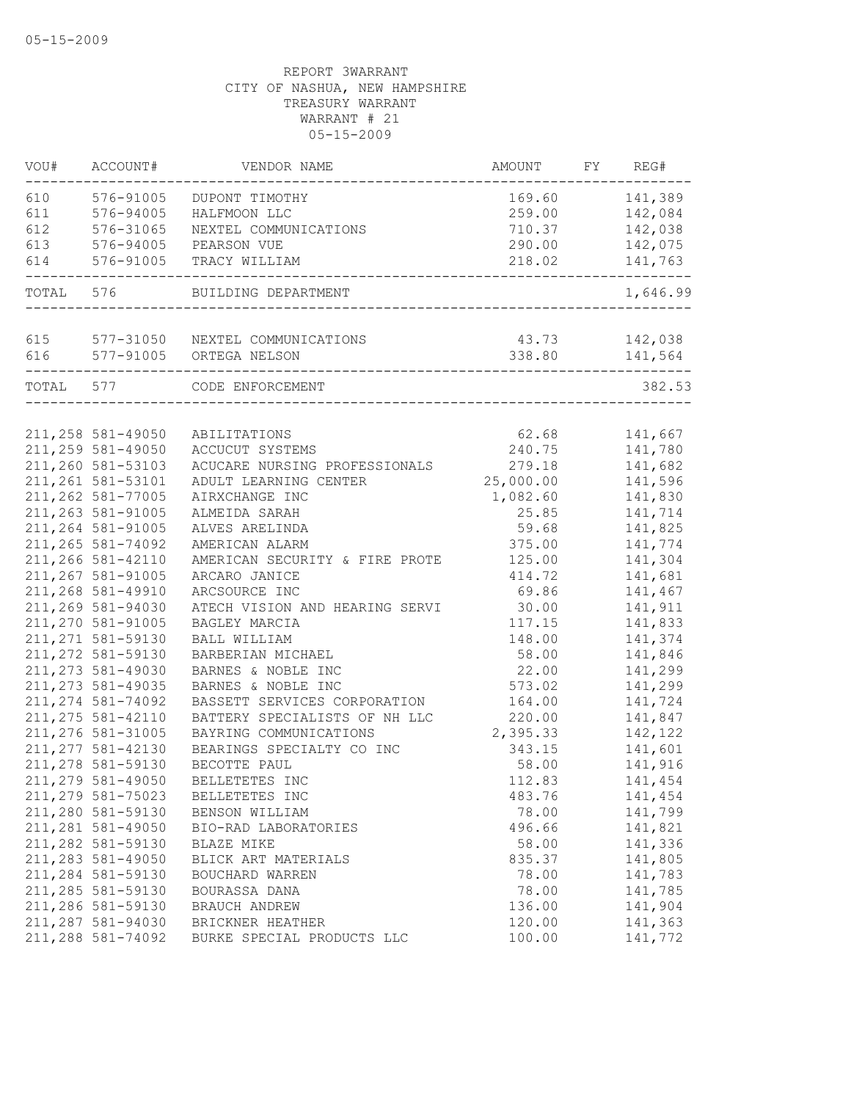| 576-91005<br>141,389<br>169.60<br>DUPONT TIMOTHY<br>576-94005<br>142,084<br>HALFMOON LLC<br>259.00<br>142,038<br>576-31065<br>NEXTEL COMMUNICATIONS<br>710.37<br>142,075<br>576-94005<br>PEARSON VUE<br>290.00<br>576-91005<br>141,763<br>218.02<br>TRACY WILLIAM<br>----------------<br>TOTAL 576<br>BUILDING DEPARTMENT<br>615<br>577-31050 NEXTEL COMMUNICATIONS<br>142,038<br>43.73<br>577-91005 ORTEGA NELSON<br>338.80<br>141,564<br>TOTAL 577<br>382.53<br>CODE ENFORCEMENT<br>62.68<br>141,667<br>211,258 581-49050<br>ABILITATIONS<br>211,259 581-49050<br>240.75<br>141,780<br>ACCUCUT SYSTEMS<br>211,260 581-53103<br>141,682<br>ACUCARE NURSING PROFESSIONALS<br>279.18<br>211, 261 581-53101<br>25,000.00<br>141,596<br>ADULT LEARNING CENTER<br>211,262 581-77005<br>141,830<br>AIRXCHANGE INC<br>1,082.60<br>211,263 581-91005<br>ALMEIDA SARAH<br>25.85<br>141,714<br>211, 264 581-91005<br>141,825<br>ALVES ARELINDA<br>59.68<br>211, 265 581-74092<br>375.00<br>141,774<br>AMERICAN ALARM<br>211,266 581-42110<br>125.00<br>141,304<br>AMERICAN SECURITY & FIRE PROTE<br>211,267 581-91005<br>141,681<br>ARCARO JANICE<br>414.72<br>211,268 581-49910<br>141,467<br>ARCSOURCE INC<br>69.86<br>211,269 581-94030<br>141,911<br>ATECH VISION AND HEARING SERVI<br>30.00<br>211,270 581-91005<br>117.15<br>141,833<br>BAGLEY MARCIA<br>211, 271 581-59130<br>BALL WILLIAM<br>148.00<br>141,374<br>211, 272 581-59130<br>141,846<br>BARBERIAN MICHAEL<br>58.00<br>211, 273 581-49030<br>BARNES & NOBLE INC<br>22.00<br>141,299<br>211, 273 581-49035<br>141,299<br>BARNES & NOBLE INC<br>573.02<br>211, 274 581-74092<br>141,724<br>BASSETT SERVICES CORPORATION<br>164.00<br>211, 275 581-42110<br>BATTERY SPECIALISTS OF NH LLC<br>141,847<br>220.00<br>211,276 581-31005<br>2,395.33<br>142,122<br>BAYRING COMMUNICATIONS<br>211, 277 581-42130<br>141,601<br>BEARINGS SPECIALTY CO INC<br>343.15<br>211,278 581-59130<br>BECOTTE PAUL<br>58.00<br>141,916<br>211,279 581-49050<br>BELLETETES INC<br>112.83<br>141,454<br>211,279 581-75023<br>483.76<br>141,454<br>BELLETETES INC<br>211,280 581-59130<br>78.00<br>141,799<br>BENSON WILLIAM<br>211,281 581-49050<br>141,821<br>BIO-RAD LABORATORIES<br>496.66<br>211,282 581-59130<br>141,336<br>58.00<br>BLAZE MIKE<br>211,283 581-49050<br>141,805<br>835.37<br>BLICK ART MATERIALS<br>211,284 581-59130<br>78.00<br>141,783<br>BOUCHARD WARREN<br>211,285 581-59130<br>78.00<br>141,785<br>BOURASSA DANA<br>211,286 581-59130<br>141,904<br>BRAUCH ANDREW<br>136.00<br>211,287 581-94030<br>120.00<br>141,363<br>BRICKNER HEATHER<br>211,288 581-74092<br>100.00<br>141,772<br>BURKE SPECIAL PRODUCTS LLC | VOU# | ACCOUNT# | VENDOR NAME | AMOUNT | FY | REG#     |
|---------------------------------------------------------------------------------------------------------------------------------------------------------------------------------------------------------------------------------------------------------------------------------------------------------------------------------------------------------------------------------------------------------------------------------------------------------------------------------------------------------------------------------------------------------------------------------------------------------------------------------------------------------------------------------------------------------------------------------------------------------------------------------------------------------------------------------------------------------------------------------------------------------------------------------------------------------------------------------------------------------------------------------------------------------------------------------------------------------------------------------------------------------------------------------------------------------------------------------------------------------------------------------------------------------------------------------------------------------------------------------------------------------------------------------------------------------------------------------------------------------------------------------------------------------------------------------------------------------------------------------------------------------------------------------------------------------------------------------------------------------------------------------------------------------------------------------------------------------------------------------------------------------------------------------------------------------------------------------------------------------------------------------------------------------------------------------------------------------------------------------------------------------------------------------------------------------------------------------------------------------------------------------------------------------------------------------------------------------------------------------------------------------------------------------------------------------------------------------------------------------------------------------------------------------------------------------------------------------------------------------------------------------------------------------|------|----------|-------------|--------|----|----------|
|                                                                                                                                                                                                                                                                                                                                                                                                                                                                                                                                                                                                                                                                                                                                                                                                                                                                                                                                                                                                                                                                                                                                                                                                                                                                                                                                                                                                                                                                                                                                                                                                                                                                                                                                                                                                                                                                                                                                                                                                                                                                                                                                                                                                                                                                                                                                                                                                                                                                                                                                                                                                                                                                                 | 610  |          |             |        |    |          |
|                                                                                                                                                                                                                                                                                                                                                                                                                                                                                                                                                                                                                                                                                                                                                                                                                                                                                                                                                                                                                                                                                                                                                                                                                                                                                                                                                                                                                                                                                                                                                                                                                                                                                                                                                                                                                                                                                                                                                                                                                                                                                                                                                                                                                                                                                                                                                                                                                                                                                                                                                                                                                                                                                 | 611  |          |             |        |    |          |
|                                                                                                                                                                                                                                                                                                                                                                                                                                                                                                                                                                                                                                                                                                                                                                                                                                                                                                                                                                                                                                                                                                                                                                                                                                                                                                                                                                                                                                                                                                                                                                                                                                                                                                                                                                                                                                                                                                                                                                                                                                                                                                                                                                                                                                                                                                                                                                                                                                                                                                                                                                                                                                                                                 | 612  |          |             |        |    |          |
|                                                                                                                                                                                                                                                                                                                                                                                                                                                                                                                                                                                                                                                                                                                                                                                                                                                                                                                                                                                                                                                                                                                                                                                                                                                                                                                                                                                                                                                                                                                                                                                                                                                                                                                                                                                                                                                                                                                                                                                                                                                                                                                                                                                                                                                                                                                                                                                                                                                                                                                                                                                                                                                                                 | 613  |          |             |        |    |          |
|                                                                                                                                                                                                                                                                                                                                                                                                                                                                                                                                                                                                                                                                                                                                                                                                                                                                                                                                                                                                                                                                                                                                                                                                                                                                                                                                                                                                                                                                                                                                                                                                                                                                                                                                                                                                                                                                                                                                                                                                                                                                                                                                                                                                                                                                                                                                                                                                                                                                                                                                                                                                                                                                                 | 614  |          |             |        |    |          |
|                                                                                                                                                                                                                                                                                                                                                                                                                                                                                                                                                                                                                                                                                                                                                                                                                                                                                                                                                                                                                                                                                                                                                                                                                                                                                                                                                                                                                                                                                                                                                                                                                                                                                                                                                                                                                                                                                                                                                                                                                                                                                                                                                                                                                                                                                                                                                                                                                                                                                                                                                                                                                                                                                 |      |          |             |        |    | 1,646.99 |
|                                                                                                                                                                                                                                                                                                                                                                                                                                                                                                                                                                                                                                                                                                                                                                                                                                                                                                                                                                                                                                                                                                                                                                                                                                                                                                                                                                                                                                                                                                                                                                                                                                                                                                                                                                                                                                                                                                                                                                                                                                                                                                                                                                                                                                                                                                                                                                                                                                                                                                                                                                                                                                                                                 |      |          |             |        |    |          |
|                                                                                                                                                                                                                                                                                                                                                                                                                                                                                                                                                                                                                                                                                                                                                                                                                                                                                                                                                                                                                                                                                                                                                                                                                                                                                                                                                                                                                                                                                                                                                                                                                                                                                                                                                                                                                                                                                                                                                                                                                                                                                                                                                                                                                                                                                                                                                                                                                                                                                                                                                                                                                                                                                 | 616  |          |             |        |    |          |
|                                                                                                                                                                                                                                                                                                                                                                                                                                                                                                                                                                                                                                                                                                                                                                                                                                                                                                                                                                                                                                                                                                                                                                                                                                                                                                                                                                                                                                                                                                                                                                                                                                                                                                                                                                                                                                                                                                                                                                                                                                                                                                                                                                                                                                                                                                                                                                                                                                                                                                                                                                                                                                                                                 |      |          |             |        |    |          |
|                                                                                                                                                                                                                                                                                                                                                                                                                                                                                                                                                                                                                                                                                                                                                                                                                                                                                                                                                                                                                                                                                                                                                                                                                                                                                                                                                                                                                                                                                                                                                                                                                                                                                                                                                                                                                                                                                                                                                                                                                                                                                                                                                                                                                                                                                                                                                                                                                                                                                                                                                                                                                                                                                 |      |          |             |        |    |          |
|                                                                                                                                                                                                                                                                                                                                                                                                                                                                                                                                                                                                                                                                                                                                                                                                                                                                                                                                                                                                                                                                                                                                                                                                                                                                                                                                                                                                                                                                                                                                                                                                                                                                                                                                                                                                                                                                                                                                                                                                                                                                                                                                                                                                                                                                                                                                                                                                                                                                                                                                                                                                                                                                                 |      |          |             |        |    |          |
|                                                                                                                                                                                                                                                                                                                                                                                                                                                                                                                                                                                                                                                                                                                                                                                                                                                                                                                                                                                                                                                                                                                                                                                                                                                                                                                                                                                                                                                                                                                                                                                                                                                                                                                                                                                                                                                                                                                                                                                                                                                                                                                                                                                                                                                                                                                                                                                                                                                                                                                                                                                                                                                                                 |      |          |             |        |    |          |
|                                                                                                                                                                                                                                                                                                                                                                                                                                                                                                                                                                                                                                                                                                                                                                                                                                                                                                                                                                                                                                                                                                                                                                                                                                                                                                                                                                                                                                                                                                                                                                                                                                                                                                                                                                                                                                                                                                                                                                                                                                                                                                                                                                                                                                                                                                                                                                                                                                                                                                                                                                                                                                                                                 |      |          |             |        |    |          |
|                                                                                                                                                                                                                                                                                                                                                                                                                                                                                                                                                                                                                                                                                                                                                                                                                                                                                                                                                                                                                                                                                                                                                                                                                                                                                                                                                                                                                                                                                                                                                                                                                                                                                                                                                                                                                                                                                                                                                                                                                                                                                                                                                                                                                                                                                                                                                                                                                                                                                                                                                                                                                                                                                 |      |          |             |        |    |          |
|                                                                                                                                                                                                                                                                                                                                                                                                                                                                                                                                                                                                                                                                                                                                                                                                                                                                                                                                                                                                                                                                                                                                                                                                                                                                                                                                                                                                                                                                                                                                                                                                                                                                                                                                                                                                                                                                                                                                                                                                                                                                                                                                                                                                                                                                                                                                                                                                                                                                                                                                                                                                                                                                                 |      |          |             |        |    |          |
|                                                                                                                                                                                                                                                                                                                                                                                                                                                                                                                                                                                                                                                                                                                                                                                                                                                                                                                                                                                                                                                                                                                                                                                                                                                                                                                                                                                                                                                                                                                                                                                                                                                                                                                                                                                                                                                                                                                                                                                                                                                                                                                                                                                                                                                                                                                                                                                                                                                                                                                                                                                                                                                                                 |      |          |             |        |    |          |
|                                                                                                                                                                                                                                                                                                                                                                                                                                                                                                                                                                                                                                                                                                                                                                                                                                                                                                                                                                                                                                                                                                                                                                                                                                                                                                                                                                                                                                                                                                                                                                                                                                                                                                                                                                                                                                                                                                                                                                                                                                                                                                                                                                                                                                                                                                                                                                                                                                                                                                                                                                                                                                                                                 |      |          |             |        |    |          |
|                                                                                                                                                                                                                                                                                                                                                                                                                                                                                                                                                                                                                                                                                                                                                                                                                                                                                                                                                                                                                                                                                                                                                                                                                                                                                                                                                                                                                                                                                                                                                                                                                                                                                                                                                                                                                                                                                                                                                                                                                                                                                                                                                                                                                                                                                                                                                                                                                                                                                                                                                                                                                                                                                 |      |          |             |        |    |          |
|                                                                                                                                                                                                                                                                                                                                                                                                                                                                                                                                                                                                                                                                                                                                                                                                                                                                                                                                                                                                                                                                                                                                                                                                                                                                                                                                                                                                                                                                                                                                                                                                                                                                                                                                                                                                                                                                                                                                                                                                                                                                                                                                                                                                                                                                                                                                                                                                                                                                                                                                                                                                                                                                                 |      |          |             |        |    |          |
|                                                                                                                                                                                                                                                                                                                                                                                                                                                                                                                                                                                                                                                                                                                                                                                                                                                                                                                                                                                                                                                                                                                                                                                                                                                                                                                                                                                                                                                                                                                                                                                                                                                                                                                                                                                                                                                                                                                                                                                                                                                                                                                                                                                                                                                                                                                                                                                                                                                                                                                                                                                                                                                                                 |      |          |             |        |    |          |
|                                                                                                                                                                                                                                                                                                                                                                                                                                                                                                                                                                                                                                                                                                                                                                                                                                                                                                                                                                                                                                                                                                                                                                                                                                                                                                                                                                                                                                                                                                                                                                                                                                                                                                                                                                                                                                                                                                                                                                                                                                                                                                                                                                                                                                                                                                                                                                                                                                                                                                                                                                                                                                                                                 |      |          |             |        |    |          |
|                                                                                                                                                                                                                                                                                                                                                                                                                                                                                                                                                                                                                                                                                                                                                                                                                                                                                                                                                                                                                                                                                                                                                                                                                                                                                                                                                                                                                                                                                                                                                                                                                                                                                                                                                                                                                                                                                                                                                                                                                                                                                                                                                                                                                                                                                                                                                                                                                                                                                                                                                                                                                                                                                 |      |          |             |        |    |          |
|                                                                                                                                                                                                                                                                                                                                                                                                                                                                                                                                                                                                                                                                                                                                                                                                                                                                                                                                                                                                                                                                                                                                                                                                                                                                                                                                                                                                                                                                                                                                                                                                                                                                                                                                                                                                                                                                                                                                                                                                                                                                                                                                                                                                                                                                                                                                                                                                                                                                                                                                                                                                                                                                                 |      |          |             |        |    |          |
|                                                                                                                                                                                                                                                                                                                                                                                                                                                                                                                                                                                                                                                                                                                                                                                                                                                                                                                                                                                                                                                                                                                                                                                                                                                                                                                                                                                                                                                                                                                                                                                                                                                                                                                                                                                                                                                                                                                                                                                                                                                                                                                                                                                                                                                                                                                                                                                                                                                                                                                                                                                                                                                                                 |      |          |             |        |    |          |
|                                                                                                                                                                                                                                                                                                                                                                                                                                                                                                                                                                                                                                                                                                                                                                                                                                                                                                                                                                                                                                                                                                                                                                                                                                                                                                                                                                                                                                                                                                                                                                                                                                                                                                                                                                                                                                                                                                                                                                                                                                                                                                                                                                                                                                                                                                                                                                                                                                                                                                                                                                                                                                                                                 |      |          |             |        |    |          |
|                                                                                                                                                                                                                                                                                                                                                                                                                                                                                                                                                                                                                                                                                                                                                                                                                                                                                                                                                                                                                                                                                                                                                                                                                                                                                                                                                                                                                                                                                                                                                                                                                                                                                                                                                                                                                                                                                                                                                                                                                                                                                                                                                                                                                                                                                                                                                                                                                                                                                                                                                                                                                                                                                 |      |          |             |        |    |          |
|                                                                                                                                                                                                                                                                                                                                                                                                                                                                                                                                                                                                                                                                                                                                                                                                                                                                                                                                                                                                                                                                                                                                                                                                                                                                                                                                                                                                                                                                                                                                                                                                                                                                                                                                                                                                                                                                                                                                                                                                                                                                                                                                                                                                                                                                                                                                                                                                                                                                                                                                                                                                                                                                                 |      |          |             |        |    |          |
|                                                                                                                                                                                                                                                                                                                                                                                                                                                                                                                                                                                                                                                                                                                                                                                                                                                                                                                                                                                                                                                                                                                                                                                                                                                                                                                                                                                                                                                                                                                                                                                                                                                                                                                                                                                                                                                                                                                                                                                                                                                                                                                                                                                                                                                                                                                                                                                                                                                                                                                                                                                                                                                                                 |      |          |             |        |    |          |
|                                                                                                                                                                                                                                                                                                                                                                                                                                                                                                                                                                                                                                                                                                                                                                                                                                                                                                                                                                                                                                                                                                                                                                                                                                                                                                                                                                                                                                                                                                                                                                                                                                                                                                                                                                                                                                                                                                                                                                                                                                                                                                                                                                                                                                                                                                                                                                                                                                                                                                                                                                                                                                                                                 |      |          |             |        |    |          |
|                                                                                                                                                                                                                                                                                                                                                                                                                                                                                                                                                                                                                                                                                                                                                                                                                                                                                                                                                                                                                                                                                                                                                                                                                                                                                                                                                                                                                                                                                                                                                                                                                                                                                                                                                                                                                                                                                                                                                                                                                                                                                                                                                                                                                                                                                                                                                                                                                                                                                                                                                                                                                                                                                 |      |          |             |        |    |          |
|                                                                                                                                                                                                                                                                                                                                                                                                                                                                                                                                                                                                                                                                                                                                                                                                                                                                                                                                                                                                                                                                                                                                                                                                                                                                                                                                                                                                                                                                                                                                                                                                                                                                                                                                                                                                                                                                                                                                                                                                                                                                                                                                                                                                                                                                                                                                                                                                                                                                                                                                                                                                                                                                                 |      |          |             |        |    |          |
|                                                                                                                                                                                                                                                                                                                                                                                                                                                                                                                                                                                                                                                                                                                                                                                                                                                                                                                                                                                                                                                                                                                                                                                                                                                                                                                                                                                                                                                                                                                                                                                                                                                                                                                                                                                                                                                                                                                                                                                                                                                                                                                                                                                                                                                                                                                                                                                                                                                                                                                                                                                                                                                                                 |      |          |             |        |    |          |
|                                                                                                                                                                                                                                                                                                                                                                                                                                                                                                                                                                                                                                                                                                                                                                                                                                                                                                                                                                                                                                                                                                                                                                                                                                                                                                                                                                                                                                                                                                                                                                                                                                                                                                                                                                                                                                                                                                                                                                                                                                                                                                                                                                                                                                                                                                                                                                                                                                                                                                                                                                                                                                                                                 |      |          |             |        |    |          |
|                                                                                                                                                                                                                                                                                                                                                                                                                                                                                                                                                                                                                                                                                                                                                                                                                                                                                                                                                                                                                                                                                                                                                                                                                                                                                                                                                                                                                                                                                                                                                                                                                                                                                                                                                                                                                                                                                                                                                                                                                                                                                                                                                                                                                                                                                                                                                                                                                                                                                                                                                                                                                                                                                 |      |          |             |        |    |          |
|                                                                                                                                                                                                                                                                                                                                                                                                                                                                                                                                                                                                                                                                                                                                                                                                                                                                                                                                                                                                                                                                                                                                                                                                                                                                                                                                                                                                                                                                                                                                                                                                                                                                                                                                                                                                                                                                                                                                                                                                                                                                                                                                                                                                                                                                                                                                                                                                                                                                                                                                                                                                                                                                                 |      |          |             |        |    |          |
|                                                                                                                                                                                                                                                                                                                                                                                                                                                                                                                                                                                                                                                                                                                                                                                                                                                                                                                                                                                                                                                                                                                                                                                                                                                                                                                                                                                                                                                                                                                                                                                                                                                                                                                                                                                                                                                                                                                                                                                                                                                                                                                                                                                                                                                                                                                                                                                                                                                                                                                                                                                                                                                                                 |      |          |             |        |    |          |
|                                                                                                                                                                                                                                                                                                                                                                                                                                                                                                                                                                                                                                                                                                                                                                                                                                                                                                                                                                                                                                                                                                                                                                                                                                                                                                                                                                                                                                                                                                                                                                                                                                                                                                                                                                                                                                                                                                                                                                                                                                                                                                                                                                                                                                                                                                                                                                                                                                                                                                                                                                                                                                                                                 |      |          |             |        |    |          |
|                                                                                                                                                                                                                                                                                                                                                                                                                                                                                                                                                                                                                                                                                                                                                                                                                                                                                                                                                                                                                                                                                                                                                                                                                                                                                                                                                                                                                                                                                                                                                                                                                                                                                                                                                                                                                                                                                                                                                                                                                                                                                                                                                                                                                                                                                                                                                                                                                                                                                                                                                                                                                                                                                 |      |          |             |        |    |          |
|                                                                                                                                                                                                                                                                                                                                                                                                                                                                                                                                                                                                                                                                                                                                                                                                                                                                                                                                                                                                                                                                                                                                                                                                                                                                                                                                                                                                                                                                                                                                                                                                                                                                                                                                                                                                                                                                                                                                                                                                                                                                                                                                                                                                                                                                                                                                                                                                                                                                                                                                                                                                                                                                                 |      |          |             |        |    |          |
|                                                                                                                                                                                                                                                                                                                                                                                                                                                                                                                                                                                                                                                                                                                                                                                                                                                                                                                                                                                                                                                                                                                                                                                                                                                                                                                                                                                                                                                                                                                                                                                                                                                                                                                                                                                                                                                                                                                                                                                                                                                                                                                                                                                                                                                                                                                                                                                                                                                                                                                                                                                                                                                                                 |      |          |             |        |    |          |
|                                                                                                                                                                                                                                                                                                                                                                                                                                                                                                                                                                                                                                                                                                                                                                                                                                                                                                                                                                                                                                                                                                                                                                                                                                                                                                                                                                                                                                                                                                                                                                                                                                                                                                                                                                                                                                                                                                                                                                                                                                                                                                                                                                                                                                                                                                                                                                                                                                                                                                                                                                                                                                                                                 |      |          |             |        |    |          |
|                                                                                                                                                                                                                                                                                                                                                                                                                                                                                                                                                                                                                                                                                                                                                                                                                                                                                                                                                                                                                                                                                                                                                                                                                                                                                                                                                                                                                                                                                                                                                                                                                                                                                                                                                                                                                                                                                                                                                                                                                                                                                                                                                                                                                                                                                                                                                                                                                                                                                                                                                                                                                                                                                 |      |          |             |        |    |          |
|                                                                                                                                                                                                                                                                                                                                                                                                                                                                                                                                                                                                                                                                                                                                                                                                                                                                                                                                                                                                                                                                                                                                                                                                                                                                                                                                                                                                                                                                                                                                                                                                                                                                                                                                                                                                                                                                                                                                                                                                                                                                                                                                                                                                                                                                                                                                                                                                                                                                                                                                                                                                                                                                                 |      |          |             |        |    |          |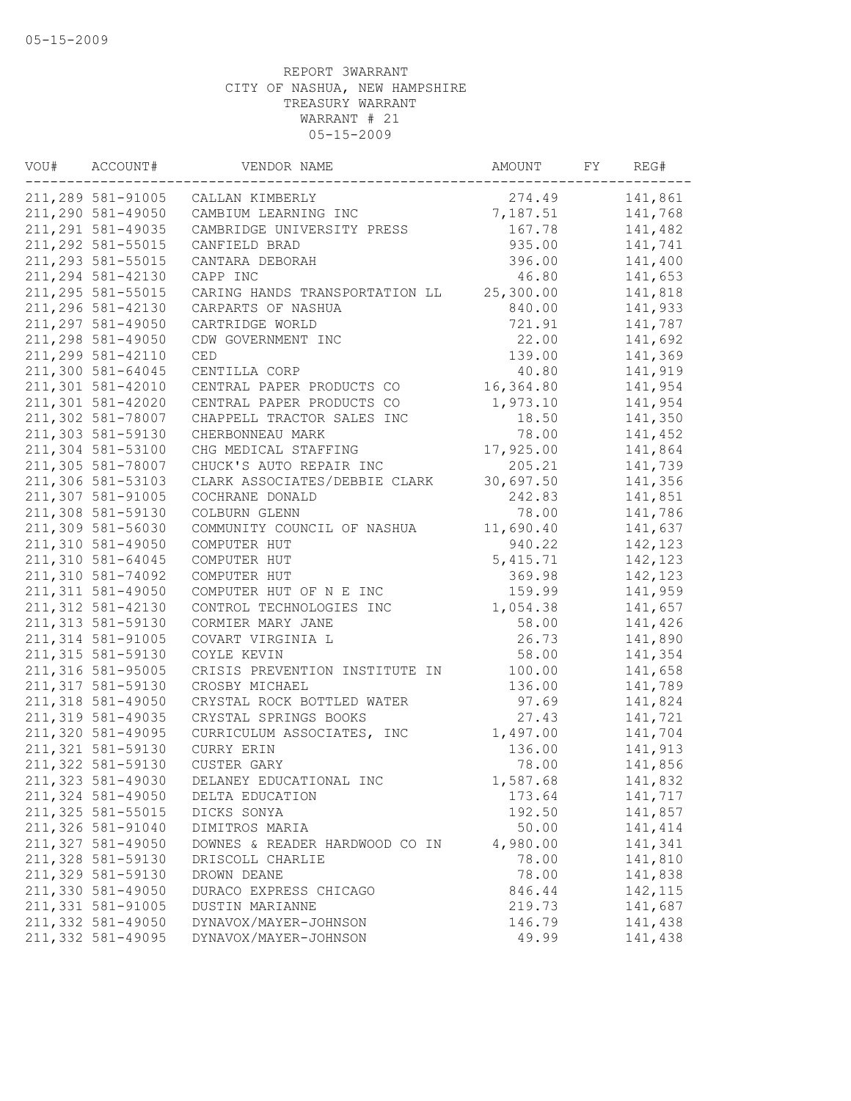| VOU# | ACCOUNT#           | VENDOR NAME                    | AMOUNT    | FY | REG#     |
|------|--------------------|--------------------------------|-----------|----|----------|
|      | 211,289 581-91005  | CALLAN KIMBERLY                | 274.49    |    | 141,861  |
|      | 211,290 581-49050  | CAMBIUM LEARNING INC           | 7,187.51  |    | 141,768  |
|      | 211, 291 581-49035 | CAMBRIDGE UNIVERSITY PRESS     | 167.78    |    | 141,482  |
|      | 211,292 581-55015  | CANFIELD BRAD                  | 935.00    |    | 141,741  |
|      | 211,293 581-55015  | CANTARA DEBORAH                | 396.00    |    | 141,400  |
|      | 211,294 581-42130  | CAPP INC                       | 46.80     |    | 141,653  |
|      | 211,295 581-55015  | CARING HANDS TRANSPORTATION LL | 25,300.00 |    | 141,818  |
|      | 211,296 581-42130  | CARPARTS OF NASHUA             | 840.00    |    | 141,933  |
|      | 211,297 581-49050  | CARTRIDGE WORLD                | 721.91    |    | 141,787  |
|      | 211,298 581-49050  | CDW GOVERNMENT INC             | 22.00     |    | 141,692  |
|      | 211,299 581-42110  | CED                            | 139.00    |    | 141,369  |
|      | 211,300 581-64045  | CENTILLA CORP                  | 40.80     |    | 141,919  |
|      | 211,301 581-42010  | CENTRAL PAPER PRODUCTS CO      | 16,364.80 |    | 141,954  |
|      | 211,301 581-42020  | CENTRAL PAPER PRODUCTS CO      | 1,973.10  |    | 141,954  |
|      | 211,302 581-78007  | CHAPPELL TRACTOR SALES INC     | 18.50     |    | 141,350  |
|      | 211,303 581-59130  | CHERBONNEAU MARK               | 78.00     |    | 141,452  |
|      | 211,304 581-53100  | CHG MEDICAL STAFFING           | 17,925.00 |    | 141,864  |
|      | 211,305 581-78007  | CHUCK'S AUTO REPAIR INC        | 205.21    |    | 141,739  |
|      | 211,306 581-53103  | CLARK ASSOCIATES/DEBBIE CLARK  | 30,697.50 |    | 141,356  |
|      | 211,307 581-91005  | COCHRANE DONALD                | 242.83    |    | 141,851  |
|      | 211,308 581-59130  | COLBURN GLENN                  | 78.00     |    | 141,786  |
|      | 211,309 581-56030  | COMMUNITY COUNCIL OF NASHUA    | 11,690.40 |    | 141,637  |
|      | 211,310 581-49050  | COMPUTER HUT                   | 940.22    |    | 142,123  |
|      | 211,310 581-64045  | COMPUTER HUT                   | 5,415.71  |    | 142,123  |
|      | 211,310 581-74092  | COMPUTER HUT                   | 369.98    |    | 142,123  |
|      | 211, 311 581-49050 | COMPUTER HUT OF N E INC        | 159.99    |    | 141,959  |
|      | 211, 312 581-42130 | CONTROL TECHNOLOGIES INC       | 1,054.38  |    | 141,657  |
|      | 211, 313 581-59130 | CORMIER MARY JANE              | 58.00     |    | 141,426  |
|      | 211, 314 581-91005 | COVART VIRGINIA L              | 26.73     |    | 141,890  |
|      | 211, 315 581-59130 | COYLE KEVIN                    | 58.00     |    | 141,354  |
|      | 211,316 581-95005  | CRISIS PREVENTION INSTITUTE IN | 100.00    |    | 141,658  |
|      | 211, 317 581-59130 | CROSBY MICHAEL                 | 136.00    |    | 141,789  |
|      | 211,318 581-49050  | CRYSTAL ROCK BOTTLED WATER     | 97.69     |    | 141,824  |
|      | 211,319 581-49035  | CRYSTAL SPRINGS BOOKS          | 27.43     |    | 141,721  |
|      | 211,320 581-49095  | CURRICULUM ASSOCIATES, INC     | 1,497.00  |    | 141,704  |
|      | 211,321 581-59130  | CURRY ERIN                     | 136.00    |    | 141,913  |
|      | 211,322 581-59130  | CUSTER GARY                    | 78.00     |    | 141,856  |
|      | 211,323 581-49030  | DELANEY EDUCATIONAL INC        | 1,587.68  |    | 141,832  |
|      | 211,324 581-49050  | DELTA EDUCATION                | 173.64    |    | 141,717  |
|      | 211,325 581-55015  | DICKS SONYA                    | 192.50    |    | 141,857  |
|      | 211,326 581-91040  | DIMITROS MARIA                 | 50.00     |    | 141, 414 |
|      | 211,327 581-49050  | DOWNES & READER HARDWOOD CO IN | 4,980.00  |    | 141,341  |
|      | 211,328 581-59130  | DRISCOLL CHARLIE               | 78.00     |    | 141,810  |
|      | 211,329 581-59130  | DROWN DEANE                    | 78.00     |    | 141,838  |
|      | 211,330 581-49050  | DURACO EXPRESS CHICAGO         | 846.44    |    | 142, 115 |
|      | 211,331 581-91005  | DUSTIN MARIANNE                | 219.73    |    | 141,687  |
|      | 211,332 581-49050  | DYNAVOX/MAYER-JOHNSON          | 146.79    |    | 141,438  |
|      | 211,332 581-49095  | DYNAVOX/MAYER-JOHNSON          | 49.99     |    | 141,438  |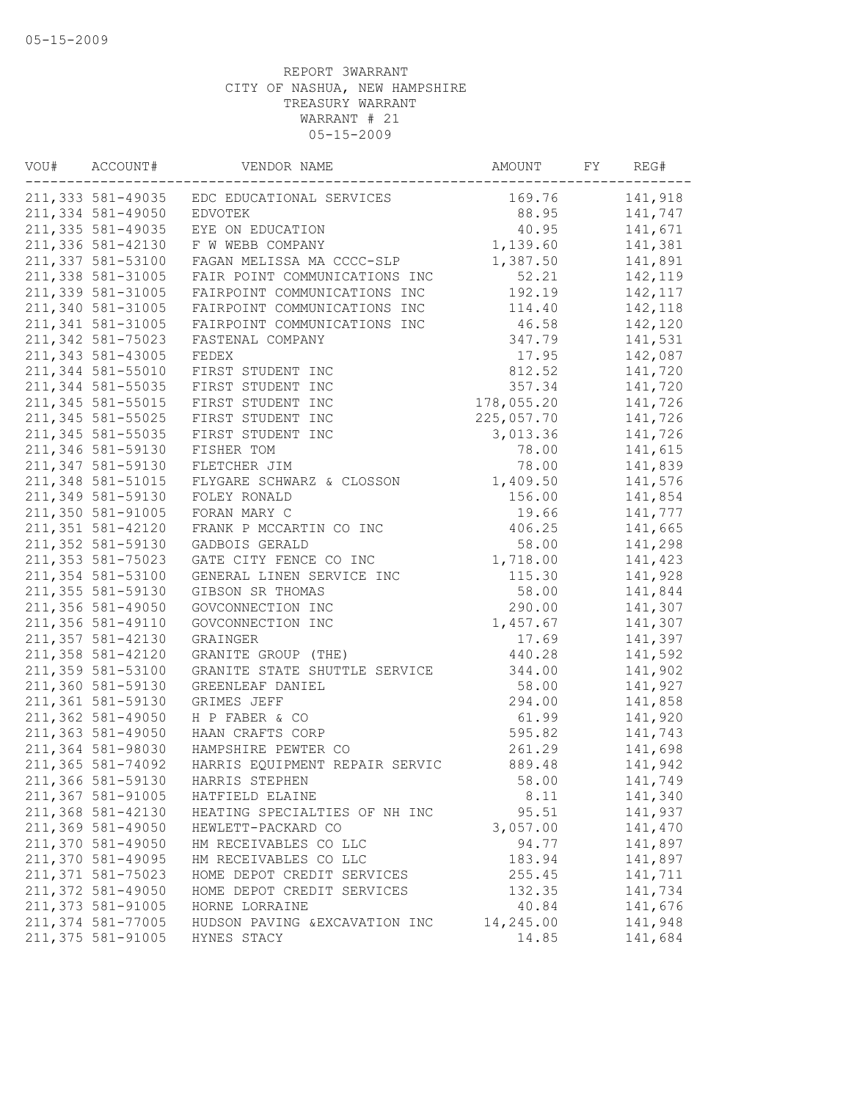| VOU# | ACCOUNT#           | VENDOR NAME                                | AMOUNT     | FY | REG#     |
|------|--------------------|--------------------------------------------|------------|----|----------|
|      |                    | 211,333 581-49035 EDC EDUCATIONAL SERVICES | 169.76     |    | 141,918  |
|      | 211,334 581-49050  | <b>EDVOTEK</b>                             | 88.95      |    | 141,747  |
|      | 211, 335 581-49035 | EYE ON EDUCATION                           | 40.95      |    | 141,671  |
|      | 211,336 581-42130  | F W WEBB COMPANY                           | 1,139.60   |    | 141,381  |
|      | 211,337 581-53100  | FAGAN MELISSA MA CCCC-SLP                  | 1,387.50   |    | 141,891  |
|      | 211,338 581-31005  | FAIR POINT COMMUNICATIONS INC              | 52.21      |    | 142,119  |
|      | 211,339 581-31005  | FAIRPOINT COMMUNICATIONS INC               | 192.19     |    | 142, 117 |
|      | 211,340 581-31005  | FAIRPOINT COMMUNICATIONS INC               | 114.40     |    | 142,118  |
|      | 211,341 581-31005  | FAIRPOINT COMMUNICATIONS INC               | 46.58      |    | 142,120  |
|      | 211,342 581-75023  | FASTENAL COMPANY                           | 347.79     |    | 141,531  |
|      | 211,343 581-43005  | FEDEX                                      | 17.95      |    | 142,087  |
|      | 211,344 581-55010  | FIRST STUDENT INC                          | 812.52     |    | 141,720  |
|      | 211,344 581-55035  | FIRST STUDENT INC                          | 357.34     |    | 141,720  |
|      | 211,345 581-55015  | FIRST STUDENT INC                          | 178,055.20 |    | 141,726  |
|      | 211,345 581-55025  | FIRST STUDENT INC                          | 225,057.70 |    | 141,726  |
|      | 211, 345 581-55035 | FIRST STUDENT INC                          | 3,013.36   |    | 141,726  |
|      | 211,346 581-59130  | FISHER TOM                                 | 78.00      |    | 141,615  |
|      | 211,347 581-59130  | FLETCHER JIM                               | 78.00      |    | 141,839  |
|      | 211,348 581-51015  | FLYGARE SCHWARZ & CLOSSON                  | 1,409.50   |    | 141,576  |
|      | 211,349 581-59130  | FOLEY RONALD                               | 156.00     |    | 141,854  |
|      | 211,350 581-91005  | FORAN MARY C                               | 19.66      |    | 141,777  |
|      | 211, 351 581-42120 | FRANK P MCCARTIN CO INC                    | 406.25     |    | 141,665  |
|      | 211,352 581-59130  | GADBOIS GERALD                             | 58.00      |    | 141,298  |
|      | 211,353 581-75023  | GATE CITY FENCE CO INC                     | 1,718.00   |    | 141,423  |
|      | 211,354 581-53100  | GENERAL LINEN SERVICE INC                  | 115.30     |    | 141,928  |
|      | 211, 355 581-59130 | GIBSON SR THOMAS                           | 58.00      |    | 141,844  |
|      | 211,356 581-49050  | GOVCONNECTION INC                          | 290.00     |    | 141,307  |
|      | 211,356 581-49110  | GOVCONNECTION INC                          | 1,457.67   |    | 141,307  |
|      | 211,357 581-42130  |                                            |            |    |          |
|      | 211,358 581-42120  | GRAINGER                                   | 17.69      |    | 141,397  |
|      |                    | GRANITE GROUP (THE)                        | 440.28     |    | 141,592  |
|      | 211,359 581-53100  | GRANITE STATE SHUTTLE SERVICE              | 344.00     |    | 141,902  |
|      | 211,360 581-59130  | GREENLEAF DANIEL                           | 58.00      |    | 141,927  |
|      | 211,361 581-59130  | GRIMES JEFF                                | 294.00     |    | 141,858  |
|      | 211,362 581-49050  | H P FABER & CO                             | 61.99      |    | 141,920  |
|      | 211,363 581-49050  | HAAN CRAFTS CORP                           | 595.82     |    | 141,743  |
|      | 211,364 581-98030  | HAMPSHIRE PEWTER CO                        | 261.29     |    | 141,698  |
|      | 211,365 581-74092  | HARRIS EQUIPMENT REPAIR SERVIC             | 889.48     |    | 141,942  |
|      | 211,366 581-59130  | HARRIS STEPHEN                             | 58.00      |    | 141,749  |
|      | 211,367 581-91005  | HATFIELD ELAINE                            | 8.11       |    | 141,340  |
|      | 211,368 581-42130  | HEATING SPECIALTIES OF NH INC              | 95.51      |    | 141,937  |
|      | 211,369 581-49050  | HEWLETT-PACKARD CO                         | 3,057.00   |    | 141,470  |
|      | 211,370 581-49050  | HM RECEIVABLES CO LLC                      | 94.77      |    | 141,897  |
|      | 211,370 581-49095  | HM RECEIVABLES CO LLC                      | 183.94     |    | 141,897  |
|      | 211,371 581-75023  | HOME DEPOT CREDIT SERVICES                 | 255.45     |    | 141,711  |
|      | 211,372 581-49050  | HOME DEPOT CREDIT SERVICES                 | 132.35     |    | 141,734  |
|      | 211,373 581-91005  | HORNE LORRAINE                             | 40.84      |    | 141,676  |
|      | 211,374 581-77005  | HUDSON PAVING & EXCAVATION INC             | 14,245.00  |    | 141,948  |
|      | 211,375 581-91005  | HYNES STACY                                | 14.85      |    | 141,684  |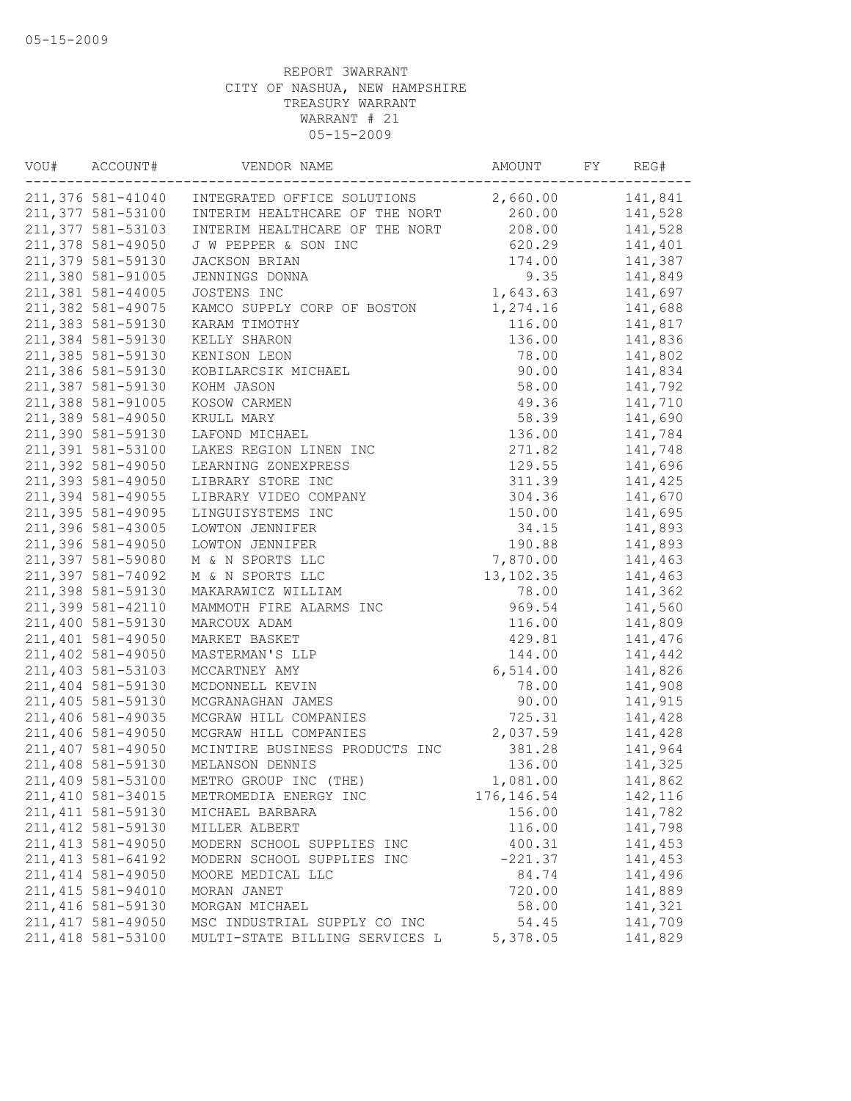| VOU# | ACCOUNT#           | VENDOR NAME                    | AMOUNT      | FY | REG#    |
|------|--------------------|--------------------------------|-------------|----|---------|
|      | 211,376 581-41040  | INTEGRATED OFFICE SOLUTIONS    | 2,660.00    |    | 141,841 |
|      | 211,377 581-53100  | INTERIM HEALTHCARE OF THE NORT | 260.00      |    | 141,528 |
|      | 211,377 581-53103  | INTERIM HEALTHCARE OF THE NORT | 208.00      |    | 141,528 |
|      | 211,378 581-49050  | J W PEPPER & SON INC           | 620.29      |    | 141,401 |
|      | 211,379 581-59130  | JACKSON BRIAN                  | 174.00      |    | 141,387 |
|      | 211,380 581-91005  | JENNINGS DONNA                 | 9.35        |    | 141,849 |
|      | 211,381 581-44005  | JOSTENS INC                    | 1,643.63    |    | 141,697 |
|      | 211,382 581-49075  | KAMCO SUPPLY CORP OF BOSTON    | 1,274.16    |    | 141,688 |
|      | 211,383 581-59130  | KARAM TIMOTHY                  | 116.00      |    | 141,817 |
|      | 211,384 581-59130  | KELLY SHARON                   | 136.00      |    | 141,836 |
|      | 211,385 581-59130  | KENISON LEON                   | 78.00       |    | 141,802 |
|      | 211,386 581-59130  | KOBILARCSIK MICHAEL            | 90.00       |    | 141,834 |
|      | 211,387 581-59130  | KOHM JASON                     | 58.00       |    | 141,792 |
|      | 211,388 581-91005  | KOSOW CARMEN                   | 49.36       |    | 141,710 |
|      | 211,389 581-49050  | KRULL MARY                     | 58.39       |    | 141,690 |
|      | 211,390 581-59130  | LAFOND MICHAEL                 | 136.00      |    | 141,784 |
|      | 211,391 581-53100  | LAKES REGION LINEN INC         | 271.82      |    | 141,748 |
|      | 211,392 581-49050  | LEARNING ZONEXPRESS            | 129.55      |    | 141,696 |
|      | 211,393 581-49050  | LIBRARY STORE INC              | 311.39      |    | 141,425 |
|      | 211,394 581-49055  | LIBRARY VIDEO COMPANY          | 304.36      |    | 141,670 |
|      | 211,395 581-49095  | LINGUISYSTEMS INC              | 150.00      |    | 141,695 |
|      | 211,396 581-43005  | LOWTON JENNIFER                | 34.15       |    | 141,893 |
|      | 211,396 581-49050  | LOWTON JENNIFER                | 190.88      |    | 141,893 |
|      | 211,397 581-59080  | M & N SPORTS LLC               | 7,870.00    |    | 141,463 |
|      | 211,397 581-74092  | M & N SPORTS LLC               | 13, 102.35  |    | 141,463 |
|      | 211,398 581-59130  |                                |             |    | 141,362 |
|      |                    | MAKARAWICZ WILLIAM             | 78.00       |    |         |
|      | 211,399 581-42110  | MAMMOTH FIRE ALARMS INC        | 969.54      |    | 141,560 |
|      | 211,400 581-59130  | MARCOUX ADAM                   | 116.00      |    | 141,809 |
|      | 211,401 581-49050  | MARKET BASKET                  | 429.81      |    | 141,476 |
|      | 211,402 581-49050  | MASTERMAN'S LLP                | 144.00      |    | 141,442 |
|      | 211,403 581-53103  | MCCARTNEY AMY                  | 6,514.00    |    | 141,826 |
|      | 211,404 581-59130  | MCDONNELL KEVIN                | 78.00       |    | 141,908 |
|      | 211,405 581-59130  | MCGRANAGHAN JAMES              | 90.00       |    | 141,915 |
|      | 211,406 581-49035  | MCGRAW HILL COMPANIES          | 725.31      |    | 141,428 |
|      | 211,406 581-49050  | MCGRAW HILL COMPANIES          | 2,037.59    |    | 141,428 |
|      | 211,407 581-49050  | MCINTIRE BUSINESS PRODUCTS INC | 381.28      |    | 141,964 |
|      | 211,408 581-59130  | MELANSON DENNIS                | 136.00      |    | 141,325 |
|      | 211,409 581-53100  | METRO GROUP INC (THE)          | 1,081.00    |    | 141,862 |
|      | 211, 410 581-34015 | METROMEDIA ENERGY INC          | 176, 146.54 |    | 142,116 |
|      | 211, 411 581-59130 | MICHAEL BARBARA                | 156.00      |    | 141,782 |
|      | 211, 412 581-59130 | MILLER ALBERT                  | 116.00      |    | 141,798 |
|      | 211, 413 581-49050 | MODERN SCHOOL SUPPLIES INC     | 400.31      |    | 141,453 |
|      | 211, 413 581-64192 | MODERN SCHOOL SUPPLIES INC     | $-221.37$   |    | 141,453 |
|      | 211, 414 581-49050 | MOORE MEDICAL LLC              | 84.74       |    | 141,496 |
|      | 211, 415 581-94010 | MORAN JANET                    | 720.00      |    | 141,889 |
|      | 211, 416 581-59130 | MORGAN MICHAEL                 | 58.00       |    | 141,321 |
|      | 211, 417 581-49050 | MSC INDUSTRIAL SUPPLY CO INC   | 54.45       |    | 141,709 |
|      | 211, 418 581-53100 | MULTI-STATE BILLING SERVICES L | 5,378.05    |    | 141,829 |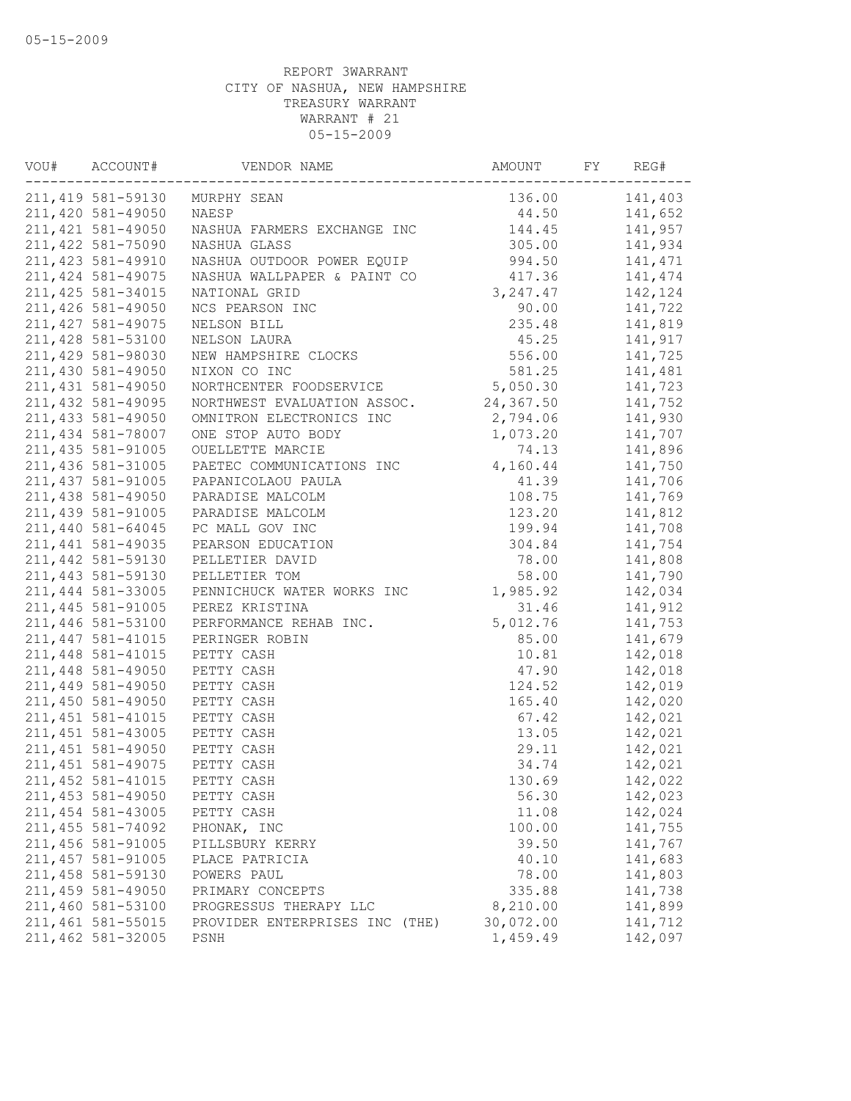| VOU# | ACCOUNT#           | VENDOR NAME                    | AMOUNT    | FY | REG#    |
|------|--------------------|--------------------------------|-----------|----|---------|
|      | 211,419 581-59130  | MURPHY SEAN                    | 136.00    |    | 141,403 |
|      | 211,420 581-49050  | NAESP                          | 44.50     |    | 141,652 |
|      | 211, 421 581-49050 | NASHUA FARMERS EXCHANGE INC    | 144.45    |    | 141,957 |
|      | 211, 422 581-75090 | NASHUA GLASS                   | 305.00    |    | 141,934 |
|      | 211, 423 581-49910 | NASHUA OUTDOOR POWER EQUIP     | 994.50    |    | 141,471 |
|      | 211, 424 581-49075 | NASHUA WALLPAPER & PAINT CO    | 417.36    |    | 141,474 |
|      | 211, 425 581-34015 | NATIONAL GRID                  | 3, 247.47 |    | 142,124 |
|      | 211, 426 581-49050 | NCS PEARSON INC                | 90.00     |    | 141,722 |
|      | 211, 427 581-49075 | NELSON BILL                    | 235.48    |    | 141,819 |
|      | 211,428 581-53100  | NELSON LAURA                   | 45.25     |    | 141,917 |
|      | 211,429 581-98030  | NEW HAMPSHIRE CLOCKS           | 556.00    |    | 141,725 |
|      | 211,430 581-49050  | NIXON CO INC                   | 581.25    |    | 141,481 |
|      | 211, 431 581-49050 | NORTHCENTER FOODSERVICE        | 5,050.30  |    | 141,723 |
|      | 211, 432 581-49095 | NORTHWEST EVALUATION ASSOC.    | 24,367.50 |    | 141,752 |
|      | 211, 433 581-49050 | OMNITRON ELECTRONICS INC       | 2,794.06  |    | 141,930 |
|      | 211, 434 581-78007 | ONE STOP AUTO BODY             | 1,073.20  |    | 141,707 |
|      | 211, 435 581-91005 | OUELLETTE MARCIE               | 74.13     |    | 141,896 |
|      | 211, 436 581-31005 | PAETEC COMMUNICATIONS INC      | 4,160.44  |    | 141,750 |
|      | 211, 437 581-91005 | PAPANICOLAOU PAULA             | 41.39     |    | 141,706 |
|      | 211,438 581-49050  | PARADISE MALCOLM               | 108.75    |    | 141,769 |
|      | 211,439 581-91005  | PARADISE MALCOLM               | 123.20    |    | 141,812 |
|      | 211,440 581-64045  | PC MALL GOV INC                | 199.94    |    | 141,708 |
|      | 211, 441 581-49035 | PEARSON EDUCATION              | 304.84    |    | 141,754 |
|      | 211,442 581-59130  | PELLETIER DAVID                | 78.00     |    | 141,808 |
|      | 211,443 581-59130  | PELLETIER TOM                  | 58.00     |    | 141,790 |
|      | 211,444 581-33005  | PENNICHUCK WATER WORKS INC     | 1,985.92  |    | 142,034 |
|      | 211, 445 581-91005 | PEREZ KRISTINA                 | 31.46     |    | 141,912 |
|      | 211,446 581-53100  | PERFORMANCE REHAB INC.         | 5,012.76  |    | 141,753 |
|      | 211, 447 581-41015 | PERINGER ROBIN                 | 85.00     |    | 141,679 |
|      | 211, 448 581-41015 | PETTY CASH                     | 10.81     |    | 142,018 |
|      | 211,448 581-49050  | PETTY CASH                     | 47.90     |    | 142,018 |
|      | 211,449 581-49050  | PETTY CASH                     | 124.52    |    | 142,019 |
|      | 211,450 581-49050  | PETTY CASH                     | 165.40    |    | 142,020 |
|      | 211, 451 581-41015 | PETTY CASH                     | 67.42     |    | 142,021 |
|      | 211, 451 581-43005 | PETTY CASH                     | 13.05     |    | 142,021 |
|      | 211, 451 581-49050 | PETTY CASH                     | 29.11     |    | 142,021 |
|      | 211, 451 581-49075 | PETTY CASH                     | 34.74     |    | 142,021 |
|      | 211, 452 581-41015 | PETTY CASH                     | 130.69    |    | 142,022 |
|      | 211, 453 581-49050 | PETTY CASH                     | 56.30     |    | 142,023 |
|      | 211, 454 581-43005 | PETTY CASH                     | 11.08     |    | 142,024 |
|      | 211, 455 581-74092 | PHONAK, INC                    | 100.00    |    | 141,755 |
|      | 211,456 581-91005  | PILLSBURY KERRY                | 39.50     |    | 141,767 |
|      | 211, 457 581-91005 | PLACE PATRICIA                 | 40.10     |    | 141,683 |
|      | 211, 458 581-59130 | POWERS PAUL                    | 78.00     |    | 141,803 |
|      | 211,459 581-49050  | PRIMARY CONCEPTS               | 335.88    |    | 141,738 |
|      | 211,460 581-53100  | PROGRESSUS THERAPY LLC         | 8,210.00  |    | 141,899 |
|      | 211, 461 581-55015 | PROVIDER ENTERPRISES INC (THE) | 30,072.00 |    | 141,712 |
|      | 211,462 581-32005  | PSNH                           | 1,459.49  |    | 142,097 |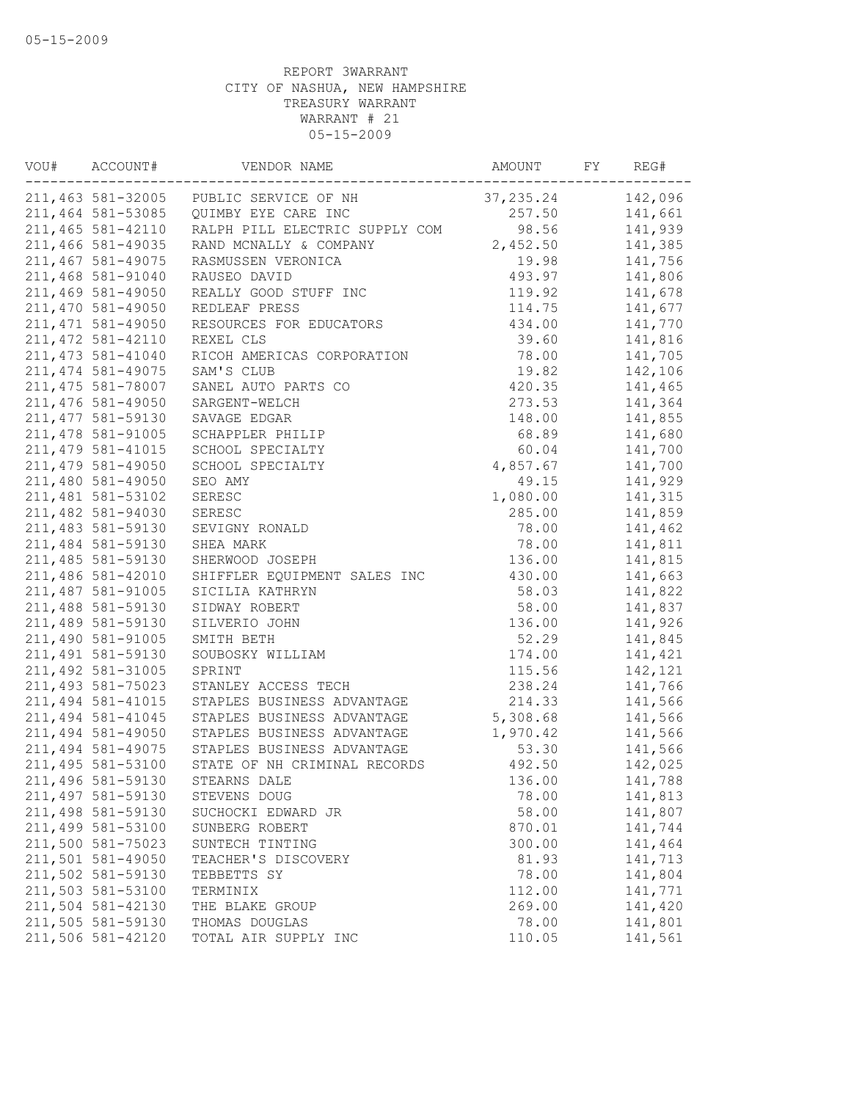| VOU# | ACCOUNT#           | VENDOR NAME                            | AMOUNT     | FY | REG#    |
|------|--------------------|----------------------------------------|------------|----|---------|
|      |                    | 211,463 581-32005 PUBLIC SERVICE OF NH | 37, 235.24 |    | 142,096 |
|      | 211,464 581-53085  | QUIMBY EYE CARE INC                    | 257.50     |    | 141,661 |
|      | 211,465 581-42110  | RALPH PILL ELECTRIC SUPPLY COM         | 98.56      |    | 141,939 |
|      | 211,466 581-49035  | RAND MCNALLY & COMPANY                 | 2,452.50   |    | 141,385 |
|      | 211,467 581-49075  | RASMUSSEN VERONICA                     | 19.98      |    | 141,756 |
|      | 211,468 581-91040  | RAUSEO DAVID                           | 493.97     |    | 141,806 |
|      | 211,469 581-49050  | REALLY GOOD STUFF INC                  | 119.92     |    | 141,678 |
|      | 211,470 581-49050  | REDLEAF PRESS                          | 114.75     |    | 141,677 |
|      | 211, 471 581-49050 | RESOURCES FOR EDUCATORS                | 434.00     |    | 141,770 |
|      | 211, 472 581-42110 | REXEL CLS                              | 39.60      |    | 141,816 |
|      | 211, 473 581-41040 | RICOH AMERICAS CORPORATION             | 78.00      |    | 141,705 |
|      | 211, 474 581-49075 | SAM'S CLUB                             | 19.82      |    | 142,106 |
|      | 211, 475 581-78007 | SANEL AUTO PARTS CO                    | 420.35     |    | 141,465 |
|      | 211,476 581-49050  | SARGENT-WELCH                          | 273.53     |    | 141,364 |
|      | 211, 477 581-59130 | SAVAGE EDGAR                           | 148.00     |    | 141,855 |
|      | 211,478 581-91005  | SCHAPPLER PHILIP                       | 68.89      |    | 141,680 |
|      | 211, 479 581-41015 | SCHOOL SPECIALTY                       | 60.04      |    | 141,700 |
|      | 211,479 581-49050  | SCHOOL SPECIALTY                       | 4,857.67   |    | 141,700 |
|      | 211,480 581-49050  | SEO AMY                                | 49.15      |    | 141,929 |
|      | 211,481 581-53102  | SERESC                                 | 1,080.00   |    | 141,315 |
|      | 211,482 581-94030  | SERESC                                 | 285.00     |    | 141,859 |
|      | 211,483 581-59130  | SEVIGNY RONALD                         | 78.00      |    | 141,462 |
|      | 211,484 581-59130  | SHEA MARK                              | 78.00      |    | 141,811 |
|      | 211,485 581-59130  | SHERWOOD JOSEPH                        | 136.00     |    | 141,815 |
|      | 211,486 581-42010  | SHIFFLER EQUIPMENT SALES INC           | 430.00     |    | 141,663 |
|      | 211,487 581-91005  | SICILIA KATHRYN                        | 58.03      |    | 141,822 |
|      | 211,488 581-59130  | SIDWAY ROBERT                          | 58.00      |    | 141,837 |
|      | 211,489 581-59130  | SILVERIO JOHN                          | 136.00     |    | 141,926 |
|      | 211,490 581-91005  | SMITH BETH                             | 52.29      |    | 141,845 |
|      | 211, 491 581-59130 | SOUBOSKY WILLIAM                       | 174.00     |    | 141,421 |
|      | 211,492 581-31005  | SPRINT                                 | 115.56     |    | 142,121 |
|      | 211, 493 581-75023 | STANLEY ACCESS TECH                    | 238.24     |    | 141,766 |
|      | 211, 494 581-41015 | STAPLES BUSINESS ADVANTAGE             | 214.33     |    | 141,566 |
|      | 211, 494 581-41045 | STAPLES BUSINESS ADVANTAGE             | 5,308.68   |    | 141,566 |
|      | 211,494 581-49050  | STAPLES BUSINESS ADVANTAGE             | 1,970.42   |    | 141,566 |
|      | 211,494 581-49075  | STAPLES BUSINESS ADVANTAGE             | 53.30      |    | 141,566 |
|      | 211,495 581-53100  | STATE OF NH CRIMINAL RECORDS           | 492.50     |    | 142,025 |
|      | 211,496 581-59130  | STEARNS DALE                           | 136.00     |    | 141,788 |
|      | 211, 497 581-59130 | STEVENS DOUG                           | 78.00      |    | 141,813 |
|      | 211,498 581-59130  | SUCHOCKI EDWARD JR                     | 58.00      |    | 141,807 |
|      | 211,499 581-53100  | SUNBERG ROBERT                         | 870.01     |    | 141,744 |
|      | 211,500 581-75023  | SUNTECH TINTING                        | 300.00     |    | 141,464 |
|      | 211,501 581-49050  | TEACHER'S DISCOVERY                    | 81.93      |    | 141,713 |
|      | 211,502 581-59130  | TEBBETTS SY                            | 78.00      |    | 141,804 |
|      | 211,503 581-53100  | TERMINIX                               | 112.00     |    | 141,771 |
|      | 211,504 581-42130  | THE BLAKE GROUP                        | 269.00     |    | 141,420 |
|      | 211,505 581-59130  | THOMAS DOUGLAS                         | 78.00      |    | 141,801 |
|      | 211,506 581-42120  | TOTAL AIR SUPPLY INC                   | 110.05     |    | 141,561 |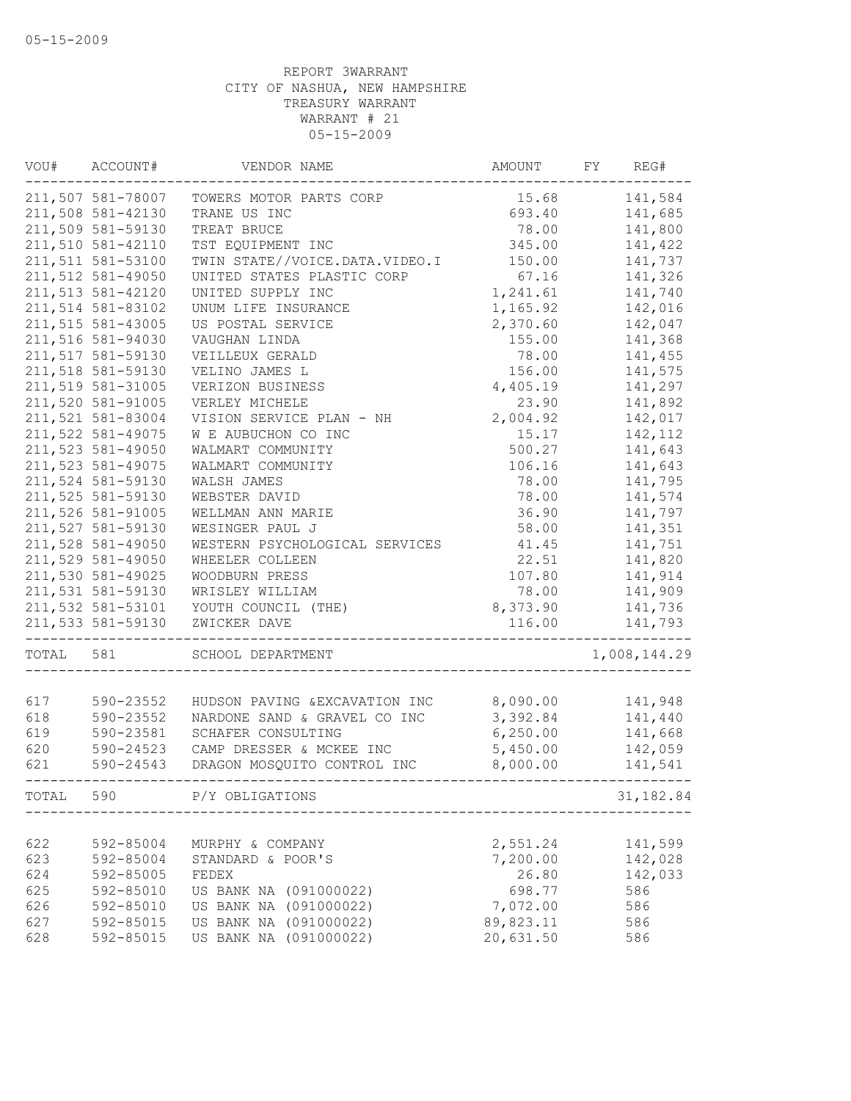| VOU#  | ACCOUNT#          | VENDOR NAME                    | AMOUNT    | FY | REG#         |
|-------|-------------------|--------------------------------|-----------|----|--------------|
|       | 211,507 581-78007 | TOWERS MOTOR PARTS CORP        | 15.68     |    | 141,584      |
|       | 211,508 581-42130 | TRANE US INC                   | 693.40    |    | 141,685      |
|       | 211,509 581-59130 | TREAT BRUCE                    | 78.00     |    | 141,800      |
|       | 211,510 581-42110 | TST EQUIPMENT INC              | 345.00    |    | 141,422      |
|       | 211,511 581-53100 | TWIN STATE//VOICE.DATA.VIDEO.I | 150.00    |    | 141,737      |
|       | 211,512 581-49050 | UNITED STATES PLASTIC CORP     | 67.16     |    | 141,326      |
|       | 211,513 581-42120 | UNITED SUPPLY INC              | 1,241.61  |    | 141,740      |
|       | 211,514 581-83102 | UNUM LIFE INSURANCE            | 1,165.92  |    | 142,016      |
|       | 211,515 581-43005 | US POSTAL SERVICE              | 2,370.60  |    | 142,047      |
|       | 211,516 581-94030 | VAUGHAN LINDA                  | 155.00    |    | 141,368      |
|       | 211,517 581-59130 | VEILLEUX GERALD                | 78.00     |    | 141,455      |
|       | 211,518 581-59130 | VELINO JAMES L                 | 156.00    |    | 141,575      |
|       | 211,519 581-31005 | VERIZON BUSINESS               | 4,405.19  |    | 141,297      |
|       | 211,520 581-91005 | VERLEY MICHELE                 | 23.90     |    | 141,892      |
|       | 211,521 581-83004 | VISION SERVICE PLAN - NH       | 2,004.92  |    | 142,017      |
|       | 211,522 581-49075 | W E AUBUCHON CO INC            | 15.17     |    | 142,112      |
|       | 211,523 581-49050 | WALMART COMMUNITY              | 500.27    |    | 141,643      |
|       | 211,523 581-49075 | WALMART COMMUNITY              | 106.16    |    | 141,643      |
|       | 211,524 581-59130 | WALSH JAMES                    | 78.00     |    | 141,795      |
|       | 211,525 581-59130 | WEBSTER DAVID                  | 78.00     |    | 141,574      |
|       | 211,526 581-91005 | WELLMAN ANN MARIE              | 36.90     |    | 141,797      |
|       | 211,527 581-59130 | WESINGER PAUL J                | 58.00     |    | 141,351      |
|       | 211,528 581-49050 | WESTERN PSYCHOLOGICAL SERVICES | 41.45     |    | 141,751      |
|       | 211,529 581-49050 | WHEELER COLLEEN                | 22.51     |    | 141,820      |
|       | 211,530 581-49025 |                                | 107.80    |    | 141,914      |
|       |                   | WOODBURN PRESS                 |           |    |              |
|       | 211,531 581-59130 | WRISLEY WILLIAM                | 78.00     |    | 141,909      |
|       | 211,532 581-53101 | YOUTH COUNCIL (THE)            | 8,373.90  |    | 141,736      |
|       | 211,533 581-59130 | ZWICKER DAVE                   | 116.00    |    | 141,793      |
| TOTAL | 581               | SCHOOL DEPARTMENT              |           |    | 1,008,144.29 |
|       |                   |                                |           |    |              |
| 617   | 590-23552         | HUDSON PAVING & EXCAVATION INC | 8,090.00  |    | 141,948      |
| 618   | 590-23552         | NARDONE SAND & GRAVEL CO INC   | 3,392.84  |    | 141,440      |
| 619   | 590-23581         | SCHAFER CONSULTING             | 6, 250.00 |    | 141,668      |
| 620   | 590-24523         | CAMP DRESSER & MCKEE INC       | 5,450.00  |    | 142,059      |
| 621   | 590-24543         | DRAGON MOSQUITO CONTROL INC    | 8,000.00  |    | 141,541      |
| TOTAL | 590               | P/Y OBLIGATIONS                |           |    | 31,182.84    |
|       |                   |                                |           |    |              |
| 622   | 592-85004         | MURPHY & COMPANY               | 2,551.24  |    | 141,599      |
| 623   | 592-85004         | STANDARD & POOR'S              | 7,200.00  |    | 142,028      |
| 624   | 592-85005         | FEDEX                          | 26.80     |    | 142,033      |
| 625   | 592-85010         | US BANK NA (091000022)         | 698.77    |    | 586          |
| 626   | 592-85010         | US BANK NA (091000022)         | 7,072.00  |    | 586          |
| 627   | 592-85015         | US BANK NA (091000022)         | 89,823.11 |    | 586          |
| 628   | 592-85015         | US BANK NA (091000022)         | 20,631.50 |    | 586          |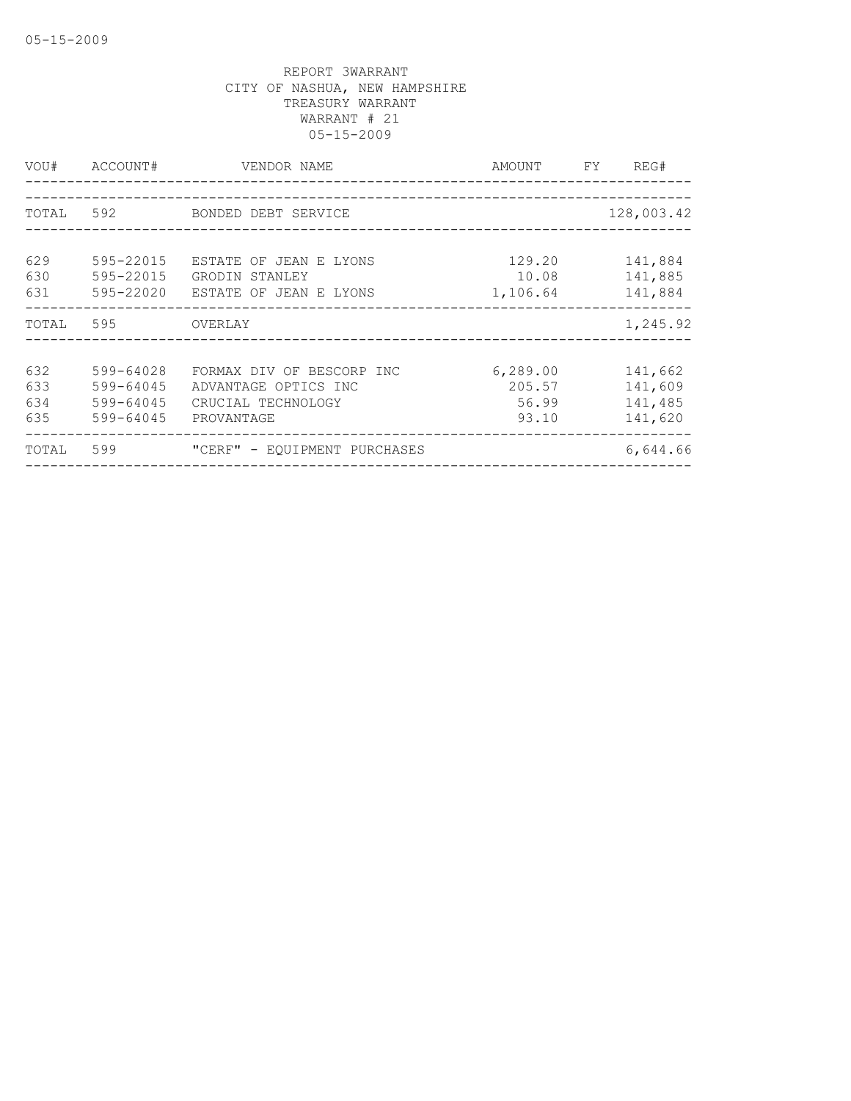| VOU#                     | ACCOUNT#                                         | VENDOR NAME                                                                           | AMOUNT FY                             | REG#                                     |
|--------------------------|--------------------------------------------------|---------------------------------------------------------------------------------------|---------------------------------------|------------------------------------------|
| TOTAL 592                |                                                  | BONDED DEBT SERVICE                                                                   |                                       | 128,003.42                               |
| 629<br>630<br>631        | 595-22015<br>595-22015<br>595-22020              | ESTATE OF JEAN E LYONS<br>GRODIN STANLEY<br>ESTATE OF JEAN E LYONS                    | 129.20<br>10.08<br>1,106.64           | 141,884<br>141,885<br>141,884            |
| TOTAL                    | 595                                              | OVERLAY                                                                               |                                       | 1,245.92                                 |
| 632<br>633<br>634<br>635 | 599-64028<br>599-64045<br>599-64045<br>599-64045 | FORMAX DIV OF BESCORP INC<br>ADVANTAGE OPTICS INC<br>CRUCIAL TECHNOLOGY<br>PROVANTAGE | 6, 289.00<br>205.57<br>56.99<br>93.10 | 141,662<br>141,609<br>141,485<br>141,620 |
| TOTAL                    | 599                                              | "CERF" - EQUIPMENT PURCHASES                                                          |                                       | 6,644.66                                 |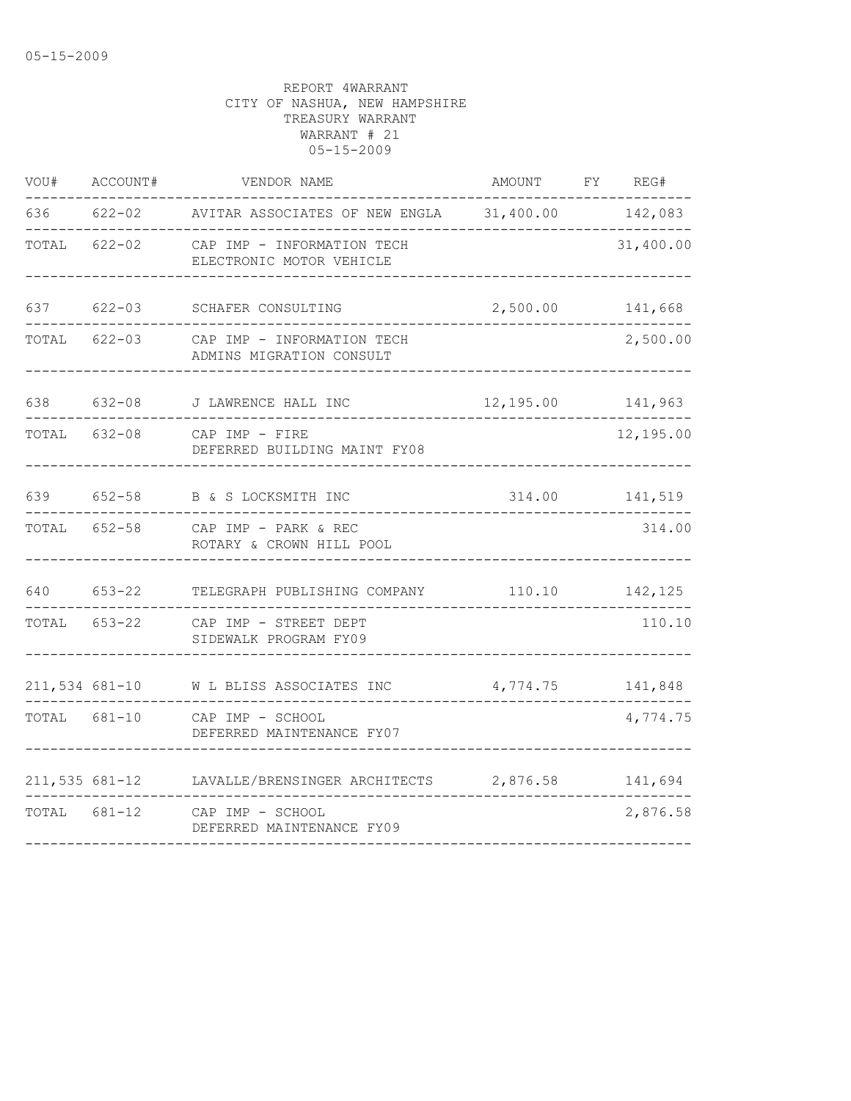| VOU#         | ACCOUNT#         | VENDOR NAME                                            | AMOUNT           | FY REG#        |
|--------------|------------------|--------------------------------------------------------|------------------|----------------|
| 636          | $622 - 02$       | AVITAR ASSOCIATES OF NEW ENGLA 31,400.00               |                  | 142,083        |
| TOTAL        | $622 - 02$       | CAP IMP - INFORMATION TECH<br>ELECTRONIC MOTOR VEHICLE |                  | 31,400.00      |
| 637          | $622 - 03$       | SCHAFER CONSULTING                                     | 2,500.00         | 141,668        |
| TOTAL        | $622 - 03$       | CAP IMP - INFORMATION TECH<br>ADMINS MIGRATION CONSULT |                  | 2,500.00       |
| 638          | $632 - 08$       | J LAWRENCE HALL INC                                    | 12,195.00        | 141,963        |
| TOTAL 632-08 |                  | CAP IMP - FIRE<br>DEFERRED BUILDING MAINT FY08         |                  | 12,195.00      |
| 639          |                  | 652-58 B & S LOCKSMITH INC                             |                  | 314.00 141,519 |
| TOTAL        | $652 - 58$       | CAP IMP - PARK & REC<br>ROTARY & CROWN HILL POOL       |                  | 314.00         |
| 640          | $653 - 22$       | TELEGRAPH PUBLISHING COMPANY                           | 110.10           | 142,125        |
| TOTAL        | $653 - 22$       | CAP IMP - STREET DEPT<br>SIDEWALK PROGRAM FY09         |                  | 110.10         |
|              | 211,534 681-10   | W L BLISS ASSOCIATES INC                               | 4,774.75 141,848 |                |
| TOTAL 681-10 |                  | CAP IMP - SCHOOL<br>DEFERRED MAINTENANCE FY07          |                  | 4,774.75       |
|              | $211,535$ 681-12 | LAVALLE/BRENSINGER ARCHITECTS                          | 2,876.58         | 141,694        |
| TOTAL 681-12 |                  | CAP IMP - SCHOOL<br>DEFERRED MAINTENANCE FY09          |                  | 2,876.58       |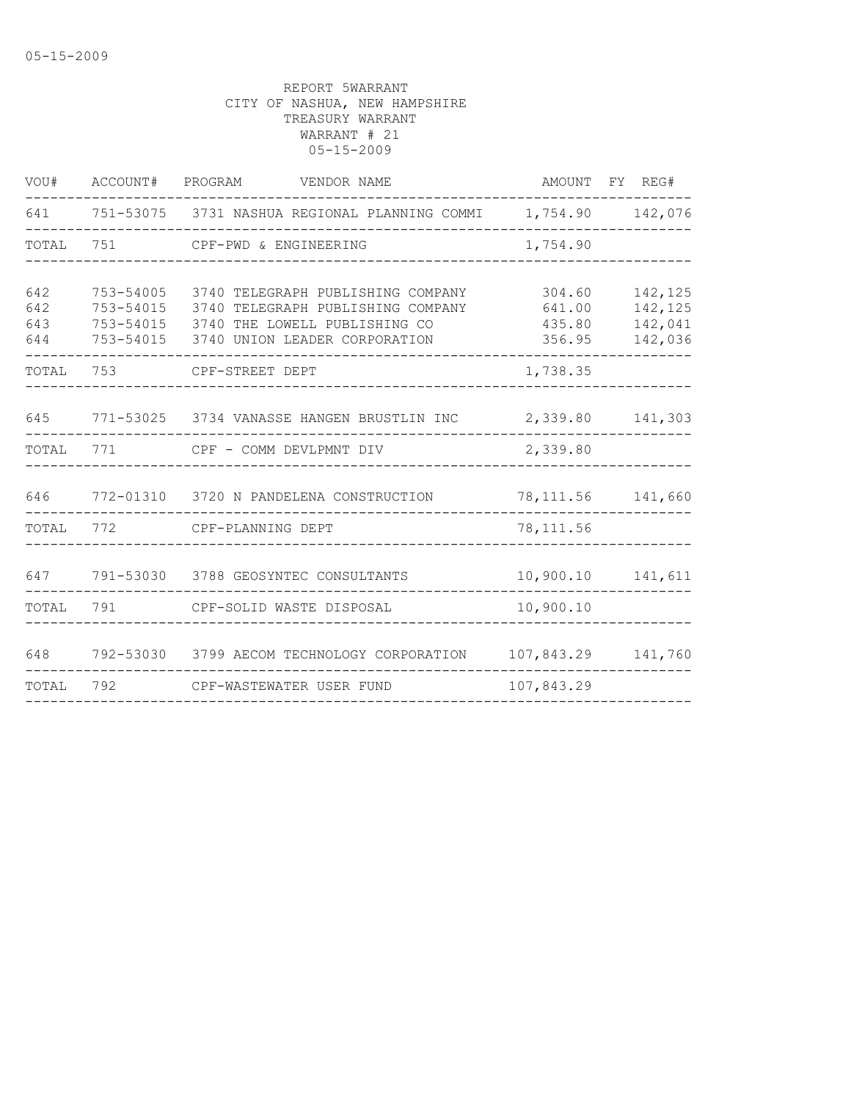| 641<br>751-53075  3731 NASHUA REGIONAL PLANNING COMMI<br>1,754.90 142,076<br>TOTAL<br>751<br>1,754.90<br>CPF-PWD & ENGINEERING<br>642<br>753-54005<br>3740 TELEGRAPH PUBLISHING COMPANY<br>304.60<br>142,125<br>642<br>142,125<br>753-54015<br>3740 TELEGRAPH PUBLISHING COMPANY<br>641.00<br>643<br>142,041<br>753-54015<br>3740 THE LOWELL PUBLISHING CO<br>435.80<br>644<br>753-54015<br>3740 UNION LEADER CORPORATION<br>142,036<br>356.95<br>TOTAL<br>753<br>1,738.35<br>CPF-STREET DEPT<br>645<br>771-53025 3734 VANASSE HANGEN BRUSTLIN INC<br>2,339.80<br>141,303<br>2,339.80<br>TOTAL<br>771<br>CPF - COMM DEVLPMNT DIV<br>646<br>772-01310<br>3720 N PANDELENA CONSTRUCTION<br>78, 111.56 141, 660<br>TOTAL<br>772<br>78, 111.56<br>CPF-PLANNING DEPT<br>647<br>791-53030 3788 GEOSYNTEC CONSULTANTS<br>10,900.10<br>141,611<br>791<br>10,900.10<br>TOTAL<br>CPF-SOLID WASTE DISPOSAL<br>792-53030<br>648<br>3799 AECOM TECHNOLOGY CORPORATION<br>107,843.29<br>141,760 | VOU# | ACCOUNT# PROGRAM | VENDOR NAME | AMOUNT | FY REG# |
|-----------------------------------------------------------------------------------------------------------------------------------------------------------------------------------------------------------------------------------------------------------------------------------------------------------------------------------------------------------------------------------------------------------------------------------------------------------------------------------------------------------------------------------------------------------------------------------------------------------------------------------------------------------------------------------------------------------------------------------------------------------------------------------------------------------------------------------------------------------------------------------------------------------------------------------------------------------------------------------|------|------------------|-------------|--------|---------|
|                                                                                                                                                                                                                                                                                                                                                                                                                                                                                                                                                                                                                                                                                                                                                                                                                                                                                                                                                                                   |      |                  |             |        |         |
|                                                                                                                                                                                                                                                                                                                                                                                                                                                                                                                                                                                                                                                                                                                                                                                                                                                                                                                                                                                   |      |                  |             |        |         |
|                                                                                                                                                                                                                                                                                                                                                                                                                                                                                                                                                                                                                                                                                                                                                                                                                                                                                                                                                                                   |      |                  |             |        |         |
|                                                                                                                                                                                                                                                                                                                                                                                                                                                                                                                                                                                                                                                                                                                                                                                                                                                                                                                                                                                   |      |                  |             |        |         |
|                                                                                                                                                                                                                                                                                                                                                                                                                                                                                                                                                                                                                                                                                                                                                                                                                                                                                                                                                                                   |      |                  |             |        |         |
|                                                                                                                                                                                                                                                                                                                                                                                                                                                                                                                                                                                                                                                                                                                                                                                                                                                                                                                                                                                   |      |                  |             |        |         |
|                                                                                                                                                                                                                                                                                                                                                                                                                                                                                                                                                                                                                                                                                                                                                                                                                                                                                                                                                                                   |      |                  |             |        |         |
|                                                                                                                                                                                                                                                                                                                                                                                                                                                                                                                                                                                                                                                                                                                                                                                                                                                                                                                                                                                   |      |                  |             |        |         |
|                                                                                                                                                                                                                                                                                                                                                                                                                                                                                                                                                                                                                                                                                                                                                                                                                                                                                                                                                                                   |      |                  |             |        |         |
|                                                                                                                                                                                                                                                                                                                                                                                                                                                                                                                                                                                                                                                                                                                                                                                                                                                                                                                                                                                   |      |                  |             |        |         |
|                                                                                                                                                                                                                                                                                                                                                                                                                                                                                                                                                                                                                                                                                                                                                                                                                                                                                                                                                                                   |      |                  |             |        |         |
| 792<br>107,843.29<br>TOTAL<br>CPF-WASTEWATER USER FUND                                                                                                                                                                                                                                                                                                                                                                                                                                                                                                                                                                                                                                                                                                                                                                                                                                                                                                                            |      |                  |             |        |         |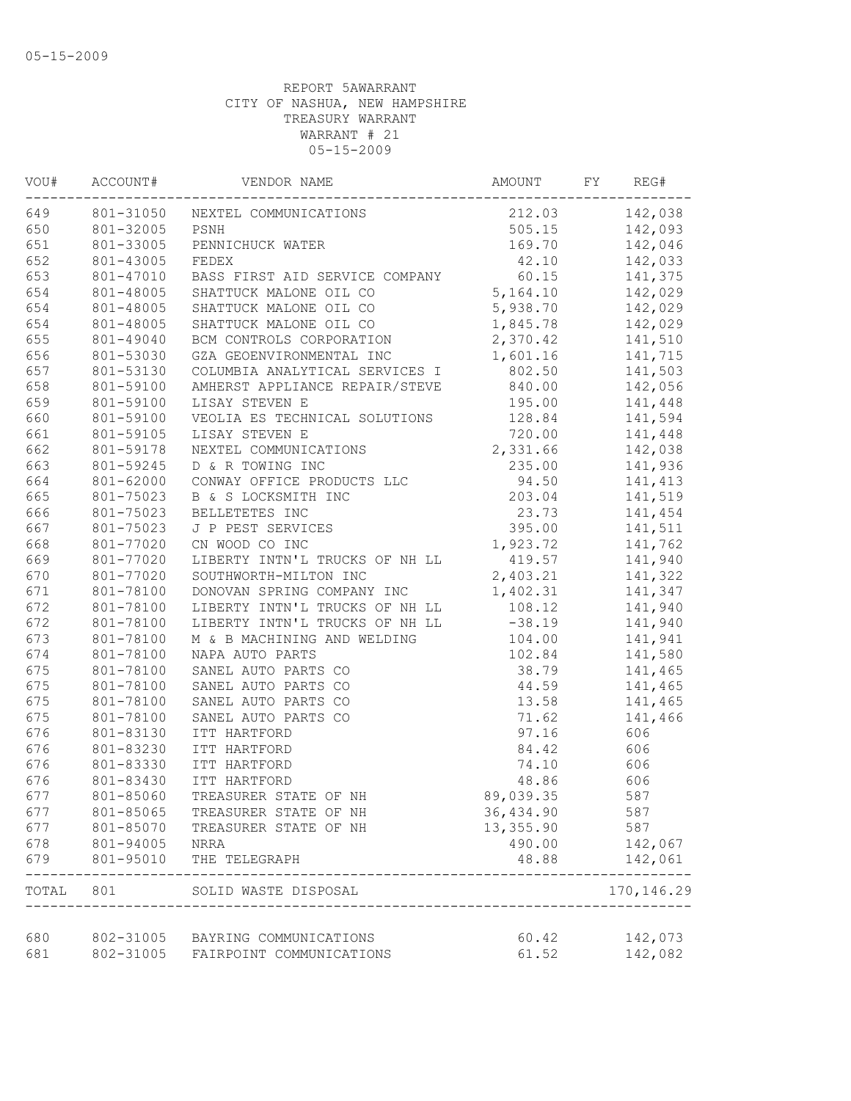| VOU#       | ACCOUNT#               | VENDOR NAME                                                         | AMOUNT          | FY | REG#                     |
|------------|------------------------|---------------------------------------------------------------------|-----------------|----|--------------------------|
| 649        |                        | 801-31050 NEXTEL COMMUNICATIONS                                     | 212.03          |    | 142,038                  |
| 650        | 801-32005              | PSNH                                                                | 505.15          |    | 142,093                  |
| 651        | 801-33005              | PENNICHUCK WATER                                                    | 169.70          |    | 142,046                  |
| 652        | 801-43005              | FEDEX                                                               | 42.10           |    | 142,033                  |
| 653        | 801-47010              | BASS FIRST AID SERVICE COMPANY                                      | 60.15           |    | 141,375                  |
| 654        | 801-48005              | SHATTUCK MALONE OIL CO                                              | 5,164.10        |    | 142,029                  |
| 654        | 801-48005              | SHATTUCK MALONE OIL CO                                              | 5,938.70        |    | 142,029                  |
| 654        | 801-48005              | SHATTUCK MALONE OIL CO                                              | 1,845.78        |    | 142,029                  |
| 655        | 801-49040              | BCM CONTROLS CORPORATION                                            | 2,370.42        |    | 141,510                  |
| 656        | 801-53030              | GZA GEOENVIRONMENTAL INC                                            | 1,601.16        |    | 141,715                  |
| 657        | 801-53130              | COLUMBIA ANALYTICAL SERVICES I                                      | 802.50          |    | 141,503                  |
| 658        | 801-59100              | AMHERST APPLIANCE REPAIR/STEVE                                      | 840.00          |    | 142,056                  |
| 659        | 801-59100              | LISAY STEVEN E                                                      | 195.00          |    | 141,448                  |
| 660        | 801-59100              | VEOLIA ES TECHNICAL SOLUTIONS                                       | 128.84          |    | 141,594                  |
| 661        | 801-59105              | LISAY STEVEN E                                                      | 720.00          |    | 141,448                  |
| 662        | 801-59178              | NEXTEL COMMUNICATIONS                                               | 2,331.66        |    | 142,038                  |
| 663        | 801-59245              | D & R TOWING INC                                                    | 235.00          |    | 141,936                  |
| 664        | 801-62000              | CONWAY OFFICE PRODUCTS LLC                                          | 94.50           |    | 141, 413                 |
| 665        | 801-75023              | B & S LOCKSMITH INC                                                 | 203.04          |    | 141,519                  |
| 666        | 801-75023              | BELLETETES INC                                                      | 23.73           |    | 141,454                  |
| 667        | 801-75023              | J P PEST SERVICES                                                   | 395.00          |    | 141,511                  |
| 668        | 801-77020              | CN WOOD CO INC                                                      | 1,923.72        |    | 141,762                  |
| 669        | 801-77020              | LIBERTY INTN'L TRUCKS OF NH LL                                      | 419.57          |    | 141,940                  |
| 670        | 801-77020              | SOUTHWORTH-MILTON INC                                               | 2,403.21        |    | 141,322                  |
| 671        | 801-78100              | DONOVAN SPRING COMPANY INC                                          | 1,402.31        |    | 141,347                  |
| 672        | 801-78100              | LIBERTY INTN'L TRUCKS OF NH LL                                      | 108.12          |    | 141,940                  |
| 672        | 801-78100              | LIBERTY INTN'L TRUCKS OF NH LL                                      | $-38.19$        |    | 141,940                  |
| 673        | 801-78100              | M & B MACHINING AND WELDING                                         | 104.00          |    | 141,941                  |
| 674        | 801-78100              | NAPA AUTO PARTS                                                     | 102.84          |    | 141,580                  |
| 675        | 801-78100              | SANEL AUTO PARTS CO                                                 | 38.79           |    | 141,465                  |
| 675        | 801-78100              | SANEL AUTO PARTS CO                                                 | 44.59           |    | 141,465                  |
| 675        | 801-78100              | SANEL AUTO PARTS CO                                                 | 13.58           |    | 141,465                  |
| 675        | 801-78100              | SANEL AUTO PARTS CO                                                 | 71.62           |    | 141,466                  |
| 676        | 801-83130              | ITT HARTFORD                                                        | 97.16           |    | 606                      |
| 676        | 801-83230              |                                                                     | 84.42           |    | 606                      |
| 676        |                        | ITT HARTFORD                                                        | 74.10           |    | 606                      |
| 676        | 801-83330              | ITT HARTFORD                                                        | 48.86           |    |                          |
|            | 801-83430              | ITT HARTFORD                                                        |                 |    | 606                      |
| 677        | 801-85060              | TREASURER STATE OF NH                                               | 89,039.35       |    | 587                      |
| 677        | 801-85065              | TREASURER STATE OF NH                                               | 36,434.90       |    | 587                      |
| 677        | 801-85070              | TREASURER STATE OF NH                                               | 13,355.90       |    | 587                      |
| 678<br>679 | 801-94005<br>801-95010 | NRRA<br>THE TELEGRAPH                                               | 490.00<br>48.88 |    | 142,067<br>142,061       |
|            |                        | TOTAL 801 SOLID WASTE DISPOSAL<br>--------------------------------- |                 |    | ---------<br>170, 146.29 |
|            |                        |                                                                     |                 |    |                          |
| 680        |                        | 802-31005 BAYRING COMMUNICATIONS                                    | 60.42           |    | 142,073                  |
| 681        | 802-31005              | FAIRPOINT COMMUNICATIONS                                            | 61.52           |    | 142,082                  |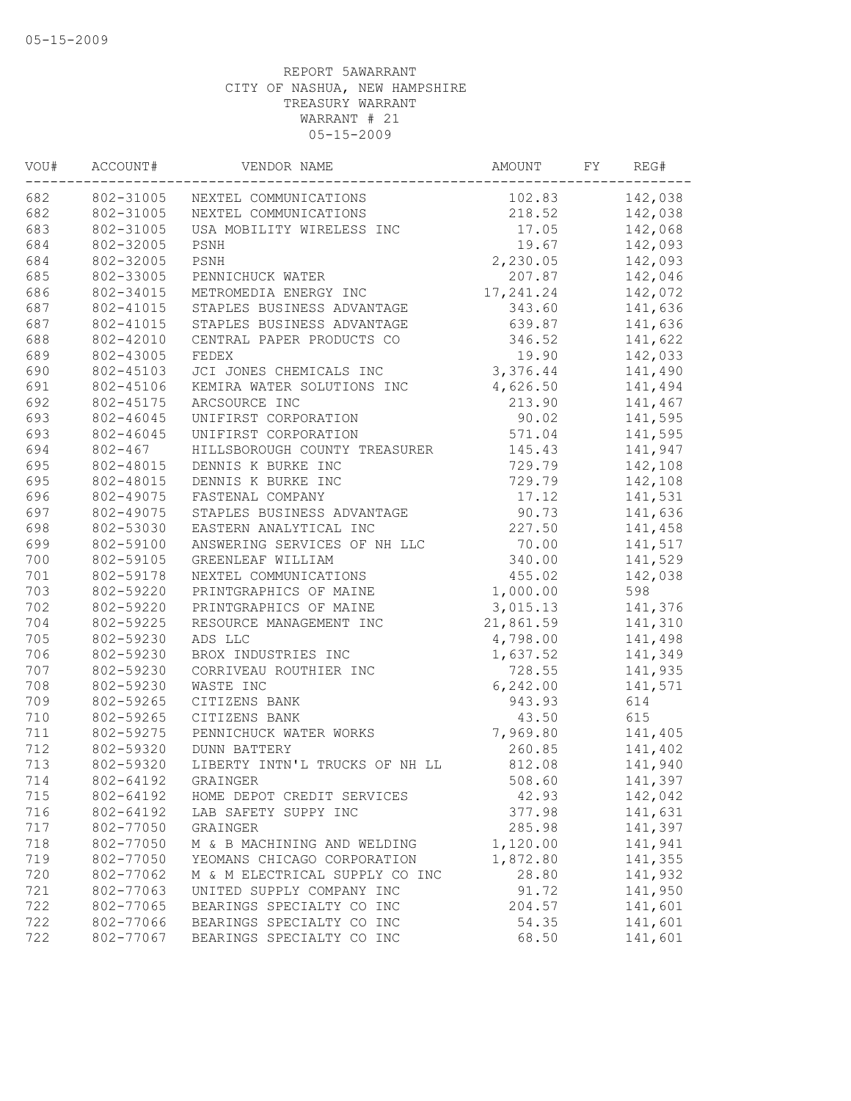| WOU# | ACCOUNT#    | VENDOR NAME                    | AMOUNT    | FY | REG#    |
|------|-------------|--------------------------------|-----------|----|---------|
| 682  | 802-31005   | NEXTEL COMMUNICATIONS          | 102.83    |    | 142,038 |
| 682  | 802-31005   | NEXTEL COMMUNICATIONS          | 218.52    |    | 142,038 |
| 683  | 802-31005   | USA MOBILITY WIRELESS INC      | 17.05     |    | 142,068 |
| 684  | 802-32005   | PSNH                           | 19.67     |    | 142,093 |
| 684  | 802-32005   | PSNH                           | 2,230.05  |    | 142,093 |
| 685  | 802-33005   | PENNICHUCK WATER               | 207.87    |    | 142,046 |
| 686  | 802-34015   | METROMEDIA ENERGY INC          | 17,241.24 |    | 142,072 |
| 687  | 802-41015   | STAPLES BUSINESS ADVANTAGE     | 343.60    |    | 141,636 |
| 687  | 802-41015   | STAPLES BUSINESS ADVANTAGE     | 639.87    |    | 141,636 |
| 688  | 802-42010   | CENTRAL PAPER PRODUCTS CO      | 346.52    |    | 141,622 |
| 689  | 802-43005   | FEDEX                          | 19.90     |    | 142,033 |
| 690  | 802-45103   | JCI JONES CHEMICALS INC        | 3,376.44  |    | 141,490 |
| 691  | 802-45106   | KEMIRA WATER SOLUTIONS INC     | 4,626.50  |    | 141,494 |
| 692  | 802-45175   | ARCSOURCE INC                  | 213.90    |    | 141,467 |
| 693  | 802-46045   | UNIFIRST CORPORATION           | 90.02     |    | 141,595 |
| 693  | 802-46045   | UNIFIRST CORPORATION           | 571.04    |    | 141,595 |
| 694  | $802 - 467$ | HILLSBOROUGH COUNTY TREASURER  | 145.43    |    | 141,947 |
| 695  | 802-48015   | DENNIS K BURKE INC             | 729.79    |    | 142,108 |
| 695  | 802-48015   | DENNIS K BURKE INC             | 729.79    |    | 142,108 |
| 696  | 802-49075   | FASTENAL COMPANY               | 17.12     |    | 141,531 |
| 697  | 802-49075   | STAPLES BUSINESS ADVANTAGE     | 90.73     |    | 141,636 |
| 698  | 802-53030   | EASTERN ANALYTICAL INC         | 227.50    |    | 141,458 |
| 699  | 802-59100   | ANSWERING SERVICES OF NH LLC   | 70.00     |    | 141,517 |
| 700  | 802-59105   | GREENLEAF WILLIAM              | 340.00    |    | 141,529 |
| 701  | 802-59178   | NEXTEL COMMUNICATIONS          | 455.02    |    | 142,038 |
| 703  | 802-59220   | PRINTGRAPHICS OF MAINE         | 1,000.00  |    | 598     |
| 702  | 802-59220   | PRINTGRAPHICS OF MAINE         | 3,015.13  |    | 141,376 |
| 704  | 802-59225   | RESOURCE MANAGEMENT INC        | 21,861.59 |    | 141,310 |
| 705  | 802-59230   | ADS LLC                        | 4,798.00  |    | 141,498 |
| 706  | 802-59230   | BROX INDUSTRIES INC            | 1,637.52  |    | 141,349 |
| 707  | 802-59230   | CORRIVEAU ROUTHIER INC         | 728.55    |    | 141,935 |
| 708  | 802-59230   | WASTE INC                      | 6, 242.00 |    | 141,571 |
| 709  | 802-59265   | CITIZENS BANK                  | 943.93    |    | 614     |
| 710  | 802-59265   | CITIZENS BANK                  | 43.50     |    | 615     |
| 711  | 802-59275   | PENNICHUCK WATER WORKS         | 7,969.80  |    | 141,405 |
| 712  | 802-59320   | <b>DUNN BATTERY</b>            | 260.85    |    | 141,402 |
| 713  | 802-59320   | LIBERTY INTN'L TRUCKS OF NH LL | 812.08    |    | 141,940 |
| 714  | 802-64192   | GRAINGER                       | 508.60    |    | 141,397 |
| 715  | 802-64192   | HOME DEPOT CREDIT SERVICES     | 42.93     |    | 142,042 |
| 716  | 802-64192   | LAB SAFETY SUPPY INC           | 377.98    |    | 141,631 |
| 717  | 802-77050   | GRAINGER                       | 285.98    |    | 141,397 |
| 718  | 802-77050   | M & B MACHINING AND WELDING    | 1,120.00  |    | 141,941 |
| 719  | 802-77050   | YEOMANS CHICAGO CORPORATION    | 1,872.80  |    | 141,355 |
| 720  | 802-77062   | M & M ELECTRICAL SUPPLY CO INC | 28.80     |    | 141,932 |
| 721  | 802-77063   | UNITED SUPPLY COMPANY INC      | 91.72     |    | 141,950 |
| 722  | 802-77065   | BEARINGS SPECIALTY CO INC      | 204.57    |    | 141,601 |
| 722  | 802-77066   | BEARINGS SPECIALTY CO INC      | 54.35     |    | 141,601 |
| 722  | 802-77067   | BEARINGS SPECIALTY CO INC      | 68.50     |    | 141,601 |
|      |             |                                |           |    |         |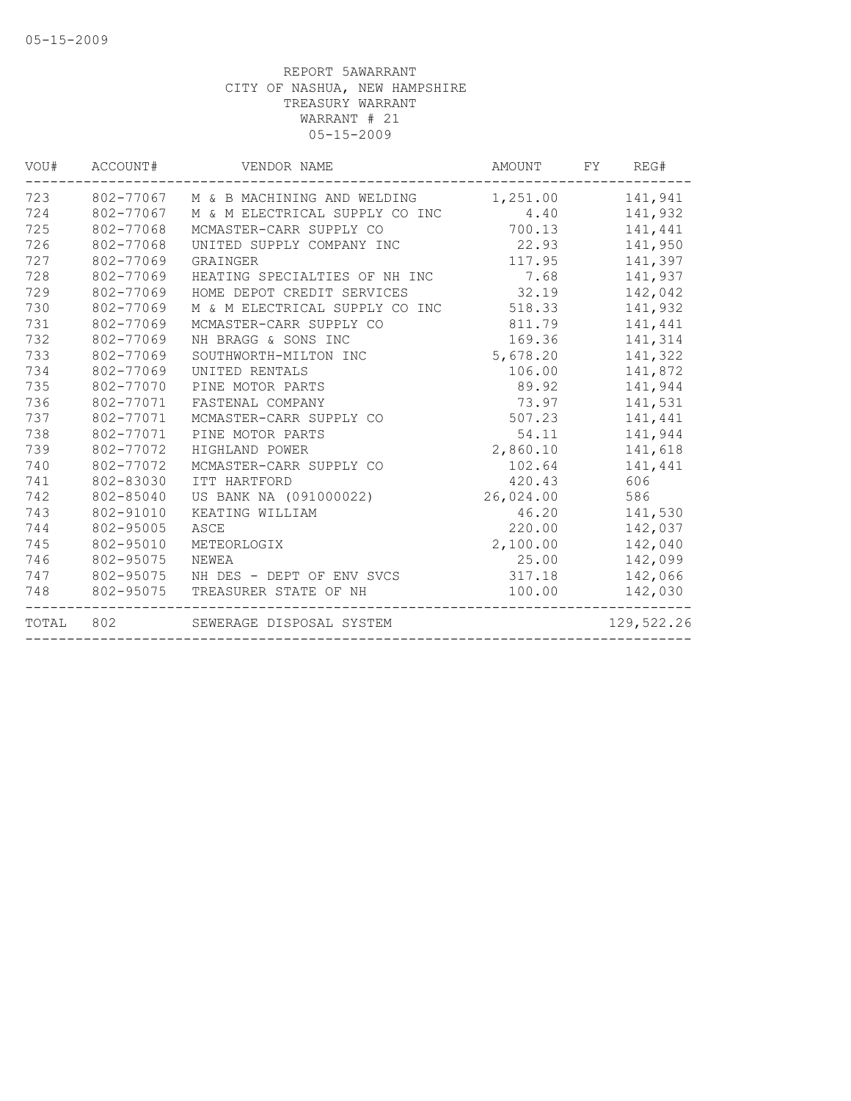| VOU#  | ACCOUNT#  | VENDOR NAME                           | AMOUNT    | FY<br>REG# |
|-------|-----------|---------------------------------------|-----------|------------|
| 723   |           | 802-77067 M & B MACHINING AND WELDING | 1,251.00  | 141,941    |
| 724   | 802-77067 | M & M ELECTRICAL SUPPLY CO INC        | 4.40      | 141,932    |
| 725   | 802-77068 | MCMASTER-CARR SUPPLY CO               | 700.13    | 141,441    |
| 726   | 802-77068 | UNITED SUPPLY COMPANY INC             | 22.93     | 141,950    |
| 727   | 802-77069 | GRAINGER                              | 117.95    | 141,397    |
| 728   | 802-77069 | HEATING SPECIALTIES OF NH INC         | 7.68      | 141,937    |
| 729   | 802-77069 | HOME DEPOT CREDIT SERVICES            | 32.19     | 142,042    |
| 730   | 802-77069 | M & M ELECTRICAL SUPPLY CO INC        | 518.33    | 141,932    |
| 731   | 802-77069 | MCMASTER-CARR SUPPLY CO               | 811.79    | 141,441    |
| 732   | 802-77069 | NH BRAGG & SONS INC                   | 169.36    | 141,314    |
| 733   | 802-77069 | SOUTHWORTH-MILTON INC                 | 5,678.20  | 141,322    |
| 734   | 802-77069 | UNITED RENTALS                        | 106.00    | 141,872    |
| 735   | 802-77070 | PINE MOTOR PARTS                      | 89.92     | 141,944    |
| 736   | 802-77071 | FASTENAL COMPANY                      | 73.97     | 141,531    |
| 737   | 802-77071 | MCMASTER-CARR SUPPLY CO               | 507.23    | 141,441    |
| 738   | 802-77071 | PINE MOTOR PARTS                      | 54.11     | 141,944    |
| 739   | 802-77072 | HIGHLAND POWER                        | 2,860.10  | 141,618    |
| 740   | 802-77072 | MCMASTER-CARR SUPPLY CO               | 102.64    | 141,441    |
| 741   | 802-83030 | ITT HARTFORD                          | 420.43    | 606        |
| 742   | 802-85040 | US BANK NA (091000022)                | 26,024.00 | 586        |
| 743   | 802-91010 | KEATING WILLIAM                       | 46.20     | 141,530    |
| 744   | 802-95005 | ASCE                                  | 220.00    | 142,037    |
| 745   | 802-95010 | METEORLOGIX                           | 2,100.00  | 142,040    |
| 746   | 802-95075 | NEWEA                                 | 25.00     | 142,099    |
| 747   | 802-95075 | NH DES - DEPT OF ENV SVCS             | 317.18    | 142,066    |
| 748   | 802-95075 | TREASURER STATE OF NH                 | 100.00    | 142,030    |
| TOTAL | 802       | SEWERAGE DISPOSAL SYSTEM              |           | 129,522.26 |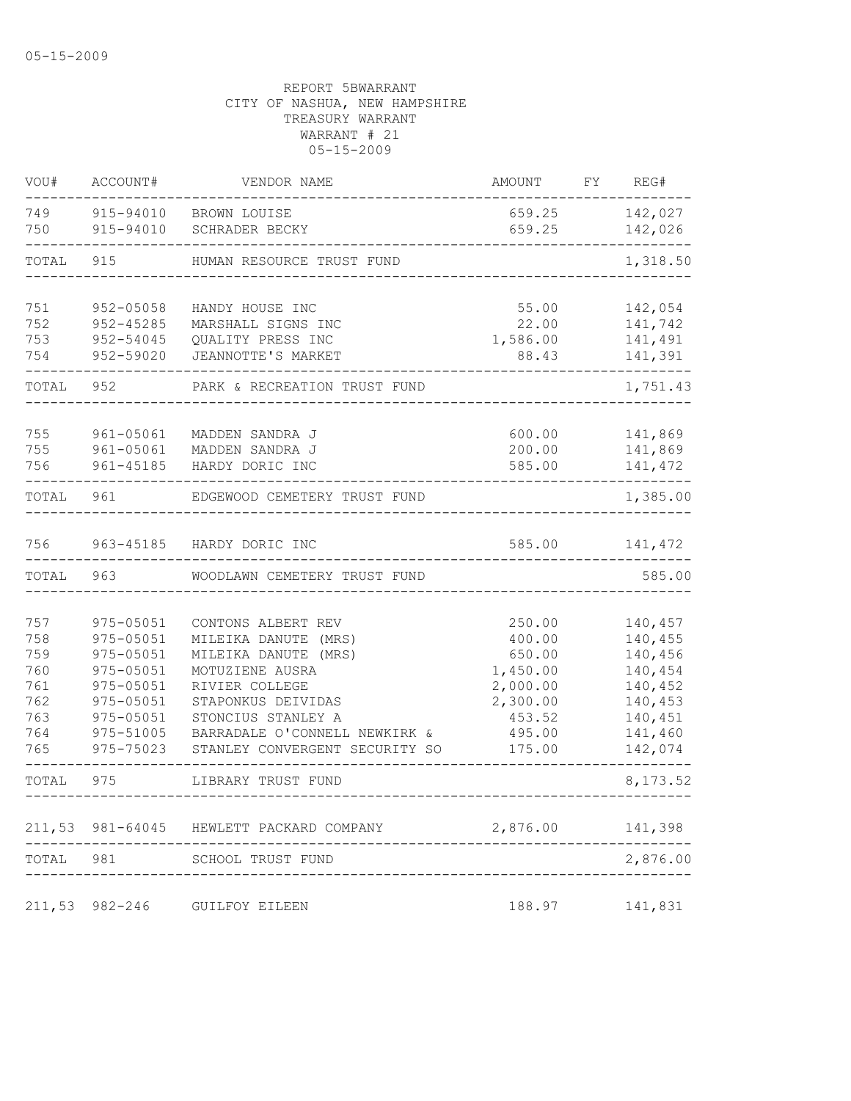| VOU#       | ACCOUNT#                   | VENDOR NAME                              | AMOUNT               | FY | REG#               |
|------------|----------------------------|------------------------------------------|----------------------|----|--------------------|
| 749        |                            | 915-94010 BROWN LOUISE                   | 659.25               |    | 142,027            |
| 750        | 915-94010                  | SCHRADER BECKY                           | 659.25               |    | 142,026            |
| TOTAL      | 915                        | HUMAN RESOURCE TRUST FUND                |                      |    | 1,318.50           |
| 751        | 952-05058                  | HANDY HOUSE INC                          | 55.00                |    | 142,054            |
| 752        | $952 - 45285$              | MARSHALL SIGNS INC                       | 22.00                |    | 141,742            |
| 753<br>754 | $952 - 54045$<br>952-59020 | QUALITY PRESS INC<br>JEANNOTTE'S MARKET  | 1,586.00<br>88.43    |    | 141,491<br>141,391 |
| TOTAL      | 952                        | PARK & RECREATION TRUST FUND             |                      |    | 1,751.43           |
|            |                            |                                          |                      |    |                    |
| 755<br>755 | 961-05061<br>961-05061     | MADDEN SANDRA J<br>MADDEN SANDRA J       | 600.00<br>200.00     |    | 141,869<br>141,869 |
| 756        | 961-45185                  | HARDY DORIC INC                          | 585.00               |    | 141, 472           |
| TOTAL      | 961                        | EDGEWOOD CEMETERY TRUST FUND             |                      |    | 1,385.00           |
| 756        |                            | 963-45185 HARDY DORIC INC                | 585.00               |    | 141,472            |
| TOTAL      | 963                        | WOODLAWN CEMETERY TRUST FUND             |                      |    | 585.00             |
|            |                            |                                          |                      |    |                    |
| 757        | 975-05051                  | CONTONS ALBERT REV                       | 250.00               |    | 140,457            |
| 758        | 975-05051                  | MILEIKA DANUTE (MRS)                     | 400.00               |    | 140,455            |
| 759        | 975-05051                  | MILEIKA DANUTE (MRS)                     | 650.00               |    | 140,456            |
| 760<br>761 | 975-05051<br>975-05051     | MOTUZIENE AUSRA<br>RIVIER COLLEGE        | 1,450.00<br>2,000.00 |    | 140,454<br>140,452 |
| 762        | 975-05051                  | STAPONKUS DEIVIDAS                       | 2,300.00             |    | 140,453            |
| 763        | 975-05051                  | STONCIUS STANLEY A                       | 453.52               |    | 140,451            |
| 764        | 975-51005                  | BARRADALE O'CONNELL NEWKIRK &            | 495.00               |    | 141,460            |
| 765        | 975-75023                  | STANLEY CONVERGENT SECURITY SO           | 175.00               |    | 142,074            |
| TOTAL      | 975                        | LIBRARY TRUST FUND                       |                      |    | 8,173.52           |
|            |                            | 211,53 981-64045 HEWLETT PACKARD COMPANY | 2,876.00             |    | 141,398            |
| TOTAL      | 981                        | SCHOOL TRUST FUND                        |                      |    | 2,876.00           |
| 211,53     | $982 - 246$                | GUILFOY EILEEN                           | 188.97               |    | 141,831            |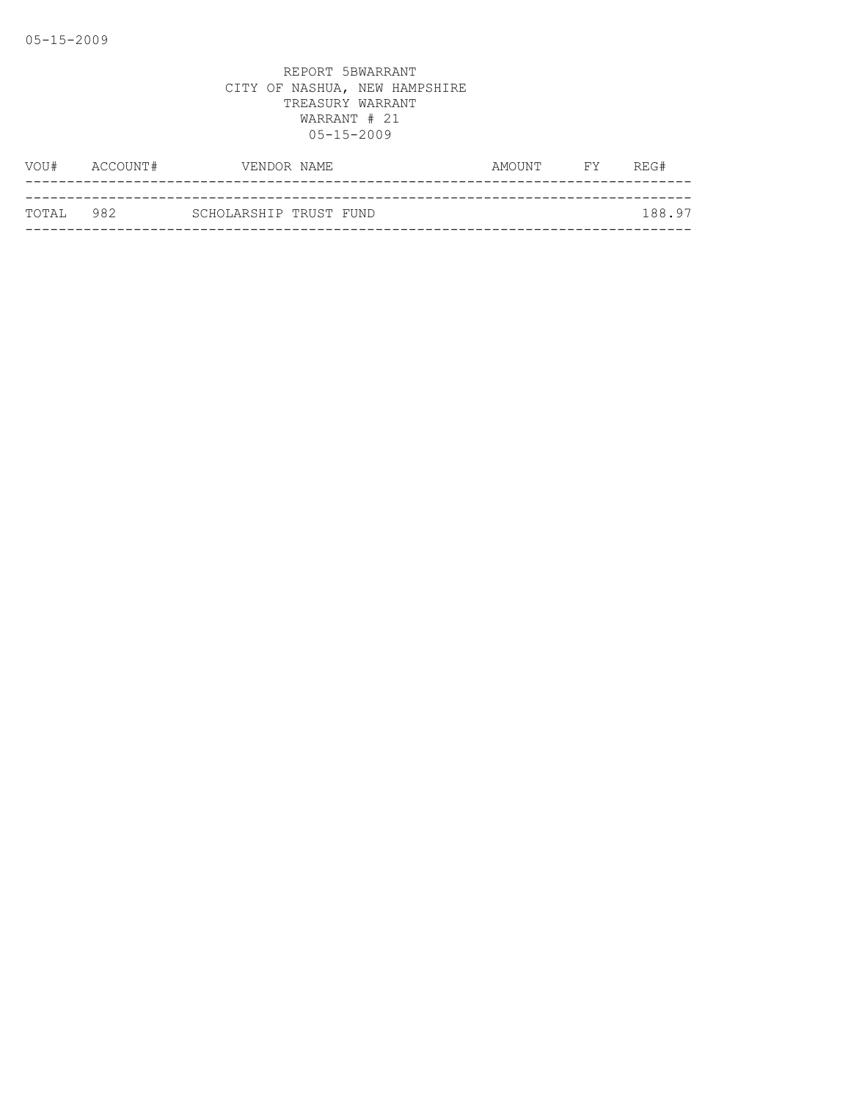| VOU#               | ACCOUNT# | VENDOR NAME            |  | AMOUNT | <b>FY</b> | REG#   |
|--------------------|----------|------------------------|--|--------|-----------|--------|
|                    |          |                        |  |        |           |        |
| ТОТАІ. 98 <i>2</i> |          | SCHOLARSHIP TRUST FUND |  |        |           | 188.97 |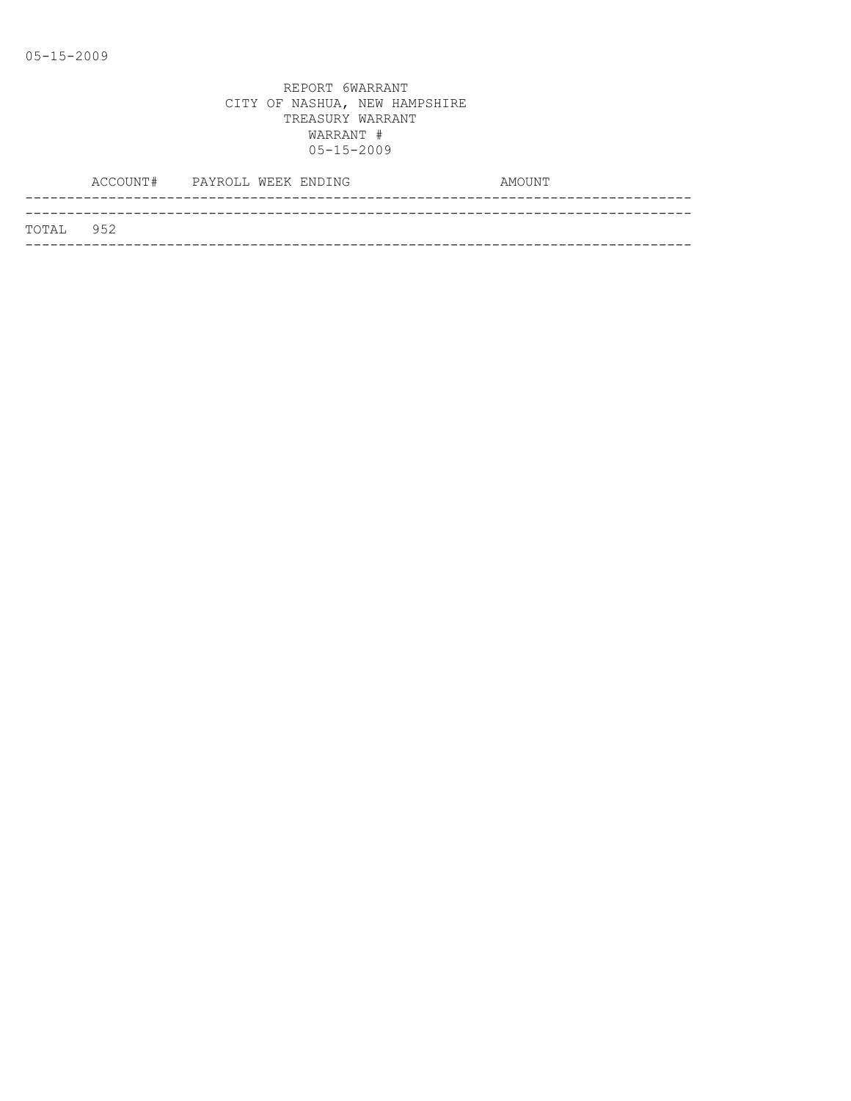|           | ACCOUNT# PAYROLL WEEK ENDING |  |  | AMOUNT |  |
|-----------|------------------------------|--|--|--------|--|
|           |                              |  |  |        |  |
| TOTAL 952 |                              |  |  |        |  |
|           |                              |  |  |        |  |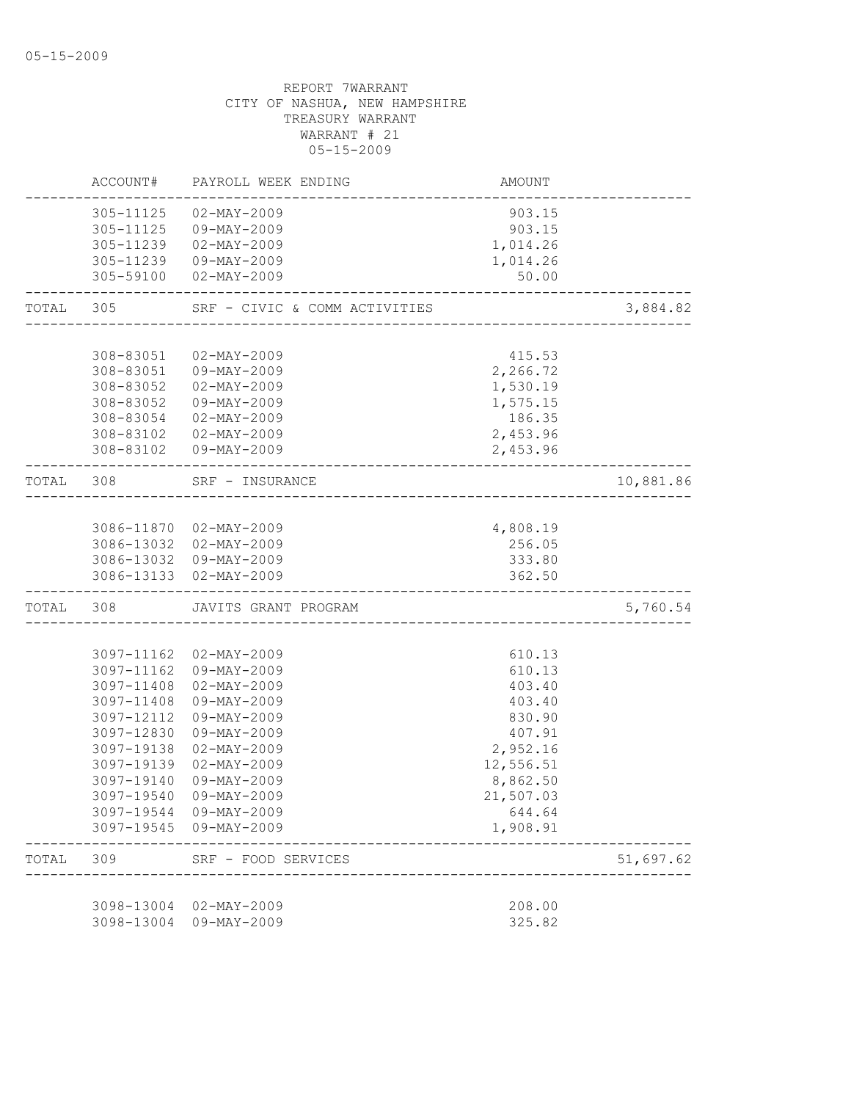|           | ACCOUNT#   | PAYROLL WEEK ENDING                              | AMOUNT                                |           |
|-----------|------------|--------------------------------------------------|---------------------------------------|-----------|
|           |            | 305-11125 02-MAY-2009<br>305-11125 09-MAY-2009   | 903.15<br>903.15                      |           |
|           |            | 305-11239 02-MAY-2009                            | 1,014.26                              |           |
|           |            | 305-11239 09-MAY-2009<br>305-59100 02-MAY-2009   | 1,014.26                              |           |
|           |            |                                                  | 50.00                                 |           |
| TOTAL 305 |            | SRF - CIVIC & COMM ACTIVITIES                    | ------------------------------------- | 3,884.82  |
|           | 308-83051  | 02-MAY-2009                                      | 415.53                                |           |
|           |            | 308-83051 09-MAY-2009                            | 2,266.72                              |           |
|           |            | 308-83052  02-MAY-2009                           | 1,530.19                              |           |
|           |            | 308-83052 09-MAY-2009                            | 1,575.15                              |           |
|           |            | 308-83054 02-MAY-2009                            | 186.35                                |           |
|           |            | 308-83102  02-MAY-2009                           | 2,453.96                              |           |
|           |            | 308-83102  09-MAY-2009                           | 2,453.96                              |           |
| TOTAL 308 |            | SRF - INSURANCE                                  |                                       | 10,881.86 |
|           |            |                                                  |                                       |           |
|           |            | 3086-11870 02-MAY-2009                           | 4,808.19                              |           |
|           |            | 3086-13032 02-MAY-2009<br>3086-13032 09-MAY-2009 | 256.05<br>333.80                      |           |
|           |            | 3086-13133 02-MAY-2009                           | 362.50                                |           |
| TOTAL     | 308        | JAVITS GRANT PROGRAM                             |                                       | 5,760.54  |
|           |            |                                                  |                                       |           |
|           |            | 3097-11162 02-MAY-2009                           | 610.13                                |           |
|           |            | 3097-11162 09-MAY-2009                           | 610.13                                |           |
|           | 3097-11408 | 3097-11408 02-MAY-2009<br>09-MAY-2009            | 403.40<br>403.40                      |           |
|           | 3097-12112 | 09-MAY-2009                                      | 830.90                                |           |
|           |            | 3097-12830 09-MAY-2009                           | 407.91                                |           |
|           | 3097-19138 | 02-MAY-2009                                      | 2,952.16                              |           |
|           | 3097-19139 | 02-MAY-2009                                      | 12,556.51                             |           |
|           | 3097-19140 | $09 - MAY - 2009$                                | 8,862.50                              |           |
|           |            | 3097-19540 09-MAY-2009                           | 21,507.03                             |           |
|           |            | 3097-19544 09-MAY-2009<br>3097-19545 09-MAY-2009 | 644.64<br>1,908.91                    |           |
| TOTAL     | 309        | SRF - FOOD SERVICES                              |                                       | 51,697.62 |
|           |            |                                                  |                                       |           |
|           |            | 3098-13004 02-MAY-2009<br>3098-13004 09-MAY-2009 | 208.00<br>325.82                      |           |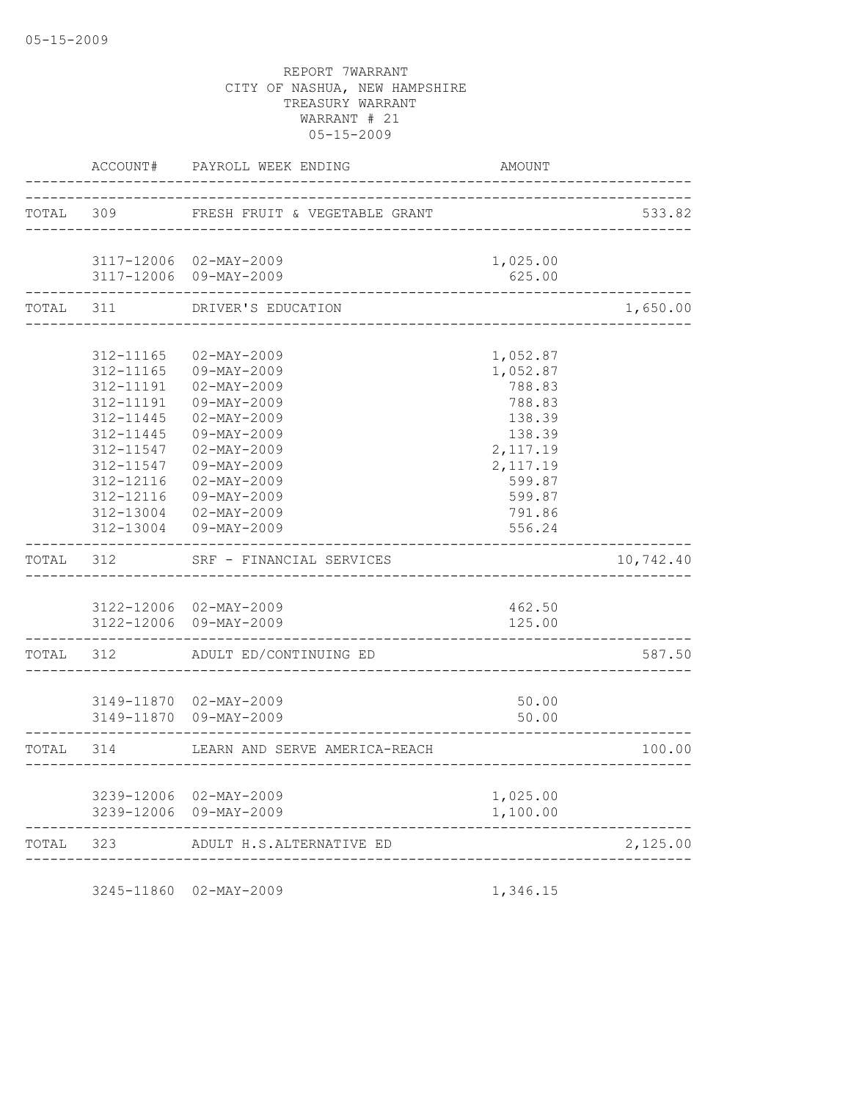|           | ACCOUNT#               | PAYROLL WEEK ENDING                              | AMOUNT                                |           |
|-----------|------------------------|--------------------------------------------------|---------------------------------------|-----------|
| TOTAL 309 |                        | FRESH FRUIT & VEGETABLE GRANT                    |                                       | 533.82    |
|           |                        | _________________                                |                                       |           |
|           |                        | 3117-12006 02-MAY-2009                           | 1,025.00                              |           |
|           |                        | 3117-12006 09-MAY-2009                           | 625.00                                |           |
| TOTAL     | 311                    | DRIVER'S EDUCATION                               |                                       | 1,650.00  |
|           | 312-11165              | $02 - MAX - 2009$                                | 1,052.87                              |           |
|           | 312-11165              | 09-MAY-2009                                      | 1,052.87                              |           |
|           |                        | 312-11191  02-MAY-2009                           | 788.83                                |           |
|           | 312-11191              | 09-MAY-2009                                      | 788.83                                |           |
|           | 312-11445              | $02 - MAX - 2009$                                | 138.39                                |           |
|           | 312-11445              | 09-MAY-2009                                      | 138.39                                |           |
|           | 312-11547<br>312-11547 | $02 - MAX - 2009$<br>09-MAY-2009                 | 2,117.19<br>2,117.19                  |           |
|           | 312-12116              | 02-MAY-2009                                      | 599.87                                |           |
|           |                        | 312-12116 09-MAY-2009                            | 599.87                                |           |
|           |                        | 312-13004 02-MAY-2009                            | 791.86                                |           |
|           |                        | 312-13004 09-MAY-2009                            | 556.24                                |           |
|           | TOTAL 312              | SRF - FINANCIAL SERVICES                         |                                       | 10,742.40 |
|           |                        |                                                  |                                       |           |
|           |                        | 3122-12006 02-MAY-2009<br>3122-12006 09-MAY-2009 | 462.50<br>125.00                      |           |
|           | TOTAL 312              | ADULT ED/CONTINUING ED                           | . _ _ _ _ _ _ _ _ _ _ _ _ _ _ _ _ _ _ | 587.50    |
|           |                        |                                                  |                                       |           |
|           |                        | 3149-11870 02-MAY-2009                           | 50.00                                 |           |
|           |                        | 3149-11870 09-MAY-2009                           | 50.00                                 |           |
|           | TOTAL 314              | LEARN AND SERVE AMERICA-REACH                    |                                       | 100.00    |
|           |                        |                                                  |                                       |           |
|           |                        | 3239-12006 02-MAY-2009                           | 1,025.00                              |           |
|           |                        | 3239-12006 09-MAY-2009                           | 1,100.00                              |           |
| TOTAL 323 |                        | ADULT H.S.ALTERNATIVE ED                         |                                       | 2,125.00  |
|           |                        | ____________________                             |                                       |           |

3245-11860 02-MAY-2009 1,346.15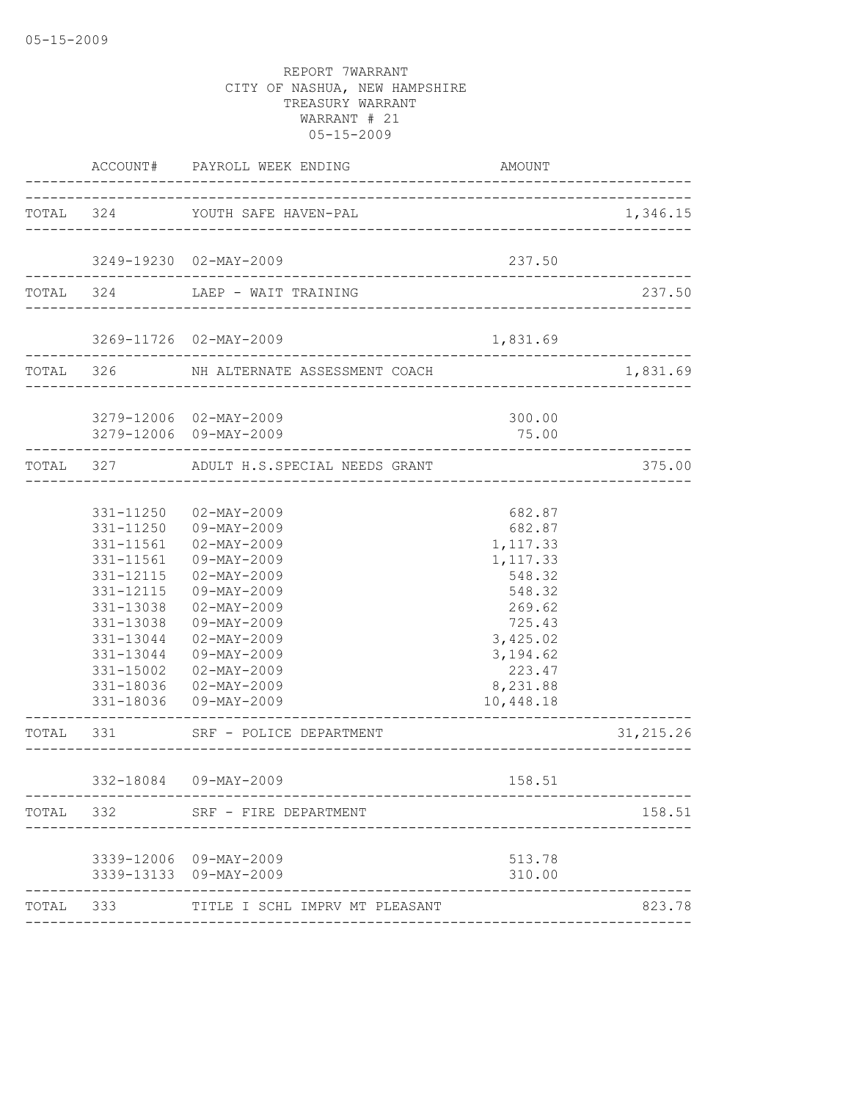|       |           | ACCOUNT# PAYROLL WEEK ENDING                                     | AMOUNT                      |            |
|-------|-----------|------------------------------------------------------------------|-----------------------------|------------|
|       |           | TOTAL 324 YOUTH SAFE HAVEN-PAL                                   |                             | 1,346.15   |
|       |           |                                                                  |                             |            |
|       |           | 3249-19230 02-MAY-2009                                           | 237.50                      |            |
|       |           | TOTAL 324 LAEP - WAIT TRAINING                                   |                             | 237.50     |
|       |           | 3269-11726 02-MAY-2009                                           | 1,831.69                    |            |
|       |           | ---------------------<br>TOTAL 326 NH ALTERNATE ASSESSMENT COACH |                             | 1,831.69   |
|       |           | 3279-12006 02-MAY-2009                                           | 300.00                      |            |
|       |           | 3279-12006 09-MAY-2009                                           | 75.00                       |            |
|       |           | TOTAL 327 ADULT H.S.SPECIAL NEEDS GRANT                          |                             | 375.00     |
|       |           |                                                                  |                             |            |
|       |           | 331-11250 02-MAY-2009<br>331-11250 09-MAY-2009                   | 682.87                      |            |
|       | 331-11561 | $02 - MAX - 2009$                                                | 682.87<br>1,117.33          |            |
|       | 331-11561 | 09-MAY-2009                                                      | 1,117.33                    |            |
|       | 331-12115 | $02 - \text{MAX} - 2009$                                         | 548.32                      |            |
|       | 331-12115 | 09-MAY-2009                                                      | 548.32                      |            |
|       | 331-13038 | 02-MAY-2009                                                      | 269.62                      |            |
|       | 331-13038 | 09-MAY-2009                                                      | 725.43                      |            |
|       |           | 331-13044 02-MAY-2009                                            | 3,425.02                    |            |
|       |           | 331-13044 09-MAY-2009                                            | 3, 194.62                   |            |
|       | 331-15002 | 02-MAY-2009                                                      | 223.47                      |            |
|       |           | 331-18036  02-MAY-2009                                           | 8,231.88                    |            |
|       |           | 331-18036 09-MAY-2009                                            | 10,448.18<br>______________ |            |
|       |           | TOTAL 331 SRF - POLICE DEPARTMENT<br>____________________        |                             | 31, 215.26 |
|       |           | 332-18084 09-MAY-2009                                            | 158.51                      |            |
|       |           | TOTAL 332 SRF - FIRE DEPARTMENT                                  |                             | 158.51     |
|       |           |                                                                  |                             |            |
|       |           | 3339-12006 09-MAY-2009                                           | 513.78                      |            |
|       |           | 3339-13133 09-MAY-2009                                           | 310.00                      |            |
| TOTAL | 333       | TITLE I SCHL IMPRV MT PLEASANT                                   |                             | 823.78     |
|       |           |                                                                  |                             |            |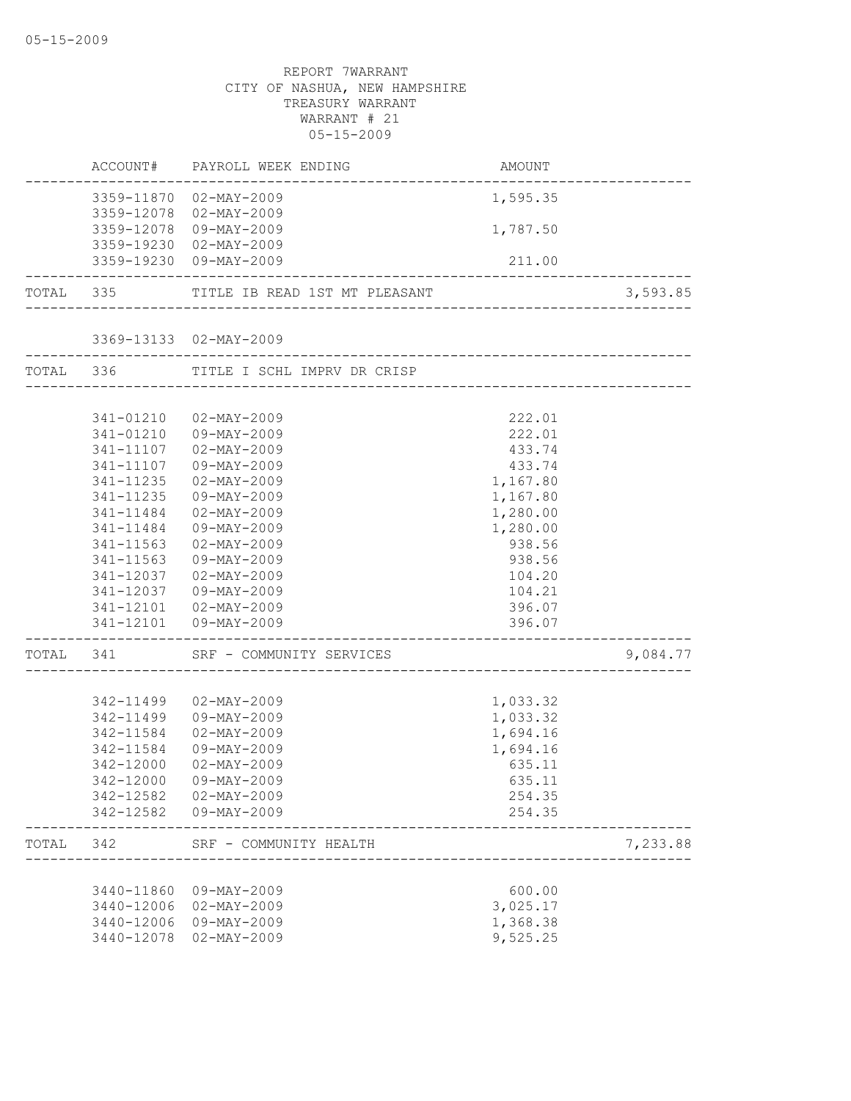|       |           | ACCOUNT# PAYROLL WEEK ENDING                          | AMOUNT   |          |
|-------|-----------|-------------------------------------------------------|----------|----------|
|       |           | 3359-11870 02-MAY-2009                                | 1,595.35 |          |
|       |           | 3359-12078 02-MAY-2009                                |          |          |
|       |           | 3359-12078 09-MAY-2009                                | 1,787.50 |          |
|       |           | 3359-19230 02-MAY-2009                                |          |          |
|       |           | 3359-19230 09-MAY-2009<br>--------------------------- | 211.00   |          |
|       |           | TOTAL 335 TITLE IB READ 1ST MT PLEASANT               |          | 3,593.85 |
|       |           | 3369-13133 02-MAY-2009                                |          |          |
|       | TOTAL 336 | TITLE I SCHL IMPRV DR CRISP                           |          |          |
|       |           |                                                       |          |          |
|       |           | 341-01210 02-MAY-2009                                 | 222.01   |          |
|       |           | 341-01210 09-MAY-2009                                 | 222.01   |          |
|       | 341-11107 | 02-MAY-2009                                           | 433.74   |          |
|       | 341-11107 | 09-MAY-2009                                           | 433.74   |          |
|       | 341-11235 | $02 - MAX - 2009$                                     | 1,167.80 |          |
|       | 341-11235 | 09-MAY-2009                                           | 1,167.80 |          |
|       | 341-11484 | $02 - MAX - 2009$                                     | 1,280.00 |          |
|       | 341-11484 | 09-MAY-2009                                           | 1,280.00 |          |
|       | 341-11563 | $02 - MAX - 2009$                                     | 938.56   |          |
|       | 341-11563 | 09-MAY-2009                                           | 938.56   |          |
|       | 341-12037 | 02-MAY-2009                                           | 104.20   |          |
|       |           | 341-12037 09-MAY-2009                                 | 104.21   |          |
|       |           | 341-12101  02-MAY-2009                                | 396.07   |          |
|       |           | 341-12101 09-MAY-2009                                 | 396.07   |          |
|       | TOTAL 341 | SRF - COMMUNITY SERVICES                              |          | 9,084.77 |
|       |           |                                                       |          |          |
|       | 342-11499 | 02-MAY-2009                                           | 1,033.32 |          |
|       |           | 342-11499 09-MAY-2009                                 | 1,033.32 |          |
|       |           | 342-11584 02-MAY-2009                                 | 1,694.16 |          |
|       | 342-11584 | 09-MAY-2009                                           | 1,694.16 |          |
|       | 342-12000 | $02 - MAX - 2009$                                     | 635.11   |          |
|       |           | 342-12000 09-MAY-2009                                 | 635.11   |          |
|       |           | 342-12582  02-MAY-2009                                | 254.35   |          |
|       |           | 342-12582  09-MAY-2009                                | 254.35   |          |
| TOTAL | 342       | SRF - COMMUNITY HEALTH                                |          | 7,233.88 |
|       |           |                                                       |          |          |
|       |           | 3440-11860 09-MAY-2009                                | 600.00   |          |
|       |           | 3440-12006 02-MAY-2009                                | 3,025.17 |          |
|       |           | 3440-12006 09-MAY-2009                                | 1,368.38 |          |
|       |           | 3440-12078 02-MAY-2009                                | 9,525.25 |          |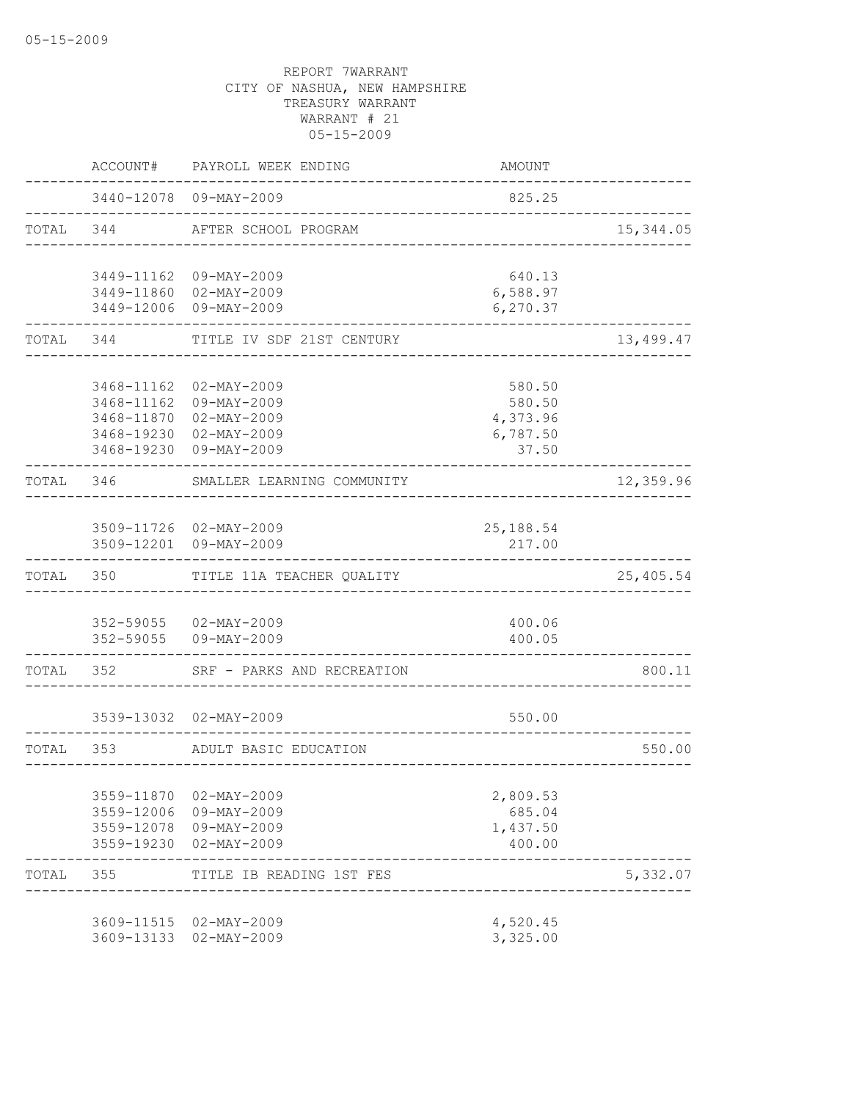|           | ACCOUNT#   | PAYROLL WEEK ENDING                              | AMOUNT                            |            |
|-----------|------------|--------------------------------------------------|-----------------------------------|------------|
|           |            | 3440-12078 09-MAY-2009                           | 825.25                            |            |
| TOTAL 344 |            | AFTER SCHOOL PROGRAM                             | _____________________________     | 15, 344.05 |
|           |            | 3449-11162 09-MAY-2009                           | 640.13                            |            |
|           |            | 3449-11860 02-MAY-2009                           | 6,588.97                          |            |
|           |            | 3449-12006 09-MAY-2009                           | 6,270.37                          |            |
| TOTAL     | 344        | TITLE IV SDF 21ST CENTURY                        |                                   | 13,499.47  |
|           |            |                                                  |                                   |            |
|           | 3468-11162 | $02 - MAX - 2009$                                | 580.50                            |            |
|           |            | 3468-11162 09-MAY-2009<br>3468-11870 02-MAY-2009 | 580.50<br>4,373.96                |            |
|           |            | 3468-19230 02-MAY-2009                           | 6,787.50                          |            |
|           |            | 3468-19230 09-MAY-2009                           | 37.50                             |            |
| TOTAL     | 346        | SMALLER LEARNING COMMUNITY                       |                                   | 12,359.96  |
|           |            |                                                  |                                   |            |
|           |            | 3509-11726 02-MAY-2009<br>3509-12201 09-MAY-2009 | 25,188.54<br>217.00               |            |
| TOTAL     |            | 350 TITLE 11A TEACHER QUALITY                    |                                   | 25,405.54  |
|           |            |                                                  |                                   |            |
|           |            | 352-59055 02-MAY-2009<br>352-59055 09-MAY-2009   | 400.06<br>400.05                  |            |
|           |            | TOTAL 352 SRF - PARKS AND RECREATION             |                                   | 800.11     |
|           |            |                                                  |                                   |            |
|           |            | 3539-13032 02-MAY-2009                           | 550.00                            |            |
| TOTAL 353 |            | ADULT BASIC EDUCATION                            | _________________________________ | 550.00     |
|           |            |                                                  |                                   |            |
|           | 3559-11870 | 02-MAY-2009                                      | 2,809.53                          |            |
|           | 3559-12006 | 09-MAY-2009<br>3559-12078 09-MAY-2009            | 685.04<br>1,437.50                |            |
|           | 3559-19230 | 02-MAY-2009                                      | 400.00                            |            |
| TOTAL 355 |            | TITLE IB READING 1ST FES                         |                                   | 5,332.07   |
|           |            |                                                  |                                   |            |
|           | 3609-13133 | 3609-11515 02-MAY-2009<br>02-MAY-2009            | 4,520.45<br>3,325.00              |            |
|           |            |                                                  |                                   |            |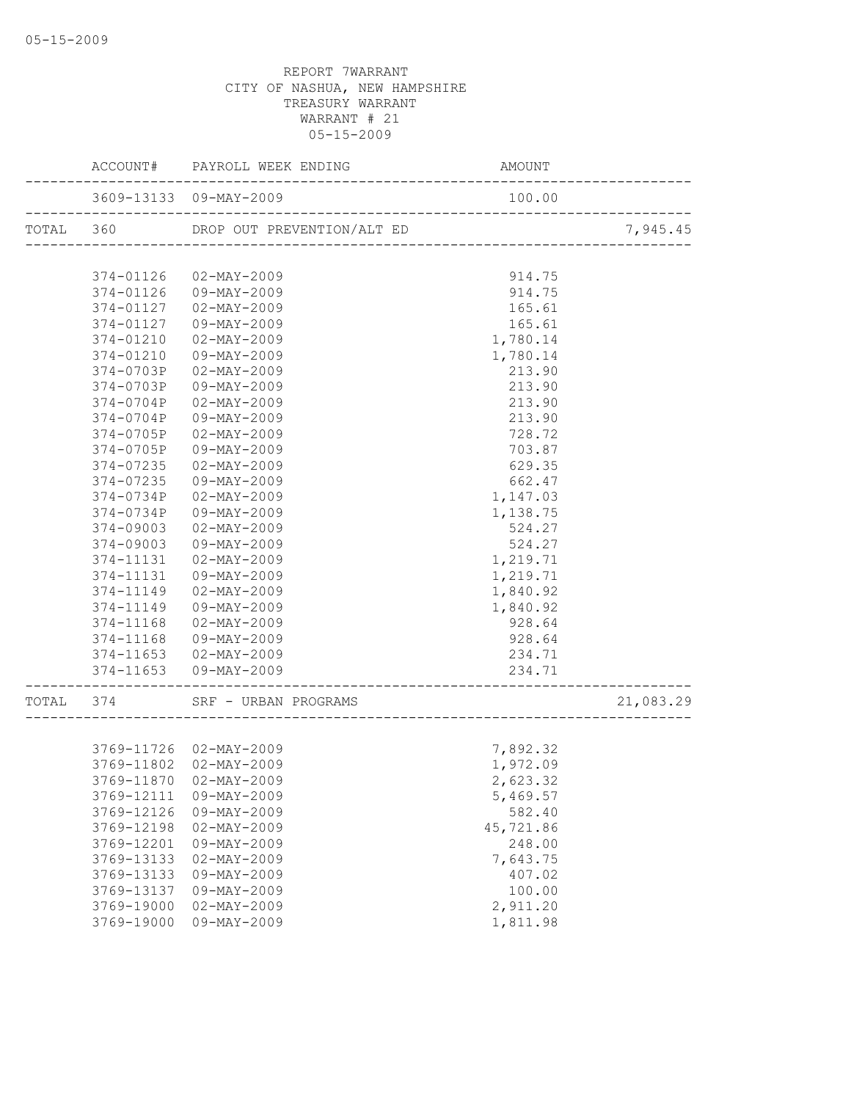|           |                        | ACCOUNT# PAYROLL WEEK ENDING      | AMOUNT                                     |           |
|-----------|------------------------|-----------------------------------|--------------------------------------------|-----------|
|           | 3609-13133 09-MAY-2009 | _________________________________ | 100.00                                     |           |
| TOTAL 360 |                        | DROP OUT PREVENTION/ALT ED        | _ED<br>______________________________      | 7,945.45  |
|           |                        |                                   |                                            |           |
|           | 374-01126              | $02 - \text{MAY} - 2009$          | 914.75                                     |           |
|           |                        | 374-01126 09-MAY-2009             | 914.75                                     |           |
|           | 374-01127              | 02-MAY-2009                       | 165.61                                     |           |
|           | 374-01127              | 09-MAY-2009                       | 165.61                                     |           |
|           | 374-01210              | 02-MAY-2009                       | 1,780.14                                   |           |
|           | 374-01210              | 09-MAY-2009                       | 1,780.14                                   |           |
|           | 374-0703P              | 02-MAY-2009                       | 213.90                                     |           |
|           | 374-0703P              | 09-MAY-2009                       | 213.90                                     |           |
|           | 374-0704P              | 02-MAY-2009                       | 213.90                                     |           |
|           | 374-0704P              | 09-MAY-2009                       | 213.90                                     |           |
|           | 374-0705P              | $02 - MAX - 2009$                 | 728.72                                     |           |
|           | 374-0705P              | 09-MAY-2009                       | 703.87                                     |           |
|           | 374-07235              | 02-MAY-2009                       | 629.35                                     |           |
|           | 374-07235              | 09-MAY-2009                       | 662.47                                     |           |
|           | 374-0734P              | 02-MAY-2009                       | 1,147.03                                   |           |
|           | 374-0734P              | 09-MAY-2009                       | 1,138.75                                   |           |
|           | 374-09003              | 02-MAY-2009                       | 524.27                                     |           |
|           | 374-09003              | 09-MAY-2009                       | 524.27                                     |           |
|           | 374-11131              | $02 - MAX - 2009$                 | 1,219.71                                   |           |
|           | 374-11131              | 09-MAY-2009                       | 1,219.71                                   |           |
|           | 374-11149              | 02-MAY-2009                       | 1,840.92                                   |           |
|           | 374-11149              | 09-MAY-2009                       | 1,840.92                                   |           |
|           | 374-11168              | 02-MAY-2009                       | 928.64                                     |           |
|           | 374-11168              | 09-MAY-2009                       | 928.64                                     |           |
|           |                        | 374-11653 02-MAY-2009             | 234.71                                     |           |
|           |                        | 374-11653 09-MAY-2009             | 234.71<br>________________________________ |           |
|           | TOTAL 374              | SRF - URBAN PROGRAMS              |                                            | 21,083.29 |
|           |                        |                                   |                                            |           |
|           |                        | 3769-11726 02-MAY-2009            | 7,892.32                                   |           |
|           |                        | 3769-11802  02-MAY-2009           | 1,972.09                                   |           |
|           |                        | 3769-11870 02-MAY-2009            | 2,623.32                                   |           |
|           | 3769-12111             | 09-MAY-2009                       | 5,469.57                                   |           |
|           | 3769-12126             | 09-MAY-2009                       | 582.40                                     |           |
|           | 3769-12198             | $02 - MAX - 2009$                 | 45,721.86                                  |           |
|           | 3769-12201             | 09-MAY-2009                       | 248.00                                     |           |
|           | 3769-13133             | $02 - MAX - 2009$                 | 7,643.75                                   |           |
|           | 3769-13133             | 09-MAY-2009                       | 407.02                                     |           |
|           | 3769-13137             | 09-MAY-2009                       | 100.00                                     |           |
|           | 3769-19000             | $02 - MAX - 2009$                 | 2,911.20                                   |           |
|           | 3769-19000             | $09 - MAY - 2009$                 | 1,811.98                                   |           |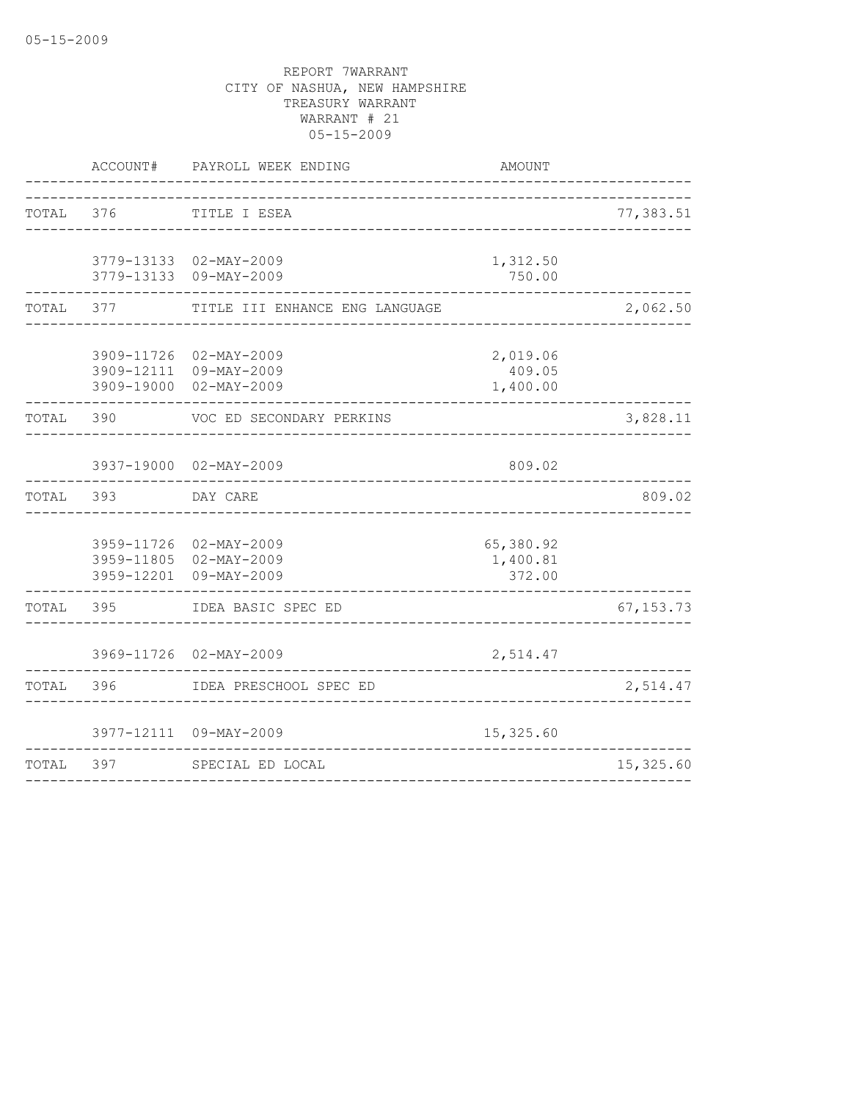|           | ACCOUNT# | PAYROLL WEEK ENDING                                                        | AMOUNT                          |             |
|-----------|----------|----------------------------------------------------------------------------|---------------------------------|-------------|
| TOTAL 376 |          | TITLE I ESEA<br>-----------------------------                              |                                 | 77,383.51   |
|           |          | 3779-13133 02-MAY-2009<br>3779-13133 09-MAY-2009                           | 1,312.50<br>750.00              |             |
| TOTAL     | 377      | TITLE III ENHANCE ENG LANGUAGE                                             |                                 | 2,062.50    |
|           |          | 3909-11726 02-MAY-2009<br>3909-12111 09-MAY-2009<br>3909-19000 02-MAY-2009 | 2,019.06<br>409.05<br>1,400.00  |             |
| TOTAL     | 390      | VOC ED SECONDARY PERKINS                                                   |                                 | 3,828.11    |
|           |          | 3937-19000 02-MAY-2009                                                     | 809.02                          |             |
| TOTAL     | 393      | DAY CARE                                                                   |                                 | 809.02      |
|           |          | 3959-11726 02-MAY-2009<br>3959-11805 02-MAY-2009<br>3959-12201 09-MAY-2009 | 65,380.92<br>1,400.81<br>372.00 |             |
| TOTAL     | 395      | IDEA BASIC SPEC ED                                                         |                                 | 67, 153. 73 |
|           |          | 3969-11726 02-MAY-2009                                                     | 2,514.47                        |             |
| TOTAL     | 396      | IDEA PRESCHOOL SPEC ED<br>___________________                              |                                 | 2,514.47    |
|           |          | 3977-12111 09-MAY-2009                                                     | 15,325.60                       |             |
| TOTAL     | 397      | SPECIAL ED LOCAL                                                           |                                 | 15,325.60   |
|           |          |                                                                            |                                 |             |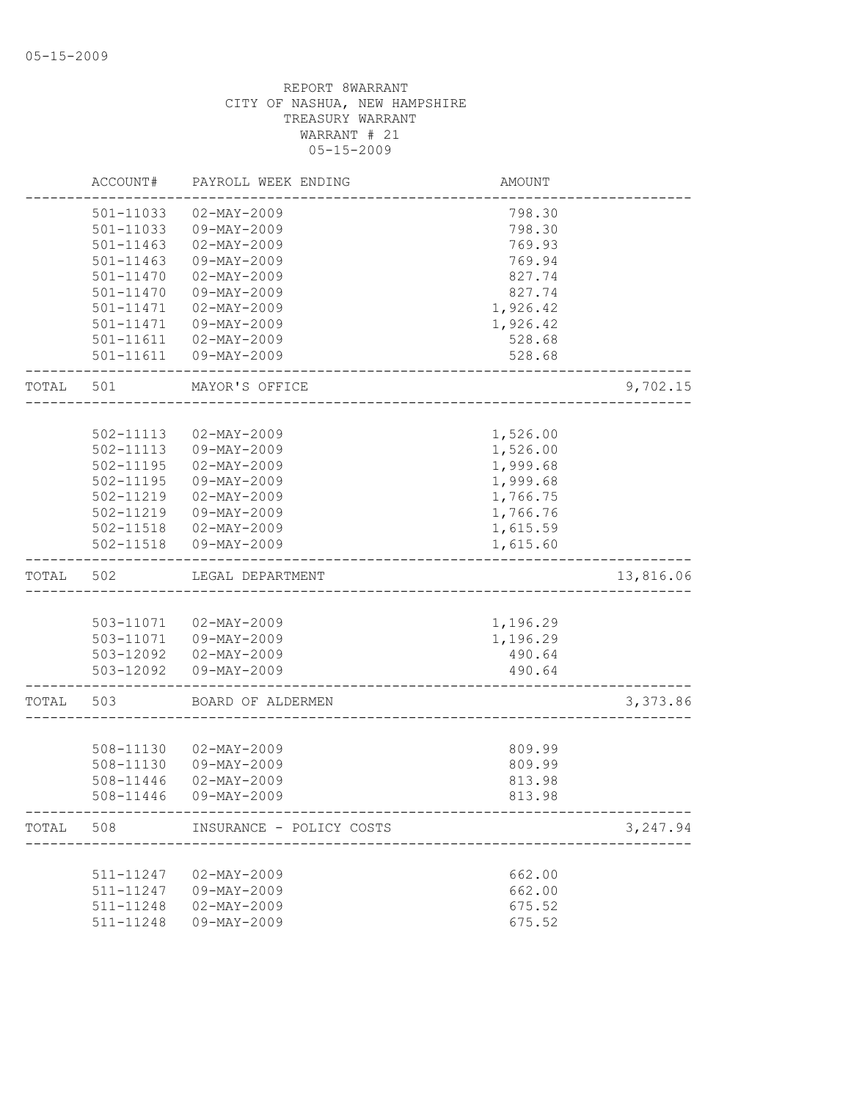|       | ACCOUNT#      | PAYROLL WEEK ENDING          | AMOUNT   |           |
|-------|---------------|------------------------------|----------|-----------|
|       | 501-11033     | $02 - MAX - 2009$            | 798.30   |           |
|       | 501-11033     | 09-MAY-2009                  | 798.30   |           |
|       | 501-11463     | $02 - MAX - 2009$            | 769.93   |           |
|       | $501 - 11463$ | 09-MAY-2009                  | 769.94   |           |
|       | 501-11470     | $02 - MAX - 2009$            | 827.74   |           |
|       | 501-11470     | 09-MAY-2009                  | 827.74   |           |
|       | 501-11471     | $02 - MAY - 2009$            | 1,926.42 |           |
|       | 501-11471     | $09 - MAY - 2009$            | 1,926.42 |           |
|       | 501-11611     | $02 - MAX - 2009$            | 528.68   |           |
|       | 501-11611     | $09 - MAY - 2009$            | 528.68   |           |
| TOTAL | 501           | MAYOR'S OFFICE               |          | 9,702.15  |
|       |               |                              |          |           |
|       | 502-11113     | $02 - MAX - 2009$            | 1,526.00 |           |
|       | 502-11113     | 09-MAY-2009                  | 1,526.00 |           |
|       | 502-11195     | $02 - MAX - 2009$            | 1,999.68 |           |
|       | 502-11195     | 09-MAY-2009                  | 1,999.68 |           |
|       | 502-11219     | $02 - MAX - 2009$            | 1,766.75 |           |
|       | 502-11219     | 09-MAY-2009                  | 1,766.76 |           |
|       | 502-11518     | 02-MAY-2009                  | 1,615.59 |           |
|       | $502 - 11518$ | 09-MAY-2009                  | 1,615.60 |           |
| TOTAL | 502           | LEGAL DEPARTMENT             |          | 13,816.06 |
|       |               |                              |          |           |
|       |               | 503-11071  02-MAY-2009       | 1,196.29 |           |
|       |               | 503-11071  09-MAY-2009       | 1,196.29 |           |
|       | 503-12092     | $02 - MAX - 2009$            | 490.64   |           |
|       | 503-12092     | 09-MAY-2009                  | 490.64   |           |
| TOTAL | 503           | BOARD OF ALDERMEN            |          | 3,373.86  |
|       |               |                              |          |           |
|       | 508-11130     | $02 - MAX - 2009$            | 809.99   |           |
|       | 508-11130     | 09-MAY-2009                  | 809.99   |           |
|       | 508-11446     | $02 - MAX - 2009$            | 813.98   |           |
|       | 508-11446     | 09-MAY-2009                  | 813.98   |           |
| TOTAL |               | 508 INSURANCE - POLICY COSTS |          | 3,247.94  |
|       |               |                              |          |           |
|       | 511-11247     | $02 - MAX - 2009$            | 662.00   |           |
|       | 511-11247     | 09-MAY-2009                  | 662.00   |           |
|       | 511-11248     | $02 - MAX - 2009$            | 675.52   |           |
|       | 511-11248     | $09 - MAY - 2009$            | 675.52   |           |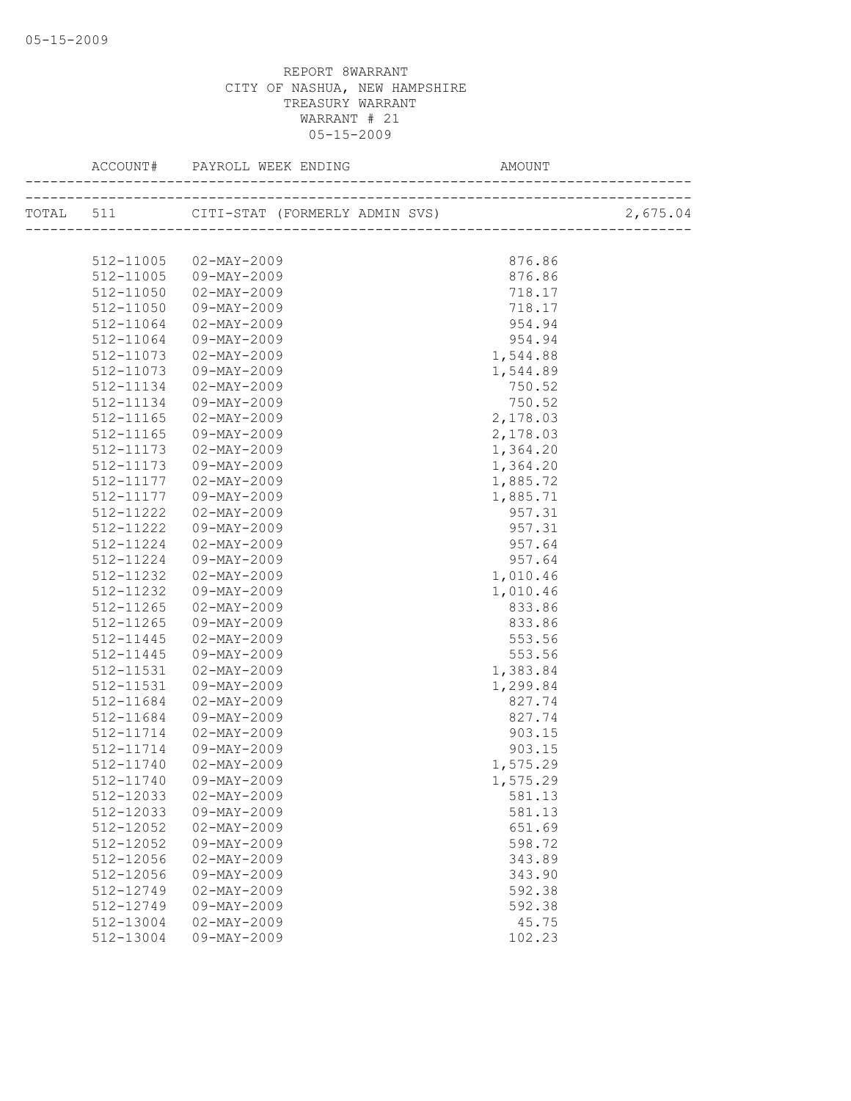|           |                          | AMOUNT   |          |
|-----------|--------------------------|----------|----------|
|           |                          |          | 2,675.04 |
|           |                          |          |          |
|           | 512-11005 02-MAY-2009    | 876.86   |          |
| 512-11005 | 09-MAY-2009              | 876.86   |          |
| 512-11050 | 02-MAY-2009              | 718.17   |          |
| 512-11050 | 09-MAY-2009              | 718.17   |          |
| 512-11064 | 02-MAY-2009              | 954.94   |          |
| 512-11064 | 09-MAY-2009              | 954.94   |          |
| 512-11073 | 02-MAY-2009              | 1,544.88 |          |
| 512-11073 | 09-MAY-2009              | 1,544.89 |          |
| 512-11134 | 02-MAY-2009              | 750.52   |          |
| 512-11134 | 09-MAY-2009              | 750.52   |          |
| 512-11165 | 02-MAY-2009              | 2,178.03 |          |
| 512-11165 | 09-MAY-2009              | 2,178.03 |          |
| 512-11173 | $02 - MAX - 2009$        | 1,364.20 |          |
| 512-11173 | 09-MAY-2009              | 1,364.20 |          |
| 512-11177 | $02 - \text{MAX} - 2009$ | 1,885.72 |          |
| 512-11177 | 09-MAY-2009              | 1,885.71 |          |
| 512-11222 | 02-MAY-2009              | 957.31   |          |
| 512-11222 | 09-MAY-2009              | 957.31   |          |
| 512-11224 | 02-MAY-2009              | 957.64   |          |
| 512-11224 | 09-MAY-2009              | 957.64   |          |
| 512-11232 | 02-MAY-2009              | 1,010.46 |          |
| 512-11232 | 09-MAY-2009              | 1,010.46 |          |
| 512-11265 | 02-MAY-2009              | 833.86   |          |
| 512-11265 | 09-MAY-2009              | 833.86   |          |
| 512-11445 | $02 - MAX - 2009$        | 553.56   |          |
| 512-11445 | 09-MAY-2009              | 553.56   |          |
| 512-11531 | 02-MAY-2009              | 1,383.84 |          |
| 512-11531 | 09-MAY-2009              | 1,299.84 |          |
| 512-11684 | 02-MAY-2009              | 827.74   |          |
| 512-11684 | 09-MAY-2009              | 827.74   |          |
| 512-11714 | 02-MAY-2009              | 903.15   |          |
| 512-11714 | 09-MAY-2009              | 903.15   |          |
| 512-11740 | 02-MAY-2009              | 1,575.29 |          |
|           | 512-11740 09-MAY-2009    | 1,575.29 |          |
| 512-12033 | $02 - MAX - 2009$        | 581.13   |          |
| 512-12033 | $09 - MAY - 2009$        | 581.13   |          |
| 512-12052 | $02 - MAX - 2009$        | 651.69   |          |
| 512-12052 | 09-MAY-2009              | 598.72   |          |
| 512-12056 | $02 - MAX - 2009$        | 343.89   |          |
| 512-12056 | 09-MAY-2009              | 343.90   |          |
| 512-12749 | $02 - MAX - 2009$        | 592.38   |          |
| 512-12749 | 09-MAY-2009              | 592.38   |          |
| 512-13004 | $02 - MAX - 2009$        | 45.75    |          |
| 512-13004 | $09 - MAX - 2009$        | 102.23   |          |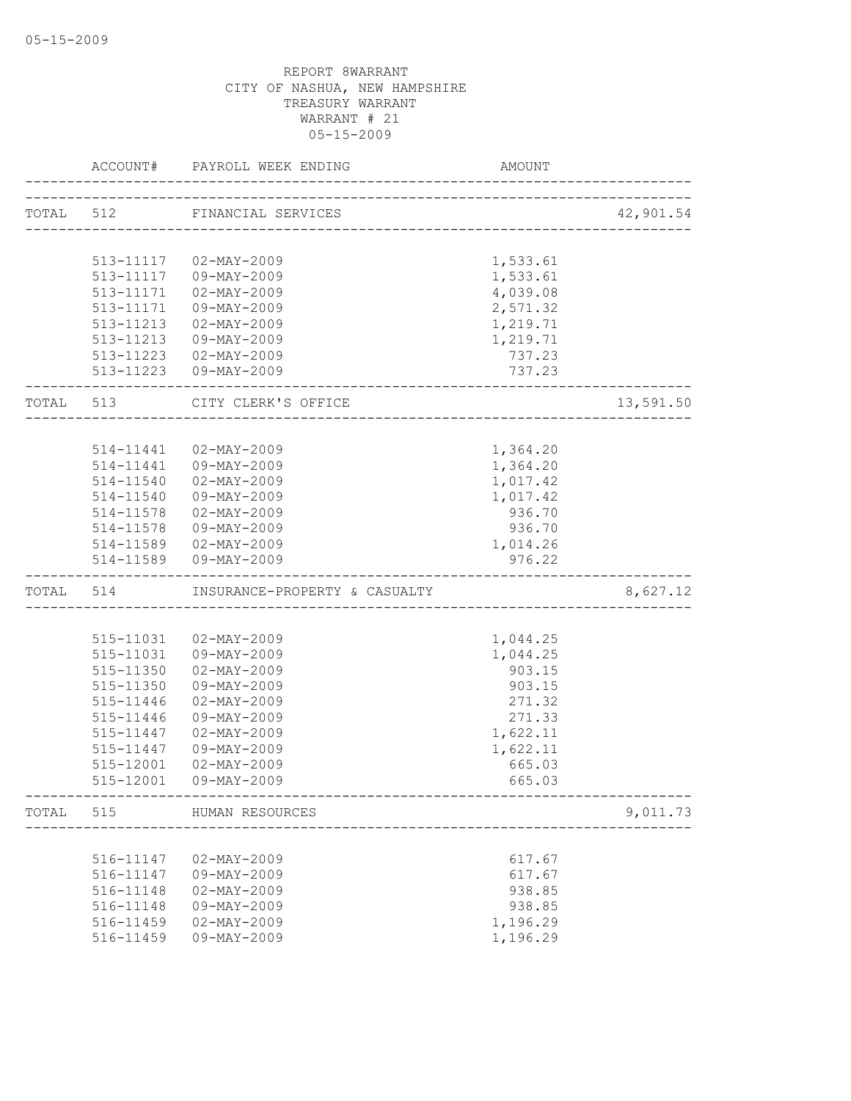|           | ACCOUNT#      | PAYROLL WEEK ENDING<br>___________________ | AMOUNT   |           |
|-----------|---------------|--------------------------------------------|----------|-----------|
|           |               | TOTAL 512 FINANCIAL SERVICES               |          | 42,901.54 |
|           |               |                                            |          |           |
|           |               | 513-11117  02-MAY-2009                     | 1,533.61 |           |
|           | 513-11117     | 09-MAY-2009                                | 1,533.61 |           |
|           | 513-11171     | 02-MAY-2009                                | 4,039.08 |           |
|           | 513-11171     | 09-MAY-2009                                | 2,571.32 |           |
|           |               | 513-11213 02-MAY-2009                      | 1,219.71 |           |
|           |               | 513-11213  09-MAY-2009                     | 1,219.71 |           |
|           |               | 513-11223  02-MAY-2009                     | 737.23   |           |
|           |               | 513-11223  09-MAY-2009                     | 737.23   |           |
| TOTAL 513 |               | CITY CLERK'S OFFICE                        |          | 13,591.50 |
|           |               |                                            |          |           |
|           | 514-11441     | 02-MAY-2009                                | 1,364.20 |           |
|           |               | 514-11441  09-MAY-2009                     | 1,364.20 |           |
|           | $514 - 11540$ | $02 - \text{MAX} - 2009$                   | 1,017.42 |           |
|           |               | 514-11540 09-MAY-2009                      | 1,017.42 |           |
|           |               | 514-11578 02-MAY-2009                      | 936.70   |           |
|           | 514-11578     | 09-MAY-2009                                | 936.70   |           |
|           |               | 514-11589  02-MAY-2009                     | 1,014.26 |           |
|           |               | 514-11589  09-MAY-2009                     | 976.22   |           |
| TOTAL 514 |               | INSURANCE-PROPERTY & CASUALTY              |          | 8,627.12  |
|           |               |                                            |          |           |
|           |               | 515-11031  02-MAY-2009                     | 1,044.25 |           |
|           | 515-11031     | 09-MAY-2009                                | 1,044.25 |           |
|           | 515-11350     | $02 - MAX - 2009$                          | 903.15   |           |
|           | 515-11350     | 09-MAY-2009                                | 903.15   |           |
|           | 515-11446     | $02 - MAX - 2009$                          | 271.32   |           |
|           | 515-11446     | 09-MAY-2009                                | 271.33   |           |
|           | 515-11447     | 02-MAY-2009                                | 1,622.11 |           |
|           | 515-11447     | 09-MAY-2009                                | 1,622.11 |           |
|           | 515-12001     | $02 - MAX - 2009$                          | 665.03   |           |
|           | 515-12001     | 09-MAY-2009                                | 665.03   |           |
| TOTAL     | 515           | HUMAN RESOURCES                            |          | 9,011.73  |
|           |               |                                            |          |           |
|           | 516-11147     | $02 - MAX - 2009$                          | 617.67   |           |
|           | 516-11147     | 09-MAY-2009                                | 617.67   |           |
|           | 516-11148     | $02 - MAX - 2009$                          | 938.85   |           |
|           | 516-11148     | 09-MAY-2009                                | 938.85   |           |
|           | 516-11459     | $02 - MAX - 2009$                          | 1,196.29 |           |
|           | 516-11459     | 09-MAY-2009                                | 1,196.29 |           |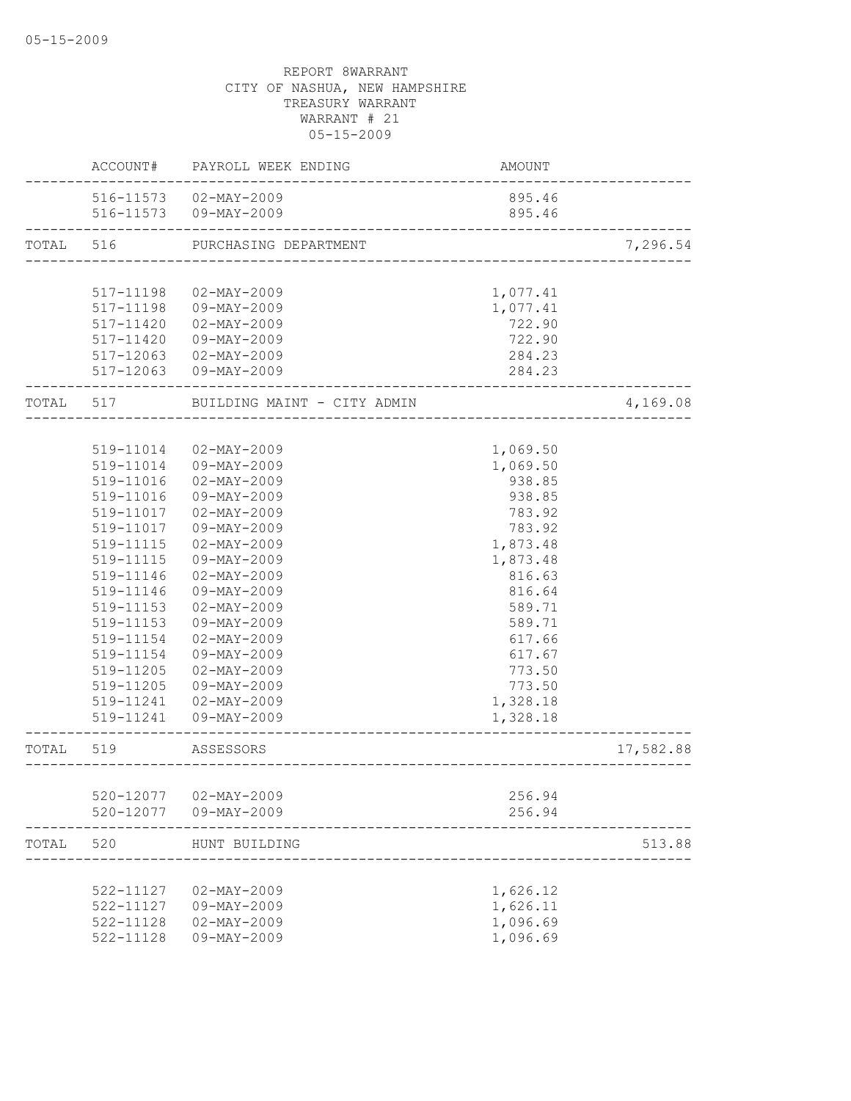|           | ACCOUNT#               | PAYROLL WEEK ENDING                              | AMOUNT                            |           |
|-----------|------------------------|--------------------------------------------------|-----------------------------------|-----------|
|           |                        | 516-11573  02-MAY-2009<br>516-11573  09-MAY-2009 | 895.46<br>895.46                  |           |
| TOTAL     | 516                    | PURCHASING DEPARTMENT                            | _________________________________ | 7,296.54  |
|           |                        |                                                  |                                   |           |
|           | 517-11198              | $02 - MAX - 2009$                                | 1,077.41                          |           |
|           | 517-11198              | 09-MAY-2009                                      | 1,077.41                          |           |
|           | 517-11420              | 02-MAY-2009                                      | 722.90                            |           |
|           | 517-11420              | 09-MAY-2009                                      | 722.90                            |           |
|           |                        | 517-12063 02-MAY-2009                            | 284.23                            |           |
|           |                        | 517-12063 09-MAY-2009                            | 284.23                            |           |
| TOTAL 517 |                        | BUILDING MAINT - CITY ADMIN                      |                                   | 4,169.08  |
|           |                        |                                                  |                                   |           |
|           | 519-11014              | $02 - MAX - 2009$                                | 1,069.50                          |           |
|           | 519-11014              | 09-MAY-2009                                      | 1,069.50                          |           |
|           | 519-11016              | $02 - MAX - 2009$                                | 938.85                            |           |
|           | 519-11016              | 09-MAY-2009                                      | 938.85                            |           |
|           | 519-11017              | 02-MAY-2009                                      | 783.92                            |           |
|           | 519-11017              | 09-MAY-2009                                      | 783.92                            |           |
|           | 519-11115              | $02 - MAX - 2009$<br>09-MAY-2009                 | 1,873.48                          |           |
|           | 519-11115<br>519-11146 | $02 - MAX - 2009$                                | 1,873.48<br>816.63                |           |
|           | 519-11146              | 09-MAY-2009                                      | 816.64                            |           |
|           | 519-11153              | $02 - MAX - 2009$                                | 589.71                            |           |
|           | 519-11153              | 09-MAY-2009                                      | 589.71                            |           |
|           | 519-11154              | $02 - MAX - 2009$                                | 617.66                            |           |
|           | 519-11154              | 09-MAY-2009                                      | 617.67                            |           |
|           | 519-11205              | $02 - MAX - 2009$                                | 773.50                            |           |
|           | 519-11205              | 09-MAY-2009                                      | 773.50                            |           |
|           | 519-11241              | 02-MAY-2009                                      | 1,328.18                          |           |
|           | 519-11241              | 09-MAY-2009                                      | 1,328.18                          |           |
| TOTAL     | 519                    | ASSESSORS                                        |                                   | 17,582.88 |
|           |                        |                                                  |                                   |           |
|           | 520-12077              | 02-MAY-2009                                      | 256.94                            |           |
|           | 520-12077              | 09-MAY-2009                                      | 256.94                            |           |
| TOTAL     | 520                    | HUNT BUILDING                                    |                                   | 513.88    |
|           |                        |                                                  |                                   |           |
|           | 522-11127              | $02 - MAX - 2009$                                | 1,626.12                          |           |
|           | 522-11127              | 09-MAY-2009                                      | 1,626.11                          |           |
|           | 522-11128              | $02 - MAY - 2009$                                | 1,096.69                          |           |
|           | 522-11128              | 09-MAY-2009                                      | 1,096.69                          |           |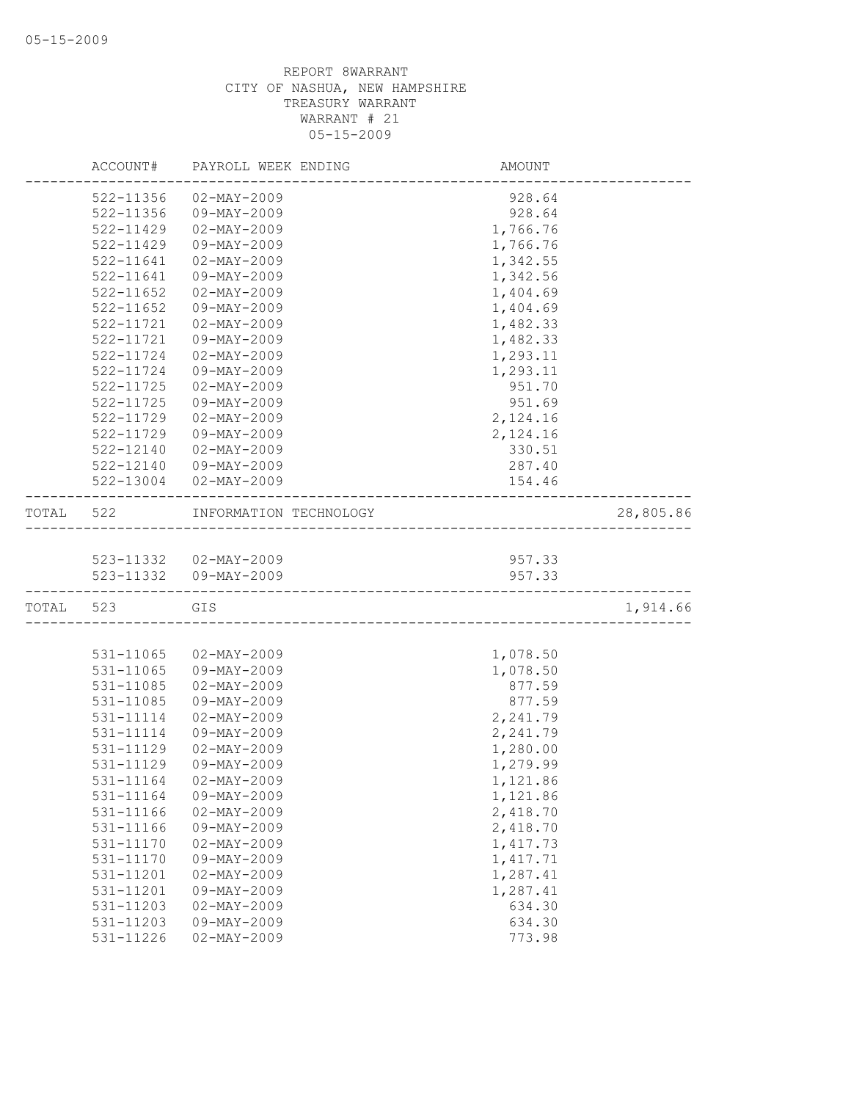|           | ACCOUNT#      | PAYROLL WEEK ENDING                      | AMOUNT                            |           |
|-----------|---------------|------------------------------------------|-----------------------------------|-----------|
|           | 522-11356     | $02 - MAX - 2009$                        | 928.64                            |           |
|           | 522-11356     | 09-MAY-2009                              | 928.64                            |           |
|           | 522-11429     | $02 - MAX - 2009$                        | 1,766.76                          |           |
|           | 522-11429     | 09-MAY-2009                              | 1,766.76                          |           |
|           | 522-11641     | $02 - MAY - 2009$                        | 1,342.55                          |           |
|           | $522 - 11641$ | 09-MAY-2009                              | 1,342.56                          |           |
|           | 522-11652     | $02 - MAX - 2009$                        | 1,404.69                          |           |
|           | $522 - 11652$ | 09-MAY-2009                              | 1,404.69                          |           |
|           | 522-11721     | $02 - MAX - 2009$                        | 1,482.33                          |           |
|           | 522-11721     | 09-MAY-2009                              | 1,482.33                          |           |
|           | 522-11724     | $02 - MAX - 2009$                        | 1,293.11                          |           |
|           | 522-11724     | 09-MAY-2009                              | 1,293.11                          |           |
|           | 522-11725     | $02 - MAX - 2009$                        | 951.70                            |           |
|           | 522-11725     | 09-MAY-2009                              | 951.69                            |           |
|           | 522-11729     | $02 - MAX - 2009$                        | 2,124.16                          |           |
|           | 522-11729     | 09-MAY-2009                              | 2,124.16                          |           |
|           | $522 - 12140$ | $02 - MAX - 2009$                        | 330.51                            |           |
|           | 522-12140     | 09-MAY-2009                              | 287.40                            |           |
|           |               | 522-13004 02-MAY-2009                    | 154.46                            |           |
|           |               |                                          |                                   |           |
| TOTAL     | 522           | INFORMATION TECHNOLOGY                   | _________________________________ | 28,805.86 |
|           |               |                                          |                                   |           |
|           |               | 523-11332  02-MAY-2009                   | 957.33                            |           |
|           |               | 523-11332  09-MAY-2009                   | 957.33                            |           |
| TOTAL 523 |               | GIS<br>_________________________________ |                                   | 1,914.66  |
|           |               |                                          |                                   |           |
|           | 531-11065     | $02 - MAX - 2009$                        | 1,078.50                          |           |
|           | 531-11065     | 09-MAY-2009                              | 1,078.50                          |           |
|           | 531-11085     | $02 - MAX - 2009$                        | 877.59                            |           |
|           | 531-11085     | 09-MAY-2009                              | 877.59                            |           |
|           | 531-11114     | $02 - MAX - 2009$                        | 2,241.79                          |           |
|           | 531-11114     | 09-MAY-2009                              | 2,241.79                          |           |
|           | 531-11129     | 02-MAY-2009                              | 1,280.00                          |           |
|           | 531-11129     | 09-MAY-2009                              | 1,279.99                          |           |
|           | 531-11164     | 02-MAY-2009                              | 1,121.86                          |           |
|           | 531-11164     | $09 - MAY - 2009$                        | 1,121.86                          |           |
|           | 531-11166     | $02 - MAX - 2009$                        | 2,418.70                          |           |
|           | 531-11166     | 09-MAY-2009                              | 2,418.70                          |           |
|           | 531-11170     | $02 - MAX - 2009$                        | 1,417.73                          |           |
|           | 531-11170     | 09-MAY-2009                              | 1, 417.71                         |           |
|           | 531-11201     | $02 - MAX - 2009$                        | 1,287.41                          |           |
|           | 531-11201     | 09-MAY-2009                              | 1,287.41                          |           |
|           | 531-11203     | $02 - MAX - 2009$                        | 634.30                            |           |
|           | 531-11203     | $09 - MAX - 2009$                        | 634.30                            |           |
|           | 531-11226     | $02 - MAY - 2009$                        | 773.98                            |           |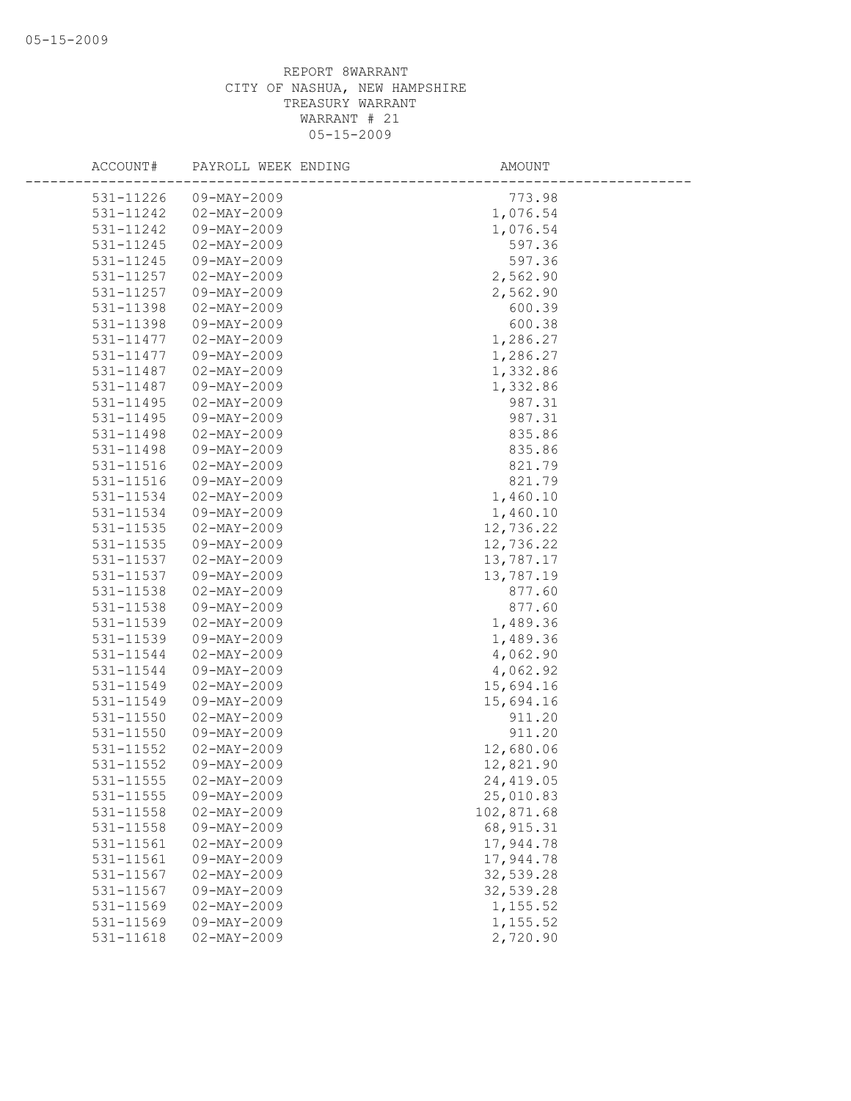| ACCOUNT#      | PAYROLL WEEK ENDING | AMOUNT     |
|---------------|---------------------|------------|
| 531-11226     | 09-MAY-2009         | 773.98     |
| 531-11242     | $02 - MAX - 2009$   | 1,076.54   |
| 531-11242     | 09-MAY-2009         | 1,076.54   |
| 531-11245     | $02 - MAX - 2009$   | 597.36     |
| 531-11245     | 09-MAY-2009         | 597.36     |
| 531-11257     | $02 - MAX - 2009$   | 2,562.90   |
| 531-11257     | 09-MAY-2009         | 2,562.90   |
| 531-11398     | $02 - MAX - 2009$   | 600.39     |
| 531-11398     | 09-MAY-2009         | 600.38     |
| 531-11477     | $02 - MAX - 2009$   | 1,286.27   |
| 531-11477     | 09-MAY-2009         | 1,286.27   |
| 531-11487     | $02 - MAX - 2009$   | 1,332.86   |
| 531-11487     | 09-MAY-2009         | 1,332.86   |
| 531-11495     | $02 - MAY - 2009$   | 987.31     |
| 531-11495     | 09-MAY-2009         | 987.31     |
| 531-11498     | $02 - MAX - 2009$   | 835.86     |
| 531-11498     | $09 - MAX - 2009$   | 835.86     |
| 531-11516     | $02 - MAX - 2009$   | 821.79     |
| 531-11516     | 09-MAY-2009         | 821.79     |
| 531-11534     | $02 - MAY - 2009$   | 1,460.10   |
| 531-11534     | 09-MAY-2009         | 1,460.10   |
| 531-11535     | $02 - MAY - 2009$   | 12,736.22  |
| 531-11535     | 09-MAY-2009         | 12,736.22  |
| 531-11537     | $02 - MAX - 2009$   | 13,787.17  |
| 531-11537     | 09-MAY-2009         | 13,787.19  |
| 531-11538     | $02 - MAX - 2009$   | 877.60     |
| 531-11538     | 09-MAY-2009         | 877.60     |
| 531-11539     | $02 - MAX - 2009$   | 1,489.36   |
| 531-11539     | $09 - MAY - 2009$   | 1,489.36   |
| 531-11544     | $02 - MAX - 2009$   | 4,062.90   |
| 531-11544     | 09-MAY-2009         | 4,062.92   |
| 531-11549     | $02 - MAY - 2009$   | 15,694.16  |
| 531-11549     | 09-MAY-2009         | 15,694.16  |
| 531-11550     | $02 - MAX - 2009$   | 911.20     |
| 531-11550     | $09 - MAX - 2009$   | 911.20     |
| 531-11552     | $02 - MAY - 2009$   | 12,680.06  |
| 531-11552     | 09-MAY-2009         | 12,821.90  |
| 531-11555     | $02 - MAX - 2009$   | 24, 419.05 |
| 531-11555     | 09-MAY-2009         | 25,010.83  |
| $531 - 11558$ | $02 - MAX - 2009$   | 102,871.68 |
| 531-11558     | 09-MAY-2009         | 68, 915.31 |
| 531-11561     | $02 - MAX - 2009$   | 17,944.78  |
| 531-11561     | 09-MAY-2009         | 17,944.78  |
| 531-11567     | $02 - MAX - 2009$   | 32,539.28  |
| 531-11567     | $09 - MAX - 2009$   | 32,539.28  |
| 531-11569     | $02 - MAX - 2009$   | 1,155.52   |
| 531-11569     | 09-MAY-2009         | 1,155.52   |
| 531-11618     | $02 - MAX - 2009$   | 2,720.90   |
|               |                     |            |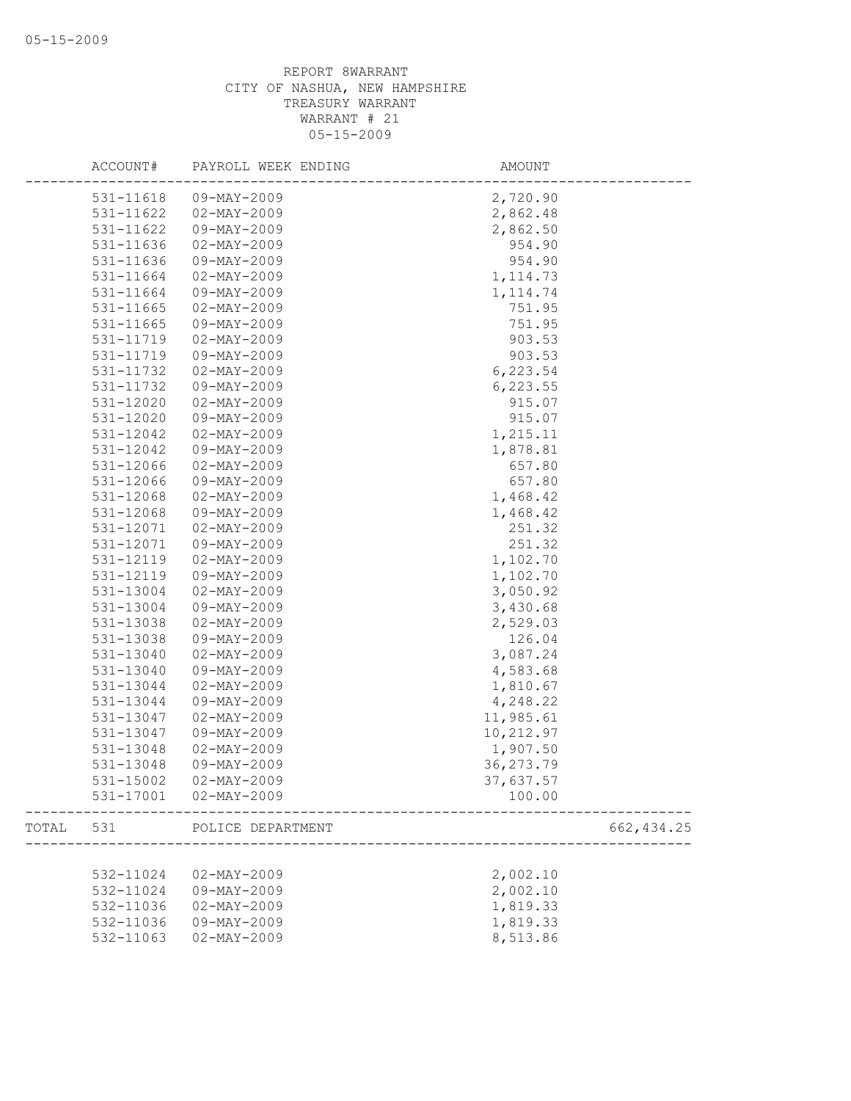|       | ACCOUNT#  | PAYROLL WEEK ENDING      | AMOUNT    |             |
|-------|-----------|--------------------------|-----------|-------------|
|       | 531-11618 | 09-MAY-2009              | 2,720.90  |             |
|       | 531-11622 | $02 - MAX - 2009$        | 2,862.48  |             |
|       | 531-11622 | 09-MAY-2009              | 2,862.50  |             |
|       | 531-11636 | $02 - MAX - 2009$        | 954.90    |             |
|       | 531-11636 | 09-MAY-2009              | 954.90    |             |
|       | 531-11664 | $02 - MAX - 2009$        | 1, 114.73 |             |
|       | 531-11664 | 09-MAY-2009              | 1, 114.74 |             |
|       | 531-11665 | $02 - MAX - 2009$        | 751.95    |             |
|       | 531-11665 | 09-MAY-2009              | 751.95    |             |
|       | 531-11719 | $02 - MAX - 2009$        | 903.53    |             |
|       | 531-11719 | 09-MAY-2009              | 903.53    |             |
|       | 531-11732 | $02 - MAX - 2009$        | 6,223.54  |             |
|       | 531-11732 | 09-MAY-2009              | 6, 223.55 |             |
|       | 531-12020 | $02 - MAY - 2009$        | 915.07    |             |
|       | 531-12020 | 09-MAY-2009              | 915.07    |             |
|       | 531-12042 | $02 - \text{MAY} - 2009$ | 1,215.11  |             |
|       | 531-12042 | 09-MAY-2009              | 1,878.81  |             |
|       | 531-12066 | $02 - MAX - 2009$        | 657.80    |             |
|       | 531-12066 | 09-MAY-2009              | 657.80    |             |
|       | 531-12068 | $02 - MAX - 2009$        | 1,468.42  |             |
|       | 531-12068 | 09-MAY-2009              | 1,468.42  |             |
|       | 531-12071 | $02 - MAX - 2009$        | 251.32    |             |
|       | 531-12071 | 09-MAY-2009              | 251.32    |             |
|       | 531-12119 | $02 - MAX - 2009$        | 1,102.70  |             |
|       | 531-12119 | 09-MAY-2009              | 1,102.70  |             |
|       | 531-13004 | $02 - MAX - 2009$        | 3,050.92  |             |
|       | 531-13004 | 09-MAY-2009              | 3,430.68  |             |
|       | 531-13038 | $02 - MAY - 2009$        | 2,529.03  |             |
|       | 531-13038 | 09-MAY-2009              | 126.04    |             |
|       | 531-13040 | $02 - MAX - 2009$        | 3,087.24  |             |
|       | 531-13040 | 09-MAY-2009              | 4,583.68  |             |
|       | 531-13044 | $02 - MAY - 2009$        | 1,810.67  |             |
|       | 531-13044 | 09-MAY-2009              | 4,248.22  |             |
|       | 531-13047 | $02 - MAX - 2009$        | 11,985.61 |             |
|       | 531-13047 | $09 - MAX - 2009$        | 10,212.97 |             |
|       | 531-13048 | $02 - MAY - 2009$        | 1,907.50  |             |
|       | 531-13048 | 09-MAY-2009              | 36,273.79 |             |
|       | 531-15002 | $02 - MAX - 2009$        | 37,637.57 |             |
|       | 531-17001 | $02 - MAY - 2009$        | 100.00    |             |
| TOTAL | 531       | POLICE DEPARTMENT        |           | 662, 434.25 |
|       |           |                          |           |             |
|       | 532-11024 | $02 - MAX - 2009$        | 2,002.10  |             |
|       | 532-11024 | 09-MAY-2009              | 2,002.10  |             |
|       | 532-11036 | $02 - MAX - 2009$        | 1,819.33  |             |
|       | 532-11036 | 09-MAY-2009              | 1,819.33  |             |
|       | 532-11063 | $02 - MAX - 2009$        | 8,513.86  |             |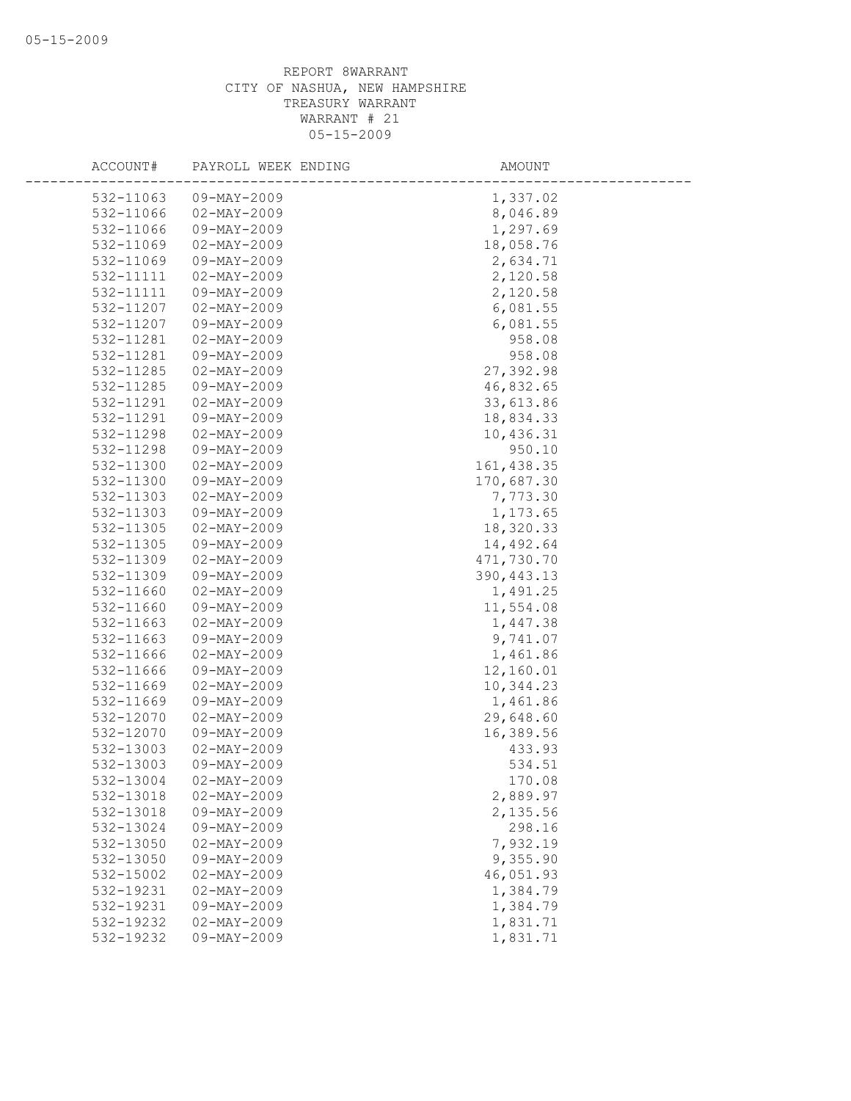| ACCOUNT#  | PAYROLL WEEK ENDING | AMOUNT      |
|-----------|---------------------|-------------|
| 532-11063 | $09 - MAX - 2009$   | 1,337.02    |
| 532-11066 | $02 - MAX - 2009$   | 8,046.89    |
| 532-11066 | 09-MAY-2009         | 1,297.69    |
| 532-11069 | $02 - MAY - 2009$   | 18,058.76   |
| 532-11069 | 09-MAY-2009         | 2,634.71    |
| 532-11111 | $02 - MAX - 2009$   | 2,120.58    |
| 532-11111 | 09-MAY-2009         | 2,120.58    |
| 532-11207 | $02 - MAX - 2009$   | 6,081.55    |
| 532-11207 | 09-MAY-2009         | 6,081.55    |
| 532-11281 | $02 - MAX - 2009$   | 958.08      |
| 532-11281 | 09-MAY-2009         | 958.08      |
| 532-11285 | $02 - MAX - 2009$   | 27,392.98   |
| 532-11285 | 09-MAY-2009         | 46,832.65   |
| 532-11291 | $02 - MAX - 2009$   | 33,613.86   |
| 532-11291 | 09-MAY-2009         | 18,834.33   |
| 532-11298 | $02 - MAX - 2009$   | 10,436.31   |
| 532-11298 | 09-MAY-2009         | 950.10      |
| 532-11300 | $02 - MAY - 2009$   | 161, 438.35 |
| 532-11300 | 09-MAY-2009         | 170,687.30  |
| 532-11303 | $02 - MAX - 2009$   | 7,773.30    |
| 532-11303 | 09-MAY-2009         | 1,173.65    |
| 532-11305 | $02 - MAY - 2009$   | 18,320.33   |
| 532-11305 | 09-MAY-2009         | 14,492.64   |
| 532-11309 | $02 - MAX - 2009$   | 471,730.70  |
| 532-11309 | 09-MAY-2009         | 390, 443.13 |
| 532-11660 | $02 - MAX - 2009$   | 1,491.25    |
| 532-11660 | $09 - MAY - 2009$   | 11,554.08   |
| 532-11663 | $02 - MAY - 2009$   | 1,447.38    |
| 532-11663 | $09 - MAY - 2009$   | 9,741.07    |
| 532-11666 | $02 - MAX - 2009$   | 1,461.86    |
| 532-11666 | 09-MAY-2009         | 12,160.01   |
| 532-11669 | $02 - MAY - 2009$   | 10,344.23   |
| 532-11669 | 09-MAY-2009         | 1,461.86    |
| 532-12070 | $02 - MAX - 2009$   | 29,648.60   |
| 532-12070 | 09-MAY-2009         | 16,389.56   |
| 532-13003 | $02 - MAX - 2009$   | 433.93      |
| 532-13003 | 09-MAY-2009         | 534.51      |
| 532-13004 | $02 - MAX - 2009$   | 170.08      |
| 532-13018 | $02 - MAY - 2009$   | 2,889.97    |
| 532-13018 | $09 - MAY - 2009$   | 2,135.56    |
| 532-13024 | 09-MAY-2009         | 298.16      |
| 532-13050 | $02 - MAX - 2009$   | 7,932.19    |
| 532-13050 | 09-MAY-2009         | 9,355.90    |
| 532-15002 | $02 - MAX - 2009$   | 46,051.93   |
| 532-19231 | $02 - MAX - 2009$   | 1,384.79    |
| 532-19231 | 09-MAY-2009         | 1,384.79    |
| 532-19232 | $02 - MAX - 2009$   | 1,831.71    |
| 532-19232 | $09 - MAY - 2009$   | 1,831.71    |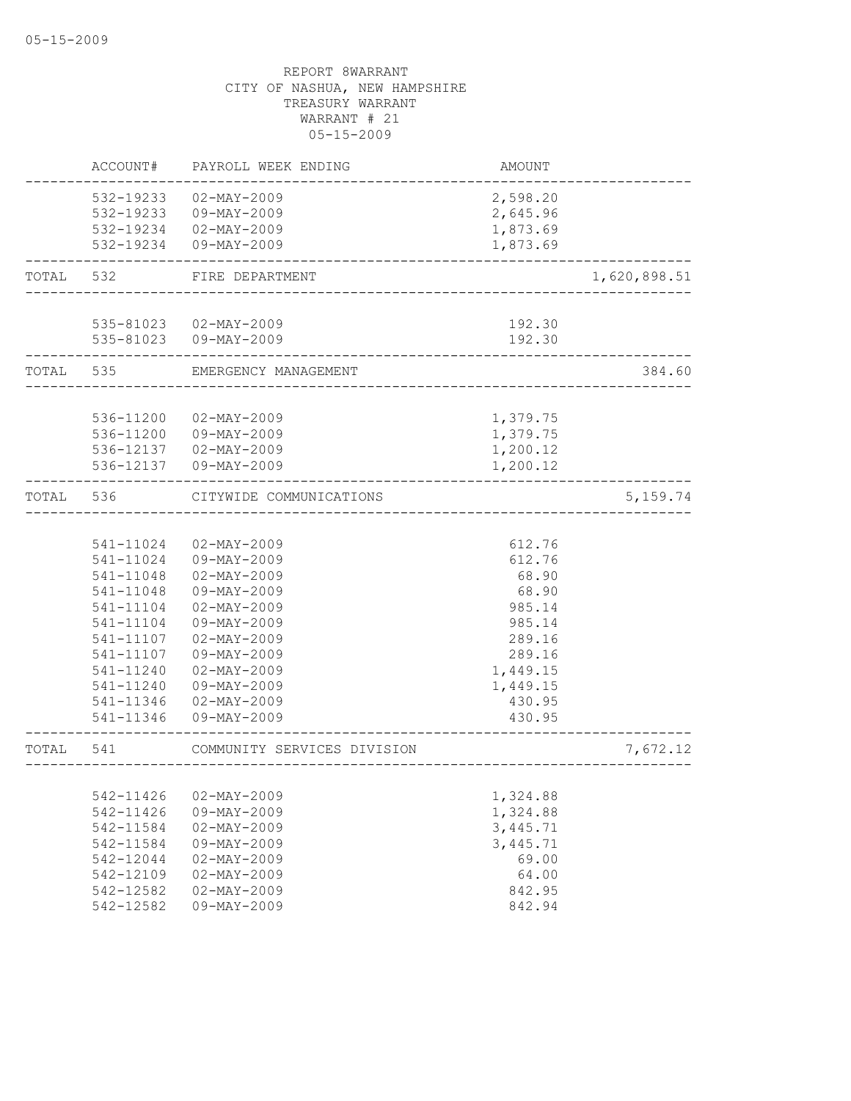|           | ACCOUNT#               | PAYROLL WEEK ENDING                           | AMOUNT               |              |
|-----------|------------------------|-----------------------------------------------|----------------------|--------------|
|           | 532-19233              | $02 - MAX - 2009$                             | 2,598.20             |              |
|           | 532-19233              | 09-MAY-2009                                   | 2,645.96             |              |
|           |                        | 532-19234 02-MAY-2009                         | 1,873.69             |              |
|           |                        | 532-19234 09-MAY-2009                         | 1,873.69             |              |
| TOTAL     | 532                    | FIRE DEPARTMENT                               |                      | 1,620,898.51 |
|           |                        | 535-81023  02-MAY-2009                        | 192.30               |              |
|           |                        | 535-81023 09-MAY-2009<br>____________________ | 192.30               |              |
| TOTAL 535 |                        | EMERGENCY MANAGEMENT                          |                      | 384.60       |
|           |                        |                                               |                      |              |
|           | 536-11200              | $02 - MAX - 2009$<br>09-MAY-2009              | 1,379.75             |              |
|           | 536-11200<br>536-12137 | 02-MAY-2009                                   | 1,379.75<br>1,200.12 |              |
|           | 536-12137              | 09-MAY-2009                                   | 1,200.12             |              |
| TOTAL     | 536                    | CITYWIDE COMMUNICATIONS                       |                      | 5, 159.74    |
|           |                        |                                               |                      |              |
|           | 541-11024              | 02-MAY-2009                                   | 612.76               |              |
|           | 541-11024              | 09-MAY-2009                                   | 612.76               |              |
|           | 541-11048              | $02 - MAX - 2009$                             | 68.90                |              |
|           | 541-11048              | $09 - MAX - 2009$                             | 68.90                |              |
|           | 541-11104              | $02 - MAX - 2009$                             | 985.14               |              |
|           | 541-11104              | 09-MAY-2009                                   | 985.14               |              |
|           | 541-11107              | $02 - MAX - 2009$                             | 289.16               |              |
|           | 541-11107              | $09 - MAX - 2009$                             | 289.16               |              |
|           | 541-11240              | $02 - MAX - 2009$                             | 1,449.15             |              |
|           | 541-11240              | 09-MAY-2009<br>$02 - MAX - 2009$              | 1,449.15             |              |
|           | 541-11346<br>541-11346 | $09 - MAY - 2009$                             | 430.95<br>430.95     |              |
| TOTAL     | 541                    | COMMUNITY SERVICES DIVISION                   |                      | 7,672.12     |
|           |                        |                                               |                      |              |
|           | 542-11426              | $02 - MAY - 2009$                             | 1,324.88             |              |
|           | 542-11426              | $09 - MAY - 2009$                             | 1,324.88             |              |
|           | 542-11584              | $02 - MAX - 2009$                             | 3,445.71             |              |
|           | 542-11584              | 09-MAY-2009                                   | 3,445.71             |              |
|           | 542-12044              | $02 - MAX - 2009$                             | 69.00                |              |
|           | 542-12109              | $02 - MAX - 2009$                             | 64.00                |              |
|           | 542-12582              | $02 - MAX - 2009$                             | 842.95               |              |
|           | 542-12582              | 09-MAY-2009                                   | 842.94               |              |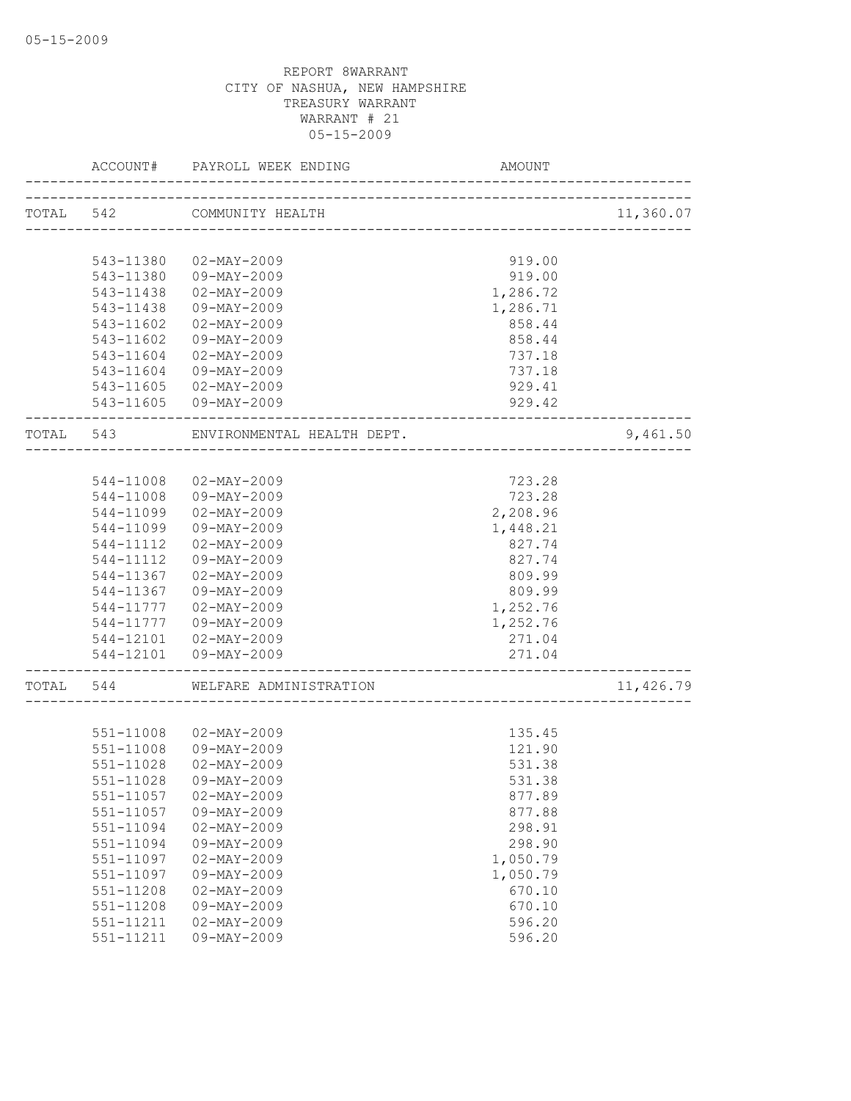|           | ACCOUNT#  | PAYROLL WEEK ENDING        | AMOUNT                                |           |
|-----------|-----------|----------------------------|---------------------------------------|-----------|
|           | TOTAL 542 | COMMUNITY HEALTH           | H<br>-------------------------------- | 11,360.07 |
|           |           |                            |                                       |           |
|           | 543-11380 | 02-MAY-2009                | 919.00                                |           |
|           | 543-11380 | 09-MAY-2009                | 919.00                                |           |
|           | 543-11438 | $02 - MAX - 2009$          | 1,286.72                              |           |
|           | 543-11438 | 09-MAY-2009                | 1,286.71                              |           |
|           | 543-11602 | $02 - MAX - 2009$          | 858.44                                |           |
|           | 543-11602 | 09-MAY-2009                | 858.44                                |           |
|           | 543-11604 | $02 - \text{MAX} - 2009$   | 737.18                                |           |
|           |           | 543-11604 09-MAY-2009      | 737.18                                |           |
|           |           | 543-11605 02-MAY-2009      | 929.41                                |           |
|           |           | 543-11605 09-MAY-2009      | 929.42                                |           |
| TOTAL 543 |           | ENVIRONMENTAL HEALTH DEPT. |                                       | 9,461.50  |
|           |           |                            |                                       |           |
|           | 544-11008 | 02-MAY-2009                | 723.28                                |           |
|           | 544-11008 | 09-MAY-2009                | 723.28                                |           |
|           | 544-11099 | 02-MAY-2009                | 2,208.96                              |           |
|           | 544-11099 | 09-MAY-2009                | 1,448.21                              |           |
|           | 544-11112 | $02 - MAX - 2009$          | 827.74                                |           |
|           | 544-11112 | 09-MAY-2009                | 827.74                                |           |
|           | 544-11367 | 02-MAY-2009                | 809.99                                |           |
|           | 544-11367 | 09-MAY-2009                | 809.99                                |           |
|           | 544-11777 | $02 - MAX - 2009$          | 1,252.76                              |           |
|           | 544-11777 | 09-MAY-2009                | 1,252.76                              |           |
|           |           | 544-12101  02-MAY-2009     | 271.04                                |           |
|           |           | 544-12101  09-MAY-2009     | 271.04                                |           |
| TOTAL 544 |           | WELFARE ADMINISTRATION     |                                       | 11,426.79 |
|           |           |                            |                                       |           |
|           |           | 551-11008 02-MAY-2009      | 135.45                                |           |
|           | 551-11008 | 09-MAY-2009                | 121.90                                |           |
|           | 551-11028 | $02 - MAX - 2009$          | 531.38                                |           |
|           |           | 551-11028 09-MAY-2009      | 531.38                                |           |
|           | 551-11057 | $02 - MAX - 2009$          | 877.89                                |           |
|           | 551-11057 | $09 - MAY - 2009$          | 877.88                                |           |
|           | 551-11094 | $02 - MAY - 2009$          | 298.91                                |           |
|           | 551-11094 | 09-MAY-2009                | 298.90                                |           |
|           | 551-11097 | $02 - MAX - 2009$          | 1,050.79                              |           |
|           | 551-11097 | $09 - MAY - 2009$          | 1,050.79                              |           |
|           | 551-11208 | $02 - MAX - 2009$          | 670.10                                |           |
|           | 551-11208 | 09-MAY-2009                | 670.10                                |           |
|           | 551-11211 | $02 - MAX - 2009$          | 596.20                                |           |
|           | 551-11211 | 09-MAY-2009                | 596.20                                |           |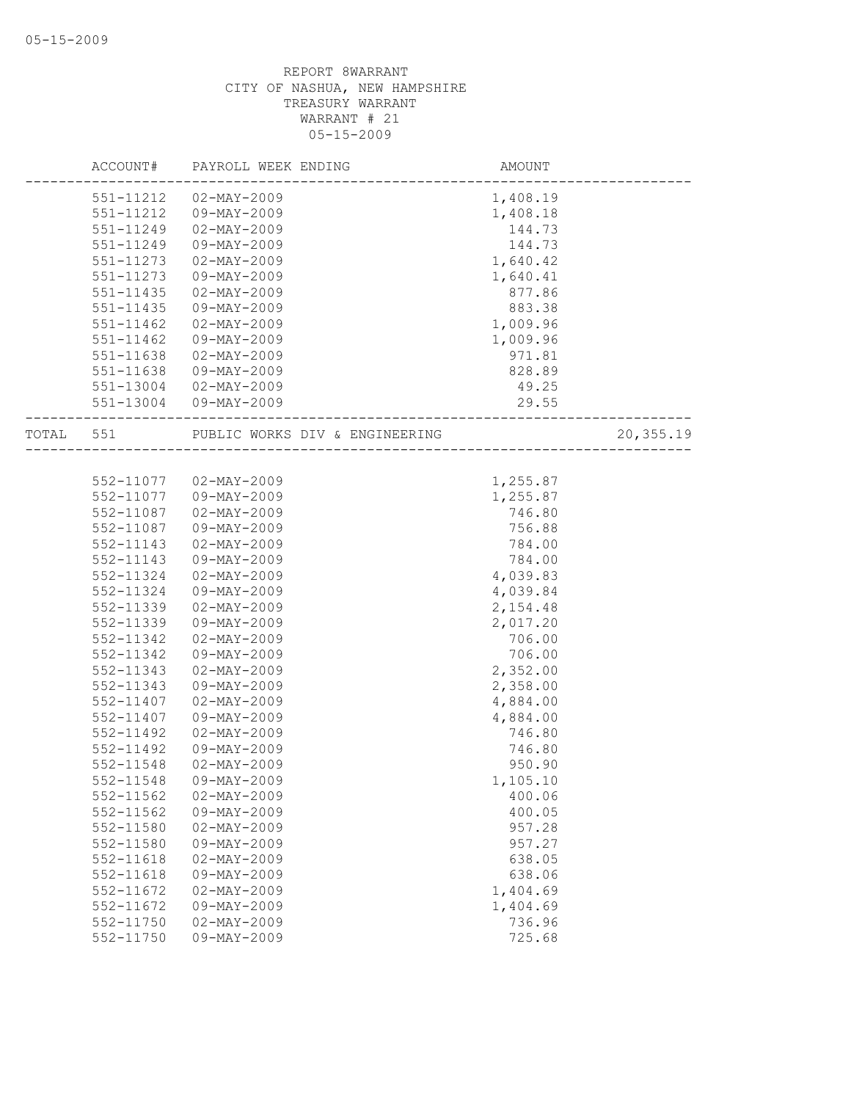|           | ACCOUNT#      | PAYROLL WEEK ENDING            | AMOUNT   |           |
|-----------|---------------|--------------------------------|----------|-----------|
|           | 551-11212     | $02 - \text{MAX} - 2009$       | 1,408.19 |           |
|           | 551-11212     | 09-MAY-2009                    | 1,408.18 |           |
|           | 551-11249     | $02 - MAX - 2009$              | 144.73   |           |
|           | 551-11249     | 09-MAY-2009                    | 144.73   |           |
|           | 551-11273     | $02 - MAX - 2009$              | 1,640.42 |           |
|           | 551-11273     | 09-MAY-2009                    | 1,640.41 |           |
|           | 551-11435     | $02 - MAY - 2009$              | 877.86   |           |
|           | 551-11435     | $09 - MAY - 2009$              | 883.38   |           |
|           | 551-11462     | $02 - MAX - 2009$              | 1,009.96 |           |
|           | 551-11462     | 09-MAY-2009                    | 1,009.96 |           |
|           | 551-11638     | 02-MAY-2009                    | 971.81   |           |
|           | 551-11638     | 09-MAY-2009                    | 828.89   |           |
|           | 551-13004     | 02-MAY-2009                    | 49.25    |           |
|           |               | 551-13004 09-MAY-2009          | 29.55    |           |
| TOTAL 551 |               | PUBLIC WORKS DIV & ENGINEERING |          | 20,355.19 |
|           |               |                                |          |           |
|           |               | 552-11077 02-MAY-2009          | 1,255.87 |           |
|           |               | 552-11077 09-MAY-2009          | 1,255.87 |           |
|           | 552-11087     | 02-MAY-2009                    | 746.80   |           |
|           | 552-11087     | 09-MAY-2009                    | 756.88   |           |
|           | $552 - 11143$ | $02 - MAX - 2009$              | 784.00   |           |
|           | 552-11143     | 09-MAY-2009                    | 784.00   |           |
|           | 552-11324     | $02 - MAX - 2009$              | 4,039.83 |           |
|           | 552-11324     | 09-MAY-2009                    | 4,039.84 |           |
|           | 552-11339     | $02 - MAX - 2009$              | 2,154.48 |           |
|           | 552-11339     | 09-MAY-2009                    | 2,017.20 |           |
|           | 552-11342     | $02 - MAX - 2009$              | 706.00   |           |
|           | 552-11342     | 09-MAY-2009                    | 706.00   |           |
|           | 552-11343     | $02 - MAX - 2009$              | 2,352.00 |           |
|           | 552-11343     | 09-MAY-2009                    | 2,358.00 |           |
|           | 552-11407     | $02 - MAX - 2009$              | 4,884.00 |           |
|           | 552-11407     | 09-MAY-2009                    | 4,884.00 |           |
|           | 552-11492     | $02 - MAX - 2009$              | 746.80   |           |
|           | 552-11492     | $09 - MAY - 2009$              | 746.80   |           |
|           | 552-11548     | $02 - MAX - 2009$              | 950.90   |           |
|           | 552-11548     | 09-MAY-2009                    | 1,105.10 |           |
|           | 552-11562     | $02 - MAX - 2009$              | 400.06   |           |
|           | $552 - 11562$ | 09-MAY-2009                    | 400.05   |           |
|           | 552-11580     | $02 - MAX - 2009$              | 957.28   |           |
|           | 552-11580     | 09-MAY-2009                    | 957.27   |           |
|           | 552-11618     | $02 - MAY - 2009$              | 638.05   |           |
|           | 552-11618     | $09 - MAY - 2009$              | 638.06   |           |
|           | 552-11672     | $02 - MAX - 2009$              | 1,404.69 |           |
|           | 552-11672     | 09-MAY-2009                    | 1,404.69 |           |
|           | 552-11750     | $02 - MAX - 2009$              | 736.96   |           |
|           | $552 - 11750$ | 09-MAY-2009                    | 725.68   |           |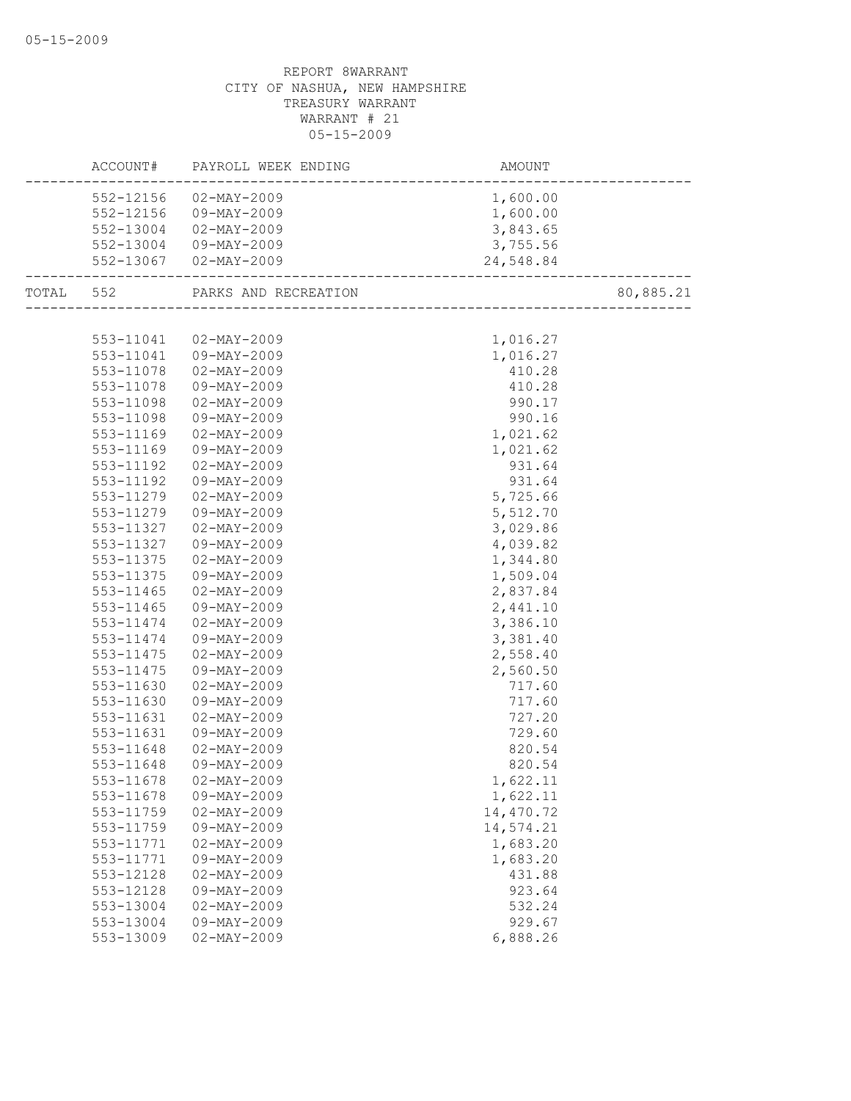|           | ACCOUNT# PAYROLL WEEK ENDING     |                                              |           |
|-----------|----------------------------------|----------------------------------------------|-----------|
|           | 552-12156 02-MAY-2009            | 1,600.00                                     |           |
|           | 552-12156 09-MAY-2009            | 1,600.00                                     |           |
|           | 552-13004 02-MAY-2009            | 3,843.65                                     |           |
|           | 552-13004 09-MAY-2009            | 3,755.56                                     |           |
|           | 552-13067 02-MAY-2009            | 24,548.84<br>------------------------------- |           |
|           | TOTAL 552 PARKS AND RECREATION   |                                              | 80,885.21 |
|           |                                  |                                              |           |
|           | 553-11041  02-MAY-2009           | 1,016.27                                     |           |
|           | 553-11041  09-MAY-2009           | 1,016.27                                     |           |
|           | 553-11078  02-MAY-2009           | 410.28                                       |           |
| 553-11078 | 09-MAY-2009                      | 410.28                                       |           |
| 553-11098 | 02-MAY-2009                      | 990.17                                       |           |
| 553-11098 | 09-MAY-2009                      | 990.16                                       |           |
| 553-11169 | 02-MAY-2009                      | 1,021.62                                     |           |
| 553-11169 | 09-MAY-2009                      | 1,021.62                                     |           |
| 553-11192 | $02 - MAX - 2009$                | 931.64                                       |           |
| 553-11192 | 09-MAY-2009                      | 931.64                                       |           |
| 553-11279 | 02-MAY-2009                      | 5,725.66                                     |           |
| 553-11279 | 09-MAY-2009                      | 5,512.70                                     |           |
| 553-11327 | 02-MAY-2009                      | 3,029.86                                     |           |
| 553-11327 | 09-MAY-2009                      | 4,039.82                                     |           |
| 553-11375 | $02 - MAX - 2009$                | 1,344.80                                     |           |
| 553-11375 | 09-MAY-2009                      | 1,509.04                                     |           |
| 553-11465 | 02-MAY-2009                      | 2,837.84                                     |           |
| 553-11465 | 09-MAY-2009                      | 2,441.10                                     |           |
| 553-11474 | 02-MAY-2009                      | 3,386.10                                     |           |
| 553-11474 | 09-MAY-2009                      | 3,381.40                                     |           |
| 553-11475 | 02-MAY-2009                      | 2,558.40                                     |           |
| 553-11475 | 09-MAY-2009                      | 2,560.50                                     |           |
| 553-11630 | 02-MAY-2009                      | 717.60                                       |           |
| 553-11630 | 09-MAY-2009                      | 717.60                                       |           |
| 553-11631 | 02-MAY-2009                      | 727.20                                       |           |
| 553-11631 | 09-MAY-2009                      | 729.60                                       |           |
| 553-11648 | 02-MAY-2009                      | 820.54                                       |           |
| 553-11648 | 09-MAY-2009                      | 820.54                                       |           |
|           | 553-11678 02-MAY-2009            | 1,622.11                                     |           |
| 553-11678 | 09-MAY-2009                      | 1,622.11                                     |           |
| 553-11759 | $02 - MAX - 2009$                | 14,470.72                                    |           |
| 553-11759 | $09 - MAY - 2009$                | 14,574.21                                    |           |
| 553-11771 | $02 - MAX - 2009$                | 1,683.20                                     |           |
| 553-11771 | 09-MAY-2009                      | 1,683.20                                     |           |
| 553-12128 | $02 - MAX - 2009$                | 431.88                                       |           |
| 553-12128 | $09 - MAY - 2009$                | 923.64                                       |           |
| 553-13004 | $02 - MAX - 2009$                | 532.24                                       |           |
| 553-13004 | 09-MAY-2009<br>$02 - MAY - 2009$ | 929.67                                       |           |
| 553-13009 |                                  | 6,888.26                                     |           |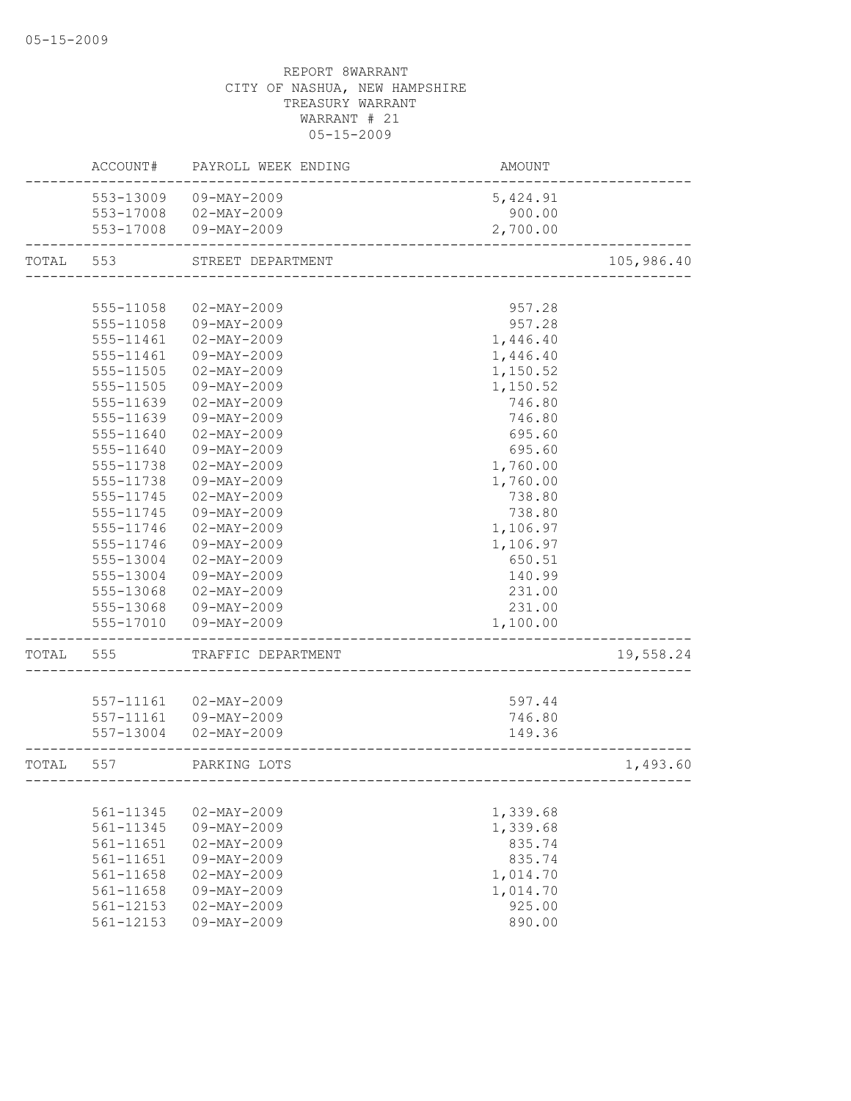|       | ACCOUNT#      | PAYROLL WEEK ENDING                            | AMOUNT             |            |
|-------|---------------|------------------------------------------------|--------------------|------------|
|       |               | 553-13009 09-MAY-2009                          | 5,424.91           |            |
|       |               | 553-17008 02-MAY-2009                          | 900.00             |            |
|       |               | 553-17008 09-MAY-2009                          | 2,700.00           |            |
| TOTAL | 553           | STREET DEPARTMENT                              |                    | 105,986.40 |
|       |               |                                                |                    |            |
|       | 555-11058     | $02 - MAX - 2009$                              | 957.28             |            |
|       | 555-11058     | 09-MAY-2009                                    | 957.28             |            |
|       | 555-11461     | $02 - MAX - 2009$                              | 1,446.40           |            |
|       | 555-11461     | 09-MAY-2009                                    | 1,446.40           |            |
|       | 555-11505     | $02 - MAX - 2009$                              | 1,150.52           |            |
|       | 555-11505     | $09 - MAX - 2009$                              | 1,150.52           |            |
|       | 555-11639     | $02 - MAX - 2009$                              | 746.80             |            |
|       | 555-11639     | 09-MAY-2009                                    | 746.80             |            |
|       | 555-11640     | $02 - MAX - 2009$                              | 695.60             |            |
|       | 555-11640     | 09-MAY-2009                                    | 695.60             |            |
|       | 555-11738     | $02 - MAX - 2009$                              | 1,760.00           |            |
|       | 555-11738     | $09 - MAY - 2009$                              | 1,760.00           |            |
|       | 555-11745     | $02 - MAY - 2009$                              | 738.80             |            |
|       | 555-11745     | $09 - MAY - 2009$                              | 738.80             |            |
|       | 555-11746     | $02 - MAX - 2009$                              | 1,106.97           |            |
|       | 555-11746     | 09-MAY-2009                                    | 1,106.97           |            |
|       | 555-13004     | $02 - MAX - 2009$                              | 650.51             |            |
|       | 555-13004     | 09-MAY-2009                                    | 140.99             |            |
|       | 555-13068     | 02-MAY-2009                                    | 231.00             |            |
|       |               | 555-13068 09-MAY-2009<br>555-17010 09-MAY-2009 | 231.00<br>1,100.00 |            |
|       |               |                                                |                    |            |
| TOTAL | 555           | TRAFFIC DEPARTMENT                             |                    | 19,558.24  |
|       |               |                                                |                    |            |
|       |               | 557-11161 02-MAY-2009                          | 597.44             |            |
|       | 557-11161     | 09-MAY-2009                                    | 746.80             |            |
|       | 557-13004     | $02 - MAX - 2009$                              | 149.36             |            |
| TOTAL | 557           | PARKING LOTS                                   |                    | 1,493.60   |
|       |               |                                                |                    |            |
|       | 561-11345     | $02 - MAX - 2009$                              | 1,339.68           |            |
|       | 561-11345     | $09 - MAX - 2009$                              | 1,339.68           |            |
|       | 561-11651     | $02 - MAX - 2009$                              | 835.74             |            |
|       | $561 - 11651$ | 09-MAY-2009                                    | 835.74             |            |
|       | 561-11658     | $02 - MAX - 2009$                              | 1,014.70           |            |
|       | 561-11658     | $09 - MAX - 2009$                              | 1,014.70           |            |
|       | 561-12153     | $02 - \text{MAX} - 2009$                       | 925.00             |            |
|       | 561-12153     | 09-MAY-2009                                    | 890.00             |            |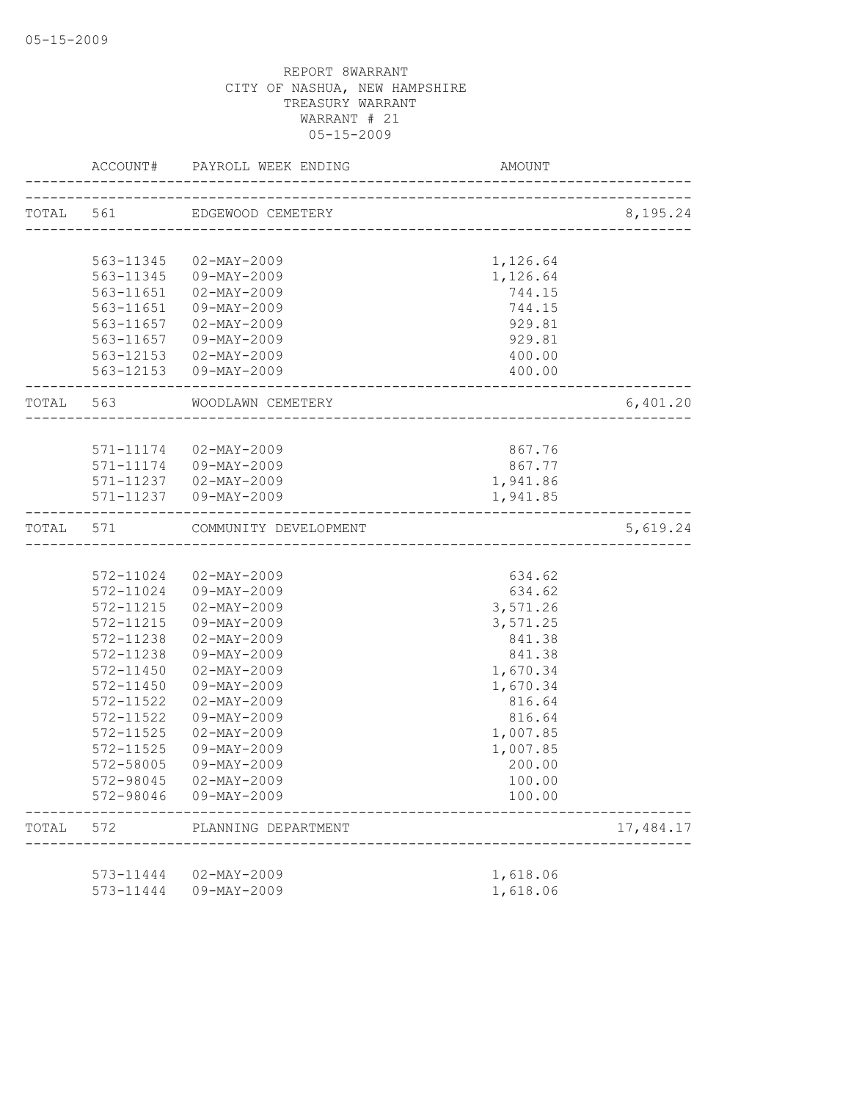|           | ACCOUNT#      | PAYROLL WEEK ENDING    | AMOUNT                                 |           |
|-----------|---------------|------------------------|----------------------------------------|-----------|
| TOTAL 561 |               | EDGEWOOD CEMETERY      |                                        | 8,195.24  |
|           |               |                        | -------------------------------------- |           |
|           | 563-11345     | 02-MAY-2009            | 1,126.64                               |           |
|           | 563-11345     | 09-MAY-2009            | 1,126.64                               |           |
|           | 563-11651     | 02-MAY-2009            | 744.15                                 |           |
|           | 563-11651     | 09-MAY-2009            | 744.15                                 |           |
|           | 563-11657     | 02-MAY-2009            | 929.81                                 |           |
|           |               | 563-11657 09-MAY-2009  | 929.81                                 |           |
|           |               | 563-12153 02-MAY-2009  | 400.00                                 |           |
|           |               | 563-12153 09-MAY-2009  | 400.00                                 |           |
| TOTAL 563 |               | WOODLAWN CEMETERY      |                                        | 6,401.20  |
|           |               |                        |                                        |           |
|           |               | 571-11174 02-MAY-2009  | 867.76                                 |           |
|           |               | 571-11174 09-MAY-2009  | 867.77                                 |           |
|           |               | 571-11237  02-MAY-2009 | 1,941.86                               |           |
|           |               | 571-11237 09-MAY-2009  | 1,941.85                               |           |
| TOTAL 571 |               | COMMUNITY DEVELOPMENT  | ______________________________________ | 5,619.24  |
|           |               |                        |                                        |           |
|           | 572-11024     | 02-MAY-2009            | 634.62                                 |           |
|           | 572-11024     | 09-MAY-2009            | 634.62                                 |           |
|           | 572-11215     | 02-MAY-2009            | 3,571.26                               |           |
|           | 572-11215     | 09-MAY-2009            | 3,571.25                               |           |
|           | 572-11238     | 02-MAY-2009            | 841.38                                 |           |
|           | 572-11238     | 09-MAY-2009            | 841.38                                 |           |
|           | 572-11450     | $02 - MAX - 2009$      | 1,670.34                               |           |
|           | 572-11450     | 09-MAY-2009            | 1,670.34                               |           |
|           | 572-11522     | $02 - MAX - 2009$      | 816.64                                 |           |
|           | 572-11522     | 09-MAY-2009            | 816.64                                 |           |
|           | $572 - 11525$ | $02 - MAX - 2009$      | 1,007.85                               |           |
|           | 572-11525     | 09-MAY-2009            | 1,007.85                               |           |
|           | 572-58005     | 09-MAY-2009            | 200.00                                 |           |
|           | 572-98045     | 02-MAY-2009            | 100.00                                 |           |
|           | 572-98046     | 09-MAY-2009            | 100.00                                 |           |
| TOTAL     | 572           | PLANNING DEPARTMENT    |                                        | 17,484.17 |
|           |               |                        |                                        |           |
|           | 573-11444     | 02-MAY-2009            | 1,618.06                               |           |
|           | 573-11444     | $09 - MAY - 2009$      | 1,618.06                               |           |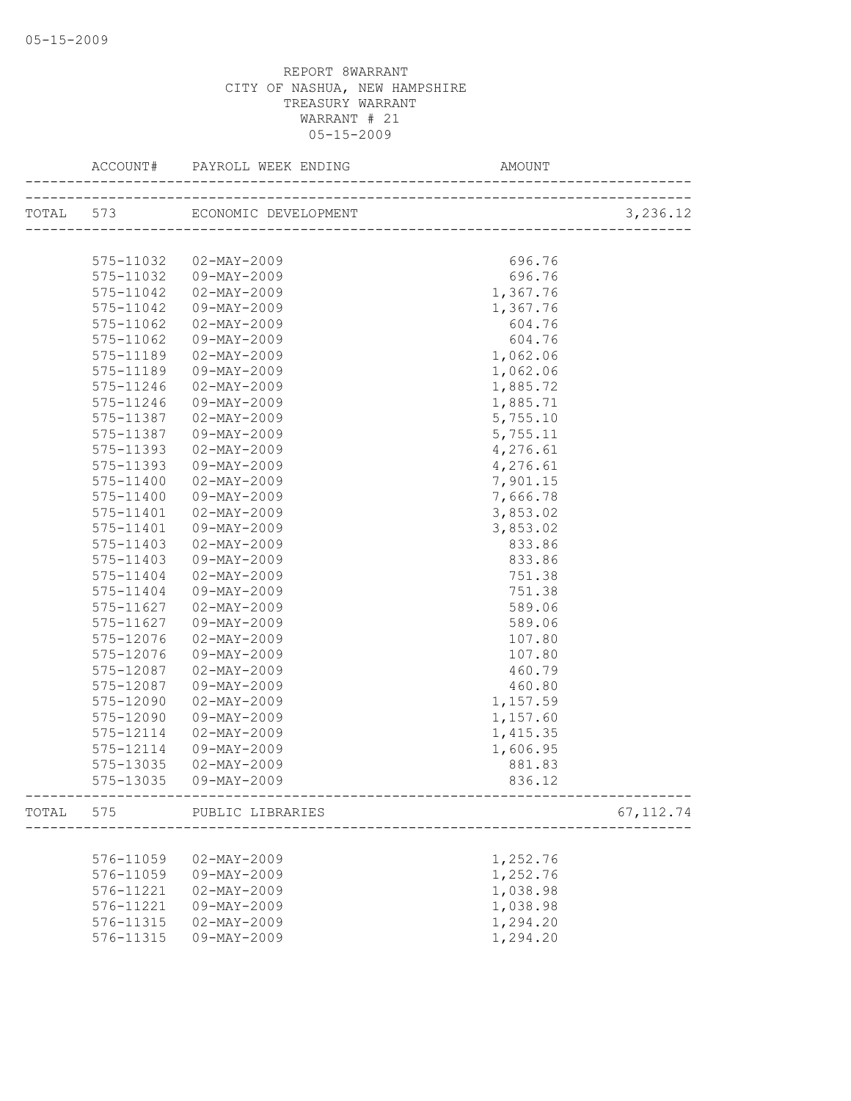| TOTAL 573 ECONOMIC DEVELOPMENT<br>______________________________<br>696.76<br>575-11032<br>02-MAY-2009<br>09-MAY-2009<br>696.76<br>575-11032<br>1,367.76<br>575-11042<br>02-MAY-2009<br>1,367.76<br>575-11042<br>09-MAY-2009<br>575-11062<br>02-MAY-2009<br>604.76<br>575-11062<br>604.76<br>09-MAY-2009<br>1,062.06<br>575-11189<br>02-MAY-2009<br>575-11189<br>1,062.06<br>09-MAY-2009<br>575-11246<br>02-MAY-2009<br>1,885.72<br>575-11246<br>09-MAY-2009<br>1,885.71<br>02-MAY-2009<br>5,755.10<br>575-11387<br>5,755.11<br>575-11387<br>09-MAY-2009<br>4,276.61<br>575-11393<br>$02 - MAX - 2009$<br>4,276.61<br>575-11393<br>09-MAY-2009<br>7,901.15<br>575-11400<br>$02 - MAX - 2009$<br>7,666.78<br>575-11400<br>09-MAY-2009<br>3,853.02<br>575-11401<br>02-MAY-2009<br>575-11401<br>09-MAY-2009<br>3,853.02<br>575-11403<br>02-MAY-2009<br>833.86<br>09-MAY-2009<br>833.86<br>575-11403<br>575-11404<br>$02 - MAX - 2009$<br>751.38<br>751.38<br>575-11404<br>09-MAY-2009<br>575-11627<br>02-MAY-2009<br>589.06<br>575-11627<br>09-MAY-2009<br>589.06<br>575-12076<br>02-MAY-2009<br>107.80<br>575-12076<br>09-MAY-2009<br>107.80<br>575-12087<br>02-MAY-2009<br>460.79<br>575-12087<br>09-MAY-2009<br>460.80<br>575-12090<br>$02 - MAX - 2009$<br>1,157.59<br>1,157.60<br>575-12090<br>09-MAY-2009<br>575-12114<br>1,415.35<br>$02 - MAX - 2009$<br>1,606.95<br>575-12114<br>09-MAY-2009<br>881.83<br>575-13035<br>$02 - MAX - 2009$<br>575-13035 09-MAY-2009<br>836.12<br>------------------------------------<br>TOTAL 575<br>67, 112.74<br>PUBLIC LIBRARIES<br>576-11059<br>$02 - MAY - 2009$<br>1,252.76<br>09-MAY-2009<br>1,252.76<br>576-11059<br>1,038.98<br>576-11221<br>$02 - MAX - 2009$ | ACCOUNT#  |             | AMOUNT   |          |
|--------------------------------------------------------------------------------------------------------------------------------------------------------------------------------------------------------------------------------------------------------------------------------------------------------------------------------------------------------------------------------------------------------------------------------------------------------------------------------------------------------------------------------------------------------------------------------------------------------------------------------------------------------------------------------------------------------------------------------------------------------------------------------------------------------------------------------------------------------------------------------------------------------------------------------------------------------------------------------------------------------------------------------------------------------------------------------------------------------------------------------------------------------------------------------------------------------------------------------------------------------------------------------------------------------------------------------------------------------------------------------------------------------------------------------------------------------------------------------------------------------------------------------------------------------------------------------------------------------------------------------------------------------------------------------------------------------------|-----------|-------------|----------|----------|
|                                                                                                                                                                                                                                                                                                                                                                                                                                                                                                                                                                                                                                                                                                                                                                                                                                                                                                                                                                                                                                                                                                                                                                                                                                                                                                                                                                                                                                                                                                                                                                                                                                                                                                              |           |             |          | 3,236.12 |
|                                                                                                                                                                                                                                                                                                                                                                                                                                                                                                                                                                                                                                                                                                                                                                                                                                                                                                                                                                                                                                                                                                                                                                                                                                                                                                                                                                                                                                                                                                                                                                                                                                                                                                              |           |             |          |          |
|                                                                                                                                                                                                                                                                                                                                                                                                                                                                                                                                                                                                                                                                                                                                                                                                                                                                                                                                                                                                                                                                                                                                                                                                                                                                                                                                                                                                                                                                                                                                                                                                                                                                                                              |           |             |          |          |
|                                                                                                                                                                                                                                                                                                                                                                                                                                                                                                                                                                                                                                                                                                                                                                                                                                                                                                                                                                                                                                                                                                                                                                                                                                                                                                                                                                                                                                                                                                                                                                                                                                                                                                              |           |             |          |          |
|                                                                                                                                                                                                                                                                                                                                                                                                                                                                                                                                                                                                                                                                                                                                                                                                                                                                                                                                                                                                                                                                                                                                                                                                                                                                                                                                                                                                                                                                                                                                                                                                                                                                                                              |           |             |          |          |
|                                                                                                                                                                                                                                                                                                                                                                                                                                                                                                                                                                                                                                                                                                                                                                                                                                                                                                                                                                                                                                                                                                                                                                                                                                                                                                                                                                                                                                                                                                                                                                                                                                                                                                              |           |             |          |          |
|                                                                                                                                                                                                                                                                                                                                                                                                                                                                                                                                                                                                                                                                                                                                                                                                                                                                                                                                                                                                                                                                                                                                                                                                                                                                                                                                                                                                                                                                                                                                                                                                                                                                                                              |           |             |          |          |
|                                                                                                                                                                                                                                                                                                                                                                                                                                                                                                                                                                                                                                                                                                                                                                                                                                                                                                                                                                                                                                                                                                                                                                                                                                                                                                                                                                                                                                                                                                                                                                                                                                                                                                              |           |             |          |          |
|                                                                                                                                                                                                                                                                                                                                                                                                                                                                                                                                                                                                                                                                                                                                                                                                                                                                                                                                                                                                                                                                                                                                                                                                                                                                                                                                                                                                                                                                                                                                                                                                                                                                                                              |           |             |          |          |
|                                                                                                                                                                                                                                                                                                                                                                                                                                                                                                                                                                                                                                                                                                                                                                                                                                                                                                                                                                                                                                                                                                                                                                                                                                                                                                                                                                                                                                                                                                                                                                                                                                                                                                              |           |             |          |          |
|                                                                                                                                                                                                                                                                                                                                                                                                                                                                                                                                                                                                                                                                                                                                                                                                                                                                                                                                                                                                                                                                                                                                                                                                                                                                                                                                                                                                                                                                                                                                                                                                                                                                                                              |           |             |          |          |
|                                                                                                                                                                                                                                                                                                                                                                                                                                                                                                                                                                                                                                                                                                                                                                                                                                                                                                                                                                                                                                                                                                                                                                                                                                                                                                                                                                                                                                                                                                                                                                                                                                                                                                              |           |             |          |          |
|                                                                                                                                                                                                                                                                                                                                                                                                                                                                                                                                                                                                                                                                                                                                                                                                                                                                                                                                                                                                                                                                                                                                                                                                                                                                                                                                                                                                                                                                                                                                                                                                                                                                                                              |           |             |          |          |
|                                                                                                                                                                                                                                                                                                                                                                                                                                                                                                                                                                                                                                                                                                                                                                                                                                                                                                                                                                                                                                                                                                                                                                                                                                                                                                                                                                                                                                                                                                                                                                                                                                                                                                              |           |             |          |          |
|                                                                                                                                                                                                                                                                                                                                                                                                                                                                                                                                                                                                                                                                                                                                                                                                                                                                                                                                                                                                                                                                                                                                                                                                                                                                                                                                                                                                                                                                                                                                                                                                                                                                                                              |           |             |          |          |
|                                                                                                                                                                                                                                                                                                                                                                                                                                                                                                                                                                                                                                                                                                                                                                                                                                                                                                                                                                                                                                                                                                                                                                                                                                                                                                                                                                                                                                                                                                                                                                                                                                                                                                              |           |             |          |          |
|                                                                                                                                                                                                                                                                                                                                                                                                                                                                                                                                                                                                                                                                                                                                                                                                                                                                                                                                                                                                                                                                                                                                                                                                                                                                                                                                                                                                                                                                                                                                                                                                                                                                                                              |           |             |          |          |
|                                                                                                                                                                                                                                                                                                                                                                                                                                                                                                                                                                                                                                                                                                                                                                                                                                                                                                                                                                                                                                                                                                                                                                                                                                                                                                                                                                                                                                                                                                                                                                                                                                                                                                              |           |             |          |          |
|                                                                                                                                                                                                                                                                                                                                                                                                                                                                                                                                                                                                                                                                                                                                                                                                                                                                                                                                                                                                                                                                                                                                                                                                                                                                                                                                                                                                                                                                                                                                                                                                                                                                                                              |           |             |          |          |
|                                                                                                                                                                                                                                                                                                                                                                                                                                                                                                                                                                                                                                                                                                                                                                                                                                                                                                                                                                                                                                                                                                                                                                                                                                                                                                                                                                                                                                                                                                                                                                                                                                                                                                              |           |             |          |          |
|                                                                                                                                                                                                                                                                                                                                                                                                                                                                                                                                                                                                                                                                                                                                                                                                                                                                                                                                                                                                                                                                                                                                                                                                                                                                                                                                                                                                                                                                                                                                                                                                                                                                                                              |           |             |          |          |
|                                                                                                                                                                                                                                                                                                                                                                                                                                                                                                                                                                                                                                                                                                                                                                                                                                                                                                                                                                                                                                                                                                                                                                                                                                                                                                                                                                                                                                                                                                                                                                                                                                                                                                              |           |             |          |          |
|                                                                                                                                                                                                                                                                                                                                                                                                                                                                                                                                                                                                                                                                                                                                                                                                                                                                                                                                                                                                                                                                                                                                                                                                                                                                                                                                                                                                                                                                                                                                                                                                                                                                                                              |           |             |          |          |
|                                                                                                                                                                                                                                                                                                                                                                                                                                                                                                                                                                                                                                                                                                                                                                                                                                                                                                                                                                                                                                                                                                                                                                                                                                                                                                                                                                                                                                                                                                                                                                                                                                                                                                              |           |             |          |          |
|                                                                                                                                                                                                                                                                                                                                                                                                                                                                                                                                                                                                                                                                                                                                                                                                                                                                                                                                                                                                                                                                                                                                                                                                                                                                                                                                                                                                                                                                                                                                                                                                                                                                                                              |           |             |          |          |
|                                                                                                                                                                                                                                                                                                                                                                                                                                                                                                                                                                                                                                                                                                                                                                                                                                                                                                                                                                                                                                                                                                                                                                                                                                                                                                                                                                                                                                                                                                                                                                                                                                                                                                              |           |             |          |          |
|                                                                                                                                                                                                                                                                                                                                                                                                                                                                                                                                                                                                                                                                                                                                                                                                                                                                                                                                                                                                                                                                                                                                                                                                                                                                                                                                                                                                                                                                                                                                                                                                                                                                                                              |           |             |          |          |
|                                                                                                                                                                                                                                                                                                                                                                                                                                                                                                                                                                                                                                                                                                                                                                                                                                                                                                                                                                                                                                                                                                                                                                                                                                                                                                                                                                                                                                                                                                                                                                                                                                                                                                              |           |             |          |          |
|                                                                                                                                                                                                                                                                                                                                                                                                                                                                                                                                                                                                                                                                                                                                                                                                                                                                                                                                                                                                                                                                                                                                                                                                                                                                                                                                                                                                                                                                                                                                                                                                                                                                                                              |           |             |          |          |
|                                                                                                                                                                                                                                                                                                                                                                                                                                                                                                                                                                                                                                                                                                                                                                                                                                                                                                                                                                                                                                                                                                                                                                                                                                                                                                                                                                                                                                                                                                                                                                                                                                                                                                              |           |             |          |          |
|                                                                                                                                                                                                                                                                                                                                                                                                                                                                                                                                                                                                                                                                                                                                                                                                                                                                                                                                                                                                                                                                                                                                                                                                                                                                                                                                                                                                                                                                                                                                                                                                                                                                                                              |           |             |          |          |
|                                                                                                                                                                                                                                                                                                                                                                                                                                                                                                                                                                                                                                                                                                                                                                                                                                                                                                                                                                                                                                                                                                                                                                                                                                                                                                                                                                                                                                                                                                                                                                                                                                                                                                              |           |             |          |          |
|                                                                                                                                                                                                                                                                                                                                                                                                                                                                                                                                                                                                                                                                                                                                                                                                                                                                                                                                                                                                                                                                                                                                                                                                                                                                                                                                                                                                                                                                                                                                                                                                                                                                                                              |           |             |          |          |
|                                                                                                                                                                                                                                                                                                                                                                                                                                                                                                                                                                                                                                                                                                                                                                                                                                                                                                                                                                                                                                                                                                                                                                                                                                                                                                                                                                                                                                                                                                                                                                                                                                                                                                              |           |             |          |          |
|                                                                                                                                                                                                                                                                                                                                                                                                                                                                                                                                                                                                                                                                                                                                                                                                                                                                                                                                                                                                                                                                                                                                                                                                                                                                                                                                                                                                                                                                                                                                                                                                                                                                                                              |           |             |          |          |
|                                                                                                                                                                                                                                                                                                                                                                                                                                                                                                                                                                                                                                                                                                                                                                                                                                                                                                                                                                                                                                                                                                                                                                                                                                                                                                                                                                                                                                                                                                                                                                                                                                                                                                              |           |             |          |          |
|                                                                                                                                                                                                                                                                                                                                                                                                                                                                                                                                                                                                                                                                                                                                                                                                                                                                                                                                                                                                                                                                                                                                                                                                                                                                                                                                                                                                                                                                                                                                                                                                                                                                                                              |           |             |          |          |
|                                                                                                                                                                                                                                                                                                                                                                                                                                                                                                                                                                                                                                                                                                                                                                                                                                                                                                                                                                                                                                                                                                                                                                                                                                                                                                                                                                                                                                                                                                                                                                                                                                                                                                              |           |             |          |          |
|                                                                                                                                                                                                                                                                                                                                                                                                                                                                                                                                                                                                                                                                                                                                                                                                                                                                                                                                                                                                                                                                                                                                                                                                                                                                                                                                                                                                                                                                                                                                                                                                                                                                                                              |           |             |          |          |
|                                                                                                                                                                                                                                                                                                                                                                                                                                                                                                                                                                                                                                                                                                                                                                                                                                                                                                                                                                                                                                                                                                                                                                                                                                                                                                                                                                                                                                                                                                                                                                                                                                                                                                              |           |             |          |          |
|                                                                                                                                                                                                                                                                                                                                                                                                                                                                                                                                                                                                                                                                                                                                                                                                                                                                                                                                                                                                                                                                                                                                                                                                                                                                                                                                                                                                                                                                                                                                                                                                                                                                                                              |           |             |          |          |
|                                                                                                                                                                                                                                                                                                                                                                                                                                                                                                                                                                                                                                                                                                                                                                                                                                                                                                                                                                                                                                                                                                                                                                                                                                                                                                                                                                                                                                                                                                                                                                                                                                                                                                              | 576-11221 | 09-MAY-2009 | 1,038.98 |          |
| 1,294.20<br>576-11315<br>$02 - MAX - 2009$                                                                                                                                                                                                                                                                                                                                                                                                                                                                                                                                                                                                                                                                                                                                                                                                                                                                                                                                                                                                                                                                                                                                                                                                                                                                                                                                                                                                                                                                                                                                                                                                                                                                   |           |             |          |          |
| 1,294.20<br>576-11315<br>09-MAY-2009                                                                                                                                                                                                                                                                                                                                                                                                                                                                                                                                                                                                                                                                                                                                                                                                                                                                                                                                                                                                                                                                                                                                                                                                                                                                                                                                                                                                                                                                                                                                                                                                                                                                         |           |             |          |          |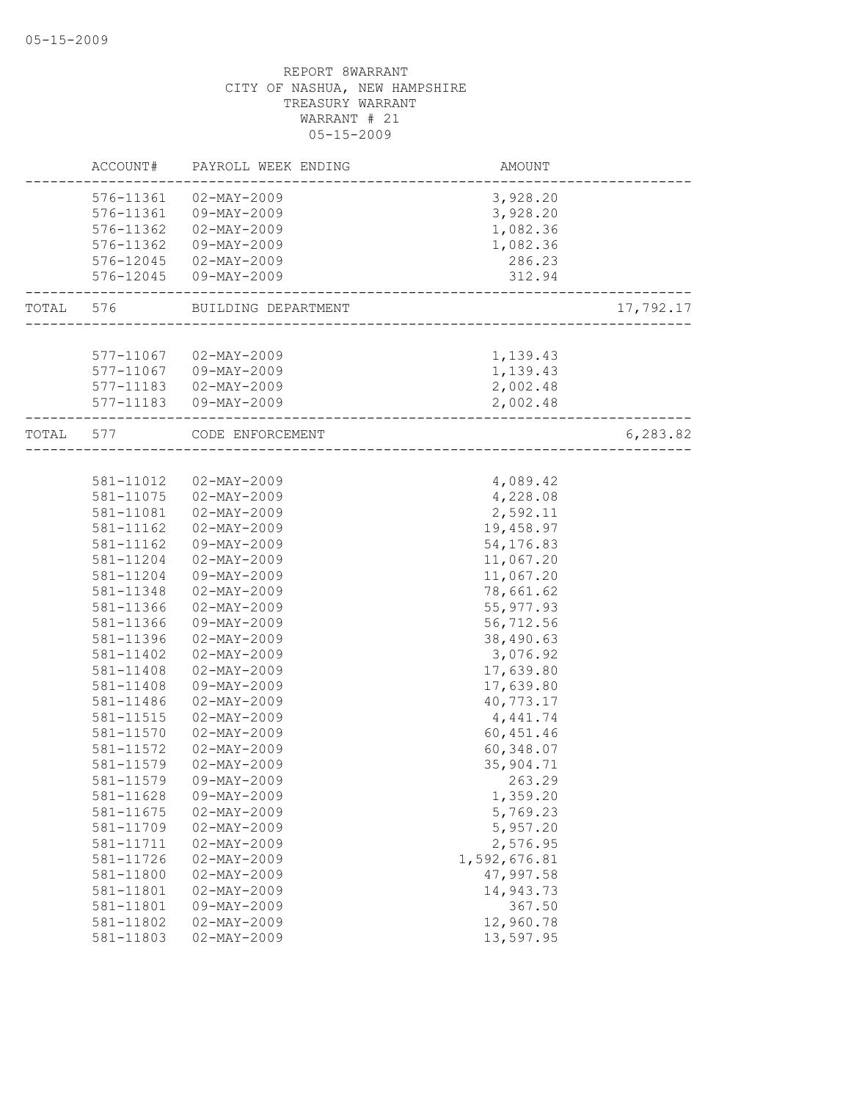|           | ACCOUNT#  | PAYROLL WEEK ENDING      | <b>AMOUNT</b>             |           |
|-----------|-----------|--------------------------|---------------------------|-----------|
|           |           | 576-11361 02-MAY-2009    | 3,928.20                  |           |
|           |           | 576-11361 09-MAY-2009    | 3,928.20                  |           |
|           |           | 576-11362  02-MAY-2009   | 1,082.36                  |           |
|           | 576-11362 | 09-MAY-2009              | 1,082.36                  |           |
|           |           | 576-12045 02-MAY-2009    | 286.23                    |           |
|           | 576-12045 | 09-MAY-2009              | 312.94                    |           |
| TOTAL 576 |           | BUILDING DEPARTMENT      | _________________________ | 17,792.17 |
|           |           |                          |                           |           |
|           |           | 577-11067 02-MAY-2009    | 1,139.43                  |           |
|           |           | 577-11067 09-MAY-2009    | 1,139.43                  |           |
|           |           | 577-11183  02-MAY-2009   | 2,002.48                  |           |
|           |           | 577-11183  09-MAY-2009   | 2,002.48                  |           |
| TOTAL 577 |           | CODE ENFORCEMENT         | _________________         | 6, 283.82 |
|           |           |                          |                           |           |
|           | 581-11012 | $02 - \text{MAX} - 2009$ | 4,089.42                  |           |
|           | 581-11075 | $02 - MAX - 2009$        | 4,228.08                  |           |
|           | 581-11081 | $02 - MAX - 2009$        | 2,592.11                  |           |
|           | 581-11162 | $02 - MAX - 2009$        | 19,458.97                 |           |
|           | 581-11162 | 09-MAY-2009              | 54,176.83                 |           |
|           | 581-11204 | $02 - MAX - 2009$        | 11,067.20                 |           |
|           | 581-11204 | 09-MAY-2009              | 11,067.20                 |           |
|           | 581-11348 | $02 - MAX - 2009$        | 78,661.62                 |           |
|           | 581-11366 | $02 - MAX - 2009$        | 55, 977.93                |           |
|           | 581-11366 | 09-MAY-2009              | 56,712.56                 |           |
|           | 581-11396 | $02 - MAX - 2009$        | 38,490.63                 |           |
|           | 581-11402 | $02 - MAX - 2009$        | 3,076.92                  |           |
|           | 581-11408 | $02 - MAX - 2009$        | 17,639.80                 |           |
|           | 581-11408 | 09-MAY-2009              | 17,639.80                 |           |
|           | 581-11486 | $02 - MAX - 2009$        | 40,773.17                 |           |
|           | 581-11515 | $02 - MAX - 2009$        | 4,441.74                  |           |
|           | 581-11570 | $02 - MAX - 2009$        | 60, 451.46                |           |
|           | 581-11572 | $02 - MAX - 2009$        | 60,348.07                 |           |
|           | 581-11579 | $02 - MAX - 2009$        | 35,904.71                 |           |
|           | 581-11579 | 09-MAY-2009              | 263.29                    |           |
|           | 581-11628 | 09-MAY-2009              | 1,359.20                  |           |
|           | 581-11675 | $02 - MAX - 2009$        | 5,769.23                  |           |
|           | 581-11709 | $02 - MAX - 2009$        | 5,957.20                  |           |
|           | 581-11711 | $02 - MAY - 2009$        | 2,576.95                  |           |
|           | 581-11726 | $02 - MAX - 2009$        | 1,592,676.81              |           |
|           | 581-11800 | $02 - MAY - 2009$        | 47,997.58                 |           |
|           | 581-11801 | $02 - MAX - 2009$        | 14,943.73                 |           |
|           | 581-11801 | 09-MAY-2009              | 367.50                    |           |
|           | 581-11802 | $02 - MAX - 2009$        | 12,960.78                 |           |
|           | 581-11803 | $02 - MAX - 2009$        | 13,597.95                 |           |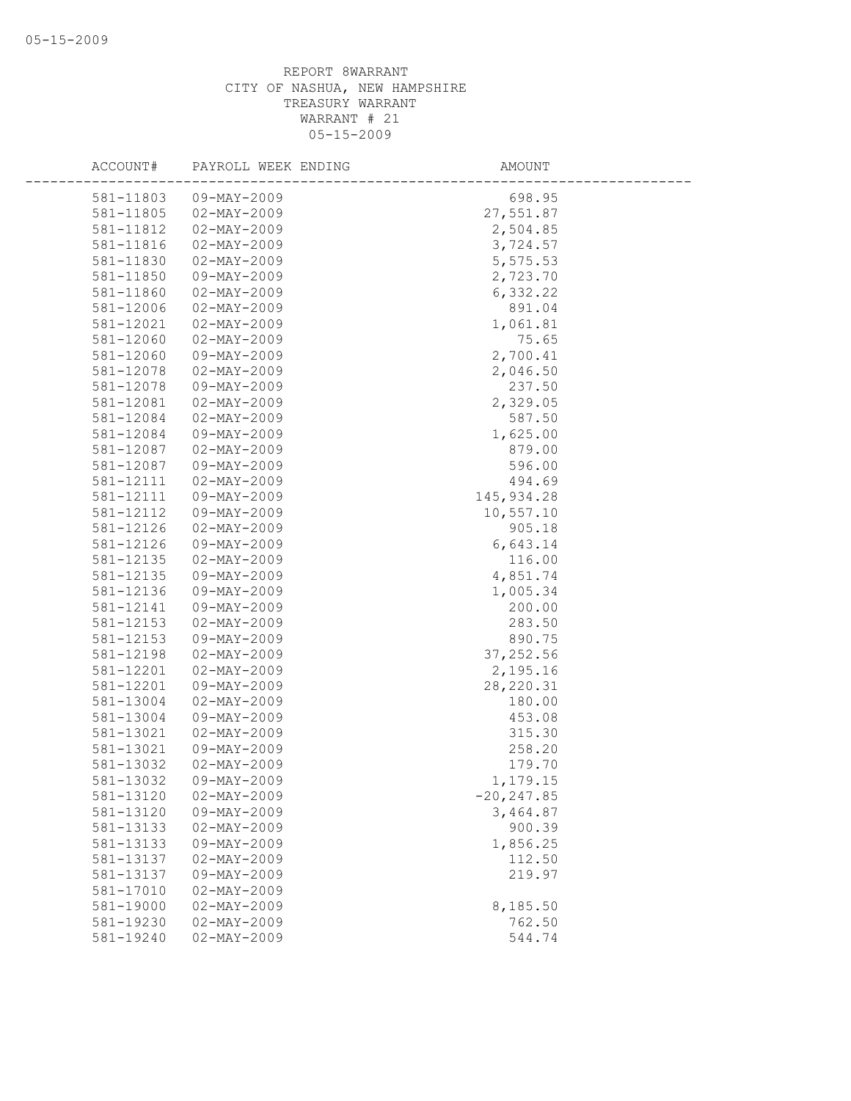| ACCOUNT#  | PAYROLL WEEK ENDING | AMOUNT        |
|-----------|---------------------|---------------|
| 581-11803 | 09-MAY-2009         | 698.95        |
| 581-11805 | $02 - MAX - 2009$   | 27,551.87     |
| 581-11812 | $02 - MAX - 2009$   | 2,504.85      |
| 581-11816 | $02 - MAY - 2009$   | 3,724.57      |
| 581-11830 | $02 - MAY - 2009$   | 5,575.53      |
| 581-11850 | 09-MAY-2009         | 2,723.70      |
| 581-11860 | $02 - MAY - 2009$   | 6,332.22      |
| 581-12006 | $02 - MAX - 2009$   | 891.04        |
| 581-12021 | $02 - MAY - 2009$   | 1,061.81      |
| 581-12060 | $02 - MAX - 2009$   | 75.65         |
| 581-12060 | 09-MAY-2009         | 2,700.41      |
| 581-12078 | $02 - MAX - 2009$   | 2,046.50      |
| 581-12078 | 09-MAY-2009         | 237.50        |
| 581-12081 | $02 - MAY - 2009$   | 2,329.05      |
| 581-12084 | $02 - MAY - 2009$   | 587.50        |
| 581-12084 | $09 - MAX - 2009$   | 1,625.00      |
| 581-12087 | $02 - MAX - 2009$   | 879.00        |
| 581-12087 | 09-MAY-2009         | 596.00        |
| 581-12111 | $02 - MAX - 2009$   | 494.69        |
| 581-12111 | 09-MAY-2009         | 145, 934.28   |
| 581-12112 | $09 - MAX - 2009$   | 10,557.10     |
| 581-12126 | $02 - MAY - 2009$   | 905.18        |
| 581-12126 | 09-MAY-2009         | 6,643.14      |
| 581-12135 | $02 - MAX - 2009$   | 116.00        |
| 581-12135 | 09-MAY-2009         | 4,851.74      |
| 581-12136 | 09-MAY-2009         | 1,005.34      |
| 581-12141 | 09-MAY-2009         | 200.00        |
| 581-12153 | $02 - MAX - 2009$   | 283.50        |
| 581-12153 | $09 - MAY - 2009$   | 890.75        |
| 581-12198 | $02 - MAX - 2009$   | 37, 252.56    |
| 581-12201 | $02 - MAX - 2009$   | 2,195.16      |
| 581-12201 | 09-MAY-2009         | 28, 220.31    |
| 581-13004 | $02 - MAY - 2009$   | 180.00        |
| 581-13004 | 09-MAY-2009         | 453.08        |
| 581-13021 | $02 - MAX - 2009$   | 315.30        |
| 581-13021 | 09-MAY-2009         | 258.20        |
| 581-13032 | $02 - MAX - 2009$   | 179.70        |
| 581-13032 | 09-MAY-2009         | 1,179.15      |
| 581-13120 | $02 - MAY - 2009$   | $-20, 247.85$ |
| 581-13120 | $09 - MAY - 2009$   | 3,464.87      |
| 581-13133 | $02 - MAX - 2009$   | 900.39        |
| 581-13133 | 09-MAY-2009         | 1,856.25      |
| 581-13137 | $02 - MAX - 2009$   | 112.50        |
| 581-13137 | 09-MAY-2009         | 219.97        |
| 581-17010 | $02 - MAX - 2009$   |               |
| 581-19000 | $02 - MAX - 2009$   | 8,185.50      |
| 581-19230 | $02 - MAX - 2009$   | 762.50        |
| 581-19240 | $02 - MAX - 2009$   | 544.74        |
|           |                     |               |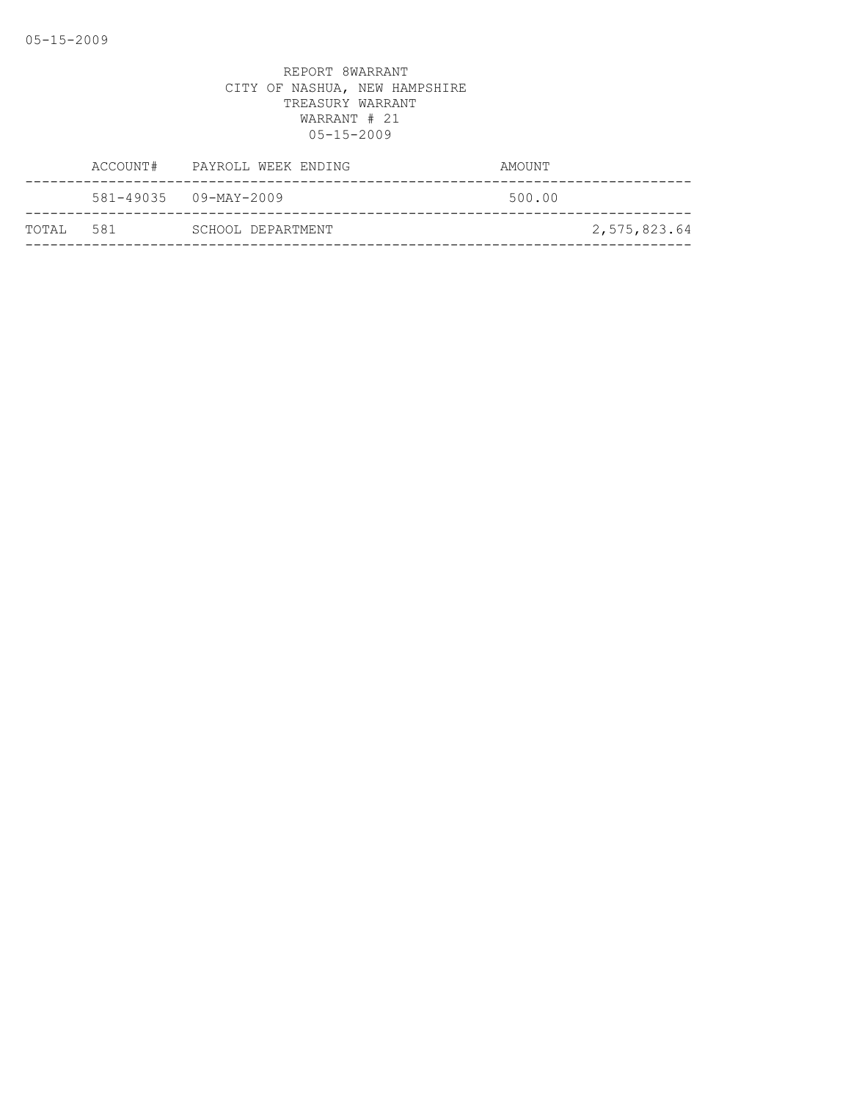|            | ACCOUNT# PAYROLL WEEK ENDING | AMOUNT |              |
|------------|------------------------------|--------|--------------|
|            | 581-49035 09-MAY-2009        | 500.00 |              |
| ТОТАІ. 581 | SCHOOL DEPARTMENT            |        | 2,575,823.64 |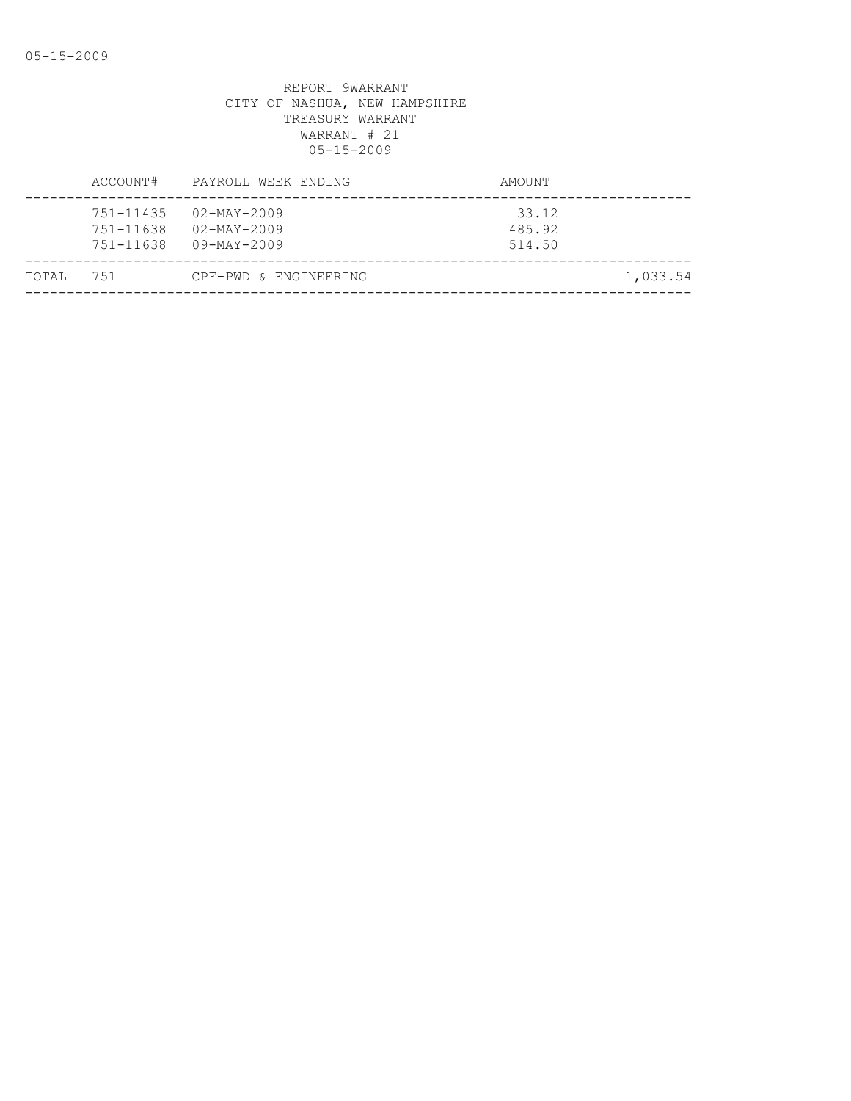|       | ACCOUNT#                            | PAYROLL WEEK ENDING                                                              | AMOUNT                    |  |
|-------|-------------------------------------|----------------------------------------------------------------------------------|---------------------------|--|
|       | 751-11435<br>751-11638<br>751-11638 | $02 - \text{MAX} - 2009$<br>$02 - \text{MAX} - 2009$<br>$09 - \text{MAX} - 2009$ | 33.12<br>485.92<br>514.50 |  |
| TOTAL | 751                                 | CPF-PWD & ENGINEERING                                                            | 1,033.54                  |  |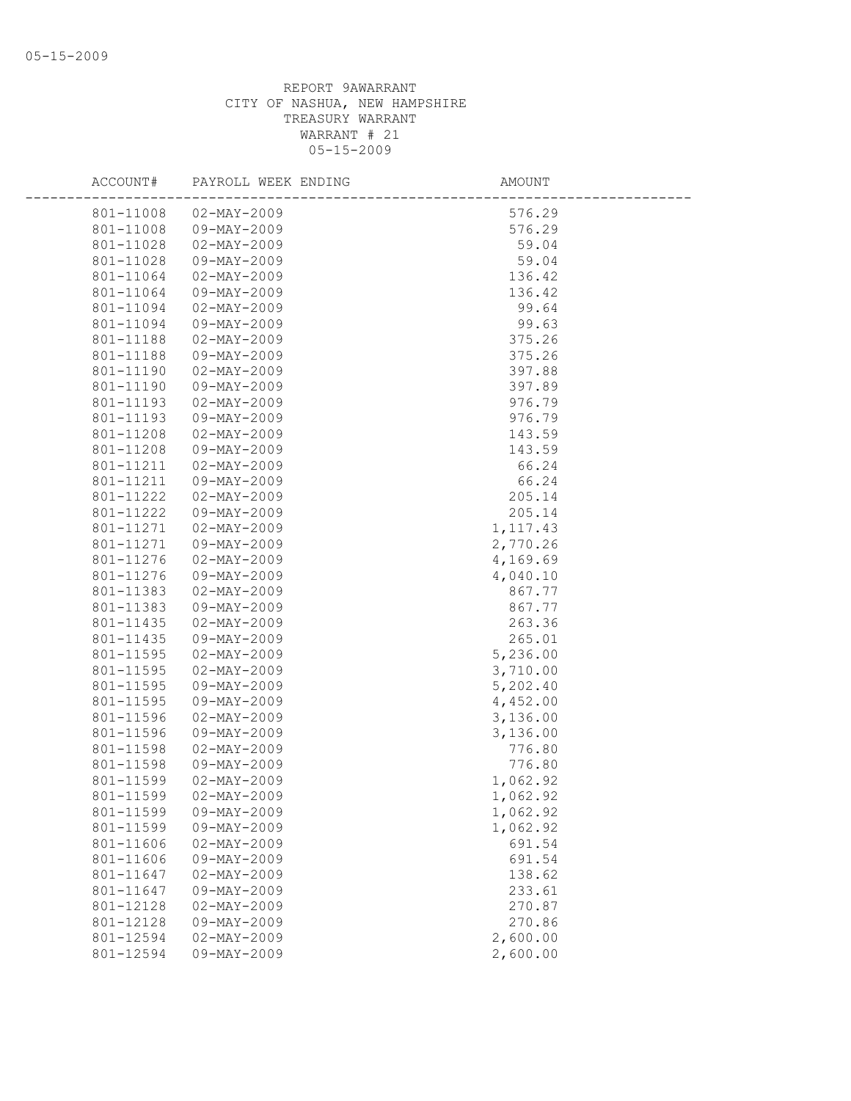| ACCOUNT#               | PAYROLL WEEK ENDING              | AMOUNT               |  |
|------------------------|----------------------------------|----------------------|--|
| 801-11008              | $02 - MAX - 2009$                | 576.29               |  |
| 801-11008              | 09-MAY-2009                      | 576.29               |  |
| 801-11028              | $02 - \text{MAY} - 2009$         | 59.04                |  |
| 801-11028              | $09 - MAY - 2009$                | 59.04                |  |
| 801-11064              | $02 - MAY - 2009$                | 136.42               |  |
| 801-11064              | 09-MAY-2009                      | 136.42               |  |
| 801-11094              | $02 - MAX - 2009$                | 99.64                |  |
| 801-11094              | 09-MAY-2009                      | 99.63                |  |
| 801-11188              | $02 - MAY - 2009$                | 375.26               |  |
| 801-11188              | $09 - MAY - 2009$                | 375.26               |  |
| 801-11190              | $02 - MAX - 2009$                | 397.88               |  |
| 801-11190              | 09-MAY-2009                      | 397.89               |  |
| 801-11193              | $02 - MAX - 2009$                | 976.79               |  |
| 801-11193              | 09-MAY-2009                      | 976.79               |  |
| 801-11208              | $02 - MAY - 2009$                | 143.59               |  |
| 801-11208              | 09-MAY-2009                      | 143.59               |  |
| 801-11211              | $02 - MAX - 2009$                | 66.24                |  |
| 801-11211              | 09-MAY-2009                      | 66.24                |  |
| 801-11222              | $02 - MAX - 2009$                | 205.14               |  |
| 801-11222              | 09-MAY-2009                      | 205.14               |  |
| 801-11271              | $02 - MAX - 2009$                | 1, 117.43            |  |
| 801-11271              | $09 - MAY - 2009$                | 2,770.26             |  |
| 801-11276              | $02 - \text{MAY} - 2009$         | 4,169.69             |  |
| 801-11276              | 09-MAY-2009                      | 4,040.10             |  |
| 801-11383              | $02 - MAX - 2009$                | 867.77               |  |
| 801-11383              | 09-MAY-2009                      | 867.77               |  |
| 801-11435              | $02 - MAX - 2009$                | 263.36               |  |
| 801-11435              | $09 - MAY - 2009$                | 265.01               |  |
| 801-11595              | $02 - MAY - 2009$                | 5,236.00             |  |
| 801-11595              | $02 - MAY - 2009$                | 3,710.00             |  |
| 801-11595              | $09 - MAY - 2009$                | 5,202.40             |  |
| 801-11595              | 09-MAY-2009                      | 4,452.00             |  |
| 801-11596              | $02 - MAX - 2009$                | 3,136.00             |  |
| 801-11596              | 09-MAY-2009                      | 3,136.00             |  |
| 801-11598              | $02 - MAX - 2009$                | 776.80               |  |
| 801-11598              | 09-MAY-2009                      | 776.80               |  |
| 801-11599              | $02 - MAX - 2009$                | 1,062.92             |  |
| 801-11599              | $02 - MAX - 2009$                | 1,062.92             |  |
| 801-11599<br>801-11599 | 09-MAY-2009<br>$09 - MAY - 2009$ | 1,062.92<br>1,062.92 |  |
| 801-11606              |                                  | 691.54               |  |
| 801-11606              | $02 - MAX - 2009$<br>09-MAY-2009 | 691.54               |  |
| 801-11647              | $02 - MAX - 2009$                | 138.62               |  |
| 801-11647              | 09-MAY-2009                      | 233.61               |  |
| 801-12128              | $02 - MAX - 2009$                | 270.87               |  |
| 801-12128              | $09 - MAY - 2009$                | 270.86               |  |
| 801-12594              | $02 - MAX - 2009$                | 2,600.00             |  |
| 801-12594              | 09-MAY-2009                      | 2,600.00             |  |
|                        |                                  |                      |  |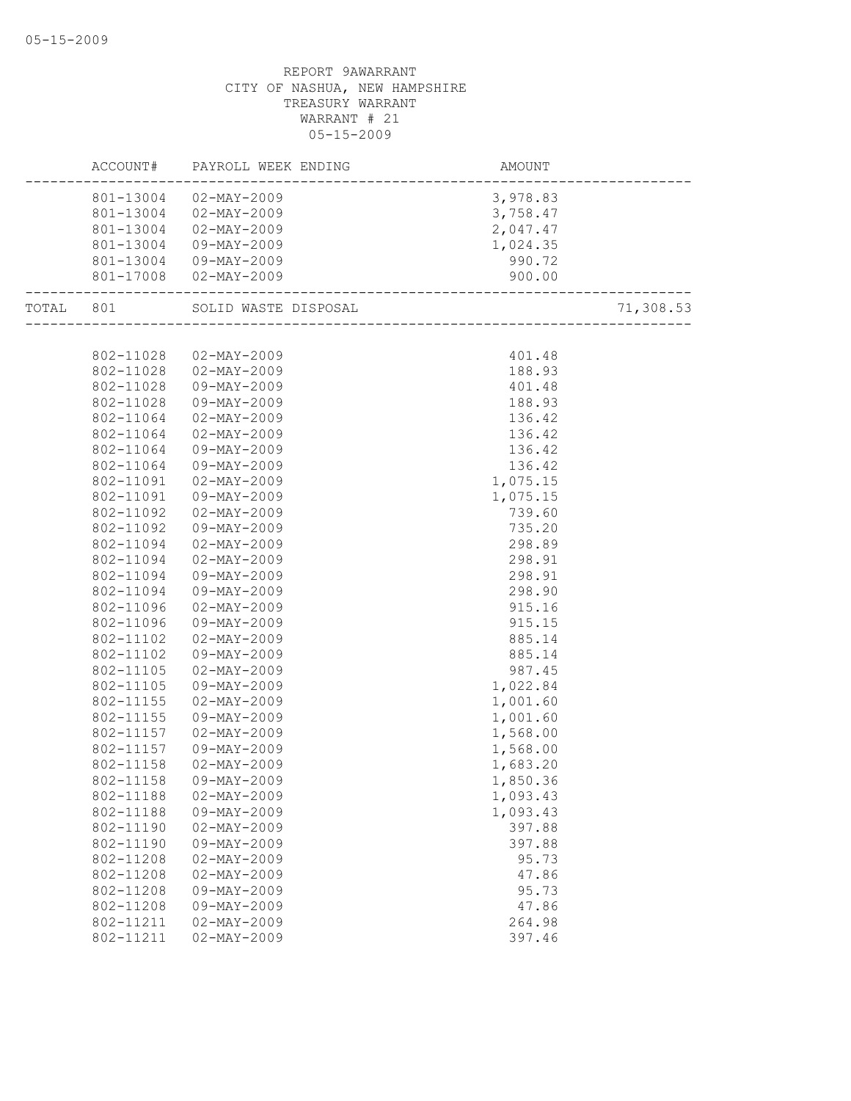|           |           | ACCOUNT# PAYROLL WEEK ENDING | AMOUNT   |           |
|-----------|-----------|------------------------------|----------|-----------|
|           |           | 801-13004 02-MAY-2009        | 3,978.83 |           |
|           |           | 801-13004 02-MAY-2009        | 3,758.47 |           |
|           |           | 801-13004 02-MAY-2009        | 2,047.47 |           |
|           | 801-13004 | 09-MAY-2009                  | 1,024.35 |           |
|           |           | 801-13004 09-MAY-2009        | 990.72   |           |
|           |           | 801-17008 02-MAY-2009        | 900.00   |           |
| TOTAL 801 |           | SOLID WASTE DISPOSAL         |          | 71,308.53 |
|           |           |                              |          |           |
|           | 802-11028 | 02-MAY-2009                  | 401.48   |           |
|           |           | 802-11028  02-MAY-2009       | 188.93   |           |
|           | 802-11028 | 09-MAY-2009                  | 401.48   |           |
|           | 802-11028 | 09-MAY-2009                  | 188.93   |           |
|           | 802-11064 | $02 - MAX - 2009$            | 136.42   |           |
|           | 802-11064 | 02-MAY-2009                  | 136.42   |           |
|           | 802-11064 | 09-MAY-2009                  | 136.42   |           |
|           | 802-11064 | 09-MAY-2009                  | 136.42   |           |
|           | 802-11091 | $02 - MAX - 2009$            | 1,075.15 |           |
|           | 802-11091 | 09-MAY-2009                  | 1,075.15 |           |
|           | 802-11092 | $02 - MAX - 2009$            | 739.60   |           |
|           | 802-11092 | 09-MAY-2009                  | 735.20   |           |
|           | 802-11094 | 02-MAY-2009                  | 298.89   |           |
|           | 802-11094 | $02 - MAX - 2009$            | 298.91   |           |
|           | 802-11094 | 09-MAY-2009                  | 298.91   |           |
|           | 802-11094 | 09-MAY-2009                  | 298.90   |           |
|           | 802-11096 | 02-MAY-2009                  | 915.16   |           |
|           | 802-11096 | 09-MAY-2009                  | 915.15   |           |
|           | 802-11102 | 02-MAY-2009                  | 885.14   |           |
|           | 802-11102 | 09-MAY-2009                  | 885.14   |           |
|           | 802-11105 | $02 - MAX - 2009$            | 987.45   |           |
|           | 802-11105 | 09-MAY-2009                  | 1,022.84 |           |
|           | 802-11155 | $02 - MAX - 2009$            | 1,001.60 |           |
|           | 802-11155 | 09-MAY-2009                  | 1,001.60 |           |
|           | 802-11157 | $02 - MAX - 2009$            | 1,568.00 |           |
|           | 802-11157 | 09-MAY-2009                  | 1,568.00 |           |
|           | 802-11158 | $02 - MAX - 2009$            | 1,683.20 |           |
|           | 802-11158 | 09-MAY-2009                  | 1,850.36 |           |
|           | 802-11188 | $02 - MAX - 2009$            | 1,093.43 |           |
|           | 802-11188 | 09-MAY-2009                  | 1,093.43 |           |
|           | 802-11190 | $02 - MAX - 2009$            | 397.88   |           |
|           | 802-11190 | 09-MAY-2009                  | 397.88   |           |
|           | 802-11208 | $02 - MAX - 2009$            | 95.73    |           |
|           | 802-11208 | $02 - MAX - 2009$            | 47.86    |           |
|           | 802-11208 | 09-MAY-2009                  | 95.73    |           |
|           | 802-11208 | 09-MAY-2009                  | 47.86    |           |
|           | 802-11211 | $02 - MAX - 2009$            | 264.98   |           |
|           | 802-11211 | $02 - MAX - 2009$            | 397.46   |           |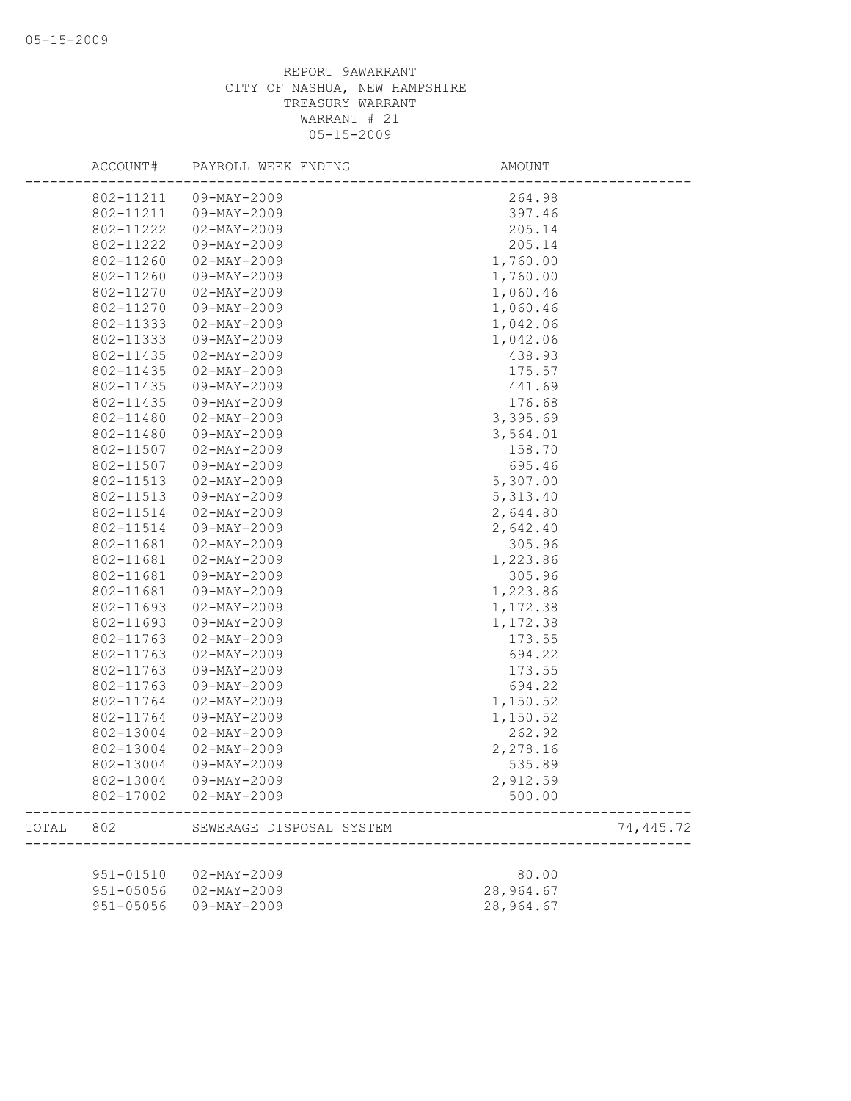|       | ACCOUNT#      | PAYROLL WEEK ENDING      | AMOUNT    |           |
|-------|---------------|--------------------------|-----------|-----------|
|       | 802-11211     | 09-MAY-2009              | 264.98    |           |
|       | 802-11211     | 09-MAY-2009              | 397.46    |           |
|       | 802-11222     | $02 - \text{MAY} - 2009$ | 205.14    |           |
|       | 802-11222     | 09-MAY-2009              | 205.14    |           |
|       | 802-11260     | $02 - MAY - 2009$        | 1,760.00  |           |
|       | 802-11260     | 09-MAY-2009              | 1,760.00  |           |
|       | 802-11270     | $02 - MAY - 2009$        | 1,060.46  |           |
|       | 802-11270     | 09-MAY-2009              | 1,060.46  |           |
|       | 802-11333     | $02 - \text{MAY} - 2009$ | 1,042.06  |           |
|       | 802-11333     | 09-MAY-2009              | 1,042.06  |           |
|       | 802-11435     | $02 - MAX - 2009$        | 438.93    |           |
|       | 802-11435     | $02 - MAX - 2009$        | 175.57    |           |
|       | 802-11435     | 09-MAY-2009              | 441.69    |           |
|       | 802-11435     | 09-MAY-2009              | 176.68    |           |
|       | 802-11480     | $02 - MAY - 2009$        | 3,395.69  |           |
|       | 802-11480     | 09-MAY-2009              | 3,564.01  |           |
|       | 802-11507     | $02 - MAX - 2009$        | 158.70    |           |
|       | 802-11507     | $09 - MAX - 2009$        | 695.46    |           |
|       | 802-11513     | $02 - MAX - 2009$        | 5,307.00  |           |
|       | 802-11513     | 09-MAY-2009              | 5,313.40  |           |
|       | 802-11514     | $02 - MAY - 2009$        | 2,644.80  |           |
|       | 802-11514     | 09-MAY-2009              | 2,642.40  |           |
|       | 802-11681     | $02 - MAX - 2009$        | 305.96    |           |
|       | 802-11681     | $02 - MAY - 2009$        | 1,223.86  |           |
|       | 802-11681     | 09-MAY-2009              | 305.96    |           |
|       | 802-11681     | 09-MAY-2009              | 1,223.86  |           |
|       | 802-11693     | $02 - MAX - 2009$        | 1,172.38  |           |
|       | 802-11693     | 09-MAY-2009              | 1,172.38  |           |
|       | 802-11763     | $02 - MAX - 2009$        | 173.55    |           |
|       | 802-11763     | $02 - MAY - 2009$        | 694.22    |           |
|       | 802-11763     | 09-MAY-2009              | 173.55    |           |
|       | 802-11763     | 09-MAY-2009              | 694.22    |           |
|       | 802-11764     | $02 - MAY - 2009$        | 1,150.52  |           |
|       | 802-11764     | 09-MAY-2009              | 1,150.52  |           |
|       | 802-13004     | $02 - MAX - 2009$        | 262.92    |           |
|       | 802-13004     | $02 - MAX - 2009$        | 2,278.16  |           |
|       | 802-13004     | 09-MAY-2009              | 535.89    |           |
|       | 802-13004     | $09 - MAX - 2009$        | 2,912.59  |           |
|       | 802-17002     | $02 - \text{MAX} - 2009$ | 500.00    |           |
| TOTAL | 802           | SEWERAGE DISPOSAL SYSTEM |           | 74,445.72 |
|       |               |                          |           |           |
|       | 951-01510     | $02 - MAX - 2009$        | 80.00     |           |
|       | $951 - 05056$ | $02 - MAY - 2009$        | 28,964.67 |           |
|       | 951-05056     | 09-MAY-2009              | 28,964.67 |           |